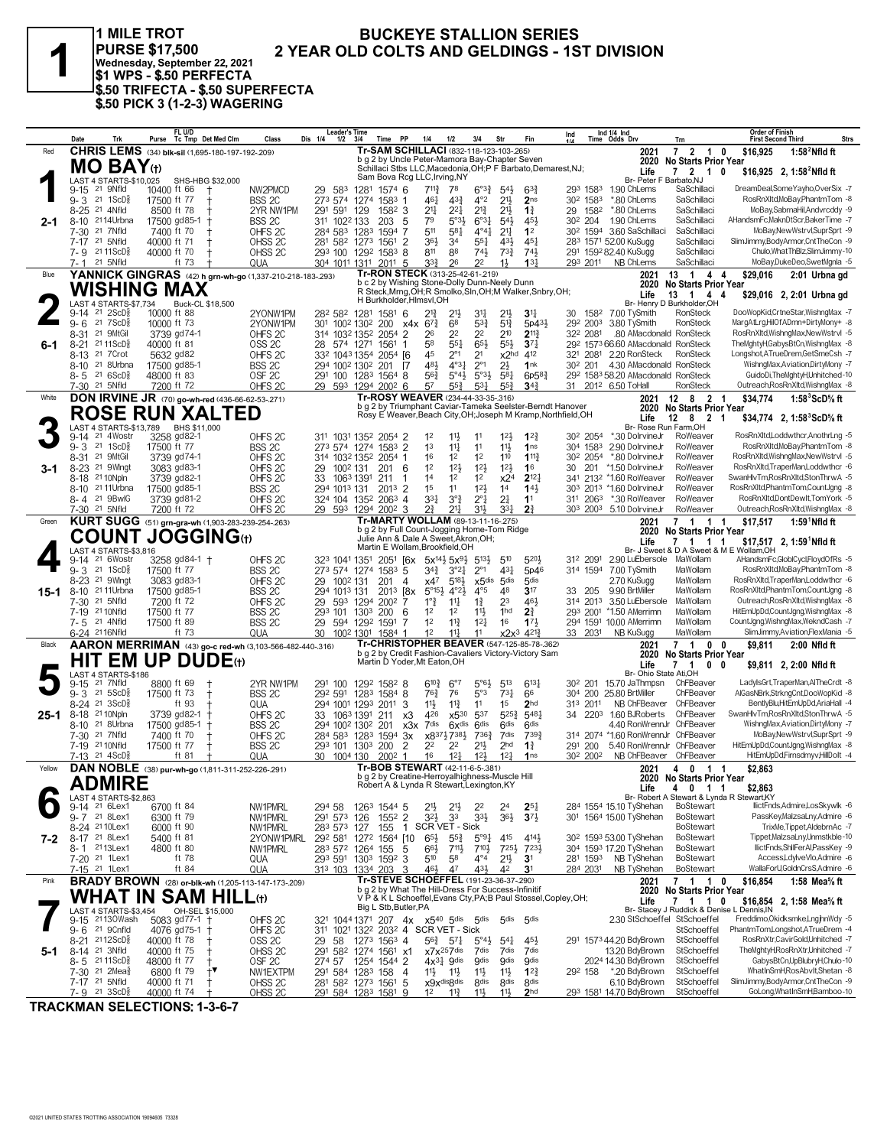

1 MILE TROT PURSE \$17,500<br>Wednesday, September 22, 2021<br>\$1 WPS - \$.50 PERFECTA \$.50 TRIFECTA - \$.50 SUPERFECTA<br>\$.50 PICK 3 (1-2-3) WAGERING

#### **BUCKEYE STALLION SERIES** 2 YEAR OLD COLTS AND GELDINGS - 1ST DIVISION

|        | Date                                                                  | Trk                                 | FL U/D<br>Tc Tmp Det Med Clm<br>Purse                                | Class                                    | <b>Leader's Time</b><br>Dis 1/4<br>$1/2$ $3/4$                                                                    |                  | Time PP                                                                                      | 1/4                                         | 1/2                               | 3/4                                           | Str                                | Fin                                                                                                | Ind                 |                                  | Ind 1/4 Ind<br>Time Odds Drv                                    | Trn                                        | <b>Order of Finish</b><br><b>First Second Third</b> | <b>Strs</b>                                                               |
|--------|-----------------------------------------------------------------------|-------------------------------------|----------------------------------------------------------------------|------------------------------------------|-------------------------------------------------------------------------------------------------------------------|------------------|----------------------------------------------------------------------------------------------|---------------------------------------------|-----------------------------------|-----------------------------------------------|------------------------------------|----------------------------------------------------------------------------------------------------|---------------------|----------------------------------|-----------------------------------------------------------------|--------------------------------------------|-----------------------------------------------------|---------------------------------------------------------------------------|
| Red    |                                                                       |                                     | CHRIS LEMS (34) blk-sil (1,695-180-197-192-209)                      |                                          |                                                                                                                   |                  | Tr-SAM SCHILLACI (832-118-123-103-265)<br>b g 2 by Uncle Peter-Mamora Bay-Chapter Seven      |                                             |                                   |                                               |                                    |                                                                                                    |                     |                                  | 2021                                                            | 7 2 1 0                                    | \$16.925                                            | 1:58 $2$ Nfld ft                                                          |
|        |                                                                       | <b>MO BAY</b> (t)                   |                                                                      |                                          |                                                                                                                   |                  |                                                                                              |                                             |                                   |                                               |                                    | Schillaci Stbs LLC, Macedonia, OH; P F Barbato, Demarest, NJ;                                      |                     |                                  | 2020<br>Life                                                    | <b>No Starts Prior Year</b><br>7 2 1 0     |                                                     | \$16,925 2, 1:58 <sup>2</sup> Nfld ft                                     |
|        |                                                                       | LAST 4 STARTS-\$10,025              | SHS-HBG \$32,000                                                     |                                          |                                                                                                                   |                  | Sam Bova Rcg LLC, Irving, NY                                                                 |                                             |                                   |                                               |                                    |                                                                                                    |                     |                                  | Br- Peter F Barbato, NJ                                         |                                            |                                                     |                                                                           |
|        | 9-15 <sup>21</sup> 9Nfld<br>$9 - 3$ 21 1ScD <sup>5</sup> <sub>8</sub> |                                     | 10400 ft 66<br>17500 ft 77                                           | NW2PMCD<br>BSS 2C                        | 29 583<br>273 574 1274                                                                                            | 1281             | 1574 6<br>1583 1                                                                             | $7^{113}$<br>$46\frac{1}{4}$                | 78<br>$4^{3}\frac{3}{4}$          | $6^{o_{32}}$<br>$4^{\circ}2$                  | $54\frac{1}{2}$<br>21}             | $63\frac{3}{4}$<br>2 <sub>ns</sub>                                                                 |                     | 293 1583<br>30 <sup>2</sup> 1583 | 1.90 ChLems<br>*.80 ChLems                                      | SaSchillaci<br>SaSchillaci                 |                                                     | DreamDeal,SomeYayho,OverSix -7<br>RosRnXltd,MoBay,PhantmTom -8            |
|        | 8-25 21 4Nfld                                                         |                                     | 8500 ft 78                                                           | 2YR NW1PM                                | 291 591                                                                                                           | 129              | 1582 3                                                                                       | 211                                         | $2^{21}$                          | $2^{13}$                                      | $21\frac{1}{2}$                    | $1\frac{3}{4}$                                                                                     |                     | 29 1582                          | *.80 ChLems                                                     | SaSchillaci                                |                                                     | MoBay,SabrnaHil,Andvrcddy -9                                              |
| 2-1    | 8-10 2114Urbna                                                        |                                     | 17500 gd85-1<br><b>t</b>                                             | BSS 2C                                   | 311 1022 133                                                                                                      |                  | 203, 5                                                                                       | 79                                          | $5^{\circ}3\frac{1}{2}$           | $6^{\circ}3\frac{1}{4}$                       | 543                                | 45}                                                                                                |                     | 30 <sup>2</sup> 204              | 1.90 ChLems                                                     | SaSchillaci                                |                                                     | AHandsmFc, MaknDtScr, BakerTime -7                                        |
|        | 7-30<br>7-17 <sup>21</sup> 5Nfld                                      | 21 7Nfld                            | 7400 ft 70<br>40000 ft 71                                            | OHFS <sub>2C</sub><br>OHSS <sub>2C</sub> | 284 583 1283<br>281 582 1273 1561 2                                                                               |                  | 1594<br>7                                                                                    | 511<br>36}                                  | 581<br>34                         | $4^{\circ}4^{\frac{1}{4}}$<br>$55\frac{1}{4}$ | $2^{11}$<br>43}                    | 1 <sup>2</sup><br>$45\frac{1}{4}$                                                                  |                     | 30 <sup>2</sup> 1594             | 3.60 SaSchillaci<br>283 1571 52.00 KuSugg                       | SaSchillaci<br>SaSchillaci                 |                                                     | MoBay, New Wstrvl, SuprSprt -9<br>SlimJimmy,BodyArmor,CntTheCon -9        |
|        | 7-9 2111ScD <sup>3</sup>                                              |                                     | 40000 ft 70                                                          | OHSS <sub>2C</sub>                       | 293 100 1292 1583 8                                                                                               |                  |                                                                                              | 811                                         | 88                                | $74\frac{1}{2}$                               | $73\frac{3}{4}$                    | 741                                                                                                |                     |                                  | 291 1592 82.40 KuSugg                                           | SaSchillaci                                |                                                     | Chulo, What ThBIz, SlimJimmy-10                                           |
|        | 7-1 21 5Nfld                                                          |                                     | ft 73                                                                | QUA                                      | 304 1011 1311                                                                                                     |                  | $201^1$ 5                                                                                    | 3 <sup>3</sup>                              | 26                                | 22                                            | 11                                 | 13 <sup>1</sup>                                                                                    |                     | 293 2011                         | NB ChLems                                                       | SaSchillaci                                |                                                     | MoBay,DukeDeo,SwetMgnla -5                                                |
| Blue   |                                                                       |                                     | YANNICK GINGRAS (42) h grn-wh-go (1,337-210-218-183-.293)            |                                          |                                                                                                                   |                  | Tr-RON STECK (313-25-42-61-.219)<br>b c 2 by Wishing Stone-Dolly Dunn-Neely Dunn             |                                             |                                   |                                               |                                    |                                                                                                    |                     |                                  | 2021<br>2020                                                    | 13 1<br>44<br><b>No Starts Prior Year</b>  | \$29,016                                            | 2:01 Urbna gd                                                             |
|        |                                                                       |                                     | <b>WISHING MAX</b>                                                   |                                          |                                                                                                                   |                  | H Burkholder, Hlmsvl, OH                                                                     |                                             |                                   |                                               |                                    | R Steck, Mrng, OH; R Smolko, Sln, OH; M Walker, Snbry, OH;                                         |                     |                                  | Life                                                            | 13 1 4 4                                   |                                                     | \$29,016 2, 2:01 Urbna gd                                                 |
|        | 9-14 21 2ScD                                                          | LAST 4 STARTS-\$7,734               | Buck-CL \$18,500<br>10000 ft 88                                      | 2YONW1PM                                 | 282 582 1281                                                                                                      |                  | 1581 6                                                                                       | $2^{13}$                                    | $21\frac{1}{2}$                   | 34                                            |                                    | 34                                                                                                 | 30                  | 1582                             | 7.00 TySmith                                                    | Br- Henry D Burkholder.OH<br>RonSteck      |                                                     | DooWopKid,CrtneStar,WishngMax -7                                          |
|        | $9 - 6$                                                               | 21 $7ScD$                           | 10000 ft 73                                                          | 2YONW1PM                                 | 301 1002 1302 200                                                                                                 |                  |                                                                                              | $x4x$ 6 <sup>73</sup>                       | 68                                | $5^{3}\frac{3}{4}$                            | $5^{13}$                           | $5p43\frac{1}{2}$                                                                                  |                     | 292 2003                         | 3.80 TySmith                                                    | RonSteck                                   |                                                     | MargAtLrg,HilOfADmn+DirtyMony+ -8                                         |
|        | $8 - 31$                                                              | 21 9MtGil                           | 3739 gd74-1                                                          | OHFS <sub>2C</sub>                       | 314 1032 1352 2054 2                                                                                              |                  |                                                                                              | 26                                          | 2 <sup>2</sup>                    | 2 <sup>2</sup>                                | 210                                | $2^{11}$                                                                                           |                     | 322 2081                         | .80 AMacdonald RonSteck                                         |                                            |                                                     | RosRnXItd, WishngMax, New Wstrvl -5                                       |
| 6-1    | $8 - 21$<br>8-13                                                      | 21 11 ScD <sup>5</sup><br>21 7 Crot | 40000 ft 81<br>5632 gd82                                             | OSS <sub>2C</sub><br>OHFS <sub>2C</sub>  | 28 574 1271<br>332 1043 1354 2054 [6                                                                              |                  | 1561<br>1                                                                                    | 58<br>45                                    | $55\frac{1}{4}$<br>$2^{\circ}1$   | $65\frac{1}{2}$<br>2 <sup>1</sup>             | $55\frac{1}{2}$<br>x2hd            | $3^{7}{}_{4}$<br>412                                                                               |                     | 321 2081                         | 29 <sup>2</sup> 1573 66.60 AMacdonald RonSteck<br>2.20 RonSteck | RonSteck                                   |                                                     | TheMghtyH,GabysBtCn,WishngMax -8<br>Longshot,ATrueDrem,GetSmeCsh -7       |
|        | 8-10 21 8Urbna                                                        |                                     | 17500 gd85-1                                                         | BSS <sub>2C</sub>                        | 294 1002 1302 201                                                                                                 |                  | - 17                                                                                         | 481                                         | 4°3 <sup>1</sup>                  | $2^{\circ}1$                                  | $2\frac{1}{2}$                     | 1nk                                                                                                | 30 <sup>2</sup> 201 |                                  | 4.30 AMacdonald RonSteck                                        |                                            |                                                     | WishngMax,Aviation,DirtyMony -7                                           |
|        | 8-5 21 6ScD <sup>3</sup>                                              |                                     | 48000 ft 83                                                          | OSF <sub>2C</sub>                        | 291 100 1283 1564 8                                                                                               |                  |                                                                                              | 563                                         | $5^{\circ}4\frac{1}{2}$           | $5°3\frac{1}{2}$                              | 581                                | 6p583                                                                                              |                     |                                  | 29 <sup>2</sup> 1583 58.20 AMacdonald RonSteck                  |                                            |                                                     | GuidoDi,TheMghtyH,Unhitched-10<br>Outreach, Ros Rn XItd, Wishing Max -8   |
| White  | 7-30 <sup>21</sup> 5Nfld                                              |                                     | 7200 ft 72<br><b>DON IRVINE JR</b> (70) go-wh-red (436-66-62-53-271) | OHFS <sub>2C</sub>                       | 29 593                                                                                                            | 1294 2002 6      | Tr-ROSY WEAVER (234-44-33-35-.316)                                                           | 57                                          | $55\frac{3}{4}$                   | $5^{3}$                                       | $55\frac{3}{4}$                    | $3^{42}$                                                                                           |                     |                                  | 31 2012 6.50 ToHall<br>2021                                     | <b>RonSteck</b><br>12 8 2 1                | \$34,774                                            | 1:58 $3$ ScD $\%$ ft                                                      |
|        |                                                                       |                                     | <b>ROSE RUN XALTED</b>                                               |                                          |                                                                                                                   |                  |                                                                                              |                                             |                                   |                                               |                                    | b g 2 by Triumphant Caviar-Tameka Seelster-Berndt Hanover                                          |                     |                                  |                                                                 | 2020 No Starts Prior Year                  |                                                     |                                                                           |
|        |                                                                       | <b>LAST 4 STARTS-\$13.789</b>       | BHS \$11,000                                                         |                                          |                                                                                                                   |                  |                                                                                              |                                             |                                   |                                               |                                    | Rosy E Weaver, Beach City, OH; Joseph M Kramp, Northfield, OH                                      |                     |                                  | Life<br>Br- Rose Run Farm, OH                                   | 12 8 2 1                                   |                                                     | \$34,774 2, 1:58 ${}^{3}$ ScD ${}^{5}$ s ft                               |
|        | 9-14 21 4Wostr                                                        |                                     | 3258 gd82-1                                                          | OHFS <sub>2C</sub>                       | 311 1031 1352 2054 2                                                                                              |                  |                                                                                              | 1 <sup>2</sup>                              | $11\frac{1}{2}$                   | 11                                            | $12\frac{1}{2}$                    | $1^{22}$                                                                                           |                     | 30 <sup>2</sup> 2054             | *.30 DolrvineJr                                                 | RoWeaver                                   |                                                     | RosRnXItd,Loddwthcr,AnothrLng -5                                          |
|        | $9 - 3$ 21 1ScDs                                                      |                                     | 17500 ft 77                                                          | BSS <sub>2C</sub>                        | 273 574 1274 1583 2                                                                                               |                  |                                                                                              | 1 <sup>3</sup>                              | $11\frac{1}{4}$                   | 11                                            | 11}                                | 1 <sub>ns</sub>                                                                                    |                     | 304 1583                         | 2.90 DolrvineJr                                                 | RoWeaver                                   |                                                     | RosRnXltd,MoBay,PhantmTom -8                                              |
| 3-1    | 8-31<br>8-23 <sup>21</sup> 9Wingt                                     | 21 9MtGil                           | 3739 gd74-1<br>3083 gd83-1                                           | OHFS <sub>2C</sub><br>OHFS <sub>2C</sub> | 314 1032 1352<br>29 100 <sup>2</sup> 131                                                                          |                  | 2054 1<br>201<br>6                                                                           | 16<br>1 <sup>2</sup>                        | 1 <sup>2</sup><br>12 <sup>1</sup> | 1 <sup>2</sup><br>$12\frac{1}{2}$             | 110<br>$12\frac{1}{2}$             | $1^{11}$<br>1 <sup>6</sup>                                                                         | 30 201              | 30 <sup>2</sup> 2054             | *.80 DolrvineJr<br>*1.50 DolrvineJr                             | RoWeaver<br>RoWeaver                       |                                                     | RosRnXltd, WishngMax, New Wstrvl -5<br>RosRnXltd,TraperMan,Loddwthcr -6   |
|        | 8-18 21 10 Npln                                                       |                                     | 3739 gd82-1                                                          | OHFS <sub>2C</sub>                       | 33 1063 1391                                                                                                      |                  | 211<br>-1                                                                                    | 1 <sup>4</sup>                              | 1 <sup>2</sup>                    | 1 <sup>2</sup>                                | x2 <sup>4</sup>                    | $2^{12}$                                                                                           |                     |                                  | 341 2132 *1.60 RoWeaver                                         | RoWeaver                                   |                                                     | SwanHlvTm,RosRnXltd,StonThrwA -5                                          |
|        | 8-10 21 11 Urbna                                                      |                                     | 17500 gd85-1                                                         | BSS 2C                                   | 294 1013 131                                                                                                      |                  | 2013 2                                                                                       | 1 <sup>5</sup>                              | 11                                | 12 <sup>1</sup>                               | 1 <sup>4</sup>                     | $14\frac{1}{2}$                                                                                    |                     |                                  | 303 2013 *1.60 DolrvineJr                                       | RoWeaver                                   |                                                     | RosRnXltd,PhantmTom,CountJgng -8<br>RosRnXltd,DontDewIt,TomYork -5        |
|        | 8-4 21 9BwlG<br>7-30 <sup>21</sup> 5Nfld                              |                                     | 3739 gd81-2<br>7200 ft 72                                            | OHFS <sub>2C</sub><br>OHFS <sub>2C</sub> | 324 104 1352 2063 4<br>29 593                                                                                     | 1294 2002 3      |                                                                                              | 3 <sup>31</sup><br>$2^{3}$                  | $3^{\circ}$<br>$21\frac{1}{4}$    | $2^{\circ}1$<br>3 <sup>1</sup> }              | 2 <sup>1</sup><br>$3^{3}$          | 1 <sup>1</sup><br>2 <sup>3</sup>                                                                   |                     | 311 2063<br>303 2003             | *.30 RoWeaver<br>5.10 DolrvineJr                                | RoWeaver<br>RoWeaver                       |                                                     | Outreach, Ros Rn XItd, Wishing Max -8                                     |
| Green  |                                                                       |                                     | KURT SUGG (51) grn-gra-wh (1,903-283-239-254-.263)                   |                                          |                                                                                                                   |                  | Tr-MARTY WOLLAM (89-13-11-16-.275)                                                           |                                             |                                   |                                               |                                    |                                                                                                    |                     |                                  | 2021                                                            | 7 1 1 1                                    | \$17,517                                            | $1:591$ Nfld ft                                                           |
|        |                                                                       |                                     | <b>COUNT JOGGING</b> (1)                                             |                                          |                                                                                                                   |                  | b g 2 by Full Count-Jogging Home-Tom Ridge<br>Julie Ann & Dale A Sweet, Akron, OH;           |                                             |                                   |                                               |                                    |                                                                                                    |                     |                                  | 2020<br>Life                                                    | <b>No Starts Prior Year</b><br>$7$ 1 1 1   |                                                     | \$17,517 2, 1:59 <sup>1</sup> Nfld ft                                     |
|        |                                                                       | LAST 4 STARTS-\$3,816               |                                                                      |                                          |                                                                                                                   |                  | Martin E Wollam, Brookfield, OH                                                              |                                             |                                   |                                               |                                    |                                                                                                    |                     |                                  |                                                                 | Br- J Sweet & D A Sweet & M E Wollam, OH   |                                                     |                                                                           |
|        | 9-14 <sup>21</sup> 6Wostr<br>$9 - 3$                                  | $21 \text{ 1ScD}$ $\frac{5}{8}$     | 3258 gd84-1 +<br>17500 ft 77                                         | OHFS <sub>2C</sub><br>BSS <sub>2C</sub>  | $32^3$ 1041 1351 2051 [6x 5x <sup>141</sup> / <sub>2</sub> 5x <sup>91</sup> / <sub>2</sub><br>273 574 1274 1583 5 |                  |                                                                                              | $3^{4}\frac{3}{4}$                          | $3^{°2}\frac{1}{4}$               | $5^{13}$<br>$2^{\circ}1$                      | 510<br>$43\frac{1}{4}$             | 520}<br>5p46                                                                                       |                     | 312 2091<br>314 1594             | 2.90 LuEbersole MaWollam<br>7.00 TySmith                        | MaWollam                                   |                                                     | AHandsmFc,GlobICycl,FloydOfRs -5<br>RosRnXltd,MoBay,PhantmTom -8          |
|        | 8-23 <sup>21</sup> 9Wlngt                                             |                                     | 3083 gd83-1                                                          | OHFS <sub>2C</sub>                       | 29 100 <sup>2</sup> 131                                                                                           |                  | 201<br>$\overline{4}$                                                                        | x47                                         | 5183                              | $x$ 5dis                                      | 5 <sub>dis</sub>                   | 5 <sub>dis</sub>                                                                                   |                     |                                  | 2.70 KuSugg                                                     | MaWollam                                   |                                                     | RosRnXltd,TraperMan,Loddwthcr -6                                          |
| 15-1   | 8-10 21 11 Urbna                                                      |                                     | 17500 gd85-1                                                         | BSS <sub>2C</sub>                        | 294 1013 131                                                                                                      |                  | $201^3$ $[8x]$                                                                               | $5^{\circ}15\frac{1}{2}$ 4°2}               |                                   | $4^{\circ}5$                                  | 48                                 | 3 <sup>17</sup>                                                                                    |                     | 33 205                           | 9.90 BrtMiller                                                  | MaWollam                                   |                                                     | RosRnXItd,PhantmTom,CountJgng -8                                          |
|        | 7-30 21 5Nfld<br>7-19 21 10 Nfld                                      |                                     | 7200 ft 72<br>17500 ft 77                                            | OHFS <sub>2C</sub><br>BSS 2C             | 29 593 1294 2002<br>293 101 1303 200 6                                                                            |                  | 7                                                                                            | $1^{\circ}$ $\frac{3}{4}$<br>1 <sup>2</sup> | $11\frac{1}{4}$<br>1 <sup>2</sup> | $1\frac{3}{4}$<br>11}                         | 23<br>1 <sub>hd</sub>              | 461<br>2 <sup>3</sup>                                                                              |                     | 314 2013                         | 3.50 LuEbersole<br>293 2001 *1.50 AMerrimn                      | MaWollam<br>MaWollam                       |                                                     | Outreach, Ros Rn XItd, Wishing Max -8<br>HitEmUpDd,CountJgng,WishngMax -8 |
|        | 7-5 21 4Nfld                                                          |                                     | 17500 ft 89                                                          | BSS <sub>2C</sub>                        | 29 594 1292 1591                                                                                                  |                  | 7                                                                                            | 1 <sup>2</sup>                              | $11\frac{3}{4}$                   | $12\frac{1}{4}$                               | 16                                 | $17\frac{1}{2}$                                                                                    |                     |                                  | 294 1591 10.00 AMerrimn                                         | MaWollam                                   |                                                     | CountJgng, WishngMax, WekndCash -7                                        |
|        | 6-24 <sup>21</sup> 16Nfld                                             |                                     | ft 73                                                                | QUA                                      | 30                                                                                                                | 1002 1301 1584 1 |                                                                                              | 1 <sup>2</sup>                              | $11\frac{1}{2}$                   | 11                                            | $x2x^3$                            | 4213                                                                                               |                     | 33 2031                          | NB KuSugg                                                       | MaWollam                                   |                                                     | SlimJimmy, Aviation, FlexMania - 5                                        |
| Black  |                                                                       |                                     | AARON MERRIMAN (43) go-c red-wh (3,103-566-482-440-.316)             |                                          |                                                                                                                   |                  |                                                                                              |                                             |                                   |                                               |                                    | Tr-CHRISTOPHER BEAVER (547-125-85-78-362)<br>b g 2 by Credit Fashion-Cavaliers Victory-Victory Sam |                     |                                  | 2021<br>2020                                                    | 7 1 0 0<br>No Starts Prior Year            | \$9,811                                             | 2:00 Nfld ft                                                              |
|        |                                                                       |                                     | <b>HIT EM UP DUDE</b> (t)                                            |                                          |                                                                                                                   |                  | Martin D Yoder, Mt Eaton, OH                                                                 |                                             |                                   |                                               |                                    |                                                                                                    |                     |                                  | Life<br>Br- Ohio State Ati.OH                                   | 7 1<br>$\mathbf{0}$<br>- 0                 |                                                     | \$9,811 2, 2:00 Nfld ft                                                   |
|        | 9-15                                                                  | LAST 4 STARTS-\$186<br>21 7Nfld     | 8800 ft 69                                                           | 2YR NW1PM                                | 291 100                                                                                                           | 1292 1582 8      |                                                                                              | $6^{10}\frac{3}{4}$                         | $6^{\circ}7$                      | $5^{\circ}6\frac{1}{2}$                       | $5^{13}$                           | $6^{13}$                                                                                           |                     |                                  | 30 <sup>2</sup> 201 15.70 JaThmpsn                              | ChFBeaver                                  |                                                     | LadylsGrt,TraperMan,AlTheCrdt -8                                          |
|        | $9 - 3$ 21 5 ScD <sup>3</sup>                                         |                                     | 17500 ft 73<br>Ť                                                     | BSS <sub>2C</sub>                        | 292 591                                                                                                           | 1283 1584 8      |                                                                                              | $76\frac{3}{4}$                             | 76                                | $5^{\circ}3$                                  | $73\frac{1}{4}$                    | 66                                                                                                 |                     |                                  | 304 200 25.80 BrtMiller                                         | ChFBeaver                                  |                                                     | AlGasNBrk,StrkngCnt,DooWopKid -8                                          |
| 25-1   | 8-24 21 3ScD}<br>8-18 21 10 Npln                                      |                                     | ft 93<br>t<br>3739 gd82-1                                            | QUA<br>OHFS <sub>2C</sub>                | 294 1001 1293<br>33 1063 1391                                                                                     |                  | $201^1$ 3<br>211<br>xЗ                                                                       | 11}<br>426                                  | $11\frac{3}{4}$<br>x530           | 11<br>537                                     | 15<br>$5^{25}$                     | 2 <sub>hd</sub><br>5481                                                                            |                     | 313 2011                         | NB ChFBeaver<br>34 220 <sup>3</sup> 1.60 BJRoberts              | ChFBeaver<br>ChFBeaver                     |                                                     | BentlvBlu.HitEmUpDd.AriaHall -4<br>SwanHlvTm,RosRnXltd,StonThrwA -5       |
|        | 8-10 <sup>21</sup> 8Urbna                                             |                                     | 17500 gd85-1<br><b>t</b>                                             | BSS <sub>2C</sub>                        | 294 1002 1302 201                                                                                                 |                  | x3x                                                                                          | 7dis                                        | $6x$ <sup>dis</sup>               | 6 <sup>dis</sup>                              | 6 <sup>dis</sup>                   | <b>Gdis</b>                                                                                        |                     |                                  | 4.40 RonWrennJr ChFBeaver                                       |                                            |                                                     | WishngMax,Aviation,DirtyMony -7                                           |
|        | 7-30 <sup>21</sup> 7Nfld                                              |                                     | 7400 ft 70                                                           | OHFS <sub>2C</sub>                       | 284 583 1283 1594                                                                                                 |                  | 3x                                                                                           | x83717381                                   |                                   | 7363                                          | 7dis                               | 7393                                                                                               |                     |                                  | 314 2074 *1.60 RonWrennJr ChFBeaver                             |                                            |                                                     | MoBay, New Wstrvl, SuprSprt -9                                            |
|        | 7-19 21 10Nfld<br>7-13 21 4ScD                                        |                                     | 17500 ft 77<br>ft 81                                                 | BSS <sub>2C</sub><br>QUA                 | 293 101 1303 200<br>30 1004 130                                                                                   |                  | $\overline{2}$<br>2002<br>-1                                                                 | 2 <sup>2</sup><br>16                        | 22<br>$12\frac{1}{4}$             | $21\frac{1}{2}$<br>$12\frac{1}{2}$            | 2 <sub>hd</sub><br>12 <sub>1</sub> | $1\frac{3}{4}$<br>1 <sub>ns</sub>                                                                  |                     | 291 200<br>302 2002              | 5.40 RonWrennJr ChFBeaver<br>NB ChFBeaver ChFBeaver             |                                            |                                                     | HitEmUpDd,CountJgng,WishngMax -8<br>HitEmUpDd,Firnsdmyv,HillDolt -4       |
| Yellow |                                                                       |                                     | DAN NOBLE (38) pur-wh-go (1,811-311-252-226-.291)                    |                                          |                                                                                                                   |                  | Tr-BOB STEWART (42-11-6-5-.381)                                                              |                                             |                                   |                                               |                                    |                                                                                                    |                     |                                  | 2021                                                            | 4 0 1 1                                    | \$2,863                                             |                                                                           |
|        |                                                                       | <b>ADMIRE</b>                       |                                                                      |                                          |                                                                                                                   |                  | b g 2 by Creatine-Herroyalhighness-Muscle Hill<br>Robert A & Lynda R Stewart, Lexington, KY  |                                             |                                   |                                               |                                    |                                                                                                    |                     |                                  |                                                                 | 2020 No Starts Prior Year<br>4 0 1 1       |                                                     |                                                                           |
|        |                                                                       | LAST 4 STARTS-\$2,863               |                                                                      |                                          |                                                                                                                   |                  |                                                                                              |                                             |                                   |                                               |                                    |                                                                                                    |                     |                                  | Life                                                            | Br- Robert A Stewart & Lynda R Stewart, KY | \$2,863                                             |                                                                           |
|        | 9-14 <sup>21</sup> 6Lex1                                              |                                     | 6700 ft 84                                                           | NW1PMRL                                  | 294 58                                                                                                            | 1263 1544 5      |                                                                                              | 2 <sup>1</sup>                              | $21\frac{1}{2}$                   | 2 <sup>2</sup>                                | 2 <sup>4</sup>                     | $2^{51}$                                                                                           |                     |                                  | 284 1554 15.10 TyShehan<br>301 1564 15.00 TyShehan              | <b>BoStewart</b><br><b>BoStewart</b>       |                                                     | llictFnds,Admire,LosSkywlk -6<br>PassKev.MalzsaLnv.Admire -6              |
|        | 9-7 21 8 Lex1<br>8-24 2110Lex1                                        |                                     | 6300 ft 79<br>6000 ft 90                                             | NW1PMRL<br>NW1PMRL                       | 291 573 126<br>283 573 127                                                                                        |                  | 1552 2<br>155                                                                                | $3^{2}$<br>1 SCR VET - Sick                 | 33                                | $3^{3}\frac{1}{2}$                            | $36\frac{1}{2}$                    | $3^{7\frac{1}{2}}$                                                                                 |                     |                                  |                                                                 | <b>BoStewart</b>                           |                                                     | TrixMe,Tippet,AldebrnAc -7                                                |
| 7-2    | 8-17 21 8Lex1                                                         |                                     | 5400 ft 81                                                           | 2YONW1PMRL                               | 292 581 1272 1564 [10                                                                                             |                  |                                                                                              | $65\frac{1}{2}$                             | $55\frac{3}{4}$                   | $5^{\circ}91$                                 | 415                                | 4143                                                                                               |                     |                                  | 30 <sup>2</sup> 1593 53.00 TyShehan                             | <b>BoStewart</b>                           |                                                     | Tippet, MalzsaLny, Unmstkble-10                                           |
|        | 8-1 2113Lex1<br>7-20 <sup>21</sup> 1Lex1                              |                                     | 4800 ft 80<br>ft 78                                                  | NW1PMRL                                  | 283 572 1264 155                                                                                                  |                  | 5                                                                                            | $66\frac{1}{2}$                             | $711\frac{1}{2}$                  | $7^{10}\frac{1}{2}$<br>$4^{\circ}4$           |                                    | 7251 7231                                                                                          |                     |                                  | 304 1593 17.20 TyShehan<br>281 1593 NB TyShehan                 | <b>BoStewart</b><br><b>BoStewart</b>       |                                                     | llictFnds,ShllFerAl,PassKey -9<br>Access.LdvlveVlo.Admire -6              |
|        | 7-15 21 1Lex1                                                         |                                     | ft 84                                                                | QUA<br>QUA                               | 293 591 1303 1592 3<br>313 103 1334 203 3                                                                         |                  |                                                                                              | 510<br>$46\frac{1}{2}$                      | 58<br>47                          | 431                                           | $21\frac{1}{2}$<br>42              | 3 <sup>1</sup><br>3 <sup>1</sup>                                                                   |                     | 284 2031                         | NB TyShehan                                                     | <b>BoStewart</b>                           |                                                     | WallaForU,GoldnCrsS,Admire -6                                             |
| Pink   |                                                                       |                                     | <b>BRADY BROWN</b> (28) or-blk-wh (1,205-113-147-173-209)            |                                          |                                                                                                                   |                  | Tr-STEVE SCHOEFFEL (191-23-36-37-.290)<br>b g 2 by What The Hill-Dress For Success-Infinitif |                                             |                                   |                                               |                                    |                                                                                                    |                     |                                  | 2021                                                            | 7 1 1 0                                    | \$16,854                                            | 1:58 Mea $\%$ ft                                                          |
|        |                                                                       |                                     | WHAT IN SAM HIL                                                      | L(t)                                     |                                                                                                                   |                  |                                                                                              |                                             |                                   |                                               |                                    | V P & K L Schoeffel, Evans Cty, PA; B Paul Stossel, Copley, OH;                                    |                     |                                  | Life                                                            | 2020 No Starts Prior Year<br>7 1 1 0       |                                                     | \$16,854 2, 1:58 Mea <sup>5</sup> / <sub>8</sub> ft                       |
|        |                                                                       | LAST 4 STARTS-\$3.454               | OH-SEL \$15,000                                                      |                                          |                                                                                                                   |                  | Big L Stb, Butler, PA                                                                        |                                             |                                   |                                               |                                    |                                                                                                    |                     |                                  |                                                                 | Br- Stacey J Ruddick & Denise L Dennis, IN |                                                     |                                                                           |
|        | 9-6 21 9Cnfld                                                         | 9-15 21130Wash                      | 5083 gd77-1 +<br>4076 gd75-1 +                                       | OHFS <sub>2C</sub><br>OHFS <sub>2C</sub> | 321 1044 1371 207 4x x540 5dis 5dis<br>311 1021 1322 2032 4 SCR VET - Sick                                        |                  |                                                                                              |                                             |                                   |                                               | 5 <sub>dis</sub>                   | 5 <sub>dis</sub>                                                                                   |                     |                                  | 2.30 StSchoeffel StSchoeffel                                    | StSchoeffel                                |                                                     | Freddimo, Okidksmke, Lngjhn Wdy -5<br>PhantmTom,Longshot,ATrueDrem -4     |
|        | 8-21 2112ScD <sup>5</sup>                                             |                                     | 40000 ft 78<br>$\ddagger$                                            | OSS 2C                                   | 29 58                                                                                                             | 1273 1563 4      |                                                                                              | $56\frac{3}{4}$ $57\frac{1}{4}$             |                                   | $5^{\circ}4\frac{1}{2}$                       | $54\frac{1}{4}$                    | $45\frac{1}{2}$                                                                                    |                     |                                  | 291 1573 44.20 BdyBrown                                         | StSchoeffel                                |                                                     | RosRnXtr,CavirGold,Unhitched -7                                           |
| 5-1    | 8-14 <sup>21</sup> 3Nfld                                              |                                     | 40000 ft 75<br>Ť                                                     | OHSS 2C                                  | 291 582 1274 1561 x1                                                                                              |                  |                                                                                              | $x7x^{25}7$ dis                             |                                   | 7 <sub>dis</sub>                              | 7dis                               | 7dis                                                                                               |                     |                                  | 13.20 BdyBrown                                                  | StSchoeffel                                |                                                     | TheMghtyH,RosRnXtr,Unhitched -7                                           |
|        | 8-5 2111ScD <sup>3</sup><br>7-30 <sup>21</sup> 2Mea <sup>§</sup>      |                                     | 48000 ft 77<br>$+^{\blacktriangledown}$<br>6800 ft 79                | OSF <sub>2C</sub><br>NW1EXTPM            | 274 57<br>291 584 1283 158 4                                                                                      | 1254 1544 2      |                                                                                              | $4x^3$ $9$ dis<br>$11\frac{1}{2}$           | $11\frac{1}{2}$                   | <b>g</b> dis<br>$11\frac{1}{2}$               | <b>gdis</b><br>11                  | <b>g</b> dis<br>$12\frac{3}{4}$                                                                    |                     | 292 158                          | 2024 14.30 BdyBrown<br>*.20 BdyBrown                            | StSchoeffel<br>StSchoeffel                 |                                                     | GabysBtCn,UpBlubryH,Chulo-10<br>WhatInSmH,RosAbvIt,Shetan -8              |
|        | 7-17 21 5Nfld                                                         |                                     | 40000 ft 71<br>Ť                                                     | OHSS 2C                                  | 281 582 1273 1561 5                                                                                               |                  |                                                                                              | x9x <sup>disgdis</sup>                      |                                   | 8 <sup>dis</sup>                              | 8 <sub>dis</sub>                   | 8 <sub>dis</sub>                                                                                   |                     |                                  | 6.10 BdyBrown                                                   | StSchoeffel                                |                                                     | SlimJimmy,BodyArmor,CntTheCon -9                                          |
|        | $7 - 9$ 21 $35cD_8^3$                                                 |                                     | 40000 ft 74                                                          | OHSS <sub>2C</sub>                       | 291 584 1283 1581 9                                                                                               |                  |                                                                                              | 12                                          | 113                               | $11\frac{1}{2}$                               | 11                                 | 2 <sub>hd</sub>                                                                                    |                     |                                  | 293 1581 14.70 BdvBrown                                         | StSchoeffel                                |                                                     | GoLong, What InSmH, Bamboo-10                                             |

**TRACKMAN SELECTIONS: 1-3-6-7**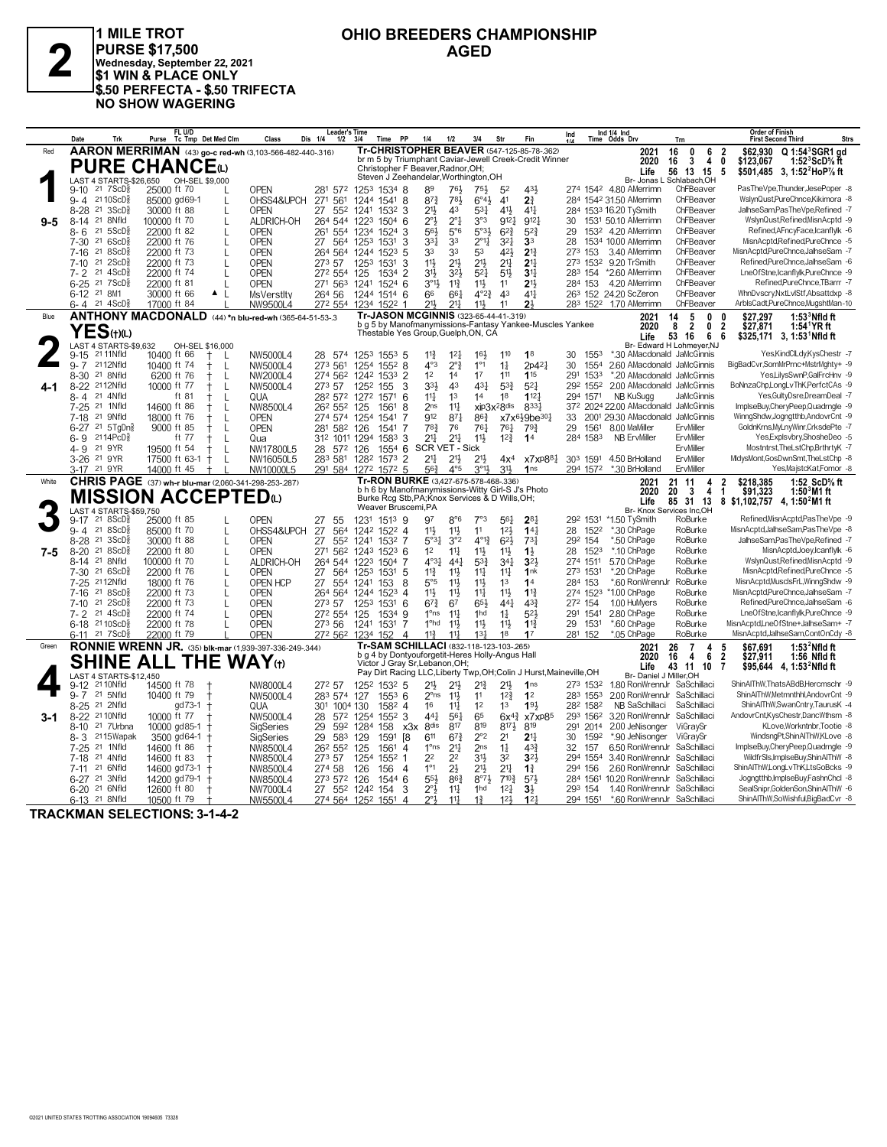## **OHIO BREEDERS CHAMPIONSHIP**



**PURSE \$17,500**<br>
Wednesday, September 22, 2021<br>
\$1 WIN & PLACE ONLY **1 MILE TROT \$1 WIN & PLACE ONLY \$.50 PERFECTA - \$.50 TRIFECTA NO SHOW WAGERING**

|         | Trk<br>Date                                                         | FL U/D<br>Tc Tmp Det Med Clm<br>Purse                                | Class<br>Dis 1/4                       | <b>Leader's Time</b><br>1/2                | 3/4<br><b>PP</b><br>Time                                                                              | 1/4                                  | 1/2                                | 3/4                                | Str                                        | Fin                               | Ind                 |      | Ind 1/4 Ind<br>Time Odds Drv                      | Trn                            | <b>Order of Finish</b><br><b>Strs</b><br><b>First Second Third</b>                                               |
|---------|---------------------------------------------------------------------|----------------------------------------------------------------------|----------------------------------------|--------------------------------------------|-------------------------------------------------------------------------------------------------------|--------------------------------------|------------------------------------|------------------------------------|--------------------------------------------|-----------------------------------|---------------------|------|---------------------------------------------------|--------------------------------|------------------------------------------------------------------------------------------------------------------|
| Red     |                                                                     | AARON MERRIMAN (43) go-c red-wh (3,103-566-482-440-316)              |                                        |                                            | Tr-CHRISTOPHER BEAVER (547-125-85-78-.362)                                                            |                                      |                                    |                                    |                                            |                                   |                     |      | 2021                                              | 16<br>0<br>6                   | Q 1:54 <sup>3</sup> SGR1 ad<br>$\overline{\mathbf{2}}$<br>\$62.930                                               |
|         |                                                                     | <b>PURE CHANCE</b>                                                   |                                        |                                            | br m 5 by Triumphant Caviar-Jewell Creek-Credit Winner<br>Christopher F Beaver, Radnor, OH;           |                                      |                                    |                                    |                                            |                                   |                     |      | 2020<br>Life                                      | 3<br>16<br>4<br>13<br>56<br>15 | 0<br>\$123.067<br>1:52 $3$ ScD $\%$ ft<br>5<br>\$501,485 3, 1:52 <sup>2</sup> HoP <sup>7</sup> / <sub>8</sub> ft |
|         | LAST 4 STARTS-\$26,650                                              | OH-SEL \$9,000                                                       |                                        |                                            | Steven J Zeehandelar, Worthington, OH                                                                 |                                      |                                    |                                    |                                            |                                   |                     |      | Br- Jonas L                                       | Schlabach.OH                   |                                                                                                                  |
|         | $21 \t7ScD$<br>$9 - 10$                                             | 25000 ft 70                                                          | <b>OPEN</b>                            | 281 572                                    | 1253 1534 8                                                                                           | 89                                   | 76}<br>$78\frac{1}{2}$             | $75\frac{1}{2}$                    | 52                                         | 431                               |                     |      | 274 1542 4.80 AMerrimn                            | ChFBeaver                      | PasTheVpe,Thunder,JesePoper -8                                                                                   |
|         | 21 10 ScD<br>$9 - 4$<br>21 3 ScD <sup>5</sup><br>$8 - 28$           | 85000 gd69-1<br>$\mathsf{L}$<br>30000 ft 88<br>L                     | OHSS4&UPCH<br>271<br><b>OPEN</b><br>27 | 561<br>552                                 | 1244<br>1541 8<br>1241 1532 3                                                                         | $87\frac{3}{4}$<br>$21\frac{1}{2}$   | 43                                 | $6^{\circ}4\frac{1}{2}$<br>$5^{3}$ | 4 <sup>1</sup><br>41}                      | 2 <sup>3</sup><br>$4^{11}$        |                     |      | 284 1542 31.50 AMerrimn<br>284 1533 16.20 TySmith | ChFBeaver<br>ChFBeaver         | WslynQust,PureChnce,Kikimora -8<br>JalhseSam,PasTheVpe,Refined -7                                                |
| $9 - 5$ | $8 - 14$<br>21 8Nfld                                                | 100000 ft 70<br>L                                                    | ALDRICH-OH                             | 264 544                                    | $1504$ 6<br>1223                                                                                      | 2°3                                  | $2^{\circ}1$                       | 3°3                                | 9121                                       | 912                               | 30                  |      | 1531 50.10 AMerrimn                               | ChFBeaver                      | WslynQust,Refined,MisnAcptd -9                                                                                   |
|         | $21 \t5SCD8$<br>$8 - 6$                                             | 22000 ft 82<br>$\mathbf{L}$                                          | <b>OPEN</b><br>261                     | 554                                        | 1234<br>1524<br>-3                                                                                    | 56}                                  | $5^{\circ}6$                       | $5°3\frac{1}{2}$                   | $6^{2}3$                                   | $5^{2}$                           | 29                  |      | 153 <sup>2</sup> 4.20 AMerrimn                    | ChFBeaver                      | Refined, AFncyFace, Icanflylk -6                                                                                 |
|         | 21 6ScD<br>$7 - 30$                                                 | 22000 ft 76<br>L                                                     | <b>OPEN</b><br>27                      | 564                                        | 1253<br>1531<br>3                                                                                     | 331                                  | 33                                 | $2^{\circ}1\frac{1}{4}$            | $3^{2}$                                    | 3 <sup>3</sup>                    | 28                  |      | 1534 10.00 AMerrimn                               | ChFBeaver                      | MisnAcptd,Refined,PureChnce -5                                                                                   |
|         | $7 - 16$<br>21 8 ScD<br>$21\,2$ ScD $\frac{5}{8}$<br>$7 - 10$       | 22000 ft 73<br>$\mathbf{I}$<br>22000 ft 73                           | <b>OPEN</b><br><b>OPEN</b>             | 264 564<br>273 57                          | 5<br>1244<br>1523<br>1531<br>3<br>1253                                                                | 33<br>$11\frac{1}{2}$                | 33<br>$21\frac{1}{2}$              | 53<br>$21\frac{1}{2}$              | 421<br>2 <sup>11</sup>                     | $2^{13}$<br>2 <sup>11</sup>       | 273 153             |      | 3.40 AMerrimn<br>273 1532 9.20 TrSmith            | ChFBeaver<br>ChFBeaver         | MisnAcptd,PureChnce,JalhseSam -7<br>Refined,PureChnce,JalhseSam -6                                               |
|         | 21<br>$4$ ScD $\frac{5}{8}$<br>7- 2                                 | 22000 ft 74                                                          | <b>OPEN</b>                            | 272 554                                    | 1534 2<br>125                                                                                         | 3 <sup>1</sup>                       | 324                                | 52 <sup>1</sup>                    | 5 <sup>11</sup>                            | 3 <sup>1</sup>                    | 283 154             |      | *2.60 AMerrimn                                    | ChFBeaver                      | LneOfStne,Icanflylk,PureChnce -9                                                                                 |
|         | $6 - 25$<br>$21 \text{ } 7$ ScD $\frac{5}{8}$                       | 22000 ft 81<br>$\mathbf{I}$                                          | <b>OPEN</b>                            | 271 563                                    | $1524$ 6<br>1241                                                                                      | $3^{\circ}13$                        | $11\frac{3}{4}$                    | $11\frac{1}{2}$                    | 1 <sup>1</sup>                             | 2 <sup>1</sup>                    | 284 153             |      | 4.20 AMerrimn                                     | ChFBeaver                      | Refined.PureChnce.TBarrr -7                                                                                      |
|         | 6-12 21 8M1                                                         | 30000 ft 66<br>$\blacktriangle$<br>-L                                | <b>MsVerstlty</b>                      | 264 56                                     | 1244 1514 6                                                                                           | 66                                   | 66 <sup>1</sup>                    | $4^{\circ}2^{\frac{3}{2}}$         | 4 <sup>3</sup>                             | 411                               |                     |      | 263 152 24.20 ScZeron                             | ChFBeaver                      | WhnDvscry, NxtLvlStf, Absattdxp -8                                                                               |
| Blue    | $21 \text{ } 4\text{ScD}^5_8$<br>ճ- 4                               | 17000 ft 84<br>ANTHONY MACDONALD (44) *n blu-red-wh (365-64-51-53-.3 | NW9500L4                               | 272 554                                    | 1522 1<br>1234<br>Tr-JASON MCGINNIS (323-65-44-41-319)                                                | 211,                                 | 211                                | $11\frac{1}{2}$                    | 11                                         | 2 <sup>1</sup>                    |                     |      | 283 1522 1.70 AMerrimn<br>2021                    | ChFBeaver<br>5<br>0<br>14      | ArbisCadt,PureChnce,MugshtMan-10<br>\$27.297<br>$1:533$ Nfld ft<br>$\mathbf{0}$                                  |
|         |                                                                     |                                                                      |                                        |                                            | b g 5 by Manofmanymissions-Fantasy Yankee-Muscles Yankee                                              |                                      |                                    |                                    |                                            |                                   |                     |      | 2020                                              | $\overline{2}$<br>8<br>0       | 2<br>\$27,871<br>1:54 YR ft                                                                                      |
|         | YES(t)(L)                                                           |                                                                      |                                        |                                            | Thestable Yes Group, Guelph, ON, CA                                                                   |                                      |                                    |                                    |                                            |                                   |                     |      | Life                                              | 53<br>16<br>6                  | \$325,171 3, 1:53 Nfld ft<br>6                                                                                   |
|         | LAST 4 STARTS-\$9,632<br>$9 - 15$<br>21 11 Nfld                     | OH-SEL \$16,000<br>10400 ft 66<br>L                                  | NW5000L4                               | 28 574                                     | 125 <sup>3</sup><br>$155^3$ 5                                                                         | $11\frac{3}{4}$                      | 12 <sup>1</sup>                    | 16 <sup>1</sup>                    | 110                                        | 1 <sup>8</sup>                    | 30                  | 1553 | *.30 AMacdonald JaMcGinnis                        | Br- Edward H Lohmeyer, NJ      | Yes,KindClLdy,KysChestr -7                                                                                       |
|         | $9 - 7$<br>2112Nfld                                                 | 10400 ft 74<br>L                                                     | NW5000L4                               | 273 561                                    | 1254 1552 8                                                                                           | $4^{\circ}3$                         | $2^{\circ}$ $\frac{3}{4}$          | 1 <sup>°1</sup>                    | $1\frac{1}{4}$                             | $2p4^2$                           | 30                  | 1554 | 2.60 AMacdonald JaMcGinnis                        |                                | BigBadCvr,SomMrPrnc+MstrMghty+ -9                                                                                |
|         | 21 8Nfld<br>$8 - 30$                                                | 6200 ft 76<br>L<br>t                                                 | NW2000L4                               | 274 562                                    | $1533$ 2<br>1242                                                                                      | 1 <sup>2</sup>                       | 14                                 | 17                                 | 111                                        | 115                               | 291                 | 1533 | *.20 AMacdonald JaMcGinnis                        |                                | Yes,LilysSwnP,GalFrcHnv -9                                                                                       |
| 4-1     | 8-22 <sup>21</sup> 12Nfld                                           | 10000 ft 77<br>$\ddagger$<br>$\mathsf{L}$                            | NW5000L4                               | 273 57                                     | 155<br>1252<br>3                                                                                      | 33}                                  | 43                                 | $43\frac{1}{4}$                    | $5^{3}\frac{3}{4}$                         | $5^{2}$<br>$112\frac{1}{7}$       | 292 1552            |      | 2.00 AMacdonald JaMcGinnis                        |                                | BoNnzaChp,LongLvThK,PerfctCAs -9                                                                                 |
|         | 21 4Nfld<br>8-4<br>$7 - 25$<br>21 1Nfld                             | ft 81<br>$\mathbf{I}$<br>14600 ft 86<br>L                            | QUA<br>NW8500L4                        | 282 572<br>26 <sup>2</sup> 55 <sup>2</sup> | 1571<br>6<br>1272<br>8<br>125<br>1561                                                                 | $11\frac{1}{4}$<br>2 <sub>ns</sub>   | 1 <sup>3</sup><br>$11\frac{1}{4}$  | 14<br>xip3x <sup>2</sup> 8dis      | 18                                         | 8331                              | 294 1571            |      | NB KuSugg<br>372 2024 22.00 AMacdonald JaMcGinnis | JaMcGinnis                     | Yes, Gulty Dsre, Dream Deal -7<br>ImplseBuy,CheryPeep,Quadrngle -9                                               |
|         | 21 9Nfld<br>7-18                                                    | 18000 ft 76<br>L                                                     | <b>OPEN</b>                            | 274 574 1254                               | 1541<br>7                                                                                             | 912                                  | $8^{71}$                           | $86\frac{3}{4}$                    |                                            | $x7x6\frac{1}{2}9be30\frac{1}{4}$ | 33                  |      | 2001 29.30 AMacdonald                             | JaMcGinnis                     | WinngShdw,Jogngtthb,AndovrCnt -9                                                                                 |
|         | 6-27 21 5TgDn§                                                      | 9000 ft 85<br>L                                                      | <b>OPEN</b><br>281                     | 582                                        | 1541<br>7<br>126                                                                                      | 783                                  | 76                                 | 761                                | 761                                        | 793                               | 29                  | 1561 | 8.00 MaMiller                                     | ErvMiller                      | GoldnKrns, MyLnyWinr, CrksdePte -7                                                                               |
|         | 6- 9<br>2114PcD <sup>§</sup>                                        | ft 77<br>L                                                           | Qua                                    | 312 1011 1294                              | 1583 3                                                                                                | 211                                  | $21\frac{1}{4}$                    | 11}                                | 12 <sup>3</sup>                            | 1 <sup>4</sup>                    | 284 1583            |      | NB ErvMiller                                      | ErvMiller                      | Yes,Explsvbry,ShosheDeo -5                                                                                       |
|         | 4-9 21 9YR<br>3-26 <sup>21</sup> 9YR                                | 19500 ft 54<br>L<br>17500 ft 63-1<br>L<br>$^+$                       | NW17800L5<br>NW16050L5                 | 28 572<br>283 581                          | $1554$ 6<br>126<br>1282<br>$1573$ 2                                                                   | <b>SCR VET - Sick</b><br>211         | 21}                                | $21\frac{1}{2}$                    | 4x <sup>4</sup>                            | x7xP88 <sub>1</sub>               | 303 1591            |      | 4.50 BrHolland                                    | ErvMiller<br>ErvMiller         | Mostntrst, TheLstChp, BrthrtyK -7<br>MidvsMont.GosDwnSmt.TheLstChp -8                                            |
|         | 3-17 21 9YR                                                         | 14000 ft 45                                                          | NW10000L5                              | 291 584                                    | 1272 1572 5                                                                                           | 56)                                  | $4^{\circ}5$                       | $3^{\circ}13$                      | 3 <sup>1</sup>                             | 1 <sub>ns</sub>                   | 294 1572            |      | *.30 BrHolland                                    | ErvMiller                      | Yes, MajstcKat, Fomor -8                                                                                         |
| White   |                                                                     | <b>CHRIS PAGE</b> (37) wh-r blu-mar (2,060-341-298-253-.287)         |                                        |                                            | Tr-RON BURKE (3,427-675-578-468-.336)<br>b h 6 by Manofmanymissions-Witty Girl-S J's Photo            |                                      |                                    |                                    |                                            |                                   |                     |      | 2021                                              | 11<br>21<br>4                  | 1:52 ScD% ft<br>2<br>\$218.385                                                                                   |
|         |                                                                     | <b>MISSION ACCEPTED</b> <sup>(L)</sup>                               |                                        |                                            | Burke Rcg Stb, PA; Knox Services & D Wills, OH;                                                       |                                      |                                    |                                    |                                            |                                   |                     |      | 2020<br>Life                                      | 20<br>3<br>4<br>85<br>31<br>13 | \$91,323<br>$1:503M1$ ft<br>-1<br>8 \$1,102,757 4, 1:50 <sup>2</sup> M1 ft                                       |
|         | LAST 4 STARTS-\$59,750                                              |                                                                      |                                        |                                            | Weaver Bruscemi,PA                                                                                    |                                      |                                    |                                    |                                            |                                   |                     |      | Br- Knox Services Inc,OH                          |                                |                                                                                                                  |
|         | $9-17$ 21 $8$ ScD $\frac{3}{8}$<br>$9 - 4$<br>21 8 ScD <sup>5</sup> | 25000 ft 85<br>85000 ft 70<br>L                                      | <b>OPEN</b><br>27<br>OHSS4&UPCH        | 55                                         | 1231<br>$151^3$ 9                                                                                     | 97<br>11}                            | $8^{\circ}6$<br>$11\frac{1}{2}$    | 7°3<br>11                          | 56 <sup>1</sup><br>12 <sup>1</sup>         | $2^{8}$<br>14 <sub>1</sub>        | 292 1531<br>28      | 1522 | *1.50 TySmith<br>*.30 ChPage                      | RoBurke<br>RoBurke             | Refined, MisnAcptd, PasTheVpe -9<br>MisnAcptd,JalhseSam,PasTheVpe -8                                             |
|         | 8-28 <sup>21</sup> 3ScD <sup>3</sup>                                | 30000 ft 88<br>L                                                     | 27<br><b>OPEN</b><br>27                | 564<br>552                                 | 1242 1522 4<br>1241 1532 7                                                                            | 5°3 <sub>1</sub>                     | 3°2                                | $4^{013}$                          | $6^{2}$                                    | 73 <sup>1</sup>                   | 292 154             |      | *.50 ChPage                                       | RoBurke                        | JalhseSam,PasTheVpe,Refined -7                                                                                   |
| $7-5$   | 218SCD <sub>8</sub><br>$8 - 20$                                     | 22000 ft 80<br>$\mathbf{I}$                                          | <b>OPEN</b><br>271                     | 562                                        | 124 <sup>3</sup><br>$152^3$ 6                                                                         | 1 <sup>2</sup>                       | $11\frac{1}{4}$                    | $11\frac{1}{2}$                    | $11\frac{1}{2}$                            | $1\frac{1}{2}$                    | 28                  | 1523 | *.10 ChPage                                       | RoBurke                        | MisnAcptd,Joey,Icanflylk -6                                                                                      |
|         | 21 8Nfld<br>8-14                                                    | 100000 ft 70<br>L                                                    | ALDRICH-OH                             | 264 544                                    | 1223<br>1504<br>7                                                                                     | $4^{\circ}3\frac{1}{4}$              | $44\frac{1}{4}$                    | $5^{3}\frac{3}{4}$                 | 34 <sup>1</sup>                            | 321                               | 274 1511            |      | 5.70 ChPage                                       | RoBurke                        | WslynQust.Refined.MisnAcptd -9                                                                                   |
|         | 21 6ScD<br>$7 - 30$<br>7-25 2112Nfld                                | 22000 ft 76<br>$\mathbf{I}$                                          | 27<br>OPEN                             | 564                                        | 125 <sup>3</sup><br>1531<br>5                                                                         | $11\frac{3}{4}$                      | $11\frac{1}{2}$<br>11}             | $11\frac{1}{4}$                    | $11\frac{1}{4}$<br>1 <sup>3</sup>          | 1nk<br>14                         | 273 1531<br>284 153 |      | *.20 ChPage<br>*.60 RonWrennJr                    | RoBurke<br>RoBurke             | MisnAcptd,Refined,PureChnce -5<br>MisnAcptd.MusclsFrL.WinngShdw -9                                               |
|         | $7-16$<br>21<br>8ScD}                                               | 18000 ft 76<br>$\mathbf{L}$<br>22000 ft 73<br>$\mathsf{L}$           | <b>OPEN HCP</b><br>27<br>OPEN          | 554<br>264 564                             | 153<br>8<br>1241<br>1244<br>$1523$ 4                                                                  | $5^{\circ}5$<br>11}                  | 11}                                | $11\frac{1}{2}$<br>$11\frac{1}{2}$ | 11}                                        | 11 <sup>3</sup>                   | 274 1523            |      | *1.00 ChPage                                      | RoBurke                        | MisnAcptd,PureChnce,JalhseSam -7                                                                                 |
|         | $7 - 10$<br>21<br>$2$ ScD $\frac{5}{8}$                             | 22000 ft 73<br>$\mathbf{I}$                                          | <b>OPEN</b>                            | 273 57                                     | 125 <sup>3</sup><br>1531<br>-6                                                                        | $6^{73}$                             | 67                                 | 65}                                | 441                                        | 43 <sup>3</sup>                   | 272 154             |      | 1.00 HuMyers                                      | RoBurke                        | Refined,PureChnce,JalhseSam -6                                                                                   |
|         | 7-2 21 4ScD                                                         | 22000 ft 74<br>$\mathbf{L}$                                          | OPEN                                   | 272 554                                    | 125<br>1534 9                                                                                         | $1^{\circ}$ ns                       | $11\frac{1}{2}$                    | 1hd                                | $1\frac{1}{4}$                             | 52 <sub>3</sub>                   | 291                 | 1541 | 2.80 ChPage                                       | RoBurke                        | LneOfStne,Icanflylk,PureChnce -9                                                                                 |
|         | 6-18 2110ScD<br>$6-11$ 21 7 ScD <sup>3</sup>                        | 22000 ft 78<br>22000 ft 79                                           | <b>OPEN</b><br><b>OPEN</b>             | 273 56<br>272 562                          | 1531<br>7<br>1241<br>1234<br>152<br>Δ                                                                 | 1 <sup>o</sup> hd<br>$11\frac{3}{4}$ | $11\frac{1}{2}$<br>$11\frac{1}{2}$ | $11\frac{1}{2}$<br>13 <sup>1</sup> | 11}<br>18                                  | $1^{13}$<br>17                    | 29<br>281 152       | 1531 | *.60 ChPage<br>*.05 ChPage                        | RoBurke<br>RoBurke             | MisnAcptd,LneOfStne+JalhseSam+ -7<br>MisnAcptd,JalhseSam,ContOnCdy -8                                            |
| Green   |                                                                     | <b>RONNIE WRENN JR.</b> (35) blk-mar (1.939-397-336-249-.344)        |                                        |                                            | Tr-SAM SCHILLACI (832-118-123-103-265)                                                                |                                      |                                    |                                    |                                            |                                   |                     |      | 2021                                              | $\overline{7}$<br>26<br>4      | 1:53 $^2$ Nfld ft<br>\$67.691<br>5                                                                               |
|         |                                                                     | <b>SHINE ALL THE WAY</b> (t)                                         |                                        |                                            | b g 4 by Dontyouforgetit-Heres Holly-Angus Hall                                                       |                                      |                                    |                                    |                                            |                                   |                     |      | 2020                                              | 16<br>4<br>6                   | $\overline{2}$<br>\$27,911<br>1:56 Nfld ft                                                                       |
|         | LAST 4 STARTS-\$12,450                                              |                                                                      |                                        |                                            | Victor J Gray Sr, Lebanon, OH;<br>Pay Dirt Racing LLC, Liberty Twp, OH; Colin J Hurst, Maineville, OH |                                      |                                    |                                    |                                            |                                   |                     |      | Life<br>Br- Daniel J Miller.OH                    | 43 11 10                       | $\overline{7}$<br>\$95,644  4, 1:53 <sup>2</sup> Nfld ft                                                         |
|         | 21 10Nfld<br>$9-12$                                                 | 14500 ft 78                                                          | NW8000L4                               | 272 57                                     | 1252 1532 5                                                                                           | 21}                                  | 21}                                | $2^{13}$                           | 2 <sup>11</sup>                            | 1 <sub>ns</sub>                   | 273 1532            |      | 1.80 RonWrennJr SaSchillaci                       |                                | ShinAlThW,ThatsABdB,Hercmschr -9                                                                                 |
|         | 21 5Nfld<br>$9 - 7$                                                 | 10400 ft 79                                                          | NW5000L4                               | 283 574                                    | 127<br>$155^3$ 6                                                                                      | 2°ns                                 | 11}                                | 11                                 | $12\frac{3}{4}$                            | 1 <sup>2</sup>                    | 283 1553            |      | 2.00 RonWrennJr SaSchillaci                       |                                | ShinAlThW,Metmnthhl,AndovrCnt -9                                                                                 |
|         | 8-25 21 2Nfld                                                       | gd 73-1<br>$^{+}$                                                    | QUA<br>30 <sup>1</sup>                 | 1004 130                                   | 1582 4                                                                                                | 16                                   | $11\frac{1}{4}$                    | 1 <sup>2</sup>                     | 1 <sup>3</sup>                             | 193                               | 282 1582            |      | NB SaSchillaci                                    | SaSchillaci                    | ShinAlThW,SwanCntry,TaurusK -4                                                                                   |
| 3-1     | 8-22 <sup>21</sup> 10Nfld<br>21 7Urbna<br>$8 - 10$                  | 10000 ft 77<br>10000 gd85-1                                          | NW5000L4<br>28<br>29<br>SigSeries      | 572<br>592                                 | 1254<br>1552 3<br>1284<br>158<br>x3x                                                                  | $44\frac{1}{4}$<br>8 <sub>dis</sub>  | 561<br>817                         | 65<br>819                          | $6x^{4}\frac{3}{4}$<br>$8^{17}\frac{1}{2}$ | x7xp85<br>819                     | 293 1562<br>291     | 2014 | 3.20 RonWrennJr<br>2.00 JeNisonger                | SaSchillaci<br>ViGraySr        | AndovrCnt,KysChestr,DancWthsm -8<br>KLove.Workntnbr.Tootie -8                                                    |
|         | 8-3 2115 Wapak                                                      | 3500 gd64-1                                                          | 29<br>SigSeries                        | 583                                        | 129<br>1591<br>[8                                                                                     | 611                                  | $67\frac{3}{4}$                    | $2^{\circ}2$                       | 2 <sup>1</sup>                             | 2 <sup>11</sup>                   | 30                  | 1592 | *.90 JeNisonger                                   | ViGravSr                       | WindsngPt,ShinAlThW,KLove -8                                                                                     |
|         | 21 1Nfld<br>$7 - 25$                                                | 14600 ft 86                                                          | NW8500L4                               | 262 552                                    | 125<br>1561<br>$\overline{4}$                                                                         | 1 <sup>o</sup> ns                    | $21\frac{1}{4}$                    | 2 <sub>ns</sub>                    | $1\frac{1}{4}$                             | $43\frac{3}{4}$                   | 32                  | 157  | 6.50 RonWrennJr SaSchillaci                       |                                | ImplseBuy,CheryPeep,Quadrngle -9                                                                                 |
|         | 21 4Nfld<br>7-18                                                    | 14600 ft 83                                                          | NW8500L4                               | 273 57                                     | 1254<br>$155^2$ 1                                                                                     | 2 <sup>2</sup>                       | 22                                 | 3 <sup>1</sup>                     | 32                                         | $3^{2}$                           | 294 1554            |      | 3.40 RonWrennJr SaSchillaci                       |                                | WildfrSls, ImplseBuy, ShinAIThW -8                                                                               |
|         | 21 6Nfld<br>7-11<br>21 3Nfld<br>6-27                                | 14600 gd73-1<br>14200 gd79-1<br>$\mathbf +$                          | NW8500L4<br>NW8500L4                   | 274 58<br>273 572                          | 126<br>156<br>4<br>126<br>1544 6                                                                      | $1^{\circ}1$<br>55}                  | 2 <sup>1</sup><br>$86\frac{3}{4}$  | 21}<br>$8^{\circ}7\frac{1}{2}$     | 2 <sup>11</sup><br>$7^{10}$ <sup>3</sup>   | $1\frac{3}{4}$<br>$5^{7}$         | 294 156<br>284 1561 |      | 2.60 RonWrennJr SaSchillaci<br>10.20 RonWrennJr   | SaSchillaci                    | ShinAlThW,LongLvThK,LtsGoBcks -9<br>Joanatthb.ImplseBuv.FashnChcl -8                                             |
|         | 6-20 <sup>21</sup> 6Nfld                                            | 12600 ft 80                                                          | NW7000L4                               | 27 552 1242                                | 3<br>154                                                                                              | $2^{\circ}3$                         | $11\frac{1}{2}$                    | 1 <sub>hd</sub>                    | 12 <sup>1</sup>                            | 3 <sup>1</sup>                    | 293 154             |      | 1.40 RonWrennJr SaSchillaci                       |                                | SealSnipr,GoldenSon,ShinAlThW -6                                                                                 |
|         | 6-13 <sup>21</sup> 8Nfld                                            | 10500 ft 79                                                          | NW5500L4                               |                                            | 274 564 1252 1551<br>$\overline{4}$                                                                   |                                      | 11 <sup>1</sup>                    | $1\frac{3}{4}$                     | 12 <sub>3</sub>                            | 12 <sub>1</sub>                   | 294 1551            |      | *.60 RonWrennJr SaSchillaci                       |                                | ShinAlThW.SoWishful.BigBadCvr -8                                                                                 |

**TRACKMAN SELECTIONS: 3-1-4-2**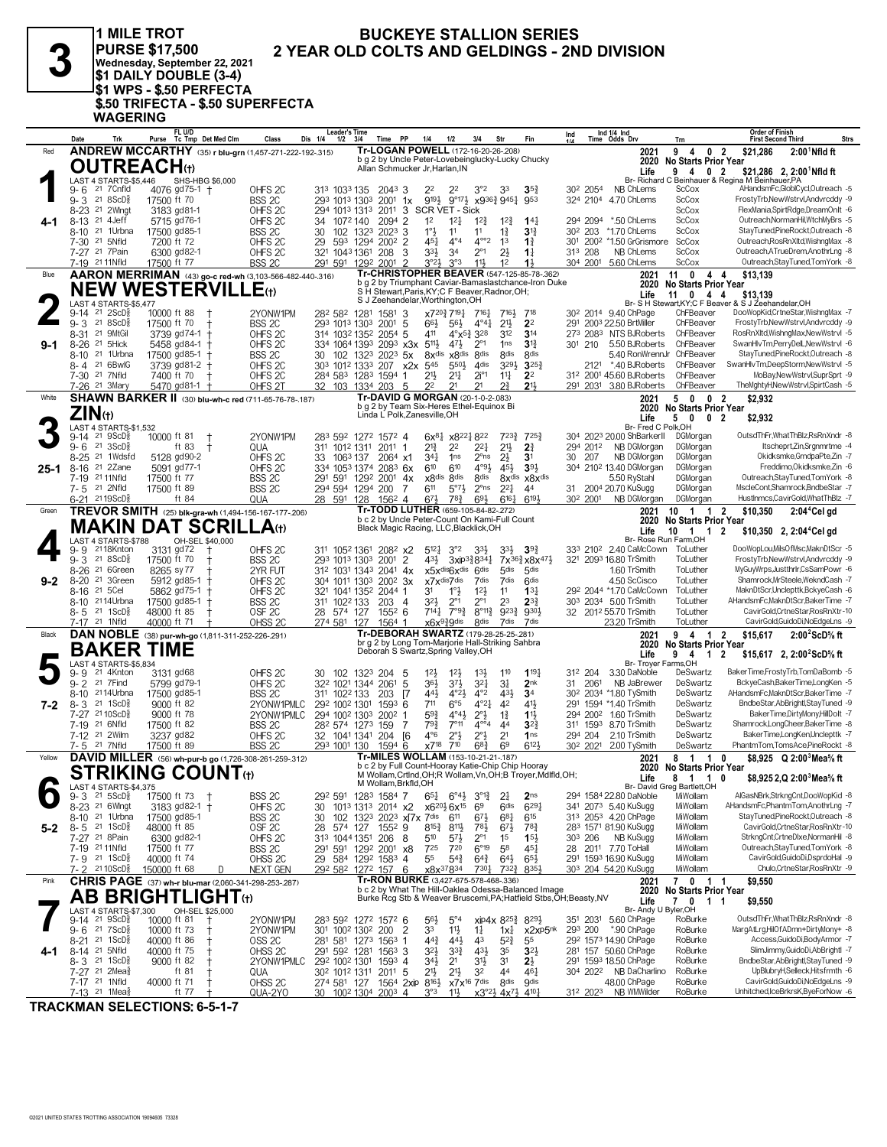3

#### **BUCKEYE STALLION SERIES** 2 YEAR OLD COLTS AND GELDINGS - 2ND DIVISION

**ST DATE T DOOBLE (3-4)**<br>J\$1 WPS - \$.50 PERFECTA<br>\$.50 TRIFECTA - \$.50 SUPERFECTA<br>WAGERING

1 MILE TROT

PURSE \$17,500<br>Wednesday, September 22, 2021<br>\$1 DAILY DOUBLE (3-4)

|         | Trk<br>Date                                                        | FL U/D<br>Tc Tmp Det Med Clm<br>Purse                            | Class                                    | <b>Leader's Time</b><br>Dis 1/4<br>$1/2$ $3/4$ | PP<br>Time                                                                                                                | 1/4<br>1/2                                                              | 3/4<br>Str                             | Fin                                                                       | Ind<br>414           | Ind 1/4 Ind<br>Time Odds Drv                                 | Trn                                      | <b>Order of Finish</b><br>Strs<br><b>First Second Third</b>                               |
|---------|--------------------------------------------------------------------|------------------------------------------------------------------|------------------------------------------|------------------------------------------------|---------------------------------------------------------------------------------------------------------------------------|-------------------------------------------------------------------------|----------------------------------------|---------------------------------------------------------------------------|----------------------|--------------------------------------------------------------|------------------------------------------|-------------------------------------------------------------------------------------------|
| Red     |                                                                    | <b>ANDREW MCCARTHY</b> (35) r blu-grn (1,457-271-222-192-.315)   |                                          |                                                | Tr-LOGAN POWELL (172-16-20-26-.208)                                                                                       |                                                                         |                                        |                                                                           |                      | 2021                                                         | 9<br>0<br>4                              | $\overline{2}$<br>\$21,286<br>$2:001$ Nfld ft                                             |
|         | <b>OUTREACH</b> (t)                                                |                                                                  |                                          |                                                | b g 2 by Uncle Peter-Lovebeinglucky-Lucky Chucky<br>Allan Schmucker Jr, Harlan, IN                                        |                                                                         |                                        |                                                                           |                      | 2020                                                         | No Starts Prior Year                     |                                                                                           |
|         | LAST 4 STARTS-\$5,446                                              | SHS-HBG \$6,000                                                  |                                          |                                                |                                                                                                                           |                                                                         |                                        |                                                                           |                      | Life                                                         | 9 4 0 2                                  | \$21,286 2, 2:00 <sup>1</sup> Nfld ft<br>Br- Richard C Beinhauer & Regina M Beinhauer, PA |
|         | 21 7 Cnfld<br>9- 6                                                 | 4076 gd75-1 +                                                    | OHFS <sub>2C</sub>                       | 313 1033 135                                   | 2043.3                                                                                                                    | 22<br>2 <sup>2</sup>                                                    | 3°2                                    | 33<br>35 <sup>3</sup>                                                     | 302 2054             | NB ChLems                                                    | ScCox                                    | AHandsmFc,GlobICycl,Outreach -5                                                           |
|         | 218SCD <sub>8</sub><br>$9 - 3$                                     | 17500 ft 70                                                      | BSS <sub>2C</sub>                        | 293 1013 1303                                  | 2001<br>1x                                                                                                                | 9194                                                                    | 9°173 x9363 9453                       | 953                                                                       | 324 2104             | 4.70 ChLems                                                  | ScCox                                    | FrostyTrb,NewWstrvl,Andvrcddy -9<br>FlexMania.SpirtRdge.DreamOnIt -6                      |
|         | 21 2Wingt<br>8-23<br>8-13 <sup>21</sup> 4Jeff                      | 3183 gd81-1<br>5715 gd76-1                                       | OHFS <sub>2C</sub><br>OHFS <sub>2C</sub> | 294 1013 1313<br>34<br>1072 140                | 2094 2                                                                                                                    | 2011 3 SCR VET - Sick<br>1 <sup>2</sup><br>$12\frac{1}{4}$              | $12\frac{3}{4}$                        | $12\frac{3}{4}$<br>$14\frac{1}{4}$                                        |                      | 294 2094 *.50 ChLems                                         | ScCox<br>ScCox                           | Outreach, NormanHil, Wtch MyBrs -5                                                        |
| 4-1     | 21 1Urbna<br>$8 - 10$                                              | 17500 gd85-1                                                     | BSS <sub>2C</sub>                        | 30                                             | 102 1323 2023 3                                                                                                           | $1^{\circ}$<br>11                                                       | 11                                     | $1\frac{3}{4}$<br>3 <sup>12</sup>                                         | 30 <sup>2</sup> 203  | *1.70 ChLems                                                 | ScCox                                    | StayTuned,PineRockt,Outreach -8                                                           |
|         | 21 5Nfld<br>$7 - 30$                                               | 7200 ft 72                                                       | OHFS <sub>2C</sub>                       | 29                                             | 593 1294 2002 2                                                                                                           | 451<br>$4^{\circ}4$                                                     | $4^{\circ}2$                           | 1 <sup>3</sup><br>$1\frac{3}{4}$                                          |                      | 301 2002 *1.50 GrGrismore                                    | ScCox                                    | Outreach, Ros Rn XItd, Wishing Max -8                                                     |
|         | 7-27 21 7Pain                                                      | 6300 gd82-1                                                      | OHFS <sub>2C</sub>                       | 321 1043 1361                                  | 3<br>208                                                                                                                  | 33}<br>34                                                               | $2^{\circ}1$                           | $2\frac{1}{2}$<br>$1\frac{1}{4}$                                          | 313 208              | NB ChLems                                                    | ScCox                                    | Outreach, ATrueDrem, AnothrLng -8                                                         |
|         | 7-19 21 11 Nfld                                                    | 17500 ft 77                                                      | BSS <sub>2C</sub>                        |                                                | 291 591 1292 2001<br>$\mathcal{P}$                                                                                        | 3°23<br>3°3                                                             | $11\frac{1}{2}$                        | 1 <sup>2</sup><br>$1\frac{1}{2}$                                          |                      | 304 2001 5.60 ChLems                                         | ScCox                                    | Outreach,StayTuned,TomYork -8                                                             |
| Blue    |                                                                    | AARON MERRIMAN (43) go-c red-wh (3,103-566-482-440-316)          |                                          |                                                | Tr-CHRISTOPHER BEAVER (547-125-85-78-.362)<br>b g 2 by Triumphant Caviar-Bamaslastchance-Iron Duke                        |                                                                         |                                        |                                                                           |                      | 2021<br>2020                                                 | 11 0 4 4<br><b>No Starts Prior Year</b>  | \$13,139                                                                                  |
|         |                                                                    | <b>NEW WESTERVILLE(t)</b>                                        |                                          |                                                | S H Stewart, Paris, KY; C F Beaver, Radnor, OH;                                                                           |                                                                         |                                        |                                                                           |                      | Life                                                         | 11<br>$0 \t4 \t4$                        | \$13,139                                                                                  |
|         | LAST 4 STARTS-\$5,477                                              |                                                                  |                                          |                                                | S J Zeehandelar, Worthington, OH                                                                                          |                                                                         |                                        |                                                                           |                      |                                                              |                                          | Br- S H Stewart, KY; C F Beaver & S J Zeehandelar, OH                                     |
|         | $9-14$ 21 $2$ ScD $\frac{5}{8}$<br>$9 - 3$<br>21 $8ScD\frac{5}{8}$ | 10000 ft 88<br>17500 ft 70                                       | 2YONW1PM<br>BSS <sub>2C</sub>            | 293 1013 1303                                  | 282 582 1281 1581<br>-3<br>200 <sup>1</sup> 5                                                                             | x720}719}716}<br>66}<br>$56\frac{1}{2}$                                 | $4^{\circ}4^{\frac{1}{4}}$             | 7161<br>718<br>2 <sup>11</sup><br>2 <sup>2</sup>                          |                      | 30 <sup>2</sup> 2014 9.40 ChPage<br>291 2003 22.50 BrtMiller | ChFBeaver<br>ChFBeaver                   | DooWopKid,CrtneStar,WishngMax -7<br>FrostyTrb,NewWstrvl,Andvrcddy -9                      |
|         | 8-31 21 9MtGil                                                     | 3739 gd74-1 +                                                    | OHFS <sub>2C</sub>                       |                                                | 314 1032 1352 2054 5                                                                                                      | 411                                                                     | $4^{\circ}x^{5}\frac{3}{4}3^{28}$      | 3 <sup>12</sup><br>$3^{14}$                                               |                      | 273 2083 NTS BJRoberts                                       | ChFBeaver                                | RosRnXltd.WishnqMax.NewWstrvl -5                                                          |
| 9-1     | 21 5Hick<br>$8 - 26$                                               | 5458 gd84-1                                                      | OHFS <sub>2C</sub>                       |                                                | 334 1064 1393 2093 x3x 5 <sup>113</sup>                                                                                   | 471                                                                     | $2^{\circ}1$                           | $3^{13}$<br>1 <sub>ns</sub>                                               | 210<br>301           | 5.50 BJRoberts                                               | ChFBeaver                                | SwanHlvTm,PerryDelL,NewWstrvl -6                                                          |
|         | 21 1Urbna<br>8-10                                                  | 17500 gd85-1                                                     | BSS 2C                                   | 30                                             | 102 132 <sup>3</sup> 202 <sup>3</sup> 5x                                                                                  | 8xdis x8dis 8dis                                                        |                                        | <b>8dis</b><br><b>8dis</b>                                                |                      | 5.40 RonWrennJr ChFBeaver                                    |                                          | StayTuned,PineRockt,Outreach -8                                                           |
|         | 21 6BwlG<br>8- 4                                                   | $3739$ gd81-2 +                                                  | OHFS <sub>2C</sub>                       |                                                | 303 1012 1333 207                                                                                                         | 550}<br>x2x 545                                                         | 4 <sub>dis</sub>                       | 3294<br>$3^{25\frac{3}{4}}$                                               |                      | 2121 *.40 BJRoberts                                          | ChFBeaver                                | SwanHlvTm,DeepStorm,NewWstrvl -5                                                          |
|         | 7-30 21 7Nfld<br>7-26 <sup>21</sup> 3Mary                          | 7400 ft 70<br>$\pm$<br>5470 gd81-1 †                             | OHFS <sub>2C</sub><br>OHFS <sub>2T</sub> | 32<br>103                                      | 284 583 1283 1594 1<br>1334 203<br>5                                                                                      | 21}<br>211<br>21                                                        | $2i^{\circ}1$<br>21                    | $11\frac{1}{4}$<br>2 <sup>2</sup><br>つき<br>21,                            |                      | 312 2001 45.60 BJRoberts<br>291 2031 3.80 BJRoberts          | ChFBeaver<br>ChFBeaver                   | MoBay, New Wstrvl, SuprSprt -9<br>TheMghtyH,NewWstrvl,SpirtCash -5                        |
| White   |                                                                    | <b>SHAWN BARKER II</b> (30) blu-wh-c red (711-65-76-78-187)      |                                          |                                                | <b>Tr-DAVID G MORGAN (20-1-0-2-.083)</b>                                                                                  |                                                                         |                                        |                                                                           |                      | 2021                                                         | 50<br>$\mathbf{0}$                       | $\overline{\mathbf{2}}$<br>\$2,932                                                        |
|         | ZIN(t)                                                             |                                                                  |                                          |                                                | b g 2 by Team Six-Heres Ethel-Equinox Bi                                                                                  |                                                                         |                                        |                                                                           |                      |                                                              | 2020 No Starts Prior Year                |                                                                                           |
|         |                                                                    |                                                                  |                                          |                                                | Linda L Polk, Zanesville, OH                                                                                              |                                                                         |                                        |                                                                           |                      | Life<br>Br- Fred C Polk.OH                                   | 50<br>0 <sub>2</sub>                     | \$2,932                                                                                   |
|         | LAST 4 STARTS-\$1,532<br>$9-14$ 21 $9$ ScD $\frac{5}{8}$           | 10000 ft 81<br>$\mathbf +$                                       | 2YONW1PM                                 |                                                | 283 592 1272 1572 4                                                                                                       | $6x^{8}$ $x8^{22}$ $8^{22}$                                             |                                        | $7^{23}\frac{3}{4}$<br>7253                                               |                      | 304 2023 20.00 ShBarkerII                                    | DGMorgan                                 | OutsdThFr,WhatThBlz,RsRnXndr -8                                                           |
|         | $9 - 6$<br>$21 \text{ } 3SCD\frac{5}{8}$                           | ft 83<br>$\ddagger$                                              | QUA                                      |                                                | 311 1012 1311 2011 1                                                                                                      | 21<br>2 <sup>2</sup>                                                    | $2^{21}$                               | 21}<br>$2\frac{3}{4}$                                                     | 294 2012             | NB DGMorgan                                                  | DGMorgan                                 | Itscheprt, Zin, Srgnmrtme -4                                                              |
|         | 21 1Wdsfd<br>8-25                                                  | 5128 gd90-2                                                      | OHFS <sub>2C</sub>                       | 33 1063 137                                    | $2064 \times 1$                                                                                                           | $34\frac{1}{4}$<br>1 <sub>ns</sub>                                      | $2o$ ns                                | $2\frac{1}{2}$<br>3 <sup>1</sup>                                          | 207<br>30            | NB DGMorgan                                                  | DGMorgan                                 | Okidksmke.GrndpaPte.Zin -7                                                                |
| 25-1    | 21 2Zane<br>8-16<br>7-19 21 11 Nfld                                | 5091 gd77-1                                                      | OHFS <sub>2C</sub>                       |                                                | 334 1053 1374 2083 6x<br>291 591 1292 2001                                                                                | 610<br>610                                                              | $4^{99}$                               | 45}<br>393                                                                |                      | 304 2102 13.40 DGMorgan                                      | DGMorgan<br>DGMorgan                     | Freddimo, Okidksmke, Zin -6<br>Outreach,StayTuned,TomYork -8                              |
|         | 7-5 21 2Nfld                                                       | 17500 ft 77<br>17500 ft 89                                       | BSS <sub>2C</sub><br>BSS <sub>2C</sub>   |                                                | 4x<br>294 594 1294 200<br>-7                                                                                              | 8 <sub>dis</sub><br>x8 <sup>dis</sup><br>611<br>$5^{\circ}7\frac{1}{2}$ | 8 <sub>dis</sub><br>$2^{\circ}$ ns     | 8xdis x8xdis<br>$2^{21}$<br>44                                            |                      | 5.50 RyStahl<br>31 2004 20.70 KuSugg                         | DGMorgan                                 | MscleCont.Shamrock.BndbeStar -7                                                           |
|         | 6-21 2119ScD <sup>5</sup>                                          | ft 84                                                            | <b>QUA</b>                               | 28<br>591 128                                  | $156^2$ 4                                                                                                                 | $67\frac{1}{2}$<br>$78\frac{3}{4}$                                      | 693                                    | 6191<br>$6^{16}$                                                          | 30 <sup>2</sup> 2001 | NB DGMorgan                                                  | DGMorgan                                 | HustInmcs.CavirGold.WhatThBlz -7                                                          |
| Green   |                                                                    | TREVOR SMITH (25) blk-gra-wh (1,494-156-167-177-206)             |                                          |                                                | Tr-TODD LUTHER (659-105-84-82-.272)                                                                                       |                                                                         |                                        |                                                                           |                      | 2021                                                         | 10 1 1                                   | $\overline{\mathbf{2}}$<br>\$10,350<br>$2:04^4$ Cel gd                                    |
|         |                                                                    | <b>MAKIN DAT SCRILLA(t)</b>                                      |                                          |                                                | b c 2 by Uncle Peter-Count On Kami-Full Count<br>Black Magic Racing, LLC, Blacklick, OH                                   |                                                                         |                                        |                                                                           |                      | 2020                                                         | No Starts Prior Year<br>$10 \t1 \t1 \t2$ |                                                                                           |
|         | LAST 4 STARTS-\$788                                                | OH-SEL \$40,000                                                  |                                          |                                                |                                                                                                                           |                                                                         |                                        |                                                                           |                      | Life<br>Br- Rose Run Farm, OH                                |                                          | \$10,350 2, 2:04 <sup>4</sup> Cel gd                                                      |
|         | 2118Knton<br>9-9                                                   | 3131 gd72                                                        | OHFS <sub>2C</sub>                       |                                                | 311 1052 1361 2082 x2                                                                                                     | $5^{12}$<br>$3^{\circ}2$                                                | $3^{3}\frac{1}{2}$                     | 39 <sub>1</sub><br>335                                                    |                      | 333 2102 2.40 CaMcCown ToLuther                              |                                          | DooWopLou,MilsOfMsc,MaknDtScr -5                                                          |
|         | $9 - 3$<br>218SCD <sub>8</sub><br>21 6Green                        | 17500 ft 70<br>$\pm$                                             | BSS <sub>2C</sub>                        | 293 1013 1303                                  | 2001<br>2                                                                                                                 | 43}                                                                     | $3xip31⁄48341$                         | 7x <sup>36</sup> / <sub>2</sub> x8x <sup>47</sup>                         |                      | 321 2093 16.80 TrSmith                                       | ToLuther                                 | FrostyTrb,NewWstrvl,Andvrcddy -9<br>MyGuyWrps,Justthrlr,CsSamPowr -6                      |
| $9 - 2$ | 8-26<br>$8 - 20$<br>21 3Green                                      | 8265 sy 77<br>5912 gd85-1                                        | 2YR FUT<br>OHFS <sub>2C</sub>            |                                                | 31 <sup>2</sup> 103 <sup>1</sup> 134 <sup>3</sup> 204 <sup>1</sup> 4x<br>304 1011 1303 2002 3x                            | x5xdis6xdis 6dis<br>x7xdis7dis                                          | 7dis                                   | 5 <sub>dis</sub><br>5 <sub>dis</sub><br>7dis<br><b>Gdis</b>               |                      | 1.60 TrSmith<br>4.50 ScCisco                                 | ToLuther<br>ToLuther                     | Shamrock, MrSteele, WekndCash -7                                                          |
|         | 21 5 Cel<br>8-16                                                   | 5862 gd75-1                                                      | OHFS <sub>2C</sub>                       |                                                | 321 1041 1352 2044 1                                                                                                      | 31<br>$1^{\circ}$                                                       | 12 <sup>1</sup>                        | 13 <sup>1</sup><br>11                                                     |                      | 292 2044 *1.70 CaMcCown                                      | ToLuther                                 | MaknDtScr,Unclepttk,BckyeCash -6                                                          |
|         | 8-10 2114Urbna                                                     | 17500 gd85-1                                                     | BSS <sub>2C</sub>                        | 311 1022 133                                   | 203<br>-4                                                                                                                 | 32}<br>$2^{\circ}1$                                                     | $2^{\circ}1$                           | 23<br>$2^{3}$                                                             |                      | 303 2034 5.00 TrSmith                                        | ToLuther                                 | AHandsmFc,MaknDtScr,BakerTime -7                                                          |
|         | 8-5 21 1ScD <sup>5</sup>                                           | 48000 ft 85<br>t                                                 | OSF <sub>2C</sub>                        | 28 574 127                                     | $155^2$ 6                                                                                                                 | $7^{14}\frac{1}{4}$ $7^{09}\frac{3}{4}$                                 | $8^{\circ}11\frac{3}{4}$               | 9233<br>930}<br>7dis<br>7dis                                              |                      | 32 2012 55.70 TrSmith                                        | ToLuther                                 | CavirGold,CrtneStar,RosRnXtr-10                                                           |
| Black   | 7-17 <sup>21</sup> 1Nfld                                           | 40000 ft 71<br>DAN NOBLE (38) pur-wh-go (1,811-311-252-226-.291) | OHSS <sub>2C</sub>                       | 274 581 127                                    | 1564 1<br>Tr-DEBORAH SWARTZ (179-28-25-25-281)                                                                            | $x6x922$ gdis                                                           | 8 <sub>dis</sub>                       |                                                                           |                      | 23.20 TrSmith<br>2021                                        | ToLuther<br>94<br>$\overline{1}$         | CavirGold,GuidoDi,NoEdgeLns -9<br>$\overline{2}$<br>\$15,617<br>$2:00^2$ ScD% ft          |
|         |                                                                    | <b>TIME</b>                                                      |                                          |                                                | br g 2 by Long Tom-Marjorie Hall-Striking Sahbra                                                                          |                                                                         |                                        |                                                                           |                      | 2020                                                         | No Starts Prior Year                     |                                                                                           |
|         | <b>BAKER</b><br>LAST 4 STARTS-\$5.834                              |                                                                  |                                          |                                                | Deborah S Swartz, Spring Valley, OH                                                                                       |                                                                         |                                        |                                                                           |                      | Life<br>Br- Troyer Farms, OH                                 | 9 4 1                                    | $\overline{2}$<br>\$15,617 2, 2:00 <sup>2</sup> ScD <sup>5</sup> / <sub>8</sub> ft        |
|         | 21 4Knton<br>$9 - 9$                                               | 3131 gd68                                                        | OHFS <sub>2C</sub>                       | 30                                             | 102 1323 204<br>-5                                                                                                        | $12\frac{1}{2}$<br>$12\frac{1}{2}$                                      | $13\frac{1}{2}$                        | 1197<br>110                                                               | 312 204              | 3.30 DaNoble                                                 | DeSwartz                                 | BakerTime,FrostyTrb,TomDaBomb -5                                                          |
|         | $9 - 2$<br>21 7 Find                                               | 5799 gd79-1                                                      | OHFS <sub>2C</sub>                       |                                                | 322 1021 1344 2061<br>-5                                                                                                  | 364<br>$3^{7}\frac{1}{2}$                                               | $3^{21}$                               | 3 <sup>1</sup><br>2nk                                                     | 2061<br>31           | NB JaBrewer                                                  | DeSwartz                                 | BckyeCash,BakerTime,LongKen -5                                                            |
|         | 8-10<br>2114Urbna                                                  | 17500 gd85-1                                                     | BSS 2C                                   | 311 1022 133                                   | 203<br>- 17                                                                                                               | 441,<br>$4^{\circ}2\frac{1}{2}$                                         | $4^{\circ}2$                           | 3 <sup>4</sup><br>43                                                      |                      | 30 <sup>2</sup> 2034 *1.80 TvSmith                           | DeSwartz                                 | AHandsmFc,MaknDtScr,BakerTime -7                                                          |
| 7-2     | $21 \text{ } 1SCD_8^5$<br>8-3<br>7-27 2110ScD <sup>3</sup>         | 9000 ft 82<br>9000 ft 78                                         | 2YONW1PMLC<br>2YONW1PMLC                 | 292 1002 1301<br>294 1002 1303                 | $1593$ 6<br>$2002$ 1                                                                                                      | 711<br>$6^{\circ 5}$<br>$59\frac{3}{4}$<br>$4^{\circ}4^{\frac{1}{2}}$   | $4^{\circ}2\frac{1}{4}$<br>$2^{\circ}$ | 42<br>413<br>$1\frac{3}{4}$<br>$1\frac{11}{2}$                            | 294 2002             | 291 1594 *1.40 TrSmith<br>1.60 TrSmith                       | DeSwartz<br>DeSwartz                     | BndbeStar, AbBrightl, StayTuned -9<br>BakerTime,DirtyMony,HillDolt -7                     |
|         | 7-19 21 6Nfld                                                      | 17500 ft 82                                                      | BSS 2C                                   | 282 574 1273                                   | 159<br>7                                                                                                                  | 79}<br>$7^{\circ}11$                                                    | $4^{\circ\circ}4$                      | 44<br>$3^{24}$                                                            | 311 1593             | 8.70 TrSmith                                                 | DeSwartz                                 | Shamrock,LongCheer,BakerTime -8                                                           |
|         | 21 2Wilm<br>$7-12$                                                 | 3237 gd82                                                        | OHFS <sub>2C</sub>                       |                                                | 32 1041 1341 204<br>[6                                                                                                    | $2^{\circ}$<br>$4^{\circ}6$                                             | $2^{\circ}$                            | 2 <sup>1</sup><br>1 <sub>ns</sub>                                         | 294 204              | 2.10 TrSmith                                                 | DeSwartz                                 | BakerTime,LongKen,Unclepttk -7                                                            |
|         | 7-5 <sup>21</sup> 7Nfld                                            | 17500 ft 89                                                      | BSS <sub>2C</sub>                        | 293 1001 130                                   | 1594 6                                                                                                                    | x718<br>710                                                             | $68\frac{3}{4}$                        | 69<br>6123                                                                |                      | 30 <sup>2</sup> 202 <sup>1</sup> 2.00 TySmith                | DeSwartz                                 | PhantmTom,TomsAce,PineRockt -8                                                            |
| Yellow  |                                                                    | DAVID MILLER (56) wh-pur-b go (1,726-308-261-259-.312)           |                                          |                                                | Tr-MILES WOLLAM (153-10-21-21-187)<br>b c 2 by Full Count-Hooray Katie-Chip Chip Hooray                                   |                                                                         |                                        |                                                                           |                      | 2021                                                         | 8 1 1<br>2020 No Starts Prior Year       | 0<br>\$8.925 Q 2:00 <sup>3</sup> Mea <sup>5</sup> / <sub>8</sub> ft                       |
|         |                                                                    | <b>STRIKING COUNT(1)</b>                                         |                                          |                                                | M Wollam, Crtlnd, OH; R Wollam, Vn, OH; B Troyer, Mdlfld, OH;                                                             |                                                                         |                                        |                                                                           |                      | Life                                                         | 8 1 1 0                                  | \$8,925 2, Q 2:00 3Mea <sup>5</sup> / <sub>8</sub> ft                                     |
|         | LAST 4 STARTS-\$4,375<br>$9 - 3$ 21 5ScD <sup>5</sup> <sub>8</sub> |                                                                  | BSS 2C                                   |                                                | M Wollam, Brkfld, OH<br>292 591 1283 1584 7                                                                               | $65\frac{1}{4}$<br>$6^{\circ}4\frac{1}{2}$                              | $3^{012}$                              | $2\frac{1}{4}$<br>2 <sub>ns</sub>                                         |                      | 294 1584 22.80 DaNoble                                       | Br- David Greg Bartlett, OH<br>MiWollam  | AlGasNBrk,StrkngCnt,DooWopKid -8                                                          |
|         | 8-23 <sup>21</sup> 6 Wingt                                         | 17500 ft 73<br>$3183$ gd82-1 +                                   | OHFS <sub>2C</sub>                       | 30                                             | 1013 1313 2014 x2                                                                                                         | x6 <sup>201</sup> / <sub>2</sub> 6x <sup>15</sup>                       | 69                                     | 6291<br>6 <sup>dis</sup>                                                  |                      | 341 2073 5.40 KuSugg                                         | MiWollam                                 | AHandsmFc,PhantmTom,AnothrLng -7                                                          |
|         | 8-10 21 1 Urbna                                                    | 17500 gd85-1                                                     | BSS <sub>2C</sub>                        | 30<br>102                                      | 1323 2023 x 7x 7dis                                                                                                       | 611                                                                     | $6^{71}$                               | $6^{8}$<br>$6^{15}$                                                       |                      | 313 2053 4.20 ChPage                                         | MiWollam                                 | StayTuned,PineRockt,Outreach -8                                                           |
|         | $8 - 5$ 21 1ScD <sup>5</sup>                                       | 48000 ft 85                                                      | OSF <sub>2C</sub>                        | 28<br>574 127                                  | 15529                                                                                                                     | $8^{15\frac{3}{4}}$<br>811,                                             | 78}                                    | $78\frac{3}{4}$<br>$6^{7}\frac{1}{2}$                                     |                      | 283 1571 81.90 KuSugg                                        | MiWollam                                 | CavirGold,CrtneStar,RosRnXtr-10                                                           |
|         | 7-27 <sup>21</sup> 8Pain                                           | 6300 gd82-1                                                      | OHFS <sub>2C</sub>                       | 313 1044 1351                                  | 206<br>-8                                                                                                                 | 510<br>$5^{7}\frac{1}{2}$                                               | $2^{\circ}1$                           | 1 <sup>5</sup><br>15 <sup>1</sup>                                         | 30 <sup>3</sup> 206  | NB KuSugg                                                    | MiWollam                                 | StrkngCnt,CrtneDlxe,NormanHil -8                                                          |
|         | 7-19 21 11 Nfld<br>7-9 <sup>21</sup> 1ScD <sup>3</sup>             | 17500 ft 77<br>40000 ft 74                                       | BSS <sub>2C</sub><br>OHSS 2C             |                                                | 291 591 1292 2001<br>х8<br>29 584 1292 1583 4                                                                             | 725<br>720<br>55<br>$5^{4^{3}_{2}}$                                     | $6^{\circ}19$<br>$64\frac{3}{4}$       | 58<br>$45\frac{1}{4}$<br>$64\frac{1}{2}$<br>$65\frac{1}{2}$               | 28                   | 2011 7.70 ToHall<br>291 1593 16.90 KuSugg                    | MiWollam<br>MiWollam                     | Outreach,StayTuned,TomYork -8<br>CavirGold,GuidoDi,DsprdoHal -9                           |
|         | 7-2 2110ScD                                                        | 150000 ft 68<br>D.                                               | <b>NEXT GEN</b>                          |                                                | 292 582 1272 157 6                                                                                                        | x8x <sup>37</sup> 8 <sup>34</sup>                                       | 7301                                   | 732}<br>8351                                                              |                      | 303 204 54.20 KuSugg                                         | MiWollam                                 | Chulo.CrtneStar.RosRnXtr -9                                                               |
| Pink    |                                                                    | CHRIS PAGE (37) wh-r blu-mar (2,060-341-298-253-.287)            |                                          |                                                | Tr-RON BURKE (3,427-675-578-468-.336)                                                                                     |                                                                         |                                        |                                                                           |                      | 2021                                                         | 70<br>1 1                                | \$9,550                                                                                   |
|         |                                                                    | <b>AB BRIGHTLIGHT</b> (t)                                        |                                          |                                                | b c 2 by What The Hill-Oaklea Odessa-Balanced Image<br>Burke Rcg Stb & Weaver Bruscemi, PA; Hatfield Stbs, OH; Beasty, NV |                                                                         |                                        |                                                                           |                      | 2020<br>Life                                                 | <b>No Starts Prior Year</b><br>70<br>11  |                                                                                           |
|         | LAST 4 STARTS-\$7.300                                              | OH-SEL \$25,000                                                  |                                          |                                                |                                                                                                                           |                                                                         |                                        |                                                                           |                      | Br- Andy U Byler, OH                                         |                                          | \$9,550                                                                                   |
|         | $9$ ScD $\frac{3}{8}$<br>9-14 21                                   | 10000 ft 81<br>Ť                                                 | 2YONW1PM                                 |                                                | 283 592 1272 1572 6                                                                                                       | 561<br>$5^{\circ}4$                                                     |                                        | xip4x $8^{25\frac{3}{4}}$ $8^{29\frac{1}{2}}$                             |                      | 351 2031 5.60 ChPage                                         | RoBurke                                  | OutsdThFr, WhatThBlz, RsRnXndr -8                                                         |
|         | $9 - 6$ 21 7 ScD <sup>5</sup><br>8-21 21 1ScD <sup>3</sup>         | 10000 ft 73<br>$\mathbf t$<br>40000 ft 86<br>Ť                   | 2YONW1PM<br>OSS <sub>2C</sub>            |                                                | 301 1002 1302 200<br>$\overline{2}$<br>281 581 1273 1563 1                                                                | 33<br>$11\frac{1}{2}$<br>$44\frac{3}{4}$<br>443                         | $1\frac{1}{4}$<br>43                   | 1x <sup>1</sup><br>x2xp5nk<br>$5^{2}3$<br>55                              | 293 200              | *.90 ChPage<br>292 1573 14.90 ChPage                         | RoBurke<br>RoBurke                       | MargAtLrg,HilOfADmn+DirtyMony+ -8<br>Access, GuidoDi, Body Armor -7                       |
|         | 8-14 <sup>21</sup> 5Nfld                                           | 40000 ft 75                                                      | OHSS <sub>2C</sub>                       |                                                | 291 592 1281 1563 3                                                                                                       | 32}<br>$3^{3}\frac{3}{4}$                                               | $43\frac{1}{2}$                        | 35<br>$3^{21}$                                                            |                      | 281 157 50.60 ChPage                                         | RoBurke                                  | SlimJimmy,GuidoDi,AbBrightl -7                                                            |
|         | 8-3 <sup>21</sup> 1ScD <sup>3</sup>                                | 9000 ft 82                                                       | 2YONW1PMLC                               | 292 1002 1301                                  | 1593 4                                                                                                                    | $34\frac{1}{2}$<br>2 <sup>1</sup>                                       | 3 <sup>1</sup>                         | 3 <sup>1</sup><br>$2\frac{1}{2}$                                          |                      | 291 1593 18.50 ChPage                                        | RoBurke                                  | BndbeStar, AbBrightl, StayTuned -9                                                        |
|         | 7-27 <sup>21</sup> 2Mea <sup>5</sup>                               | ft 81                                                            | QUA                                      |                                                | 30 <sup>2</sup> 101 <sup>2</sup> 131 <sup>1</sup> 201 <sup>1</sup> 5                                                      | 2 <sup>1</sup><br>$21\frac{1}{2}$                                       | 32                                     | 44<br>$46\frac{1}{4}$                                                     |                      | 304 2022 NB DaCharlino                                       | RoBurke                                  | UpBlubryH,Selleck,Hitsfrmth -6                                                            |
|         | 7-17 <sup>21</sup> 1Nfld                                           | 40000 ft 71                                                      | OHSS <sub>2C</sub>                       |                                                | 274 581 127 1564 2xip                                                                                                     | $8^{16}\frac{1}{2}$                                                     | x7x <sup>16</sup> 7 <sup>dis</sup>     | 8 <sub>dis</sub><br><b>gdis</b>                                           |                      | 48.00 ChPage                                                 | RoBurke                                  | CavirGold,GuidoDi,NoEdgeLns -9                                                            |
|         | 7-13 <sup>21</sup> 1Mea}                                           | ft 77<br>TRACKMAN OF LEOTIONS C.E.A.T                            | QUA-2YO                                  |                                                | 30 100 <sup>2</sup> 130 <sup>4</sup> 200 <sup>3</sup> 4                                                                   | 3°3<br>$11\frac{1}{2}$                                                  |                                        | $x3^{\circ}2\frac{1}{2}$ 4x <sup>71</sup> / <sub>2</sub> 410 <sup>1</sup> |                      | 312 2023 NB WMWilder                                         | RoBurke                                  | Unhitched,IceBrkrsK,ByeForNow -6                                                          |

TRACKMAN SELECTIONS: 6-5-1-7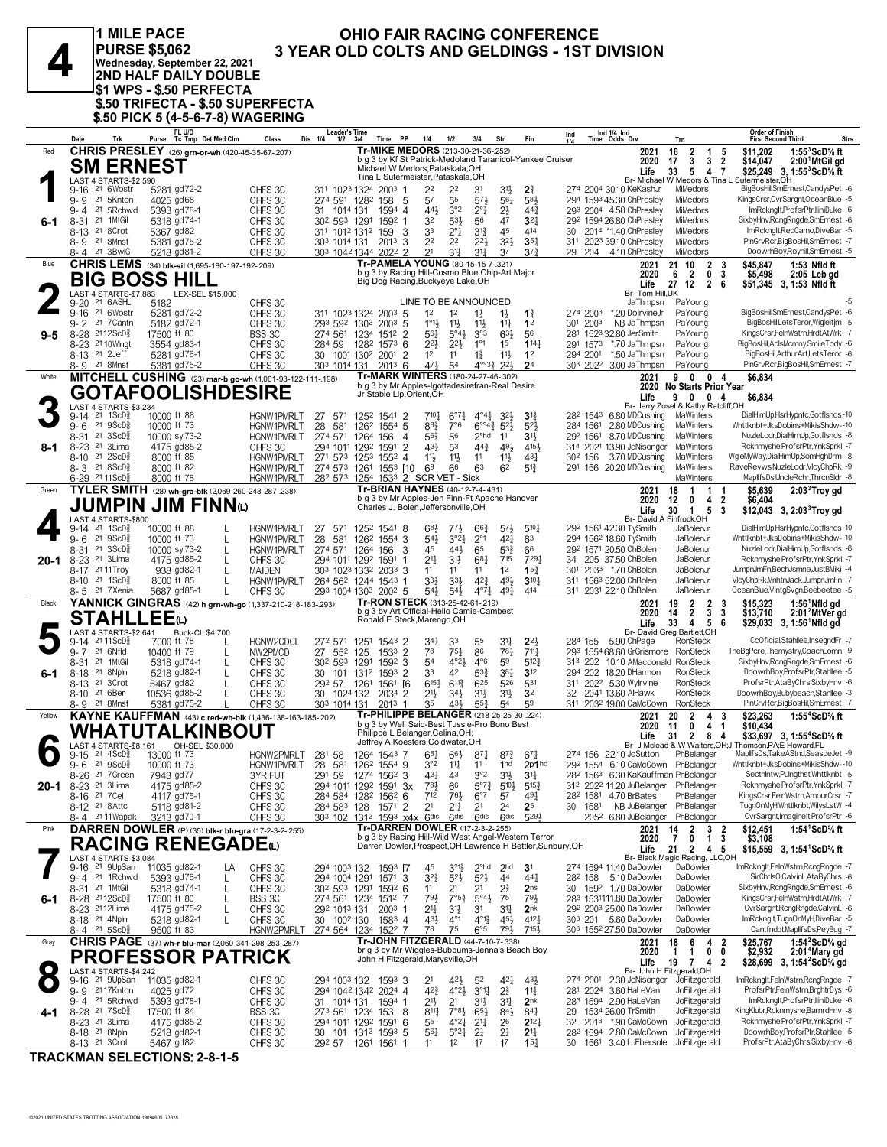

**PURSE \$5,062** Medinesday, September 22, 2021<br>Nednesday, September 22, 2021<br>2ND HALF DAILY DOUBLE S1 WPS - \$.50 PERFECTA! \$.50 TRIFECTA - \$.50 SUPERFECTA<br>\$.50 PICK 5 (4-5-6-7-8) WAGERING

FL U/D

1 MILE PACE

#### OHIO FAIR RACING CONFERENCE 3 YEAR OLD COLTS AND GELDINGS - 1ST DIVISION

Order of Finish

|           | Date                                                                              | Trk                                                 | FL U/D<br>Tc Tmp Det Med Clm<br>Purse                        | Class                           | <b>Leader's Time</b><br>Dis 1/4<br>$1/2$ $3/4$         | Time PP                                                                                              | 1/4<br>1/2                                                                                             | 3/4<br>Str                                               | Fin                                                  | Ind                 | Ind 1/4 Ind<br>Time Odds Drv                                                                                     | Trn                                                                         | <b>Order of Finish</b><br><b>Strs</b><br><b>First Second Third</b>                                      |
|-----------|-----------------------------------------------------------------------------------|-----------------------------------------------------|--------------------------------------------------------------|---------------------------------|--------------------------------------------------------|------------------------------------------------------------------------------------------------------|--------------------------------------------------------------------------------------------------------|----------------------------------------------------------|------------------------------------------------------|---------------------|------------------------------------------------------------------------------------------------------------------|-----------------------------------------------------------------------------|---------------------------------------------------------------------------------------------------------|
| Red       |                                                                                   |                                                     | <b>CHRIS PRESLEY</b> (26) grn-or-wh (420-45-35-67-207)       |                                 |                                                        | Tr-MIKE MEDORS (213-30-21-36-.252)<br>b g 3 by Kf St Patrick-Medoland Taranicol-Yankee Cruiser       |                                                                                                        |                                                          |                                                      |                     | 2021<br>2020                                                                                                     | $\frac{2}{3}$<br>16<br>1<br>5<br>$\overline{2}$<br>3                        | \$11,202<br>1:55 $3$ ScD $\%$ ft                                                                        |
|           |                                                                                   |                                                     | <b>SM ERNEST</b>                                             |                                 |                                                        | Michael W Medors, Pataskala, OH;                                                                     |                                                                                                        |                                                          |                                                      |                     | Life                                                                                                             | 17<br>33<br>5<br>47                                                         | \$14,047<br>2:00 MtGil gd<br>\$25,249 3, 1:55 <sup>3</sup> ScD <sup>5</sup> / <sub>8</sub> ft           |
|           | 9-16                                                                              | LAST 4 STARTS-\$2,590<br>21 6Wostr                  | 5281 gd72-2                                                  | OHFS3C                          |                                                        | Tina L Sutermeister, Pataskala, OH<br>311 1023 1324 2003 1                                           | 22<br>22                                                                                               | 31                                                       | 31}<br>$2\frac{3}{4}$                                |                     | 274 2004 30.10 KeKashJr                                                                                          | MiMedors                                                                    | Br- Michael W Medors & Tina L Sutermeister, OH<br>BigBosHil,SmErnest,CandysPet -6                       |
|           | 9-9 21 5Knton                                                                     |                                                     | 4025 gd68                                                    | OHFS3C                          |                                                        | 274 591 1282 158 5                                                                                   | 57<br>55                                                                                               | $5^{7}$                                                  | 583<br>$56\frac{1}{4}$                               |                     | 294 1593 45.30 ChPresley                                                                                         | <b>MiMedors</b>                                                             | KingsCrsr,CvrSargnt,OceanBlue -5                                                                        |
| 6-1       | 9-4<br>$8 - 31$                                                                   | 21 5Rchwd<br>21 1MtGil                              | 5393 gd78-1<br>5318 gd74-1                                   | OHFS 3C<br>OHFS 3C              | 31 1014 131<br>302 593 1291                            | 1594 4<br>$1592$ 1                                                                                   | 443<br>3°2<br>533<br>32                                                                                | $2^{\circ}$ <sub>4</sub><br>$2\frac{1}{2}$<br>56<br>47   | $44\frac{3}{4}$<br>3 <sup>2</sup>                    |                     | 293 2004 4.50 ChPresley<br>292 1594 26.80 ChPreslev                                                              | <b>MiMedors</b><br>MiMedors                                                 | ImRcknglt,ProfsrPtr,IliniDuke -6<br>SixbyHnv,RcngRngde,SmErnest -6                                      |
|           | 8-13 <sup>21</sup> 8 Crot                                                         |                                                     | 5367 gd82                                                    | OHFS 3C                         |                                                        | 311 1012 1312 159<br>-3                                                                              | 33<br>$2^{\circ}1$                                                                                     | $3^{13}$<br>45                                           | 414                                                  | 30                  | 2014 *1.40 ChPresley                                                                                             | <b>MiMedors</b>                                                             | ImRckngIt,RedCamo,DiveBar -5                                                                            |
|           | 8-9 21 8Mnsf<br>8-4 21 3BwlG                                                      |                                                     | 5381 gd75-2<br>5218 gd81-2                                   | OHFS 3C<br>OHFS <sub>30</sub>   |                                                        | 303 1014 131 2013<br>3<br>303 1042 1344 2022 2                                                       | 2 <sup>2</sup><br>2 <sup>2</sup><br>2 <sup>1</sup><br>31                                               | $2^{21}$<br>$3^{11}$<br>37                               | $3^{2}$<br>$35\frac{1}{4}$<br>$3^{73}$               |                     | 311 2023 39.10 ChPresley<br>29 204 4.10 ChPresley                                                                | MiMedors<br>MiMedors                                                        | PinGrvRcr,BigBosHil,SmErnest -7<br>DoowrhBoy,Royhill,SmErnest -5                                        |
| Blue      |                                                                                   |                                                     | CHRIS LEMS (34) blk-sil (1,695-180-197-192-209)              |                                 |                                                        | Tr-PAMELA YOUNG (80-15-15-7-.321)                                                                    |                                                                                                        |                                                          |                                                      |                     | 2021                                                                                                             | 21 10<br>$\overline{2}$<br>$\frac{3}{3}$                                    | 1:53 Nfld ft<br>\$45.847                                                                                |
|           |                                                                                   |                                                     | <b>BIG BOSS HILL</b>                                         |                                 |                                                        | b g 3 by Racing Hill-Cosmo Blue Chip-Art Major<br>Big Dog Racing, Buckyeye Lake, OH                  |                                                                                                        |                                                          |                                                      |                     | 2020<br>Life                                                                                                     | 6 2<br>0<br>27 12<br>2 6                                                    | \$5,498<br>$2:05$ Leb gd<br>\$51,345 3, 1:53 Nfld ft                                                    |
|           | 9-20                                                                              | LAST 4 STARTS-\$7,883<br>21 6 ASHL                  | LEX-SEL \$15,000<br>5182                                     | OHFS3C                          |                                                        |                                                                                                      | LINE TO BE ANNOUNCED                                                                                   |                                                          |                                                      |                     | Br- Tom Hill.UK<br>JaThmpsn                                                                                      | PaYoung                                                                     |                                                                                                         |
|           | 9-16 21 6Wostr                                                                    |                                                     | 5281 gd72-2                                                  | OHFS3C                          |                                                        | 311 1023 1324 2003 5                                                                                 | 1 <sup>2</sup><br>1 <sup>2</sup>                                                                       | $1\frac{1}{2}$<br>$1\frac{1}{2}$                         | $1\frac{3}{4}$                                       | 274 2003            | *.20 DolrvineJr                                                                                                  | PaYoung                                                                     | BigBosHil,SmErnest,CandysPet -6                                                                         |
| 9-5       | 9-2 21 7 Cantn<br>8-28 2112ScD <sup>3</sup>                                       |                                                     | 5182 gd72-1<br>17500 ft 80                                   | OHFS 3C<br>BSS 3C               | 293 592 1302<br>274 561                                | $200^3$ 5<br>$\overline{2}$<br>1234<br>1512                                                          | $1^{\circ}1\frac{1}{2}$<br>$11\frac{1}{2}$<br>561<br>$5^{\circ}4\frac{1}{2}$                           | $11\frac{1}{2}$<br>$11\frac{1}{4}$<br>3°3                | 1 <sup>2</sup><br>63}<br>56                          | 2003<br>301<br>281  | NB JaThmpsn<br>1523 32.80 JerSmith                                                                               | PaYoung<br>PaYoung                                                          | BigBosHil,LetsTeror,Wigleitjm -5<br>KingsCrsr,FelnWstrn,HrdtAtWrk -7                                    |
|           | 8-23 21 10 Wingt                                                                  |                                                     | 3554 gd83-1                                                  | OHFS 3C                         | 284 59                                                 | 1282 1573 6                                                                                          | $2^{2}$<br>$2^{21}$                                                                                    | $1^{\circ}1$<br>1 <sup>5</sup>                           | $1^{14}$                                             | 291 1573            | *.70 JaThmpsn                                                                                                    | PaYoung                                                                     | BigBosHil,AdlsMcmny,SmileTody -6                                                                        |
|           | 8-13 <sup>21</sup> 2Jeff<br>8-9 21 8Mnsf                                          |                                                     | 5281 gd76-1<br>5381 gd75-2                                   | OHFS 3C<br>OHFS 3C              | 303 1014 131                                           | 30 1001 1302 2001<br>$\overline{2}$<br>2013 6                                                        | 1 <sup>2</sup><br>11<br>471<br>5 <sup>4</sup>                                                          | $1\frac{3}{4}$<br>11}<br>$4^{\circ}\frac{33}{4}$         | 1 <sup>2</sup><br>$2^{2}$<br>2 <sup>4</sup>          | 294 2001            | *.50 JaThmpsn<br>303 2022 3.00 JaThmpsn                                                                          | PaYoung<br>PaYoung                                                          | BigBosHil, Arthur Art, Lets Teror -6<br>PinGrvRcr,BigBosHil,SmErnest -7                                 |
| White     |                                                                                   |                                                     | MITCHELL CUSHING (23) mar-b go-wh (1,001-93-122-111-198)     |                                 |                                                        | Tr-MARK WINTERS (180-24-27-46-.302)                                                                  |                                                                                                        |                                                          |                                                      |                     | 2021                                                                                                             | 90<br>0 <sub>4</sub>                                                        | \$6,834                                                                                                 |
|           |                                                                                   |                                                     | <b>GOTAFOOLISHDESIRE</b>                                     |                                 |                                                        | b g 3 by Mr Apples-Igottadesirefran-Real Desire<br>Jr Stable Llp, Orient, OH                         |                                                                                                        |                                                          |                                                      |                     | Life                                                                                                             | 2020 No Starts Prior Year<br>9004                                           | \$6,834                                                                                                 |
|           | 9-14                                                                              | LAST 4 STARTS-\$3,234<br>21 1ScD <sup>3</sup>       | 10000 ft 88                                                  | <b>HGNW1PMRLT</b>               | 27                                                     | 571 1252 1541 2                                                                                      | $7^{10\frac{1}{4}}$<br>$6^{07}\frac{1}{4}$                                                             | $4^{\circ}4^{\circ}$                                     | 32}<br>3 <sup>12</sup>                               |                     | 28 <sup>2</sup> 154 <sup>3</sup> 6.80 MDCushing                                                                  | Br- Jerry Zosel & Kathy Ratcliff,OH<br>MaWinters                            | DialHimUp.HsrHvpntc.Gotflshds-10                                                                        |
|           | $9 - 6$                                                                           | 21 9ScD                                             | 10000 ft 73                                                  | HGNW1PMRLT                      | 28<br>581                                              | 126 <sup>2</sup> 1554 5                                                                              | $8^{8}$ <sub>4</sub><br>7°6                                                                            | $6^{\circ 4}$ <sup>3</sup>                               | $5^{2}$<br>$5^{2}$                                   |                     | 284 1561 2.80 MDCushing                                                                                          | MaWinters                                                                   | Whttlknbt+JksDobins+MikisShdw--10                                                                       |
| 8-1       | 8-31 21 3ScD <sup>5</sup><br>8-23 <sup>21</sup> 3Lima                             |                                                     | 10000 sy 73-2<br>4175 gd85-2                                 | <b>HGNW1PMRLT</b><br>OHFS 3C    | 274 571 1264<br>294 1011 1292                          | 156<br>$\overline{4}$<br>$\overline{2}$<br>1591                                                      | $56\frac{3}{4}$<br>56<br>$4^{3}\frac{3}{4}$<br>53                                                      | $2^{\circ}$ hd<br>11<br>$44\frac{3}{4}$                  | 31}<br>491<br>415                                    |                     | 292 1561 8.70 MDCushing<br>314 2021 13.90 JeNisonger                                                             | MaWinters<br>MaWinters                                                      | NuzleLodr,DialHimUp,Gotflshds -8<br>Rcknmyshe, ProfsrPtr, YnkSprkI -7                                   |
|           | 8-10 <sup>21</sup> 2ScD <sup>3</sup>                                              |                                                     | 8000 ft 85                                                   | HGNW1PMRLT                      | 271 573 1253                                           | 1552<br>$\overline{4}$                                                                               | 11号<br>$11\frac{1}{2}$                                                                                 | 11<br>11}                                                | 431                                                  | 30 <sup>2</sup> 156 | 3.70 MDCushing                                                                                                   | MaWinters                                                                   | WgleMyWay,DialHimUp,SomHghDrm -8                                                                        |
|           | 8-3 21 8ScD <sup>5</sup><br>6-29 2111ScD                                          |                                                     | 8000 ft 82<br>8000 ft 78                                     | <b>HGNW1PMRLT</b><br>HGNW1PMRLT | 274 573 1261                                           | 1553 [10<br>282 573 1254 1533 2 SCR VET - Sick                                                       | 6 <sup>9</sup><br>66                                                                                   | 63<br>6 <sup>2</sup>                                     | $5^{13}$                                             |                     | 291 156 20.20 MDCushing                                                                                          | MaWinters<br>MaWinters                                                      | RaveRevws, NuzleLodr, VlcyChpRk -9<br>MaplifsDs, UncleRchr, Thr cn Sldr -8                              |
| Green     |                                                                                   |                                                     | TYLER SMITH (28) wh-gra-blk (2,069-260-248-287-238)          |                                 |                                                        | Tr-BRIAN HAYNES (40-12-7-4-.431)                                                                     |                                                                                                        |                                                          |                                                      |                     | 2021                                                                                                             | 18<br>$\mathbf{1}$<br>$\overline{1}$                                        | \$5,639<br>2:03 <sup>3</sup> Troy gd                                                                    |
|           |                                                                                   |                                                     | $\mathsf{JUMPIN\ JIM\ FINN}{}_{\oplus}$                      |                                 |                                                        | b g 3 by Mr Apples-Jen Finn-Ft Apache Hanover<br>Charles J. Bolen, Jeffersonville, OH                |                                                                                                        |                                                          |                                                      |                     | 2020<br>Life                                                                                                     | $\overline{2}$<br>12<br>$\mathbf{0}$<br>4<br>5<br>3<br>30<br>$\overline{1}$ | \$6,404<br>\$12,043 3, 2:03 $\degree$ Troy gd                                                           |
|           | 9-14                                                                              | LAST 4 STARTS-\$800<br>21 1ScD <sup>3</sup>         | 10000 ft 88                                                  | <b>HGNW1PMRLT</b>               | 27<br>571                                              | 1252 1541 8                                                                                          | $6^{8}\frac{1}{2}$<br>771,                                                                             | $66\frac{3}{4}$                                          | $5^{10}$<br>$5^{7}\frac{1}{2}$                       |                     | 292 1561 42.30 TySmith                                                                                           | Br- David A Finfrock, OH<br>JaBolenJr                                       | DialHimUp,HsrHypntc,Gotflshds-10                                                                        |
|           | $9 - 6$                                                                           | 21 9ScD                                             | 10000 ft 73<br>L                                             | HGNW1PMRLT                      | 28<br>581                                              | 126 <sup>2</sup> 1554 3                                                                              | $54\frac{1}{2}$<br>3°21                                                                                | $2^{\circ}1$                                             | 421<br>6 <sup>3</sup>                                |                     | 294 1562 18.60 TySmith                                                                                           | JaBolenJr                                                                   | Whttlknbt+JksDobins+MikisShdw--10                                                                       |
| 20-1      | 8-31 21 3ScD <sup>5</sup><br>8-23 <sup>21</sup> 3Lima                             |                                                     | 10000 sy 73-2<br>L<br>4175 gd85-2<br>L                       | HGNW1PMRLT<br>OHFS 3C           | 294 1011 1292                                          | 274 571 1264 156<br>3<br>1591                                                                        | 45<br>44}<br>$21\frac{1}{4}$<br>3 <sup>1</sup>                                                         | 65<br>681<br>715                                         | $5^{3}\frac{3}{4}$<br>66<br>7291                     | 34                  | 292 1571 20.50 ChBolen<br>205 37.50 ChBolen                                                                      | JaBolenJr<br>JaBolenJr                                                      | NuzleLodr,DialHimUp,Gotflshds -8<br>Rcknmyshe, ProfsrPtr, YnkSprkI -7                                   |
|           | 8-17 21 11 Troy                                                                   |                                                     | 938 gd82-1<br>L                                              | <b>MAIDEN</b>                   |                                                        | 303 1023 1332 2033 3                                                                                 | 1 <sup>1</sup><br>11                                                                                   | 1 <sup>2</sup><br>11                                     | 15 <sup>3</sup>                                      | 301                 | 2033 *.70 ChBolen                                                                                                | JaBolenJr                                                                   | JumpnJmFn,BechJsmne,JustBMiki -4                                                                        |
|           | 8-10 <sup>21</sup> 1ScD <sup>3</sup><br>8-5 21 7 Xenia                            |                                                     | 8000 ft 85<br>L<br>5687 gd85-1                               | HGNW1PMRLT<br>OHFS 3C           |                                                        | 264 562 1244 1543 1<br>293 1004 1303 2002 5                                                          | 33}<br>$33\frac{1}{2}$<br>543<br>543                                                                   | $4^{2}\frac{3}{4}$<br>$4^{\circ}7\frac{1}{4}$            | 491<br>$3^{10}$<br>491<br>414                        |                     | 311 1563 52.00 ChBolen<br>311 2031 22.10 ChBolen                                                                 | JaBolenJr<br>JaBolenJr                                                      | VlcyChpRk,MnhtnJack,JumpnJmFn -7<br>OceanBlue, VintgSvgn, Beebeetee -5                                  |
| Black     |                                                                                   |                                                     | YANNICK GINGRAS (42) h grn-wh-go (1,337-210-218-183-.293)    |                                 |                                                        | Tr-RON STECK (313-25-42-61-.219)<br>b g 3 by Art Official-Hello Camie-Cambest                        |                                                                                                        |                                                          |                                                      |                     | 2021                                                                                                             | 19<br>$\overline{2}$<br>$\overline{2}$<br>3<br>$\overline{\mathbf{3}}$<br>3 | \$15,323<br>$1:56^{\circ}$ Nfld gd                                                                      |
|           |                                                                                   |                                                     | <b>STAHLLEE</b> @                                            |                                 |                                                        | Ronald E Steck, Marengo, OH                                                                          |                                                                                                        |                                                          |                                                      |                     | 2020<br>Life                                                                                                     | $\overline{2}$<br>14<br>33<br>4<br>- 5<br>6                                 | \$13,710<br>2:01 <sup>2</sup> MtVer gd<br>$$29,033$ 3, 1:56 Nfld gd                                     |
|           | 9-14                                                                              | LAST 4 STARTS-\$2,641<br>$2111$ ScD $\frac{3}{8}$   | Buck-CL \$4,700<br>7000 ft 78                                | <b>HGNW2CDCL</b>                | 272 571 1251                                           | 1543 2                                                                                               | 341<br>33                                                                                              | 55<br>31                                                 | $2^{21}$                                             | 284 155             | 5.90 ChPage                                                                                                      | Br- David Greg Bartlett, OH<br>RonSteck                                     | CcOficial,Stahllee,InsegndFr -7                                                                         |
|           | 9-7 21 6Nfld                                                                      |                                                     | 10400 ft 79<br>L                                             | NW2PMCD                         | 27 552 125                                             | 1533 2                                                                                               | 78<br>$75\frac{1}{4}$<br>4°2 <sub>3</sub>                                                              | 86<br>59                                                 | 781<br>$711\frac{1}{4}$                              |                     | 293 1554 68.60 GrGrismore RonSteck<br>313 202 10.10 AMacdonald RonSteck                                          |                                                                             | TheBgPcre,Themystry,CoachLomn -9<br>SixbyHnv,RcngRngde,SmErnest -6                                      |
| 6-1       | 8-31<br>8-18                                                                      | 21 1MtGil<br>21 8Npln                               | 5318 gd74-1<br>L<br>5218 gd82-1<br>$\mathbf{I}$              | OHFS 3C<br>OHFS 3C              | 30 <sup>2</sup> 59 <sup>3</sup> 1291<br>30<br>101 1312 | $159^2$ 3<br>1593<br>$\overline{2}$                                                                  | 54<br>42<br>33                                                                                         | $4^{\circ}6$<br>$5^{3}{}_{4}^{3}$                        | $5^{12}$<br>381<br>3 <sup>12</sup>                   |                     | 294 202 18.20 DHarmon                                                                                            | RonSteck                                                                    | DoowrhBoy,ProfsrPtr,Stahllee -5                                                                         |
|           | 8-13 <sup>21</sup> 3Crot<br>8-10 <sup>21</sup> 6Ber                               |                                                     | 5467 gd82<br>L<br>10536 gd85-2<br>$\mathbf{I}$               | OHFS 3C<br>OHFS 3C              | 292 57<br>30 1024 132                                  | 1261<br><sup>[6</sup><br>1561<br>2034<br>$\overline{2}$                                              | $6^{15\frac{1}{2}}$<br>$6^{11\frac{3}{4}}$<br>$21\frac{1}{2}$<br>34}                                   | 625<br>31}<br>$3^{11}$                                   | 526<br>531<br>3 <sup>2</sup>                         |                     | 311 2022 5.30 Wylrvine<br>32 2041 13.60 AlHawk                                                                   | RonSteck<br>RonSteck                                                        | ProfsrPtr,AtaByChrs,SixbyHnv -6<br>DoowrhBoy,Bubybeach,Stahllee -3                                      |
|           | 8-9 21 8Mnsf                                                                      |                                                     | 5381 gd75-2                                                  | OHFS 3C                         | 303 1014 131                                           | 2013<br>-1                                                                                           | 35<br>431                                                                                              | $55\frac{3}{4}$<br>54                                    | 59                                                   |                     | 311 2032 19.00 CaMcCown                                                                                          | RonSteck                                                                    | PinGrvRcr,BigBosHil,SmErnest -7                                                                         |
| Yellow    |                                                                                   |                                                     | KAYNE KAUFFMAN (43) c red-wh-blk (1,436-138-163-185-.202)    |                                 |                                                        | Tr-PHILIPPE BELANGER (218-25-25-30-.224)<br>b g 3 by Well Said-Best Tussle-Pro Bono Best             |                                                                                                        |                                                          |                                                      |                     | 2021                                                                                                             | $\overline{2}$<br>20<br>3<br>4                                              | \$23,263<br>1:55 $4$ ScD $\%$ ft                                                                        |
|           |                                                                                   |                                                     | WHATUTALKINBOUT                                              |                                 |                                                        | Philippe L Belanger, Celina, OH;                                                                     |                                                                                                        |                                                          |                                                      |                     |                                                                                                                  |                                                                             |                                                                                                         |
|           | 9-15                                                                              | AST 4 STARTS-\$8,161<br>$21 \, 4$ ScD $\frac{5}{8}$ | OH-SEL \$30,000                                              |                                 |                                                        |                                                                                                      |                                                                                                        |                                                          |                                                      |                     | 2020<br>Life                                                                                                     | 11<br>0<br>4<br>$\overline{1}$<br>$\mathbf{2}$<br>31<br>8<br>-4             | \$10,434<br>\$33,697 3, 1:55 <sup>4</sup> ScD% ft                                                       |
|           |                                                                                   |                                                     | 13000 ft 73                                                  | HGNW2PMRLT                      | 281 58                                                 | Jeffrey A Koesters, Coldwater, OH<br>1264 1543 7                                                     | $6^{8}1$<br>$66\frac{1}{2}$                                                                            | $8^{71}$                                                 | $67\frac{1}{4}$<br>$8^{7.3}$                         |                     | 274 156 22.10 JoSutton                                                                                           | PhBelanger                                                                  | Br- J Mclead & W Walters, OH; J Thomson, PA; E Howard, FL<br>MaplifsDs,TakeAStnd,SeasdeJet -9           |
| 20-1      |                                                                                   | $9 - 6$ 21 $9$ ScD $\frac{5}{8}$                    | 10000 ft 73                                                  | <b>HGNW1PMRLT</b>               | 28 581                                                 | 126 <sup>2</sup> 1554 9                                                                              | $3^{\circ}2$ 1 <sup>1</sup> / <sub>4</sub>                                                             | 11                                                       | 1 <sup>hd</sup><br>2p1hd                             |                     | 292 1554 6.10 CaMcCown PhBelanger                                                                                |                                                                             | Whttlknbt+JksDobins+MikisShdw--10                                                                       |
|           | 8-26 21 7Green<br>8-23 <sup>21</sup> 3Lima                                        |                                                     | 7943 gd77<br>4175 gd85-2                                     | 3YR FUT<br>OHFS 3C              |                                                        | 291 59 1274 1562 3<br>3x<br>294 1011 1292 1591                                                       | $43\frac{1}{2}$ $43$<br>783<br>66                                                                      | 3°2<br>$5^{07}\frac{3}{4}$                               | $3^{11}$ $3^{11}$<br>$5^{10}$<br>$5^{15\frac{3}{4}}$ |                     | 28 <sup>2</sup> 156 <sup>3</sup> 6.30 KaKauffman PhBelanger<br>31 <sup>2</sup> 202 <sup>2</sup> 11.20 JuBelanger | PhBelanger                                                                  | Sectnintw,Puingthst,Whttlknbt -5<br>Rcknmyshe, ProfsrPtr, YnkSprkI -7                                   |
|           | 8-16 <sup>21</sup> 7 Cel                                                          |                                                     | 4117 gd75-1                                                  | OHFS3C                          |                                                        | 284 584 1282 1562 6                                                                                  | 712<br>761                                                                                             | $6^{\circ}7$<br>57                                       | 491                                                  |                     | 28 <sup>2</sup> 1581 4.70 BrBates                                                                                | PhBelanger                                                                  | KingsCrsr,FelnWstrn,AmourCrsr -7<br>TugnOnMyH,Whttlknbt,WilysLstW -4                                    |
|           | 8-12 <sup>21</sup> 8 Attc<br>8-4 2111 Wapak                                       |                                                     | 5118 gd81-2<br>3213 gd70-1                                   | OHFS 3C<br>OHFS 3C              | 284 583 128                                            | 2<br>1571<br>303 102 1312 1593 x4x 6dis                                                              | 2 <sup>1</sup><br>$21\frac{1}{4}$<br>6 <sup>dis</sup>                                                  | 2 <sup>4</sup><br>21<br>6 <sup>dis</sup>                 | 2 <sup>5</sup><br>6 <sup>dis</sup><br>5293           | 30<br>1581          | NB JuBelanger PhBelanger<br>205 <sup>2</sup> 6.80 JuBelanger PhBelanger                                          |                                                                             | CvrSargnt, ImagineIt, ProfsrPtr -6                                                                      |
| Pink      |                                                                                   |                                                     | DARREN DOWLER (P) (35) blk-r blu-gra (17-2-3-2-255)          |                                 |                                                        | Tr-DARREN DOWLER (17-2-3-2-255)<br>b g 3 by Racing Hill-Wild West Angel-Western Terror               |                                                                                                        |                                                          |                                                      |                     | 2021<br>2020                                                                                                     | 14<br>7                                                                     | 1:54 <sup>1</sup> ScD% ft<br>\$12,451                                                                   |
|           |                                                                                   |                                                     | <b>RACING RENEGADE</b> (L)                                   |                                 |                                                        | Darren Dowler, Prospect, OH; Lawrence H Bettler, Sunbury, OH                                         |                                                                                                        |                                                          |                                                      |                     | Life                                                                                                             | $\begin{array}{ccc} 2 & 3 & 2 \\ 0 & 1 & 3 \end{array}$<br>21<br>2 4 5      | \$3,108<br>\$15,559 3, 1:54 ScD% ft                                                                     |
|           | 9-16 <sup>21</sup> 9UpSan                                                         | LAST 4 STARTS-\$3,084                               | 11035 gd82-1<br>LA                                           | OHFS 3C                         | 294 1003 132                                           | 1593 [7                                                                                              | $3^{012}$<br>45                                                                                        | $2^{\circ}$ hd                                           | 2 <sub>hd</sub><br>3 <sup>1</sup>                    |                     | 274 1594 11.40 DaDowler                                                                                          | Br- Black Magic Racing, LLC,OH<br>DaDowler                                  | ImRcknglt,FelnWstrn,RcngRngde -7                                                                        |
|           | 9-4 <sup>21</sup> 1 Rchwd<br>8-31 21 1MtGil                                       |                                                     | 5393 gd76-1<br>L<br>5318 gd74-1                              | OHFS 3C                         | 294 1004 1291                                          | $1571$ 3                                                                                             | $3^{2}\frac{3}{4}$<br>$5^{21}$<br>11<br>21                                                             | $5^{2}$<br>4 <sup>4</sup><br>21                          | $44\frac{1}{4}$<br>2 <sub>ns</sub>                   | 282 158             | 5.10 DaDowler<br>30 1592 1.70 DaDowler                                                                           | DaDowler<br>DaDowler                                                        | SirChrlsO,CalvinL,AtaByChrs -6<br>SixbyHnv,RcngRngde,SmErnest -6                                        |
| 6-1       | 8-28 2112ScD <sup>5</sup>                                                         |                                                     | L<br>17500 ft 80<br>L                                        | OHFS 3C<br>BSS 3C               | 30 <sup>2</sup> 59 <sup>3</sup> 1291                   | 1592 6<br>274 561 1234 1512 7                                                                        | $79\frac{1}{2}$<br>$7°5^3$                                                                             | 2∛<br>$5^{\circ}4\frac{1}{2}$<br>75                      | $79\frac{1}{2}$                                      |                     | 283 153111.80 DaDowler                                                                                           | DaDowler                                                                    | KingsCrsr,FelnWstrn,HrdtAtWrk -7                                                                        |
|           | 8-23 <sup>21</sup> 12Lima<br>8-18 <sup>21</sup> 4Npln                             |                                                     | 4175 gd75-2<br>L<br>5218 gd82-1<br>L                         | OHFS 3C<br>OHFS 3C              | 292 1013 131                                           | $2003$ 1<br>1583 4                                                                                   | 21<br>31}<br>$4^{3}\frac{1}{2}$<br>$4^{\circ}1$                                                        | $3^{11}$<br>3 <sup>1</sup><br>$4^{\circ}1^3_4$           | 2 <sub>nk</sub><br>$45\frac{1}{2}$<br>4121           |                     | 292 2003 25.00 DaDowler<br>303 201 5.60 DaDowler                                                                 | DaDowler<br>DaDowler                                                        | CvrSargnt, RcngRngde, CalvinL -6<br>ImRcknglt,TugnOnMyH,DiveBar -5                                      |
|           | 8-4 21 5 ScD                                                                      |                                                     | 9500 ft 83                                                   | <u>HGNW2PMRLT</u>               | 30 100 <sup>2</sup> 130                                | 274 564 1234 1522 7                                                                                  | 78<br>75                                                                                               | $6^{\circ 5}$                                            | 793<br>7153                                          |                     | 303 1552 27.50 DaDowler                                                                                          | DaDowler                                                                    | Cantfndbt, Maplifs Ds, PeyBug - 7                                                                       |
| Gray      |                                                                                   |                                                     | <b>CHRIS PAGE</b> (37) wh-r blu-mar (2,060-341-298-253-.287) |                                 |                                                        | Tr-JOHN FITZGERALD (44-7-10-7-.338)<br>br g 3 by Mr Wiggles-Bubbums-Jenna's Beach Boy                |                                                                                                        |                                                          |                                                      |                     | 2021<br>2020                                                                                                     | 18<br>6<br>4<br>2<br>$0\quad 0$<br>$\mathbf{1}$<br>$\mathbf{1}$             | 1:54 <sup>2</sup> ScD% gd<br>2:01 <sup>4</sup> Mary gd<br>\$25,767<br>\$2,932                           |
| $\bullet$ |                                                                                   |                                                     | <b>PROFESSOR PATRICK</b>                                     |                                 |                                                        | John H Fitzgerald, Marysville, OH                                                                    |                                                                                                        |                                                          |                                                      |                     | Life                                                                                                             | 19<br>742                                                                   | \$28,699 3, 1:54 <sup>2</sup> ScD% gd                                                                   |
|           | 9-16 <sup>21</sup> 9UpSan                                                         | LAST 4 STARTS-\$4,242                               | 11035 gd82-1                                                 | OHFS 3C                         |                                                        | 294 1003 132 1593 3                                                                                  | 2 <sup>1</sup><br>$42\frac{1}{2}$                                                                      | 52                                                       | 433<br>42}                                           | 274 2001            | 2.30 JeNisonger                                                                                                  | Br- John H Fitzgerald, OH<br>JoFitzgerald                                   | ImRcknglt,FelnWstrn,RcngRngde -7                                                                        |
|           | 9-9 2117Knton<br>9-4 21 5 Rchwd                                                   |                                                     | 4025 gd72<br>5393 gd78-1                                     | OHFS3C<br>OHFS 3C               | 31 1014 131                                            | 294 1042 1342 2024 4<br>1594 1                                                                       | $4^{2}\frac{3}{4}$<br>$4^{\circ}2\frac{1}{2}$<br>2 <sup>1</sup><br>2 <sup>1</sup>                      | $3^{01}$<br>$2\frac{3}{4}$<br>3 <sup>1</sup><br>31       | $1^{11}$<br>2 <sub>nk</sub>                          |                     | 281 2024 3.60 HaLeVan<br>283 1594 2.90 HaLeVan                                                                   | JoFitzgerald<br>JoFitzgerald                                                | ProfsrPtr,FelnWstrn,BrghtrDys -6<br>ImRckngIt,ProfsrPtr,IliniDuke -6                                    |
| 4-1       | 8-28 21 7ScD <sup>5</sup>                                                         |                                                     | 17500 ft 84                                                  | BSS 3C                          |                                                        | 273 561 1234 153 8                                                                                   | $8^{11}$<br>$7^\circ$ <sup>8</sup> }                                                                   | $65\frac{1}{2}$                                          | $84\frac{1}{2}$<br>$84\frac{1}{4}$                   | 29                  | 1534 26.00 TrSmith                                                                                               | JoFitzgerald                                                                | KingKlubr, Rcknmyshe, BarnrdHnv -8                                                                      |
|           | 8-23 <sup>21</sup> 3Lima<br>8-18 <sup>21</sup> 8Npln<br>8-13 <sup>21</sup> 3 Crot |                                                     | 4175 gd85-2<br>5218 gd82-1<br>5467 gd82                      | OHFS 3C<br>OHFS3C<br>OHFS 3C    |                                                        | 294 1011 1292 1591 6<br>30 101 1312 1593 5<br>29 <sup>2</sup> 57 126 <sup>1</sup> 156 <sup>1</sup> 1 | 55<br>$4^{\circ}2^{\frac{1}{4}}$<br>$56\frac{1}{4}$<br>$5^{\circ}2\frac{1}{4}$<br>11<br>1 <sup>2</sup> | $2^{11}$<br>26<br>2 <sup>1</sup><br>$2\frac{1}{4}$<br>17 | $2^{12}$<br>2 <sup>11</sup><br>15 <sub>1</sub>       | 32                  | 2013 *.90 CaMcCown<br>282 1594 2.80 CaMcCown<br>30 1561 3.40 LuEbersole                                          | JoFitzgerald<br>JoFitzgerald<br>JoFitzgerald                                | Rcknmyshe, ProfsrPtr, YnkSprkl -7<br>DoowrhBoy,ProfsrPtr,Stahllee -5<br>ProfsrPtr,AtaByChrs,SixbyHnv -6 |

**TRACKMAN SELECTIONS: 2-8-1-5**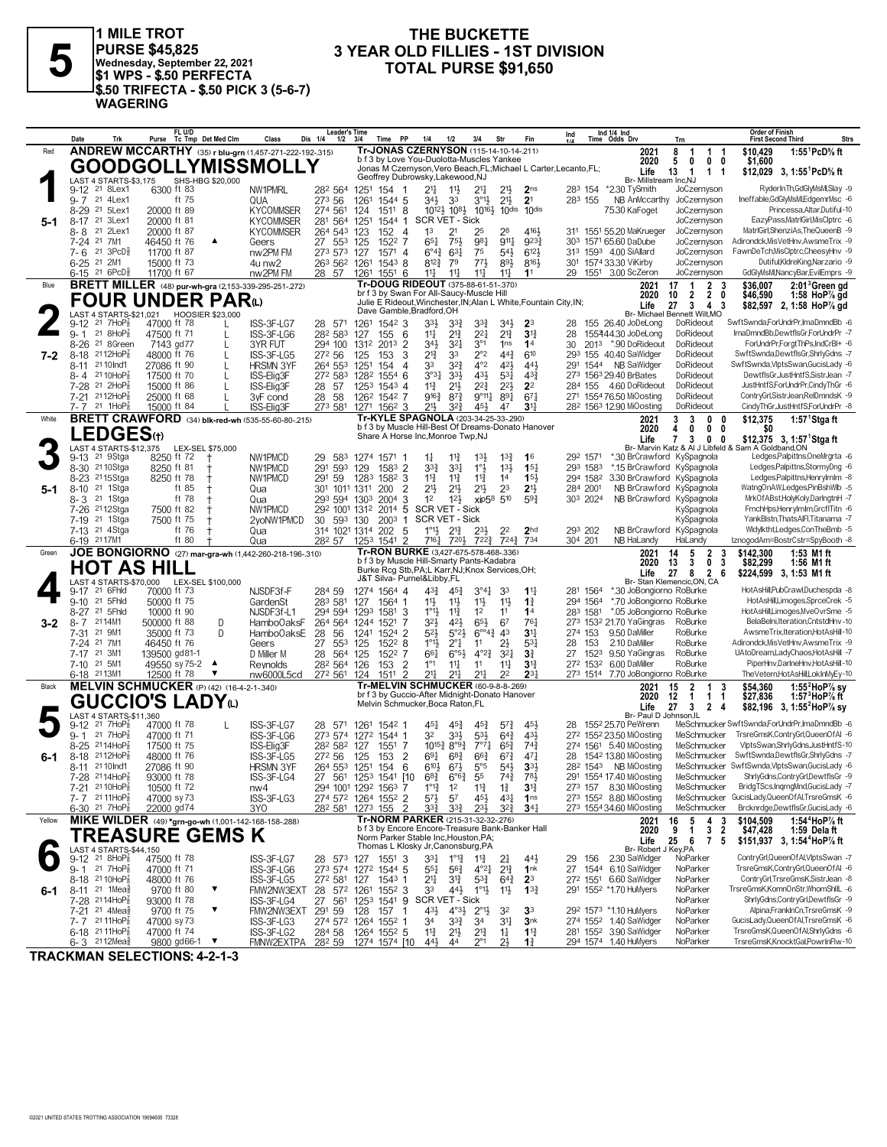

**PURSE \$45,825 Wednesday, September 22, 2021 \$1 WPS - \$.50 PERFECTA \$.50 TRIFECTA - \$.50 PICK 3 (5-6-7) WAGERING**

## **THE BUCKETTE<br>3 YEAR OLD FILLIES - 1ST DIVISION 3 YEAR OLD FILLIES - 1ST DIVISION 5 TOTAL PURSE \$91,650 1 MILE TROT**

|         | Date                     | Trk                                                                    |                              | FL U/D      | Purse Tc Tmp Det Med Clm                 | Class                                                                   | <b>Leader's Time</b><br>Dis 1/4<br>1/2                 | 3/4                                 | PP<br>Time                      | 1/4                                                                                                           | 1/2                                              | 3/4                                           | Str                                   | Fin                                | Ind                                                               | Ind 1/4 Ind<br>Time Odds Drv                                                 | Trn                                                            | <b>Order of Finish</b><br><b>First Second Third</b><br>Strs                                 |
|---------|--------------------------|------------------------------------------------------------------------|------------------------------|-------------|------------------------------------------|-------------------------------------------------------------------------|--------------------------------------------------------|-------------------------------------|---------------------------------|---------------------------------------------------------------------------------------------------------------|--------------------------------------------------|-----------------------------------------------|---------------------------------------|------------------------------------|-------------------------------------------------------------------|------------------------------------------------------------------------------|----------------------------------------------------------------|---------------------------------------------------------------------------------------------|
| Red     |                          |                                                                        |                              |             |                                          | <b>ANDREW MCCARTHY</b> (35) r blu-grn (1,457-271-222-192-.315)          |                                                        |                                     |                                 | Tr-JONAS CZERNYSON (115-14-10-14-211)                                                                         |                                                  |                                               |                                       |                                    |                                                                   | 2021                                                                         | 8<br>1<br>-1                                                   | 1:55 <sup>1</sup> PcD% ft<br>\$10,429<br>-1                                                 |
|         |                          |                                                                        |                              |             |                                          | <b>GOODGOLLYMISSMOLLY</b>                                               |                                                        |                                     |                                 | b f 3 by Love You-Duolotta-Muscles Yankee                                                                     |                                                  |                                               |                                       |                                    | Jonas M Czernyson, Vero Beach, FL; Michael L Carter, Lecanto, FL; | 2020<br>Life                                                                 | 5<br>0<br>$0\quad 0$<br>13<br>$1 \quad 1$<br>$\mathbf{1}$      | \$1,600<br>\$12.029 3. 1:55 <sup>1</sup> PcD% ft                                            |
|         |                          | LAST 4 STARTS-\$3,175                                                  |                              |             | SHS-HBG \$20,000                         |                                                                         |                                                        |                                     |                                 | Geoffrey Dubrowsky, Lakewood, NJ                                                                              |                                                  |                                               |                                       |                                    |                                                                   | Br- Millstream Inc,NJ                                                        |                                                                |                                                                                             |
|         | 9-7 21 4Lex1             | 9-12 <sup>21</sup> 8Lex1                                               | 6300 ft 83                   | ft 75       |                                          | NW1PMRL<br>QUA                                                          | 282 564<br>273 56                                      | 1251 154 1<br>1261                  | 1544 5                          | 21,<br>34}                                                                                                    | $11\frac{1}{2}$<br>33                            | 21<br>$3^{01}\frac{1}{2}$                     | 2 <sup>11</sup><br>$21\frac{1}{2}$    | 2 <sub>ns</sub><br>2 <sup>1</sup>  | 283 155                                                           | 283 154 *2.30 TySmith<br>NB AnMccarthy                                       | JoCzernyson<br>JoCzernyson                                     | RyderInTh,GdGlyMsMl,Slay -9<br>Ineffable,GdGlyMsMl,EdgemrMsc -6                             |
|         | $8 - 29$                 | 21 5Lex1                                                               | 20000 ft 89                  |             |                                          | <b>KYCOMMSER</b>                                                        | 274 561                                                | 124                                 | 1511 8                          | 1012} 108}                                                                                                    |                                                  |                                               | 10161 10dis                           | 10 <sup>dis</sup>                  |                                                                   | 75.30 KaFoget                                                                | JoCzernyson                                                    | Princessa, Altar, Dutiful-10                                                                |
| 5-1     | 8-17 <sup>21</sup> 3Lex1 | 21 2Lex                                                                | 20000 ft 81                  |             |                                          | <b>KYCOMMSER</b>                                                        | 281 564 1251                                           |                                     | 1544 1                          | SCR VET - Sick<br>1 <sup>3</sup>                                                                              |                                                  |                                               |                                       | 4161                               |                                                                   |                                                                              | JoCzernyson                                                    | EazyPass,MatrlGirl,MisClptrc -6<br>MatrIGirl,ShenziAs,TheQueenB -9                          |
|         | 8-8<br>7-24 21 7M1       |                                                                        | 20000 ft 87<br>46450 ft 76   |             | $\blacktriangle$                         | <b>KYCOMMSER</b><br>Geers                                               | 264 543 123<br>27 553                                  | 125                                 | 152<br>$\overline{4}$<br>1522 7 | $65\frac{1}{4}$                                                                                               | 21<br>75}                                        | 25<br>981                                     | 28<br>$9^{11}$                        | 9233                               |                                                                   | 311 1551 55.20 MaKrueger<br>303 1571 65.60 DaDube                            | JoCzernyson<br>JoCzernyson                                     | Adirondck, MisVetHnv, AwsmeTrix -9                                                          |
|         | $7 - 6$                  | 21 $3PCD85$                                                            | 11700 ft 87                  |             |                                          | nw2PM FM                                                                | 273 573 127                                            |                                     | 1571 4                          | $6^{o_{4}}$                                                                                                   | $63\frac{1}{4}$                                  | 75                                            | $54\frac{1}{2}$                       | 6123                               |                                                                   | 313 1593 4.00 SiAllard                                                       | JoCzernyson                                                    | FawnDeTch, MisClptrc, CheesyHnv -9                                                          |
|         | 6-25 21 2M1              | 6-15 <sup>21</sup> 6PcD <sup>5</sup>                                   | 15000 ft 73<br>11700 ft 67   |             |                                          | 4u nw2<br>nw2PM FM                                                      | 263 562<br>28 57                                       | 1261<br>1261                        | $154^3$ 8<br>$155^1$ 6          | 812}<br>$11\frac{1}{4}$                                                                                       | 79<br>$11\frac{1}{2}$                            | $77\frac{1}{2}$<br>$11\frac{1}{4}$            | 893<br>$11\frac{1}{4}$                | 8161<br>1 <sup>1</sup>             |                                                                   | 301 1574 33.30 ViKirby<br>29 1551 3.00 ScZeron                               | JoCzernyson<br>JoCzernyson                                     | Dutiful, KldreKing, Narzario -9<br>GdGlyMsMl,NancyBar,EvilEmprs -9                          |
| Blue    |                          |                                                                        |                              |             |                                          | <b>BRETT MILLER</b> (48) pur-wh-gra (2,153-339-295-251-272)             |                                                        |                                     |                                 | Tr-DOUG RIDEOUT (375-88-61-51-.370)                                                                           |                                                  |                                               |                                       |                                    |                                                                   | 2021                                                                         | $\overline{1}$<br>2 <sub>3</sub><br>17                         | \$36,007<br>2:01 <sup>3</sup> Green gd                                                      |
|         |                          |                                                                        |                              |             | <b>FOUR UNDER PARD</b>                   |                                                                         |                                                        |                                     |                                 | br f 3 by Swan For All-Saucy-Muscle Hill<br>Julie E Rideout, Winchester, IN; Alan L White, Fountain City, IN; |                                                  |                                               |                                       |                                    |                                                                   | 2020                                                                         | $2\quad 0$<br>10<br>$\overline{2}$                             | \$46,590<br>1:58 HoP% gd                                                                    |
|         |                          | LAST 4 STARTS-\$21,021 HOOSIER \$23,000                                |                              |             |                                          |                                                                         |                                                        |                                     |                                 | Dave Gamble, Bradford, OH                                                                                     |                                                  |                                               |                                       |                                    |                                                                   | Life                                                                         | 27<br>$3 \quad 4$<br>Br- Michael Bennett Wilt, MO              | -3<br>\$82,597 2, 1:58 HoP% gd                                                              |
|         | 9-12<br>$9 - 1$          | 21 $7HOP_8^7$<br>21 $8HOP8$                                            | 47000 ft 78                  |             | L                                        | ISS-3F-LG7                                                              | 28 571<br>282 583                                      | 1261                                | 1542 3<br>6                     | 33}<br>$11\frac{1}{4}$                                                                                        | $3^{32}$<br>$2^{13}$                             | 33}<br>$2^{21}$                               | $34\frac{1}{2}$<br>$2^{13}$           | 23<br>$3^{12}$                     | 28                                                                | 155 26.40 JoDeLong<br>155444.30 JoDeLong                                     | DoRideout<br>DoRideout                                         | SwftSwnda,ForUndrPr,ImaDmndBb -6<br>ImaDmndBb.DewtflsGr.ForUndrPr -7                        |
|         | 8-26                     | 21 8Green                                                              | 47500 ft 71<br>7143 gd77     |             | L                                        | ISS-3F-LG6<br>3YR FUT                                                   | 294 100                                                | 127<br>1312                         | 155<br>2013 2                   | 34}                                                                                                           | $3^{2}$                                          | $3^{\circ}1$                                  | 1 <sub>ns</sub>                       | 14                                 | 28<br>30                                                          | 2013 *.90 DoRideout                                                          | DoRideout                                                      | ForUndrPr,ForgtThPs,IndCrBI+ -6                                                             |
| 7-2     | 8-18                     | $2112HoP_8^7$                                                          | 48000 ft 76                  |             | L                                        | ISS-3F-LG5                                                              | 272 56                                                 | 125                                 | 3<br>153                        | 21}                                                                                                           | 33                                               | $2^{\circ}2$                                  | $44\frac{3}{4}$                       | 610                                |                                                                   | 293 155 40.40 SaWidger                                                       | DoRideout                                                      | SwftSwnda,DewtflsGr,ShrlyGdns -7                                                            |
|         | 8-11<br>8-4              | 21 10 Ind1<br>21 10HoP                                                 | 27086 ft 90<br>17500 ft 70   |             | L                                        | <b>HRSMN 3YF</b><br>ISS-Elig3F                                          | 264 553<br>272 583                                     | 1251<br>1282                        | 154<br>4<br>$1554$ 6            | 33<br>3°3 <sub>1</sub>                                                                                        | $3^{2}\frac{3}{4}$<br>$3^{3}\frac{1}{2}$         | $4^{\circ}2$<br>431                           | 421<br>$5^{3}$                        | 44}<br>$4^{3}\frac{3}{4}$          |                                                                   | 291 1544 NB SaWidger<br>273 1563 29.40 BrBates                               | DoRideout<br>DoRideout                                         | SwftSwnda, VlptsSwan, GucisLady -6<br>DewtflsGr,JustHntfS,SistrJean -7                      |
|         | 7-28                     | 21 2HoP                                                                | 15000 ft 86                  |             |                                          | ISS-Elig3F                                                              | 28 57                                                  | 125 <sup>3</sup>                    | 1543 4                          | $11\frac{3}{4}$                                                                                               | $21\frac{1}{2}$                                  | $2^{2^{3}}$                                   | $2^{2}\frac{1}{2}$                    | 2 <sup>2</sup>                     |                                                                   | 284 155 4.60 DoRideout                                                       | DoRideout                                                      | JustHntfS,ForUndrPr,CindyThGr -6                                                            |
|         | 7-21 2112HoP<br>7- 7     | 21 1HoP                                                                | 25000 ft 68                  |             |                                          | 3yF cond                                                                | 28<br>58                                               | 126 <sup>2</sup> 154 <sup>2</sup> 7 |                                 | $9^{16}\frac{3}{4}$<br>211,                                                                                   | $8^{7}\frac{3}{4}$                               | $9^{\circ}11\frac{1}{4}$                      | $8^{9}$                               | $67\frac{1}{4}$                    |                                                                   | 271 1554 76.50 MiOosting<br>28 <sup>2</sup> 156 <sup>3</sup> 12.90 MiOosting | DoRideout<br>DoRideout                                         | ContryGrl,SistrJean,RelDmndsK -9<br>CindyThGr,JustHntfS,ForUndrPr -8                        |
| White   |                          |                                                                        | 15000 ft 84                  |             |                                          | ISS-Elia3F<br><b>BRETT CRAWFORD</b> (34) blk-red-wh (535-55-60-80-.215) | 273 581 1271 1562 3                                    |                                     |                                 | Tr-KYLE SPAGNOLA (203-34-25-33-.290)                                                                          | $3^{2}\frac{3}{4}$                               | 45}                                           | 47                                    | $31\frac{1}{2}$                    |                                                                   | 2021                                                                         | 3<br>3<br>$\mathbf 0$                                          | \$12,375<br>1:57 $1$ Stgaft<br>- 0                                                          |
|         |                          | <b>LEDGES</b> (t)                                                      |                              |             |                                          |                                                                         |                                                        |                                     |                                 | b f 3 by Muscle Hill-Best Of Dreams-Donato Hanover<br>Share A Horse Inc, Monroe Twp, NJ                       |                                                  |                                               |                                       |                                    |                                                                   | 2020                                                                         | $0\quad 0$<br>4<br>0                                           | SO.                                                                                         |
|         |                          | LAST 4 STARTS-\$12,375                                                 |                              |             | LEX-SEL \$75,000                         |                                                                         |                                                        |                                     |                                 |                                                                                                               |                                                  |                                               |                                       |                                    |                                                                   | Life                                                                         | $7^{\circ}$<br>3<br>0 <sub>0</sub>                             | \$12,375 3, 1:57 <sup>1</sup> Stga ft<br>Br- Marvin Katz & Al J Libfeld & Sam A Goldband,ON |
|         | $9-13$                   | 21 9Stga                                                               | 8250 ft 72                   |             |                                          | NW1PMCD                                                                 | 29<br>583                                              | 1274 1571 1                         |                                 | $1\frac{1}{4}$                                                                                                | 11종                                              | $13\frac{1}{2}$                               | $13\frac{3}{4}$                       | 1 <sup>6</sup>                     | 292 1571                                                          |                                                                              | *.30 BrCrawford KySpagnola                                     | Ledges,Palpittns,OneMrgrta -6                                                               |
|         | 8-23                     | 8-30 <sup>21</sup> 10 Stga<br>2115Stga                                 | 8250 ft 81<br>8250 ft 78     |             |                                          | NW1PMCD<br>NW1PMCD                                                      | 291 593<br>291<br>-59                                  | 129<br>1283                         | 1583 2<br>1582 3                | $3^{3}\frac{3}{4}$<br>$11\frac{3}{4}$                                                                         | 3 <sup>31</sup><br>$11\frac{3}{4}$               | $1^{\circ}$<br>$11\frac{3}{4}$                | $13\frac{1}{2}$<br>14                 | 15 <sub>1</sub><br>15 <sup>1</sup> | 293 1583<br>294 1582                                              | 3.30 BrCrawford KySpagnola                                                   | *.15 BrCrawford KySpagnola                                     | Ledges,Palpittns,StormyDng -6<br>Ledges,Palpittns,Henrylmlm -8                              |
| 5-1     | $8 - 10$                 | 21 1Stga                                                               |                              | ft 85       |                                          | Qua                                                                     | 301 1011 1311                                          |                                     | $\overline{2}$<br>200           | 213                                                                                                           | $21\frac{1}{2}$                                  | $21\frac{1}{2}$                               | 2 <sup>3</sup>                        | 2 <sup>1</sup>                     | 284 2001                                                          |                                                                              | NB BrCrawford KySpagnola                                       | WatngOnAW,Ledges,PinBshWlb -5                                                               |
|         | 8-3                      | 21 1Stga<br>2112Stga                                                   |                              | ft 78       |                                          | Qua                                                                     | 293 594 1303<br>292 1001 1312                          |                                     | 3<br>2004                       | 1 <sup>2</sup><br><b>SCR VET - Sick</b>                                                                       | $12\frac{1}{2}$                                  |                                               | xip58 510                             | $59\frac{3}{4}$                    | 303 2024                                                          |                                                                              | NB BrCrawford KySpagnola                                       | MrkOfABst,HolyKoly,DarIngtnH -7<br>FrnchHps,HenryImIm,GrcfITitn -6                          |
|         | 7-26<br>7-19             | 21 1Stga                                                               | 7500 ft 82<br>7500 ft 75     |             |                                          | NW1PMCD<br>2voNW1PMCD                                                   | 593<br>30                                              | 130                                 | 2014 5<br>2003<br>1             | <b>SCR VET - Sick</b>                                                                                         |                                                  |                                               |                                       |                                    |                                                                   |                                                                              | KySpagnola<br>KySpagnola                                       | YankBlstn, ThatsAIFI, Titanama -7                                                           |
|         |                          | 7-13 21 4Stga                                                          |                              | ft 76       |                                          | Qua                                                                     | 314 1021 1314 202 5                                    |                                     |                                 | $1^{\circ}1\frac{1}{2}$                                                                                       | $2^{13}$                                         | $2^{3}\frac{1}{2}$                            | 22                                    | 2 <sub>hd</sub>                    | 293 202                                                           |                                                                              | NB BrCrawford KySpagnola                                       | Widylktht,Ledges,ConTheBmb -5                                                               |
| Green   | 6-19 2117M1              |                                                                        |                              | ft 80       |                                          | Qua<br>JOE BONGIORNO (27) mar-gra-wh (1,442-260-218-196-.310)           | 282 57                                                 | 1253 1541                           | $\mathcal{P}$                   | $7^{16}\frac{1}{4}$<br>Tr-RON BURKE (3,427-675-578-468-.336)                                                  | $720\frac{1}{2}$                                 | 7223                                          | 7243                                  | 734                                | 304 201                                                           | NB HaLandy<br>2021                                                           | HaLandy<br>14<br>$\overline{\mathbf{2}}$<br>5                  | IznogodAm=BostrCstr=SpyBooth -8<br>\$142,300<br>1:53 M1 ft<br>3                             |
|         |                          | <b>HOT AS HILL</b>                                                     |                              |             |                                          |                                                                         |                                                        |                                     |                                 | b f 3 by Muscle Hill-Smarty Pants-Kadabra                                                                     |                                                  |                                               |                                       |                                    |                                                                   | 2020                                                                         | 3<br>0<br>13                                                   | 3<br>\$82,299<br>1:56 M1 ft                                                                 |
|         |                          | LAST 4 STARTS-\$70,000 LEX-SEL \$100,000                               |                              |             |                                          |                                                                         |                                                        |                                     |                                 | Burke Rcg Stb, PA; L Karr, NJ; Knox Services, OH;<br>J&T Silva- Purnel&Libby,FL                               |                                                  |                                               |                                       |                                    |                                                                   | Life                                                                         | 27<br>8<br>$\overline{2}$<br>Br- Stan Klemencic, ON, CA        | 6<br>\$224,599 3, 1:53 M1 ft                                                                |
|         | 9-17 21 6Fhld            |                                                                        | 70000 ft 73                  |             |                                          | NJSDF3f-F                                                               | 284 59                                                 | 1274 1564 4                         |                                 | 43}                                                                                                           | $45\frac{3}{4}$                                  | $3^{\circ 41}$                                | 33                                    | $11\frac{11}{2}$                   | 281 1564                                                          | *.30 JoBongiorno RoBurke                                                     |                                                                | HotAsHill,PubCrawl,Duchespda -8                                                             |
|         | $9 - 10$<br>$8 - 27$     | 21 5Fhld<br>21 5Fhld                                                   | 50000 ft 75<br>10000 ft 90   |             |                                          | GardenSt<br>NJSDF3f-L1                                                  | 283 581<br>294 594 1293                                | 127                                 | 1564 1<br>1581<br>-3            | 11}<br>$1^{\circ}1\frac{1}{2}$                                                                                | $11\frac{1}{2}$<br>$11\frac{3}{4}$               | $11\frac{1}{2}$<br>1 <sup>2</sup>             | 11<br>11                              | $1\frac{3}{4}$<br>1 <sup>4</sup>   | 294 1564<br>283 1581                                              | *.70 JoBongiorno RoBurke<br>*.05 JoBongiorno RoBurke                         |                                                                | HotAsHill,Limoges,SprceCrek -5<br>HotAsHill,Limoges,MveOvrSme -5                            |
| $3 - 2$ | 8-7                      | 2114M1                                                                 | 500000 ft 88                 |             | D                                        | Hambo0aksF                                                              | 264 564 1244 1521                                      |                                     |                                 | 32}                                                                                                           | $4^{2}\frac{1}{2}$                               | 65}                                           | 67                                    | 761                                |                                                                   | 273 1532 21.70 YaGingras                                                     | RoBurke                                                        | BelaBelni.Iteration.CntstdHnv-10                                                            |
|         | 7-31                     | 21 9M1                                                                 | 35000 ft 73                  |             | D                                        | Hambo0aksE                                                              | 28<br>56                                               | 1241 1524 2                         |                                 | 52}                                                                                                           | $5^{\circ}2\frac{1}{2}$                          | $6^{\circ 4}$ <sup>3</sup>                    | 43                                    | 3 <sup>11</sup>                    | 274 153                                                           | 9.50 DaMiller                                                                | RoBurke                                                        | AwsmeTrix, Iteration, HotAsHill-10                                                          |
|         | 7-24 21 7M1<br>$7 - 17$  | 21 3M1                                                                 | 46450 ft 76<br>139500 gd81-1 |             |                                          | Geers<br>D Miller M                                                     | 27<br>553<br>28<br>564                                 | 125<br>125                          | 1522 8<br>1522 7                | $1^{\circ}1\frac{1}{2}$<br>661                                                                                | $2^{\circ}$ $\frac{1}{4}$<br>$6^{o51}$           | 11<br>$4^{\circ}2^{\frac{3}{4}}$              | 2}<br>$3^{2}$                         | 531<br>3 <sup>3</sup>              | 153<br>28<br>27<br>1523                                           | 2.10 DaMiller<br>9.50 YaGingras                                              | RoBurke<br>RoBurke                                             | Adirondck, MisVetHnv, AwsmeTrix -9<br>UAtoDream,LadyChaos,HotAsHill -7                      |
|         | 7-10 21 5M1              |                                                                        | 49550 sy 75-2                |             |                                          | Reynolds                                                                | 282 564 126                                            |                                     | $\overline{2}$<br>153           | $1^{\circ}1$                                                                                                  | $11\frac{1}{4}$                                  | 11                                            | $11\frac{1}{4}$                       | $3^{13}$                           | 272 1532                                                          | 6.00 DaMiller                                                                | RoBurke                                                        | PiperHnv,DarlneHnv,HotAsHill-10                                                             |
|         | 6-18 2113M1              |                                                                        | 12500 ft 78                  |             | ▼                                        | nw6000L5cd                                                              | 272 561 124                                            |                                     | 1511 2                          | 217<br><b>Tr-MELVIN SCHMUCKER (60-9-8-8-269)</b>                                                              | 211                                              | 211                                           | 2 <sup>2</sup>                        | $2^{3}$                            |                                                                   | 273 1514 7.70 JoBongiorno RoBurke                                            |                                                                | TheVetern,HotAsHill,LokInMyEy-10                                                            |
| Black   |                          | <b>GUCCIO'S LADY</b> W                                                 |                              |             | MELVIN SCHMUCKER (P) (42) (16-4-2-1-340) |                                                                         |                                                        |                                     |                                 | br f 3 by Guccio-After Midnight-Donato Hanover                                                                |                                                  |                                               |                                       |                                    |                                                                   | 2021<br>2020                                                                 | $\overline{\mathbf{2}}$<br>15<br>-1<br>12<br>$\mathbf{1}$<br>1 | \$54.360<br>1:55 $^2$ HoP $\%$ sy<br>3<br>1:57 $3$ HoP $\%$ ft<br>\$27,836<br>-1            |
|         |                          | LAST 4 STARTS-\$11,360                                                 |                              |             |                                          |                                                                         |                                                        |                                     |                                 | Melvin Schmucker, Boca Raton, FL                                                                              |                                                  |                                               |                                       |                                    |                                                                   | Life<br>Br- Paul D Johnson.IL                                                | 27<br>3<br>$\overline{2}$                                      | -4<br>\$82,196 3, 1:55 <sup>2</sup> HoP <sup>7</sup> / <sub>8</sub> sy                      |
|         | 9-12                     | 21 7HoP                                                                | 47000 ft 78                  |             |                                          | ISS-3F-LG7                                                              | 28 571                                                 | 1261 1542 1                         |                                 | 45}                                                                                                           | $45\frac{3}{4}$                                  | $45\frac{3}{4}$                               | $5^{73}$                              | 45}                                | 28                                                                | 1552 25.70 PeWrenn                                                           |                                                                | MeSchmucker SwftSwnda,ForUndrPr,ImaDmndBb -6                                                |
|         | $9 - 1$                  | 21 7HoP<br>2114HoP                                                     | 47000 ft 71                  |             |                                          | ISS-3F-LG6                                                              | 273 574 1272 1544 1                                    |                                     |                                 | 32                                                                                                            | $3^{3}\frac{1}{2}$                               | $5^{31}$                                      | $64\frac{3}{4}$                       | 431                                |                                                                   | 272 1552 23.50 MiOosting<br>274 1561 5.40 MiOosting                          | MeSchmucker<br>MeSchmucker                                     | TrsreGmsK.ContrvGrl.QueenOfAI -6<br>VlptsSwan,ShrlyGdns,JustHntfS-10                        |
| 6-1     | 8-25<br>8-18             | $2112HoP_8^7$                                                          | 17500 ft 75<br>48000 ft 76   |             |                                          | ISS-Elia3F<br>ISS-3F-LG5                                                | 282 582<br>272 56                                      | 127<br>125                          | 1551 7<br>153<br>$\overline{2}$ | $10^{15}\frac{3}{4}$<br>691                                                                                   | $8^{\circ 9\frac{3}{4}}$<br>$6^{8}$ <sub>4</sub> | $7^{\circ}7^{\frac{1}{4}}$<br>$66\frac{3}{4}$ | $65\frac{3}{4}$<br>$6^{7}\frac{3}{4}$ | $74\frac{3}{4}$<br>471             | 28                                                                | 1542 13.80 MiOosting                                                         | MeSchmucker                                                    | SwftSwnda,DewtflsGr,ShrlyGdns -7                                                            |
|         | 8-11 21 10 Ind1          |                                                                        | 27086 ft 90                  |             |                                          | <b>HRSMN 3YF</b>                                                        | 264 553                                                | 1251                                | 154<br>6                        | $6^{10}$                                                                                                      | $67\frac{1}{2}$                                  | $5^{\circ}5$                                  | 541                                   | 3 <sup>3</sup>                     |                                                                   | 28 <sup>2</sup> 154 <sup>3</sup> NB MiOosting                                |                                                                | MeSchmucker SwftSwnda, VlptsSwan, GucisLady -6                                              |
|         |                          | 7-28 2114HoP <sub>8</sub><br>7-21 21 10HoP <sub>8</sub>                | 93000 ft 78<br>10500 ft 72   |             |                                          | ISS-31-LG4<br>nw4                                                       | 27<br>294 1001 1292 1563 7                             | 56 125 154 10                       |                                 | $6^{o_2}$<br>$1^{\circ}1^3$                                                                                   | 6<br>1 <sup>2</sup>                              | ხა<br>$11\frac{3}{4}$                         | $14\frac{3}{4}$<br>$1\frac{3}{4}$     | ∕ ०३<br>$3\frac{13}{4}$            |                                                                   | 29 1554 17.40 MIOOSting<br>273 157 8.30 MiOosting                            | MeSchmucker<br>MeSchmucker                                     | ShrlyGdns,ContryGrl,DewtflsGr -9<br>BridgTScs,IngrngMnd,GucisLady -7                        |
|         |                          | $7 - 7$ 21 11 Hop $\frac{7}{8}$                                        | 47000 sy 73                  |             |                                          | ISS-3F-LG3                                                              | 274 572 1264 1552 2                                    |                                     |                                 | $5^{7}\frac{1}{2}$                                                                                            | 5 <sup>7</sup>                                   | 45}                                           | $43\frac{1}{4}$                       | 1 <sub>ns</sub>                    |                                                                   | 273 1552 8.80 MiOosting                                                      |                                                                | MeSchmucker GucisLady, Queen Of Al, TrsreGmsK -6                                            |
|         |                          | $6-30$ 21 7HoP <sub>8</sub>                                            | 22000 gd74                   |             |                                          | 3YO                                                                     | 28 <sup>2</sup> 58 <sup>1</sup> 127 <sup>3</sup> 155 2 |                                     |                                 | $3^{3}\frac{3}{4}$                                                                                            | $3^{3}\frac{3}{4}$                               | 23}                                           | $3^{2^{3}}$                           | $34\frac{1}{4}$                    |                                                                   | 273 1554 34.60 MiOosting                                                     | MeSchmucker                                                    | Brcknrdge,DewtflsGr,GucisLady -6                                                            |
| Yellow  |                          |                                                                        |                              |             |                                          | MIKE WILDER (49) *grn-go-wh (1,001-142-168-158-288)                     |                                                        |                                     |                                 | Tr-NORM PARKER (215-31-32-32-.276)<br>b f 3 by Encore Encore-Treasure Bank-Banker Hall                        |                                                  |                                               |                                       |                                    |                                                                   | 2021<br>2020                                                                 | 16<br>$\frac{5}{1}$<br>$\frac{4}{3}$<br>9                      | 1:54 <sup>4</sup> HoP% ft<br>\$104,509<br>3<br>$\overline{2}$<br>\$47,428<br>1:59 Delaft    |
|         |                          |                                                                        |                              |             | <b>TREASURE GEMS K</b>                   |                                                                         |                                                        |                                     |                                 | Norm Parker Stable Inc, Houston, PA;<br>Thomas L Klosky Jr, Canonsburg, PA                                    |                                                  |                                               |                                       |                                    |                                                                   | Life                                                                         | 25<br>6<br>7 <sub>5</sub>                                      | \$151,937 3, 1:54 <sup>4</sup> HoP% ft                                                      |
|         |                          | LAST 4 STARTS-\$44,150<br>9-12 <sup>21</sup> 8HoP <sub>8</sub> 475     | 47500 ft 78                  |             |                                          | ISS-3F-LG7                                                              | 28 573 127                                             |                                     | 1551 3                          | 331                                                                                                           | $1^{\circ}1^{\circ}$                             | $11\frac{3}{4}$                               | 24                                    | $44\frac{1}{2}$                    | 29                                                                | Br- Robert J Key, PA<br>156 2.30 SaWidger                                    | NoParker                                                       | ContryGrl,QueenOfAl,VlptsSwan -7                                                            |
|         |                          | $9 - 1$ 21 7HoP $\frac{7}{8}$                                          | 47000 ft 71                  |             |                                          | ISS-3F-LG6                                                              | 273 574 1272 1544 5                                    |                                     |                                 | $55\frac{1}{4}$                                                                                               | $56\frac{3}{4}$                                  | $4^{o}2^{1}$                                  | $2^{13}$                              | 1nk                                |                                                                   | 27 1544 6.10 SaWidger                                                        | NoParker                                                       | TrsreGmsK,ContryGrl,QueenOfAI -6                                                            |
| 6-1     |                          | 8-18 2110HoP<br>8-11 <sup>21</sup> 1Mea <sup>5</sup>                   | 48000 ft 76<br>9700 ft 80    |             | ▼                                        | ISS-3F-LG5<br>FMW2NW3EXT                                                | 272 581<br>28 572 1261 1552 3                          | 127                                 | $1543$ 1                        | 211<br>33                                                                                                     | $3^{13}$<br>$44\frac{1}{2}$                      | $5^{3}\frac{3}{4}$<br>$1^{\circ}1\frac{1}{2}$ | $64\frac{3}{4}$<br>11支                | 2 <sup>3</sup><br>$13\frac{3}{4}$  |                                                                   | 272 1551 6.60 SaWidger<br>291 1552 *1.70 HuMyers                             | NoParker<br>NoParker                                           | ContryGrl,TrsreGmsK,SistrJean -8<br>TrsreGmsK,KomnOnStr,WhomShIIL -6                        |
|         |                          | 7-28 2114HoP <sub>8</sub>                                              | 93000 ft 78                  |             |                                          | ISS-3F-LG4                                                              | 27 561 1253 1541 9 SCR VET - Sick                      |                                     |                                 |                                                                                                               |                                                  |                                               |                                       |                                    |                                                                   |                                                                              | NoParker                                                       | ShrlvGdns.ContrvGrl.DewtflsGr -9                                                            |
|         |                          | 7-21 21 4Mea <sup>5</sup>                                              | 9700 ft 75                   |             | ▼                                        | FMW2NW3EXT                                                              | 291 59                                                 | 128                                 | 157 1                           | $43\frac{1}{2}$                                                                                               | $4^{\circ}3\frac{1}{2}$                          | $2^{\circ}1\frac{1}{2}$                       | 32                                    | 3 <sup>3</sup>                     |                                                                   | 292 1573 *1.10 HuMyers                                                       | NoParker                                                       | Alpina,FrankInCn,TrsreGmsK -9<br>GucisLady,QueenOfAl,TrsreGmsK -6                           |
|         |                          | 7-7 2111HoP <sub>8</sub><br>$6-18$ 21 11 Hop <sup>7</sup> <sub>8</sub> | 47000 sy 73<br>47000 ft 74   |             |                                          | ISS-3F-LG3<br>ISS-3F-LG2                                                | 274 572 1264 1552 1<br>284 58                          | 1264 1552 5                         |                                 | 34<br>$11\frac{3}{4}$                                                                                         | $3^{3}\frac{3}{4}$<br>$21\frac{1}{2}$            | 34<br>$2^{13}$                                | $3^{11}$<br>$1\frac{1}{4}$            | 3 <sup>nk</sup><br>$1\frac{13}{4}$ |                                                                   | 274 1552 1.40 SaWidger<br>281 1552 3.90 SaWidger                             | NoParker<br>NoParker                                           | TrsreGmsK,QueenOfAl,ShrlyGdns -6                                                            |
|         |                          | 6-3 2112Mea                                                            |                              | 9800 gd66-1 | ▼                                        | FMNW2EXTPA                                                              | 28 <sup>2</sup> 59                                     | 1274 1574 [10]                      |                                 | 443                                                                                                           | 44                                               | $2^{\circ}1$                                  | 2 <sup>1</sup>                        | $1\frac{3}{4}$                     |                                                                   | 294 1574 1.40 HuMyers                                                        | NoParker                                                       | TrsreGmsK,KnocktGal,PowrInFlw-10                                                            |

**TRACKMAN SELECTIONS: 4-2-1-3**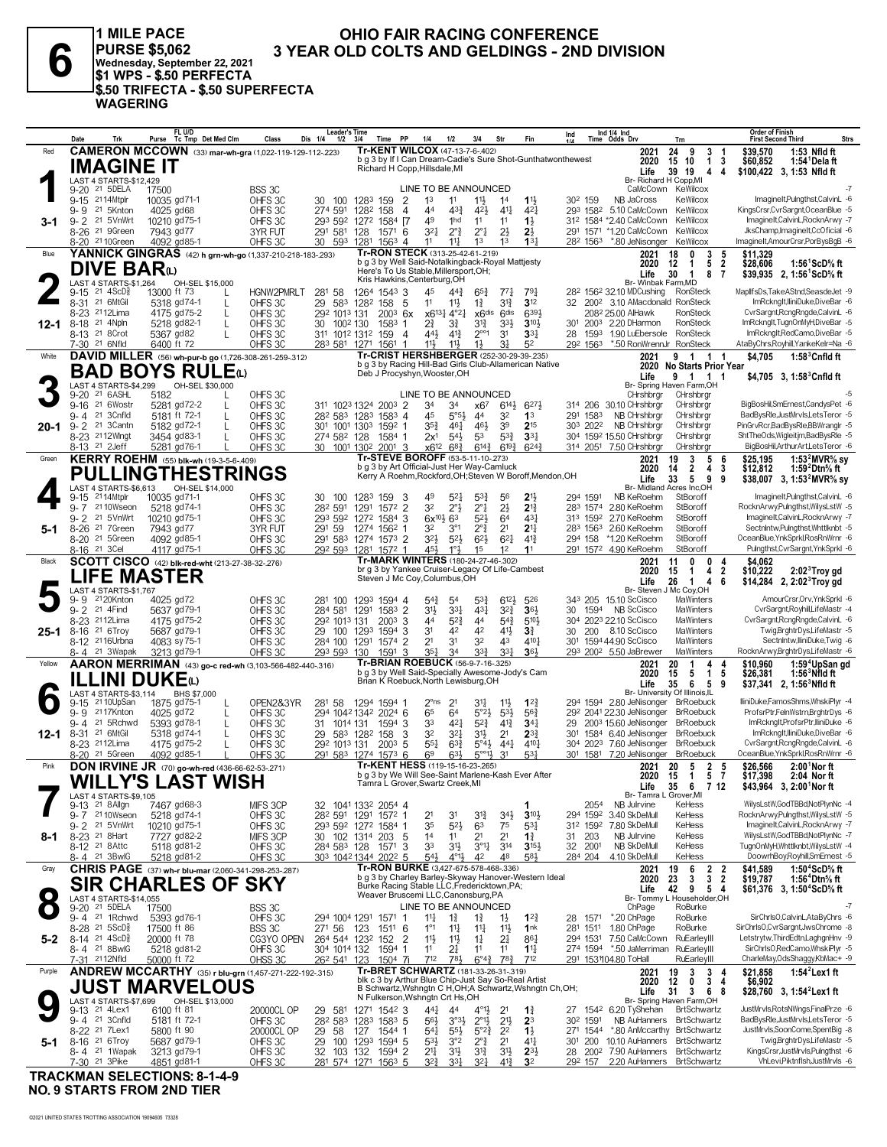1 MILE PACE PURSE \$5,062<br>
PURSE \$5,062 3 YEA<br>
Wednesday, September 22, 2021<br>
\$1 WPS - \$.50 PERFECTA<br>
\$.50 TRIFECTA - \$.50 SUPERFECTA **WAGERING** 

#### OHIO FAIR RACING CONFERENCE 3 YEAR OLD COLTS AND GELDINGS - 2ND DIVISION

|          | Trk<br>Date                                                                   | FL U/D<br>Purse<br>Tc Tmp Det Med Clm                                                | Class<br>Dis 1/4                                 | ∟ea cersime<br>PP<br>1/2<br>3/4<br>Time                                            | 3/4<br>1/4<br>1/2                                                                                                                                       | Str<br>Fin                                                                   | Ind $1/4$ Ind<br>Ind<br>Time Odds Drv                                                                                 | Trn                                                                                                      | Order of Finish<br>Strs<br><b>First Second Third</b>                                                                              |
|----------|-------------------------------------------------------------------------------|--------------------------------------------------------------------------------------|--------------------------------------------------|------------------------------------------------------------------------------------|---------------------------------------------------------------------------------------------------------------------------------------------------------|------------------------------------------------------------------------------|-----------------------------------------------------------------------------------------------------------------------|----------------------------------------------------------------------------------------------------------|-----------------------------------------------------------------------------------------------------------------------------------|
| Red      | IMAGINE IT                                                                    | <b>CAMERON MCCOWN</b> (33) mar-wh-gra (1,022-119-129-112-.223)                       |                                                  |                                                                                    | <b>Tr-KENT WILCOX (47-13-7-6-402)</b><br>b g 3 by If I Can Dream-Cadie's Sure Shot-Gunthatwonthewest<br>Richard H Copp, Hillsdale, MI                   |                                                                              | 2021<br>2020<br>Life                                                                                                  | 24<br>9<br>3<br>10<br>3<br>15<br>$\mathbf{1}$<br>39<br>19<br>4<br>4                                      | \$39,570<br>1:53 Nfld ft<br>\$60,852<br>1:54 <sup>1</sup> Delaft<br>\$100,422 3, 1:53 Nfld ft                                     |
|          | LAST 4 STARTS-\$12,429<br>9-20 <sup>21</sup> 5DELA<br>9-15 2114Mtplr          | 17500<br>10035 gd71-1                                                                | BSS 3C<br>OHFS 3C<br>30                          | 1283 159<br>2<br>100                                                               | LINE TO BE ANNOUNCED<br>$11\frac{1}{2}$<br>1 <sup>3</sup><br>11                                                                                         | $1\frac{11}{2}$<br>14                                                        | NB JaCross<br>30 <sup>2</sup> 159                                                                                     | Br- Richard H Copp, MI<br>CaMcCown KeWilcox<br>KeWilcox                                                  | $-7$<br>ImagineIt,Pulngthst,CalvinL -6                                                                                            |
| 3-1      | 9-9 21 5Knton<br>9-2 <sup>21</sup> 5VnWrt                                     | 4025 gd68<br>10210 gd75-1                                                            | OHFS 3C<br>OHFS 3C                               | 274 591<br>1282 158<br>$\overline{4}$<br>293 592 1272 1584 [7                      | 44<br>433<br>42}<br>49<br>1hd<br>11                                                                                                                     | $41\frac{1}{4}$<br>42<br>11<br>$1\frac{1}{2}$                                | 293 1582 5.10 CaMcCown KeWilcox<br>312 1584 *2.40 CaMcCown                                                            | KeWilcox<br>KeWilcox                                                                                     | KingsCrsr,CvrSargnt,OceanBlue -5<br>ImagineIt,CalvinL,RocknArwy -7<br>JksChamp, ImagineIt, CcOficial -6                           |
| Blue     | 8-26 <sup>21</sup> 9Green<br>8-20 <sup>21</sup> 10Green                       | 7943 gd77<br>4092 gd85-1<br>YANNICK GINGRAS (42) h grn-wh-go (1,337-210-218-183-293) | 3YR FUT<br>OHFS 3C<br>30                         | 291 581 128<br>1571 6<br>593<br>1281 1563 4                                        | $2^{\circ}$ $\frac{3}{4}$<br>$3^{2}$<br>$2^{\circ}1$<br>11<br>$11\frac{1}{2}$<br>1 <sup>3</sup><br>Tr-RON STECK (313-25-42-61-.219)                     | $2\frac{1}{2}$<br>$2\frac{1}{2}$<br>1 <sup>3</sup><br>13 <sup>1</sup>        | 291 1571 *1.20 CaMcCown<br>28 <sup>2</sup> 156 <sup>3</sup> *.80 JeNisonger KeWilcox<br>2021                          | 3<br>5<br>18<br>0                                                                                        | ImagineIt,AmourCrsr,PorBysBgB -6<br>\$11,329                                                                                      |
|          | <b>DIVE BAR</b> (L)<br>LAST 4 STARTS-\$1,264                                  | OH-SEL \$15,000                                                                      |                                                  |                                                                                    | b g 3 by Well Said-Notalkingback-Royal Mattjesty<br>Here's To Us Stable, Millersport, OH;<br>Kris Hawkins, Centerburg, OH                               |                                                                              | 2020<br>Life                                                                                                          | 5<br>$\boldsymbol{2}$<br>12<br>$\mathbf{1}$<br>30<br>1<br>8<br>7<br>Br- Winbak Farm, MD                  | \$28,606<br>1:56 <sup>1</sup> ScD% ft<br>\$39,935 2, 1:56 <sup>1</sup> ScD <sup>5</sup> / <sub>8</sub> ft                         |
|          | $9-15$ 21 $4$ ScD $\frac{5}{8}$<br>8-31 <sup>21</sup> 6MtGil<br>8-23 2112Lima | 13000 ft 73<br>L<br>5318 gd74-1<br>L<br>4175 gd75-2<br>L                             | HGNW2PMRLT<br>281 58<br>29<br>OHFS 3C<br>OHFS 3C | 1264 1543 3<br>583 1282 158<br>- 5<br>292 1013 131<br>$200^3$ 6x                   | 45<br>$44\frac{3}{4}$<br>$65\frac{3}{4}$<br>11<br>$11\frac{1}{2}$<br>$1\frac{3}{4}$<br>x6131 4°21<br>x6 <sup>dis</sup>                                  | $77\frac{1}{4}$<br>791<br>3 <sup>12</sup><br>31}<br>6391<br>6 <sup>dis</sup> | 28 <sup>2</sup> 156 <sup>2</sup> 32.10 MDCushing<br>32 200 <sup>2</sup> 3.10 AMacdonald RonSteck<br>2082 25.00 AlHawk | RonSteck<br>RonSteck                                                                                     | MaplifsDs,TakeAStnd,SeasdeJet -9<br>ImRcknalt.lliniDuke.DiveBar -6<br>CvrSargnt, RcngRngde, CalvinL -6                            |
| 12-1     | 21 4Npln<br>8-18<br>8-13 21 8Crot<br>7-30 <sup>21</sup> 6Nfld                 | 5218 gd82-1<br>L<br>5367 gd82<br>L<br>6400 ft 72                                     | OHFS 3C<br>30<br>OHFS 3C<br>OHFS <sub>3C</sub>   | 1002 130<br>$1583$ 1<br>311 1012 1312 159<br>$\overline{4}$<br>283 581 1271 1561 1 | $2\frac{3}{4}$<br>31}<br>31<br>$2^{\circ\circ}1$<br>44}<br>$4^{13}$<br>11}<br>$11\frac{1}{2}$<br>$1\frac{1}{2}$                                         | 33}<br>$3^{10}$<br>3 <sup>1</sup><br>$33\frac{1}{4}$<br>31<br>52             | 301 2003 2.20 DHarmon<br>1593 1.90 LuEbersole RonSteck<br>28<br>*.50 RonWrennJr RonSteck<br>292 1563                  | RonSteck                                                                                                 | ImRcknglt,TugnOnMyH,DiveBar -5<br>ImRckngIt,RedCamo,DiveBar -5<br>AtaByChrs, Royhill, YankeKelr=Na -6                             |
| White    |                                                                               | DAVID MILLER (56) wh-pur-b go (1,726-308-261-259-.312)<br><b>BAD BOYS RULE</b> to    |                                                  |                                                                                    | Tr-CRIST HERSHBERGER (252-30-29-39-235)<br>b g 3 by Racing Hill-Bad Girls Club-Allamerican Native<br>Deb J Procyshyn, Wooster, OH                       |                                                                              | 2021                                                                                                                  | 9<br>$\overline{1}$<br>1 1<br>2020 No Starts Prior Year                                                  | \$4.705<br>$1:58^3$ Cnfld ft                                                                                                      |
|          | LAST 4 STARTS-\$4,299                                                         | OH-SEL \$30,000                                                                      |                                                  |                                                                                    |                                                                                                                                                         |                                                                              | Life                                                                                                                  | 9 1 1<br>Br- Spring Haven Farm, OH                                                                       | \$4,705 $3, 1:58^3$ Cnfld ft                                                                                                      |
|          | 9-20 <sup>21</sup> 6ASHL<br>21 6Wostr<br>$9 - 16$                             | 5182<br>5281 gd72-2<br>L                                                             | OHFS 3C<br>OHFS 3C                               | 311 1023 1324 2003 2                                                               | LINE TO BE ANNOUNCED<br>34<br>34<br>x67                                                                                                                 | 6273<br>$6^{14}$                                                             | CHrshbrgr<br>314 206 30.10 CHrshbrgr                                                                                  | CHrshbrgr<br>CHrshbrar                                                                                   | BigBosHil,SmErnest,CandysPet -6                                                                                                   |
|          | 21 3Cnfld<br>9-4                                                              | 5181 ft 72-1<br>L                                                                    | OHFS 3C                                          | 28 <sup>2</sup> 58 <sup>3</sup> 128 <sup>3</sup> 158 <sup>3</sup> 4                | 45<br>$5^{\circ}5^{\circ}$<br>44                                                                                                                        | 32<br>1 <sup>3</sup>                                                         | NB CHrshbrgr<br>291 1583                                                                                              | CHrshbrgr                                                                                                | BadBysRle,JustMrvls,LetsTeror -5<br>PinGrvRcr,BadBysRle,BBWranglr -5                                                              |
| $20 - 1$ | 9-2 <sup>21</sup> 3 Cantn<br>8-23 2112Wingt                                   | 5182 gd72-1<br>3454 gd83-1                                                           | OHFS 3C<br>OHFS 3C                               | 301 1001 1303 1592 1<br>274 582 128<br>1584 1                                      | $35\frac{3}{4}$<br>461<br>46}<br>$5^{4}$<br>5 <sup>3</sup><br>2x <sup>1</sup>                                                                           | $2^{15}$<br>39<br>$5^{3}$<br>$3^{3}$                                         | NB CHrshbrgr<br>303 2022<br>304 1592 15.50 CHrshbrgr                                                                  | CHrshbrgr<br>CHrshbrar                                                                                   | ShtTheOds, Wigleit jm, BadBysRle -5                                                                                               |
|          | 8-13 <sup>21</sup> 2Jeff                                                      | 5281 gd76-1                                                                          | OHFS <sub>3C</sub>                               | 30 1001 1302 2001 3                                                                | $x6^{12}$ 6 <sup>8</sup> / <sub>4</sub><br>$6^{14}\frac{3}{4}$                                                                                          | $6^{19\frac{3}{4}}$<br>$6^{24}$                                              | 314 2051 7.50 CHrshbrgr                                                                                               | CHrshbrgr                                                                                                | BigBosHil, Arthur Art, Lets Teror -6                                                                                              |
| Green    |                                                                               | <b>KERRY ROEHM</b> (55) blk-wh (19-3-5-6-409)<br><b>PULLINGTHESTRINGS</b>            |                                                  |                                                                                    | Tr-STEVE BOROFF (53-5-11-10-273)<br>b q 3 by Art Official-Just Her Way-Camluck<br>Kerry A Roehm, Rockford, OH; Steven W Boroff, Mendon, OH              |                                                                              | 2021<br>2020<br>Life                                                                                                  | 5<br>19<br>3<br>-6<br>14<br>$\mathbf{2}$<br>4<br>3<br>33<br>5<br>9<br>9                                  | 1:53 ${}^{2}$ MVR% sy<br>\$25,195<br>\$12,812<br>1:59 Dtn% ft<br>\$38,007 3, 1:53 <sup>2</sup> MVR <sup>5</sup> / <sub>8</sub> sy |
|          | LAST 4 STARTS-\$6.613<br>2114Mtplr<br>9-15<br>9-7 2110Wseon                   | OH-SEL \$14,000<br>10035 gd71-1<br>5218 gd74-1                                       | OHFS 3C<br>30<br>OHFS 3C                         | 100 1283 159<br>-3<br>1291 1572 2<br>282 591                                       | 49<br>$5^{2}$<br>$5^{3}\frac{3}{4}$<br>32<br>$2^{\circ}$<br>$2^{\circ}1$                                                                                | 56<br>21,<br>$2\frac{1}{2}$<br>$2^{13}$                                      | 294 1591<br>NB KeRoehm<br>283 1574 2.80 KeRoehm                                                                       | Br- Midland Acres Inc,OH<br>StBoroff<br>StBoroff                                                         | ImagineIt,Pulngthst,CalvinL -6<br>RocknArwy,Pulngthst,WilysLstW -5                                                                |
| 5-1      | 9-2 <sup>21</sup> 5VnWrt<br>8-26 <sup>21</sup> 7Green                         | 10210 gd75-1<br>7943 gd77                                                            | OHFS 3C<br>3YR FUT<br>291 59                     | 293 592 1272 1584 3<br>1274 1562 1                                                 | $5^{21}$<br>$6x^{10}\frac{1}{2}$<br>63<br>32<br>$2^{\circ}$<br>$3^{\circ}1$                                                                             | 64<br>43<br>2 <sup>11</sup><br>2 <sup>1</sup>                                | 313 1592 2.70 KeRoehm<br>283 1563 2.60 KeRoehm                                                                        | StBoroff<br>StBoroff                                                                                     | ImagineIt,CalvinL,RocknArwy -7<br>Sectnintw.Pulnathst.Whttlknbt -5                                                                |
|          | 8-20 21 5Green                                                                | 4092 gd85-1                                                                          | OHFS 3C                                          | 291 583 1274 1573 2                                                                | 3 <sup>2</sup><br>$5^{2}$<br>$6^{2}$                                                                                                                    | $6^{21}$<br>$4^{13}$                                                         | 294 158 *1.20 KeRoehm                                                                                                 | StBoroff                                                                                                 | OceanBlue, YnkSprkl, Ros Rn Wrnr - 6                                                                                              |
| Black    | 8-16 21 3Cel                                                                  | 4117 gd75-1<br>SCOTT CISCO (42) blk-red-wht (213-27-38-32-.276)                      | OHFS 3C                                          | 292 593 1281 1572 1                                                                | 45}<br>1°3<br>15<br>Tr-MARK WINTERS (180-24-27-46-.302)                                                                                                 | 1 <sup>2</sup><br>1 <sup>1</sup>                                             | 291 1572 4.90 KeRoehm<br>2021                                                                                         | StBoroff<br>0<br>11<br>0<br>4                                                                            | Pulngthst, CvrSargnt, YnkSprkl -6<br>\$4,062                                                                                      |
|          | LIFE MASTER<br>LAST 4 STARTS-\$1,767                                          |                                                                                      |                                                  |                                                                                    | br g 3 by Yankee Cruiser-Legacy Of Life-Cambest<br>Steven J Mc Coy, Columbus, OH                                                                        |                                                                              | 2020<br>Life                                                                                                          | 4<br>$\overline{2}$<br>15<br>$\overline{1}$<br>26<br>$\overline{1}$<br>4<br>6<br>Br- Steven J Mc Coy, OH | $2:023$ Troy gd<br>\$10,222<br>\$14,284 2, 2:02 <sup>3</sup> Troy gd                                                              |
|          | 2120Knton<br>9-9                                                              | 4025 gd72                                                                            | OHFS 3C                                          | 281 100 1293 1594 4                                                                | $5^{3}\frac{3}{4}$<br>$5^{4}$<br>54                                                                                                                     | $6^{12}$<br>526                                                              | 343 205 15.10 ScCisco                                                                                                 | MaWinters                                                                                                | AmourCrsr, Orv, YnkSprkl -6                                                                                                       |
|          | 21 4Find<br>$9 - 2$<br>8-23 <sup>21</sup> 12Lima                              | 5637 gd79-1<br>4175 gd75-2                                                           | OHFS 3C<br>OHFS 3C                               | 284 581 1291 1583 2<br>292 1013 131<br>$200^3$ 3                                   | $4^{3}$<br>3 <sup>1</sup><br>3 <sup>31</sup><br>44<br>44<br>$5^{2}$                                                                                     | $3^{2}\frac{3}{4}$<br>36 <sup>1</sup><br>$5^{4}$<br>510}                     | 30 1594 NB ScCisco<br>304 2023 22.10 ScCisco                                                                          | MaWinters<br>MaWinters                                                                                   | CvrSargnt, Royhill, LifeMastr -4<br>CvrSargnt, RcngRngde, CalvinL -6                                                              |
| $25 - 1$ | 8-16 <sup>21</sup> 6Troy                                                      | 5687 gd79-1                                                                          | OHFS 3C                                          | 29 100 1293 1594 3                                                                 | 42<br>3 <sup>1</sup><br>42                                                                                                                              | 41}<br>3 <sup>3</sup>                                                        | 8.10 ScCisco<br>30<br>200                                                                                             | MaWinters                                                                                                | Twig,BrghtrDys,LifeMastr -5                                                                                                       |
|          | 8-12 <sup>21</sup> 16Urbna<br>8-4 21 3Wapak                                   | 4083 sy 75-1<br>3213 gd79-1                                                          | OHFS 3C<br>OHFS 3C                               | 284 100 1291 1574 2<br>293 593<br>1591<br>-3<br>130                                | 2 <sup>1</sup><br>3 <sup>1</sup><br>32<br>$3^{34}$<br>$35\frac{1}{4}$<br>34                                                                             | 43<br>$4^{10}$<br>$3^{3}$<br>364                                             | 301 1594 44.90 ScCisco<br>293 2002 5.50 JaBrewer                                                                      | MaWinters<br>MaWinters                                                                                   | Sectnintw,lliniDuke,Twig -6<br>RocknArwy,BrghtrDys,LifeMastr -6                                                                   |
| Yellow   |                                                                               | AARON MERRIMAN (43) go-c red-wh (3,103-566-482-440-.316)                             |                                                  |                                                                                    | Tr-BRIAN ROEBUCK (56-9-7-16-.325)                                                                                                                       |                                                                              | 2021                                                                                                                  | 20<br>4<br>-1<br>4                                                                                       | 1:59 <sup>4</sup> UpSan gd<br>\$10,960                                                                                            |
|          | <b>ILLINI DUKE</b> W                                                          |                                                                                      |                                                  |                                                                                    | b g 3 by Well Said-Specially Awesome-Jody's Cam<br>Brian K Roebuck, North Lewisburg, OH                                                                 |                                                                              | 2020<br>Life                                                                                                          | 15<br>5<br>$\mathbf{1}$<br>5<br>35<br>6<br>5<br>9                                                        | $1:563NfId$ ft<br>\$26,381<br>$$37,341$ 2, 1:56 Nfld ft                                                                           |
|          | LAST 4 STARTS-\$3.114<br>9-15 21 10UpSan                                      | BHS \$7,000<br>1875 gd 75-1                                                          | OPEN2&3YR<br>281 58                              | 1294 1594 1                                                                        | $2^{\circ}$ ns<br>2 <sup>1</sup><br>34                                                                                                                  | $1^{22}$<br>$1\frac{11}{2}$                                                  | 294 1594 2.80 JeNisonger BrRoebuck                                                                                    | Br- University Of Illinois, IL                                                                           | lliniDuke,FamosShms,WhskiPlyr -4                                                                                                  |
|          | 9-9 2117Knton                                                                 | 4025 gd72<br>L                                                                       | OHFS 3C                                          | 294 1042 1342 2024 6                                                               | 65<br>$5°2\frac{1}{2}$<br>64                                                                                                                            | $53\frac{1}{2}$<br>$56\frac{3}{4}$                                           | 292 2041 22.30 JeNisonger BrRoebuck                                                                                   |                                                                                                          | ProfsrPtr,FelnWstrn,BrghtrDys -6                                                                                                  |
| $12 - 1$ | 9-4 21 5Rchwd<br>8-31 <sup>21</sup> 6MtGil                                    | 5393 gd78-1<br>5318 gd74-1                                                           | OHFS 3C<br>OHFS 3C                               | 31 1014 131<br>1594 3<br>29 583 1282 158<br>3                                      | 33<br>421<br>$5^{2}\frac{3}{4}$<br>32<br>$3^{21}$<br>31}                                                                                                | $4^{13}$<br>$34\frac{1}{4}$<br>2 <sup>1</sup><br>$2^{3}\frac{3}{4}$          | 29 2003 15.60 JeNisonger BrRoebuck<br>301 1584 6.40 JeNisonger BrRoebuck                                              |                                                                                                          | ImRcknalt.ProfsrPtr.lliniDuke -6<br>ImRcknalt.lliniDuke.DiveBar -6                                                                |
|          | 8-23 <sup>21</sup> 12Lima                                                     | 4175 gd75-2                                                                          | OHFS 3C                                          | 292 1013 131<br>$200^3$ 5                                                          | $55\frac{1}{4}$<br>$63\frac{3}{4}$<br>$5^{\circ}4\frac{1}{2}$                                                                                           | $44\frac{1}{4}$<br>$4^{10}$                                                  | 304 2023 7.60 JeNisonger BrRoebuck                                                                                    |                                                                                                          | CvrSargnt, RcngRngde, CalvinL -6                                                                                                  |
| Pink     | 8-20 <sup>21</sup> 5Green                                                     | 4092 gd85-1<br><b>DON IRVINE JR</b> (70) go-wh-red (436-66-62-53-271)                | OHFS 3C                                          | 291 583 1274 1573 6                                                                | 6 <sup>9</sup><br>$63\frac{1}{2}$<br>$5^{\circ 1}$<br>Tr-KENT HESS (119-15-16-23-.265)                                                                  | 3 <sup>1</sup><br>$53\frac{1}{4}$                                            | 301 1581<br>7.20 JeNisonger BrRoebuck<br>2021                                                                         | 20<br>-5<br>$\overline{2}$<br>5                                                                          | OceanBlue, YnkSprkl, RosRnWrnr -6<br>2:00 <sup>1</sup> Nor ft<br>\$26,566                                                         |
|          | LAST 4 STARTS-\$9,105                                                         | <b>WILLY'S LAST WISH</b>                                                             |                                                  |                                                                                    | b q 3 by We Will See-Saint Marlene-Kash Ever After<br>i amra L Grover,Swartz Creek,MI                                                                   |                                                                              | 2020<br>Life<br>Br-Tamra L                                                                                            | - 15<br>$\blacksquare$<br>5<br>- 7<br>35<br>6<br>7 12<br>Grover,MI                                       | \$17,398<br>2:04 Nor ft<br>\$43,964 3, 2:00 <sup>1</sup> Nor ft                                                                   |
|          | 9-13 <sup>21</sup> 8 Allgn                                                    | 7467 gd68-3                                                                          | MIFS 3CP                                         | 32 1041 1332 2054 4                                                                |                                                                                                                                                         |                                                                              | 2054<br>NB Julrvine<br>294 1592 3.40 SkDeMull                                                                         | KeHess                                                                                                   | WilvsLstW.GodTBBd.NotPlynNc -4                                                                                                    |
|          | 9-7 <sup>21</sup> 10 Wseon<br>9-2 21 5 Vn Wrt                                 | 5218 gd74-1<br>10210 gd75-1                                                          | OHFS 3C<br>OHFS 3C                               | 28 <sup>2</sup> 591 1291 1572 1<br>293 592 1272 1584 1                             | 2 <sup>1</sup><br>3 <sup>1</sup><br>$3^{12}$<br>35<br>$5^{2}$<br>63                                                                                     | $34\frac{1}{2}$<br>$3^{10}\frac{1}{2}$<br>75<br>$5^{3}$                      | 312 1592 7.80 SkDeMull                                                                                                | KeHess<br>KeHess                                                                                         | RocknArwy,Pulngthst,WilysLstW -5<br>ImagineIt,CalvinL,RocknArwy -7                                                                |
| 8-1      | 8-23 21 8Hart                                                                 | 7727 gd82-2                                                                          | MIFS 3CP                                         | 30 102 1314 203<br>-5                                                              | 1 <sup>4</sup><br>2 <sup>1</sup><br>11                                                                                                                  | 2 <sup>1</sup><br>$1\frac{3}{4}$                                             | 31 203<br>NB Julrvine                                                                                                 | KeHess                                                                                                   | WilysLstW,GodTBBd,NotPlynNc -7<br>TugnOnMyH,Whttlknbt,WilysLstW -4                                                                |
|          | 8-12 <sup>21</sup> 8 Attc<br>8-4 <sup>21</sup> 3BwlG                          | 5118 gd81-2<br>5218 gd81-2                                                           | OHFS 3C<br>OHFS 3C                               | 284 583 128 1571<br>-3<br>303 1042 1344 2022 5                                     | 33<br>31}<br>$3^{01}$<br>$4^{011}$<br>$5^{4}$<br>42                                                                                                     | $3^{14}$<br>$3^{15}$<br>48<br>581                                            | 32 2001<br>NB SkDeMull<br>284 204<br>4.10 SkDeMull                                                                    | KeHess<br>KeHess                                                                                         | DoowrhBoy,Royhill,SmErnest -5                                                                                                     |
| Gray     |                                                                               | CHRIS PAGE (37) wh-r blu-mar (2,060-341-298-253-.287)                                |                                                  |                                                                                    | Tr-RON BURKE (3,427-675-578-468-.336)<br>b g 3 by Charley Barley-Skyway Hanover-Western Ideal                                                           |                                                                              | 2021                                                                                                                  | 19<br>6<br>$\frac{2}{3}$<br>$\frac{2}{2}$<br>$\overline{\mathbf{3}}$                                     | \$41,589<br>1:50 <sup>4</sup> ScD% ft                                                                                             |
|          | LAST 4 STARTS-\$14,055                                                        | <b>SIR CHARLES OF</b>                                                                | <b>SKY</b>                                       |                                                                                    | Burke Racing Stable LLC, Fredericktown, PA;<br>Weaver Bruscemi LLC, Canonsburg, PA                                                                      |                                                                              | 2020<br>Life                                                                                                          | 23<br>42 9 5 4<br>Br- Tommy L Householder, OH                                                            | \$19,787<br>1:56 <sup>4</sup> Dtn% ft<br>\$61,376 3, 1:50 <sup>4</sup> ScD <sup>5</sup> / <sub>8</sub> ft                         |
|          | 9-20 <sup>21</sup> 5DELA<br>9-4 <sup>21</sup> 1Rchwd                          | 17500<br>5393 gd76-1                                                                 | BSS 3C<br>OHFS 3C                                | 294 1004 1291 1571 1                                                               | LINE TO BE ANNOUNCED<br>$11\frac{1}{4}$<br>$1\frac{3}{4}$<br>$1\frac{3}{4}$                                                                             | $12\frac{3}{4}$<br>$1\frac{1}{2}$                                            | ChPage<br>28 1571 *.20 ChPage                                                                                         | RoBurke<br>RoBurke                                                                                       | -7<br>SirChrlsO,CalvinL,AtaByChrs -6                                                                                              |
|          | 8-28 <sup>21</sup> 5ScD <sup>3</sup>                                          | 17500 ft 86                                                                          | BSS 3C<br>271 56                                 | 123<br>1511 6                                                                      | $1^{\circ}1$<br>$11\frac{1}{4}$<br>$11\frac{1}{4}$                                                                                                      | 1nk<br>11号                                                                   | 281 1511 1.80 ChPage                                                                                                  | RoBurke                                                                                                  | SirChrlsO,CvrSargnt,JwsChrome -8                                                                                                  |
| $5-2$    | $8-14$ 21 $4$ ScD <sup>5</sup> <sub>8</sub><br>8-4 21 8BwlG                   | 20000 ft 78<br>5218 gd81-2                                                           | CG3YO OPEN<br>OHFS 3C                            | $\overline{2}$<br>264 544 1232 152<br>304 1014 132 1594 1                          | $11\frac{1}{2}$<br>$11\frac{1}{2}$<br>$1\frac{1}{4}$<br>11<br>21<br>11                                                                                  | 2 <sup>1</sup><br>$86\frac{1}{4}$<br>11<br>$1^{11}$                          | 294 1531 7.50 CaMcCown RuEarleyIII<br>274 1594 *.50 JaMerriman RuEarleyIII                                            |                                                                                                          | Letstrytw, ThirdEdtn, LaghgnHnv -9<br>SirChrlsO.RedCamo.WhskiPlvr -5                                                              |
|          | 7-31 2112Nfld                                                                 | 50000 ft 72                                                                          | OHSS 3C                                          | 26 <sup>2</sup> 54 <sup>1</sup> 123<br>$1504$ 7i                                   | 712<br>781                                                                                                                                              | $6^{\circ}4^{\frac{3}{4}}$ 78 <sup>3</sup><br>712                            | 291 153104.80 ToHall                                                                                                  | RuEarleyIII                                                                                              | CharleMay,OdsShaggy,KbMac+ -9                                                                                                     |
| Purple   |                                                                               | ANDREW MCCARTHY (35) r blu-grn (1,457-271-222-192-.315)<br><b>JUST MARVELOUS</b>     |                                                  |                                                                                    | Tr-BRET SCHWARTZ (181-33-26-31-.319)<br>blk c 3 by Arthur Blue Chip-Just Say So-Real Artist<br>B Schwartz, Wshngtn C H, OH; A Schwartz, Wshngtn Ch, OH; |                                                                              | 2021<br>2020<br>Life                                                                                                  | 19<br>3<br>3<br>4<br>12<br>0<br>3<br>4<br>31<br>3<br>68                                                  | \$21,858<br>1:54 Lex 1 ft<br>\$6,902<br>\$28,760 3, 1:54 <sup>2</sup> Lex1 ft                                                     |
|          | LAST 4 STARTS-\$7,699<br>9-13 21 4Lex1                                        | OH-SEL \$13,000<br>6100 ft 81                                                        | 20000CL OP                                       | 1271 1542 3<br>29 581                                                              | N Fulkerson, Wshngtn Crt Hs, OH<br>441<br>44<br>$4^{\circ}1\frac{1}{2}$                                                                                 | 2 <sup>1</sup><br>1                                                          | 27 1542 6.20 TyShehan BrtSchwartz                                                                                     | Br- Spring Haven Farm, OH                                                                                | JustMrvls,RotsNWngs,FinalPrze -6                                                                                                  |
|          | 9-4 <sup>21</sup> 3Cnfld                                                      | 5181 ft 72-1                                                                         | OHFS 3C                                          | 28 <sup>2</sup> 58 <sup>3</sup> 128 <sup>3</sup> 158 <sup>3</sup> 5                | $56\frac{1}{2}$<br>$3^{03}\frac{1}{2}$<br>$2^{\circ}1\frac{1}{2}$                                                                                       | $2^{11}$<br>23                                                               | 30 <sup>2</sup> 1591                                                                                                  | NB AuHanners BrtSchwartz                                                                                 | BadBysRle,JustMrvls,LetsTeror -5                                                                                                  |
| 5-1      | 8-22 <sup>21</sup> 7Lex1<br>8-16 <sup>21</sup> 6Troy                          | 5800 ft 90<br>5687 gd79-1                                                            | 20000CL OP<br>29 58<br>OHFS 3C                   | 127 1544 1<br>29 100 1293 1594 5                                                   | 54 <sup>1</sup><br>$55\frac{1}{2}$<br>$5^{\circ}2^{\frac{3}{4}}$<br>$2^{\circ}$ $\frac{3}{4}$<br>$5^{3}\frac{1}{2}$<br>3°2                              | 2 <sup>2</sup><br>$1\frac{1}{2}$<br>2 <sup>1</sup><br>$4^{11}$               | 271 1544 *.80 AnMccarthy BrtSchwartz<br>301 200 10.10 AuHanners BrtSchwartz                                           |                                                                                                          | JustMrvls,SoonCome,SpentBig -8<br>Twig,BrghtrDys,LifeMastr -5                                                                     |
|          | 8-4 21 1Wapak                                                                 | 3213 gd79-1                                                                          | OHFS 3C                                          | 32 103 132 1594 2                                                                  | $21\frac{1}{4}$<br>3 <sup>1</sup><br>$3^{12}$                                                                                                           | $2^{3\frac{1}{2}}$<br>3 <sup>1</sup>                                         | 28 200 <sup>2</sup> 7.90 AuHanners BrtSchwartz                                                                        |                                                                                                          | KingsCrsr,JustMrvls,Pulngthst -6                                                                                                  |
|          | 7-30 21 3Pike                                                                 | 4851 gd81-1                                                                          | OHFS 3C                                          | 281 574 1271 1563 5                                                                | 32}<br>3 <sup>31</sup><br>321                                                                                                                           | $4^{13}$<br>3 <sup>2</sup>                                                   | 292 157                                                                                                               | 2.20 AuHanners BrtSchwartz                                                                               | VhLevi, Piktnflsh, JustMrvls -6                                                                                                   |

**TRACKMAN SELECTIONS: 8-1-4-9 NO. 9 STARTS FROM 2ND TIER**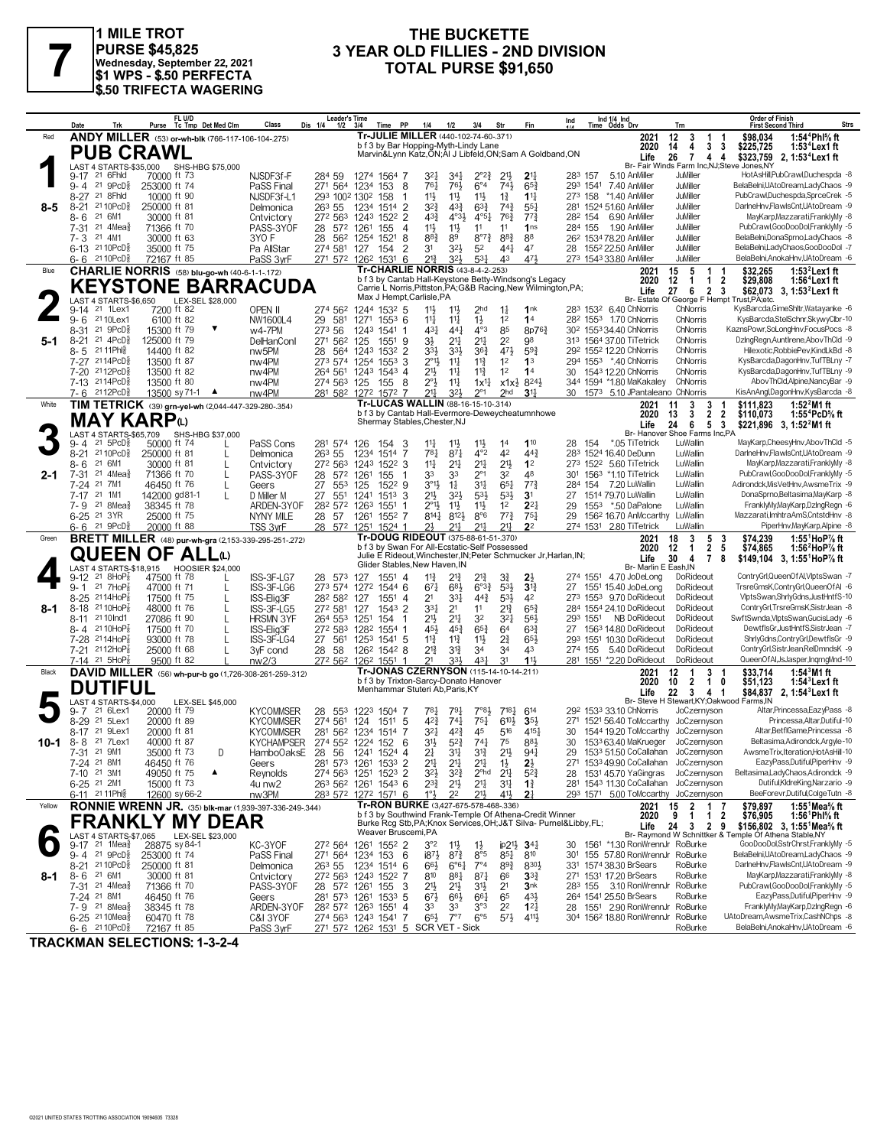

#### **PURSE \$45,825 Wednesday, September 22, 2021 \$1 WPS - \$.50 PERFECTA \$.50 TRIFECTA WAGERING**

## **THE BUCKETTE<br>3 YEAR OLD FILLIES - 2ND DIVISION 1 MILE TROT**<br>
PURSE \$45,825 **3 YEAR OLD FILLIES - 2ND DIVISION**<br>
\$1 WPS - \$.50 PERFECTA<br>
\$1 WPS - \$.50 PERFECTA

|        | Trk<br>Date                                                   | FL U/D<br>Purse Tc Tmp Det Med Clm                                                      | Class<br>Dis 1/4                                      | <b>Leader's Time</b><br>PP<br>1/2<br>3/4<br>Time                                           | 1/4<br>1/2<br>3/4                                                                                                 | Fin<br>Str                                                             | Ind 1/4 Ind<br>Ind<br>Time Odds Drv                                                   | <b>Order of Finish</b><br><b>Strs</b><br>Trn<br><b>First Second Third</b>                                                                                                                          |
|--------|---------------------------------------------------------------|-----------------------------------------------------------------------------------------|-------------------------------------------------------|--------------------------------------------------------------------------------------------|-------------------------------------------------------------------------------------------------------------------|------------------------------------------------------------------------|---------------------------------------------------------------------------------------|----------------------------------------------------------------------------------------------------------------------------------------------------------------------------------------------------|
| Red    |                                                               | ANDY MILLER (53) or-wh-blk (766-117-106-104-.275)                                       |                                                       |                                                                                            | Tr-JULIE MILLER (440-102-74-60-.371)<br>b f 3 by Bar Hopping-Myth-Lindy Lane                                      |                                                                        | 2021<br>2020                                                                          | 12<br>1:54 <sup>4</sup> Phl% ft<br>3<br>\$98.034<br>1<br>4<br>3 <sub>3</sub><br>14<br>\$225,725<br>1:53 <sup>4</sup> Lex 1 ft                                                                      |
|        | <b>PUB CRAWL</b>                                              |                                                                                         |                                                       |                                                                                            | Marvin&Lynn Katz, ON; AI J Libfeld, ON; Sam A Goldband, ON                                                        |                                                                        | Life                                                                                  | 26<br>$\overline{7}$<br>\$323,759<br>44<br>2, 1:53°Lex1 ft<br>Br- Fair Winds Farm Inc, NJ; Steve Jones, NY                                                                                         |
|        | LAST 4 STARTS-\$35,000<br>9-17 <sup>21</sup> 6Fhld            | SHS-HBG \$75,000<br>70000 ft 73                                                         | NJSDF3f-F<br>284 59                                   | 1274 1564 7                                                                                | $2^{\circ}2^{\frac{3}{4}}$<br>$34\frac{1}{4}$<br>327                                                              | $2^{11}$<br>$2^{11}$                                                   | 283 157<br>5.10 AnMiller                                                              | HotAsHill,PubCrawl,Duchespda -8<br>JuMiller                                                                                                                                                        |
|        | 9-4 21 9PcD <sup>5</sup><br>8-27 21 8Fhld                     | 253000 ft 74<br>10000 ft 90                                                             | 271 564<br>PaSS Final<br>NJSDF3f-L1                   | 1234 153<br>- 8<br>293 1002 1302 158                                                       | 76}<br>$6^{\circ}4$<br>$76\frac{1}{4}$<br>$11\frac{1}{2}$<br>11<br>$11\frac{1}{2}$                                | 743<br>$65\frac{3}{4}$<br>$1\frac{3}{4}$<br>$11\frac{11}{2}$           | 293 1541<br>7.40 AnMiller<br>273 158 *1.40 AnMiller                                   | BelaBelni,UAtoDream,LadyChaos -9<br>JuMiller<br><b>JuMiller</b><br>PubCrawl,Duchespda,SprceCrek -5                                                                                                 |
| 8-5    | $2110$ PcD $\frac{5}{8}$<br>$8 - 21$                          | 250000 ft 81                                                                            | 26 <sup>3</sup> 55<br>Delmonica                       | $\overline{2}$<br>1234<br>1514                                                             | $3^{2}\frac{3}{4}$<br>$63\frac{3}{4}$<br>$4^{3}\frac{3}{4}$                                                       | $74\frac{3}{4}$<br>$55\frac{1}{4}$                                     | 281 1524 51.60 AnMiller                                                               | DarlneHnv,FlawlsCnt,UAtoDream -9<br><b>JuMiller</b>                                                                                                                                                |
|        | 21 6M1<br>8-6<br>$21$ 4Mea $\frac{5}{8}$<br>7-31              | 30000 ft 81<br>71366 ft 70                                                              | 272 563<br>Cntvictory<br>PASS-3YOF<br>28              | 1522 2<br>1243<br>1261<br>572<br>155<br>4                                                  | $4^{\circ}3\frac{1}{2}$<br>43}<br>$4^{\circ}5^{\frac{1}{4}}$<br>11}<br>$11\frac{1}{2}$<br>11                      | 763<br>$77\frac{3}{4}$<br>11<br>1 <sub>ns</sub>                        | 28 <sup>2</sup> 154 6.90 AnMiller<br>284 155<br>1.90 AnMiller                         | JuMiller<br>MayKarp, Mazzarati, FranklyMy -8<br>JuMiller<br>PubCrawl,GooDooDol,FranklyMy -5                                                                                                        |
|        | 21 4M1<br>7-3<br>6-13 2110PcD <sup>5</sup>                    | 30000 ft 63                                                                             | 28<br>3YO F                                           | 562<br>8<br>1254<br>1521                                                                   | 883<br>$8^{\circ}7^{\frac{3}{4}}$<br>89                                                                           | $8^{8}$ <sub>4</sub><br>88                                             | 26 <sup>2</sup> 1534 78.20 AnMiller                                                   | JuMiller<br>BelaBelni,DonaSprno,LadyChaos -8<br>JuMiller<br>BelaBelni,LadyChaos,GooDooDol -7                                                                                                       |
|        | 21 10PcD \$<br>6-6                                            | 35000 ft 75<br>72167 ft 85                                                              | Pa AllStar<br>274 581<br>PaSS 3vrF                    | 127<br>154<br>2<br>271 572 1262 1531 6                                                     | 32}<br>52<br>31<br>$2^{13}$<br>$3^{2}$<br>$53\frac{1}{4}$                                                         | 441<br>47<br>471<br>43                                                 | 28 1552 22.50 AnMiller<br>273 1543 33.80 AnMiller                                     | BelaBelni, AnokaHnv, UAtoDream - 6<br>JuMiller                                                                                                                                                     |
| Blue   |                                                               | CHARLIE NORRIS (58) blu-go-wh (40-6-1-1-172)                                            |                                                       |                                                                                            | Tr-CHARLIE NORRIS (43-8-4-2-.253)<br>b f 3 by Cantab Hall-Keystone Betty-Windsong's Legacy                        |                                                                        | 2021<br>2020                                                                          | 15<br>$1:532$ Lex1 ft<br>5<br>1<br>\$32.265<br>-1<br>12<br>$\mathbf{1}$<br>$\overline{2}$<br>$1:56^4$ Lex1ft<br>1<br>\$29,808                                                                      |
|        |                                                               | <b>KEYSTONE BARRACUDA</b>                                                               |                                                       | Max J Hempt, Carlisle, PA                                                                  | Carrie L Norris, Pittston, PA; G&B Racing, New Wilmington, PA;                                                    |                                                                        | Life                                                                                  | 27<br>6<br>$\overline{2}$<br>\$62,073 3, 1:53 <sup>2</sup> Lex1 ft<br>-3                                                                                                                           |
|        | LAST 4 STARTS-\$6.650<br>9-14<br>21 1Lex1                     | LEX-SEL \$28,000<br>7200 ft 82                                                          | OPEN II<br>274 562                                    | 1244 1532 5                                                                                | 11<br>2 <sub>hd</sub><br>$11\frac{1}{2}$                                                                          | $1\frac{1}{4}$<br>1nk                                                  | 283 1532 6.40 ChNorris                                                                | Br- Estate Of George F Hempt Trust, PA; etc.<br>KysBarcda, GimeShltr, Watayanke -6<br>ChNorris                                                                                                     |
|        | 21 10Lex1<br>$9 - 6$<br>21 9PcD<br>8-31                       | 6100 ft 82<br>15300 ft 79                                                               | 29<br>NW1600L4<br>273 56<br>$w4-7PM$                  | 581<br>$155^3$ 6<br>1271<br>1243<br>1541 1                                                 | $11\frac{1}{4}$<br>$11\frac{1}{4}$<br>$1\frac{1}{2}$<br>431<br>44 <sup>1</sup><br>$4^{\circ}3$                    | 1 <sup>2</sup><br>1 <sup>4</sup><br>85<br>8p763                        | 28 <sup>2</sup> 155 <sup>3</sup> 1.70 ChNorris<br>30 <sup>2</sup> 1553 34.40 ChNorris | KysBarcda,StelSchnr,SkywyClbr-10<br>ChNorris<br>ChNorris<br>KaznsPowr,SoLongHnv,FocusPocs -8                                                                                                       |
| 5-1    | $8 - 21$<br>$21 \text{ } 4PCD_8^5$                            | 125000 ft 79                                                                            | 271 562<br><b>DelHanConl</b>                          | 125<br>1551 9                                                                              | 3½<br>211<br>21                                                                                                   | 2 <sup>2</sup><br>98                                                   | 313 1564 37.00 TiTetrick                                                              | ChNorris<br>DzingRegn, Auntirene, AbovThCld -9                                                                                                                                                     |
|        | 21 11 Phis<br>8-5<br>7-27 2114PcD                             | 14400 ft 82<br>13500 ft 87                                                              | nw <sub>5</sub> PM<br>28<br>nw4PM                     | 564<br>1532 2<br>1243<br>273 574 1254<br>$155^3$ 3                                         | 33}<br>$3^{3}\frac{1}{2}$<br>$36\frac{3}{4}$<br>$2^{\circ}1\frac{1}{2}$<br>$11\frac{1}{4}$<br>$11\frac{3}{4}$     | $59\frac{3}{4}$<br>$47\frac{1}{2}$<br>1 <sup>2</sup><br>1 <sup>3</sup> | 292 1552 12.20 ChNorris<br>294 1553 *.40 ChNorris                                     | Hilexotic, RobbiePev, KindLkBd -8<br>ChNorris<br>ChNorris<br>KysBarcda,DagonHnv,TufTBLny -7                                                                                                        |
|        | 2112PcD<br>7-20                                               | 13500 ft 82                                                                             | 264 561<br>nw4PM                                      | $154^3$ 4<br>1243                                                                          | 21}<br>$11\frac{1}{4}$<br>$11\frac{3}{4}$                                                                         | 1 <sup>2</sup><br>14                                                   | 30 1543 12.20 ChNorris                                                                | KysBarcda,DagonHnv,TufTBLny -9<br>ChNorris                                                                                                                                                         |
|        | $7-13$<br>2114PcD<br>2112PcD<br>7- 6                          | 13500 ft 80<br>13500 sy 71-1<br>$\blacktriangle$                                        | nw4PM<br>nw4PM                                        | 274 563 125<br>155<br>- 8<br>281 582 1272 1572 7                                           | 2°3<br>11<br>$1x^{11}$<br>217<br>$3^{21}$<br>$2^{\circ}1$                                                         | $8^{24}$<br>$x1x\frac{1}{2}$<br>2 <sub>hd</sub><br>3 <sup>11</sup>     | 344 1594 *1.80 MaKakaley<br>1573 5.10 JPantaleano ChNorris<br>30                      | ChNorris<br>AbovThCld,Alpine,NancyBar -9<br>KisAnAngl,DagonHnv,KysBarcda -8                                                                                                                        |
| White  |                                                               | TIM TETRICK (39) grn-yel-wh (2,044-447-329-280-.354)                                    |                                                       |                                                                                            | Tr-LUCAS WALLIN (88-16-15-10-314)                                                                                 |                                                                        | 2021                                                                                  | 3<br>3<br>1:52 $^{2}$ M1 ft<br>11<br>\$111.823                                                                                                                                                     |
|        | <b>MAY KARP</b> <sup>W</sup>                                  |                                                                                         |                                                       |                                                                                            | b f 3 by Cantab Hall-Evermore-Deweycheatumnhowe<br>Shermay Stables, Chester, NJ                                   |                                                                        | 2020<br>Life                                                                          | 3<br>2<br>$\overline{2}$<br>1:55 <sup>4</sup> PcD% ft<br>13<br>\$110,073<br>6<br>5<br>$\mathbf{3}$<br>24<br>\$221,896 3, 1:52 <sup>2</sup> M1 ft                                                   |
|        | LAST 4 STARTS-\$65,709<br>21 5PcD <sup>3</sup><br>9- 4        | SHS-HBG \$37,000<br>50000 ft 74                                                         | PaSS Cons                                             | 281 574 126<br>154 3                                                                       | $11\frac{1}{2}$<br>$11\frac{1}{4}$<br>$11\frac{1}{2}$                                                             | 1 <sup>4</sup><br>110                                                  | 154<br>*.05 TiTetrick<br>28                                                           | Br- Hanover Shoe Farms Inc,PA<br>LuWallin<br>MayKarp,CheesyHnv,AbovThCld -5                                                                                                                        |
|        | $8 - 21$<br>21 10 PcD <sup>5</sup>                            | 250000 ft 81<br>L                                                                       | 263 55<br>Delmonica                                   | 1234<br>1514 7                                                                             | $78\frac{1}{4}$<br>$87\frac{1}{4}$<br>$4^{\circ}2$                                                                | 42<br>44 <sup>3</sup>                                                  | 283 1524 16.40 DeDunn                                                                 | DarlneHnv,FlawlsCnt,UAtoDream -9<br>LuWallin                                                                                                                                                       |
| 2-1    | 21 6M1<br>8- 6<br>21 $4$ Mea $\frac{3}{8}$<br>7-31            | 30000 ft 81<br>71366 ft 70<br>L                                                         | 272 563<br>Cntvictory<br>PASS-3YOF<br>28              | 1243<br>$152^2$ 3<br>572 1261<br>155                                                       | 11<br>21‡<br>21<br>33<br>$2^{\circ}1$<br>33                                                                       | $21\frac{1}{2}$<br>1 <sup>2</sup><br>48<br>32                          | 273 1522 5.60 TiTetrick<br>301 1563 *1.10 TiTetrick                                   | MayKarp, Mazzarati, FranklyMy -8<br>LuWallin<br>LuWallin<br>PubCrawl,GooDooDol,FranklyMy -5                                                                                                        |
|        | 21 7M1<br>7-24                                                | 46450 ft 76<br>L                                                                        | 27<br>Geers                                           | 553<br>125<br>1522 9                                                                       | $3^{\circ}1\frac{1}{2}$<br>$1\frac{1}{4}$<br>31                                                                   | $65\frac{1}{4}$<br>$77\frac{3}{4}$                                     | 284 154<br>7.20 LuWallin                                                              | Adirondck, MisVetHnv, AwsmeTrix -9<br>LuWallin                                                                                                                                                     |
|        | 7-17 21 1M1<br>7-9 <sup>21</sup> 8Mea                         | 142000 gd81-1<br>38345 ft 78                                                            | 27<br>D Miller M<br>ARDEN-3YOF                        | $55^{1}$<br>1241<br>$151^3$ 3<br>282 572 1263<br>1551<br>-1                                | 21}<br>$3^{2}$<br>53}<br>2°1}<br>$11\frac{1}{2}$<br>$11\frac{1}{2}$                                               | $5^{3}$<br>3 <sup>1</sup><br>$2^{2}$<br>1 <sup>2</sup>                 | 27<br>1514 79.70 LuWallin<br>1553 *.50 DaPalone<br>29                                 | LuWallin<br>DonaSprno,Beltasima,MayKarp -8<br>LuWallin<br>FranklyMy,MayKarp,DzIngRegn -6                                                                                                           |
|        | 6-25 <sup>21</sup> 3YR                                        | 25000 ft 75                                                                             | NYNY MILE<br>28 57                                    | 1261 1552 7                                                                                | $8^{14}$<br>$8^{12}\frac{1}{2}$<br>$8^{\circ}6$                                                                   | $77\frac{3}{4}$<br>$75\frac{1}{4}$                                     | 29<br>156 <sup>2</sup> 16.70 AnMccarthy                                               | Mazzarati.ImhtraAmS.CntstdHnv -8<br>LuWallin                                                                                                                                                       |
| Green  | 21 9PcD<br>6-6                                                | 20000 ft 88<br><b>BRETT MILLER</b> (48) pur-wh-gra (2,153-339-295-251-272)              | TSS 3yrF                                              | 28 572 1251 1524 1                                                                         | 211<br>2}<br>211<br>Tr-DOUG RIDEOUT (375-88-61-51-.370)                                                           | 2 <sup>2</sup><br>$21\frac{1}{2}$                                      | 274 1531 2.80 TiTetrick<br>2021                                                       | PiperHnv, MayKarp, Alpine -8<br>LuWallin<br>3<br>18<br>5<br>-3<br>\$74,239<br>1:55 <sup>1</sup> HoP <sup>7</sup> / <sub>8</sub> ft                                                                 |
|        |                                                               | <b>QUEEN OF ALL</b> u                                                                   |                                                       |                                                                                            | b f 3 by Swan For All-Ecstatic-Self Possessed<br>Julie E Rideout, Winchester, IN; Peter Schmucker Jr, Harlan, IN; |                                                                        | 2020<br>Life                                                                          | $\overline{2}$<br>12<br>$\mathbf{1}$<br>-5<br>\$74,865<br>1:56 $^{\prime}$ HoP $\%$ ft<br>30<br>$\overline{7}$<br>$\overline{4}$<br>8<br>\$149,104<br>3, 1:55'HoP% ft                              |
|        | 21 8HoP                                                       | LAST 4 STARTS-\$18,915 HOOSIER \$24,000<br>47500 ft 78                                  |                                                       |                                                                                            | Glider Stables, New Haven, IN                                                                                     |                                                                        | Br- Marlin E Eash, IN<br>274 1551 4.70 JoDeLong                                       | ContryGrl,QueenOfAl,VlptsSwan -7<br>DoRideout                                                                                                                                                      |
|        | 9-12<br>21 7HoP<br>$9 - 1$                                    | 47000 ft 71<br>L                                                                        | ISS-3F-LG7<br>28 573<br>ISS-3F-LG6<br>273 574         | 127<br>$155^1$ 4<br>1272 1544 6                                                            | $11\frac{3}{4}$<br>21}<br>21}<br>$6^{8}$<br>$6^{o_{32}}$<br>671                                                   | $3\frac{3}{4}$<br>$2\frac{1}{2}$<br>$5^{3}\frac{1}{2}$<br>$3^{13}$     | 1551 15.40 JoDeLong<br>27                                                             | DoRideout<br>TrsreGmsK,ContryGrl,QueenOfAI -6                                                                                                                                                      |
|        | $8 - 25$<br>$2114HOP_8^T$<br>21 10HoP<br>$8 - 18$             | 17500 ft 75<br>$\mathbf{I}$<br>48000 ft 76                                              | 282 582<br>ISS-Elig3F<br>272 581<br>ISS-3F-LG5        | 127<br>1551<br>-4<br>1543 2<br>127                                                         | $44\frac{3}{4}$<br>2 <sup>1</sup><br>33}<br>331<br>2 <sup>1</sup><br>11                                           | 53}<br>42<br>$65\frac{3}{4}$<br>$2^{13}$                               | 273 1553 9.70 DoRideout<br>284 1554 24.10 DoRideout                                   | VlptsSwan,ShrlyGdns,JustHntfS-10<br>DoRideout<br>DoRideout<br>ContryGrl, TrsreGmsK, SistrJean -8                                                                                                   |
| 8-1    | 2110 Ind1<br>8-11                                             | 27086 ft 90                                                                             | <b>HRSMN 3YF</b><br>264 553                           | 1251<br>154<br>-1                                                                          | 32<br>21}<br>2 <sup>11</sup>                                                                                      | 3 <sup>2</sup><br>56}                                                  | 293 1551<br>NB DoRideout                                                              | DoRideout<br>SwftSwnda, VlptsSwan, GucisLady -6                                                                                                                                                    |
|        | 21 10HoP{<br>8-4<br>7-28 2114HoP                              | 17500 ft 70<br>93000 ft 78                                                              | 272 583<br>ISS-Elig3F<br>ISS-3F-LG4<br>27             | 1282<br>1554 1<br>561<br>1253<br>1541 5                                                    | $65\frac{3}{4}$<br>454<br>$45\frac{3}{4}$<br>$11\frac{3}{4}$<br>$11\frac{3}{4}$<br>$11\frac{1}{2}$                | $63\frac{3}{4}$<br>6 <sup>4</sup><br>$2^{3}_{4}$<br>653                | 1563 14.80 DoRideout<br>27<br>293 1551 10.30 DoRideout                                | DoRideout<br>DewtflsGr,JustHntfS,SistrJean -7<br>DoRideout<br>ShrlyGdns,ContryGrl,DewtflsGr -9                                                                                                     |
|        | 2112HoP<br>7-21                                               | 25000 ft 68<br>$\mathbf{I}$                                                             | 28<br>3 <sub>VF</sub> cond                            | 58<br>126 <sup>2</sup> 154 <sup>2</sup> 8                                                  | $2^{13}$<br>$3^{13}$<br>34                                                                                        | 34<br>43                                                               | 274 155<br>5.40 DoRideout                                                             | ContryGrl,SistrJean,RelDmndsK -9<br>DoRideout                                                                                                                                                      |
| Black  | 7-14 21 5HoP                                                  | 9500 ft 82<br>DAVID MILLER (56) wh-pur-b go (1,726-308-261-259-.312)                    | nw2/3                                                 | 272 562 1262 1551<br>-1                                                                    | 21<br>333<br>431<br>Tr-JONAS CZERNYSON (115-14-10-14-211)                                                         | 11<br>31                                                               | 281 1551 *2.20 DoRideout<br>2021                                                      | QueenOfAl,JsJasper,IngrngMnd-10<br>DoRideout<br>12<br>3 <sub>1</sub><br>\$33,714<br>1:54 $3$ M1 ft<br>$\overline{1}$                                                                               |
|        | <b>DUTIFUL</b>                                                |                                                                                         |                                                       |                                                                                            | b f 3 by Trixton-Sarcy-Donato Hanover<br>Menhammar Stuteri Ab, Paris, KY                                          |                                                                        | 2020<br>Life                                                                          | 10<br>$\overline{2}$<br>$\mathbf{1}$<br>\$51,123<br>0<br>$1:543$ Lex 1 ft<br>22<br>3<br>41<br>\$84,837 2, 1:54 <sup>3</sup> Lex1 ft                                                                |
|        | LAST 4 STARTS-\$4.000<br>21 6Lex1                             | LEX-SEL \$45,000                                                                        |                                                       |                                                                                            | 781<br>7°83<br>791                                                                                                | $7^{18}$ <sup>1</sup><br>614                                           | Br- Steve H                                                                           | Stewart, KY; Oakwood Farms, IN<br>Altar, Princessa, EazyPass -8                                                                                                                                    |
|        | 9- 7<br>21 5Lex1<br>$8 - 29$                                  | 20000 ft 79<br>20000 ft 89                                                              | <b>KYCOMMSER</b><br>28<br>274 561<br><b>KYCOMMSER</b> | 553<br>1223<br>1504 7<br>124<br>1511 5                                                     | 42}<br>$74\frac{1}{4}$<br>$75\frac{1}{4}$                                                                         | 6103<br>3 <sub>5</sub>                                                 | 292 1533 33.10 ChNorris<br>271 1521 56.40 ToMccarthy JoCzernyson                      | JoCzernyson<br>Princessa, Altar, Dutiful-10                                                                                                                                                        |
|        | 21 9Lex1<br>$8 - 17$<br>21 7Lex1                              | 20000 ft 81<br>40000 ft 87                                                              | <b>KYCOMMSER</b><br>281 562<br><b>KYCHAMPSER</b>      | 1234<br>1514 7<br>274 552 1224 152 6                                                       | 45<br>321<br>$4^{2}\frac{3}{4}$<br>31}<br>$5^{2}3$<br>$74\frac{1}{4}$                                             | 516<br>4151<br>75<br>883                                               | 30<br>1544 19.20 ToMccarthy<br>1533 63.40 MaKrueger<br>30                             | Altar, BetflGame, Princessa -8<br>JoCzernyson<br>JoCzernyson<br>Beltasima, Adirondck, Argyle-10                                                                                                    |
| 10-1   | 8-8<br>7-31 21 9M1                                            | 35000 ft 73<br>D                                                                        | Hambo0aksE 28 56 1241 1524 4                          |                                                                                            | 2 <sup>1</sup><br>34<br>$3^{12}$                                                                                  | $21\frac{1}{2}$<br>941                                                 | 1533 51.50 CoCallahan JoCzernyson<br>29                                               | AwsmeTrix, Iteration, HotAsHill-10                                                                                                                                                                 |
|        | 7-24 21 8M1<br>7-10 21 3M1                                    | 46450 ft 76<br>49050 ft 75<br>▲                                                         | Geers<br>Reynolds                                     | 281 573 1261 1533 2<br>274 563 1251 1523 2                                                 | 2 <sup>11</sup><br>$21\frac{1}{4}$<br>2 <sup>11</sup><br>$3^{21}$<br>$3^{2}\frac{3}{4}$<br>$2^{\circ}$ hd         | $2\frac{1}{2}$<br>$1\frac{1}{2}$<br>$2^{11}$<br>$5^{2}$                | 271 1533 49.90 CoCallahan JoCzernyson<br>28 1531 45.70 YaGingras JoCzernyson          | EazyPass,Dutiful,PiperHnv -9<br>Beltasima,LadyChaos,Adirondck -9                                                                                                                                   |
|        | 6-25 <sup>21</sup> 2M1                                        | 15000 ft 73                                                                             | 4u nw2                                                | 263 562 1261 1543 6                                                                        | $2^{3}\frac{3}{4}$<br>$2^{11}$<br>21                                                                              | $3^{11}$<br>$1\frac{3}{4}$                                             | 281 1543 11.30 CoCallahan JoCzernyson                                                 | Dutiful,KldreKing,Narzario -9                                                                                                                                                                      |
| Yellow | 6-11 21 11 Phis                                               | 12600 sy 66-2                                                                           | nw3PM                                                 | 283 572 1272 1571 6                                                                        | $1^\circ\frac{1}{2}$<br>21,<br>2 <sup>2</sup><br>Tr-RON BURKE (3,427-675-578-468-.336)                            | 41}<br>2 <sup>1</sup>                                                  | 293 1571 5.00 ToMccarthy JoCzernyson                                                  | BeeForevr,Dutiful,ColgeTutn -8                                                                                                                                                                     |
|        |                                                               | <b>RONNIE WRENN JR.</b> (35) blk-mar (1,939-397-336-249-.344)<br><b>FRANKLY MY DEAR</b> |                                                       |                                                                                            | b f 3 by Southwind Frank-Temple Of Athena-Credit Winner                                                           |                                                                        | 2021<br>2020                                                                          | 15<br>$\overline{2}$<br>\$79,897<br>1:55 <sup>1</sup> Mea <sup>5</sup> / <sub>8</sub> ft<br>17<br>9<br>$\overline{2}$<br>$\overline{1}$<br>\$76,905<br>1:56 <sup>1</sup> Phl% ft<br>$\overline{1}$ |
|        | LAST 4 STARTS-\$7,065                                         | LEX-SEL \$23,000                                                                        |                                                       | Weaver Bruscemi.PA                                                                         | Burke Rcg Stb, PA; Knox Services, OH; J&T Silva- Purnel&Libby, FL;                                                |                                                                        | Life                                                                                  | 24<br>3 2 9<br>\$156,802 3, 1:55 Mea % ft<br>Br- Raymond W Schnittker & Temple Of Athena Stable, NY                                                                                                |
|        | $9-17$ 21 1Mea $\frac{5}{8}$                                  | 28875 sy 84-1                                                                           | KC-3YOF                                               | 272 564 1261 1552 2                                                                        | $3^{\circ}2$<br>$11\frac{1}{2}$<br>$1\frac{1}{2}$                                                                 | $ip2\frac{11}{2}$ 3 <sup>4</sup>                                       | 30 1561 *1.30 RonWrennJr RoBurke                                                      | GooDooDol,SstrChrst,FranklyMy -5<br>BelaBelni,UAtoDream,LadyChaos -9                                                                                                                               |
|        | 9-4 21 9PcD <sup>3</sup><br>8-21 21 10 PcD <sup>5</sup>       | 253000 ft 74<br>250000 ft 81                                                            | PaSS Final<br>Delmonica<br>26 <sup>3</sup> 55         | 271 564 1234 153 6<br>1234 1514 6                                                          | $187\frac{1}{2}$<br>$8^{7}\frac{3}{4}$<br>8°5<br>6°61<br>$7^{\circ}4$<br>$66\frac{1}{2}$                          | $85\frac{1}{4}$<br>810<br>$89\frac{3}{4}$<br>8303                      | 301 155 57.80 RonWrennJr RoBurke<br>331 1574 38.30 BrSears                            | DarlneHnv,FlawlsCnt,UAtoDream -9<br>RoBurke                                                                                                                                                        |
| 8-1    | 8-6 <sup>21</sup> 6M1<br>7-31 <sup>21</sup> 4Mea <sup>5</sup> | 30000 ft 81<br>71366 ft 70                                                              | Cntvictory<br>PASS-3YOF                               | 272 563 1243 1522 7<br>28 572 1261 155 3                                                   | $87\frac{1}{4}$<br>810<br>881<br>2 <sup>1</sup><br>$21\frac{1}{2}$<br>31}                                         | 66<br>$3^{3}_{4}$<br>2 <sup>1</sup><br>3 <sub>nk</sub>                 | 271 1531 17.20 BrSears<br>283 155 3.10 RonWrennJr RoBurke                             | MayKarp, Mazzarati, FranklyMy -8<br>RoBurke<br>PubCrawl,GooDooDol,FranklyMy -5                                                                                                                     |
|        | 7-24 21 8M1                                                   | 46450 ft 76                                                                             | Geers                                                 | 281 573 1261<br>153 <sup>3</sup> 5                                                         | $67\frac{1}{2}$<br>$66\frac{1}{2}$<br>661                                                                         | 65<br>431                                                              | 264 1541 25.50 BrSears                                                                | EazyPass,Dutiful,PiperHnv -9<br>RoBurke                                                                                                                                                            |
|        | $7 - 9$ 21 8 Mea $\frac{5}{8}$<br>6-25 21 10 Mea <sub>8</sub> | 38345 ft 78<br>60470 ft 78                                                              | ARDEN-3YOF<br>C&I 3YOF                                | 28 <sup>2</sup> 57 <sup>2</sup> 126 <sup>3</sup> 155 <sup>1</sup> 4<br>274 563 1243 1541 7 | 33<br>33<br>3°3<br>$65\frac{1}{2}$<br>$7^{\circ}7$<br>$6^{\circ 5}$                                               | 2 <sup>2</sup><br>$12\frac{1}{4}$<br>$5^{7}\frac{1}{2}$<br>4111,       | 28 1551 2.90 RonWrennJr RoBurke<br>304 1562 18.80 RonWrennJr RoBurke                  | FranklyMy,MayKarp,DzIngRegn -6<br>UAtoDream,AwsmeTrix,CashNChps -8                                                                                                                                 |
|        | $6 - 6$ 21 10 PcD <sup>5</sup>                                | 72167 ft 85                                                                             | PaSS 3yrF                                             | 271 572 1262 1531 5 SCR VET - Sick                                                         |                                                                                                                   |                                                                        |                                                                                       | BelaBelni.AnokaHnv.UAtoDream -6<br>RoBurke                                                                                                                                                         |

**TRACKMAN SELECTIONS: 1-3-2-4**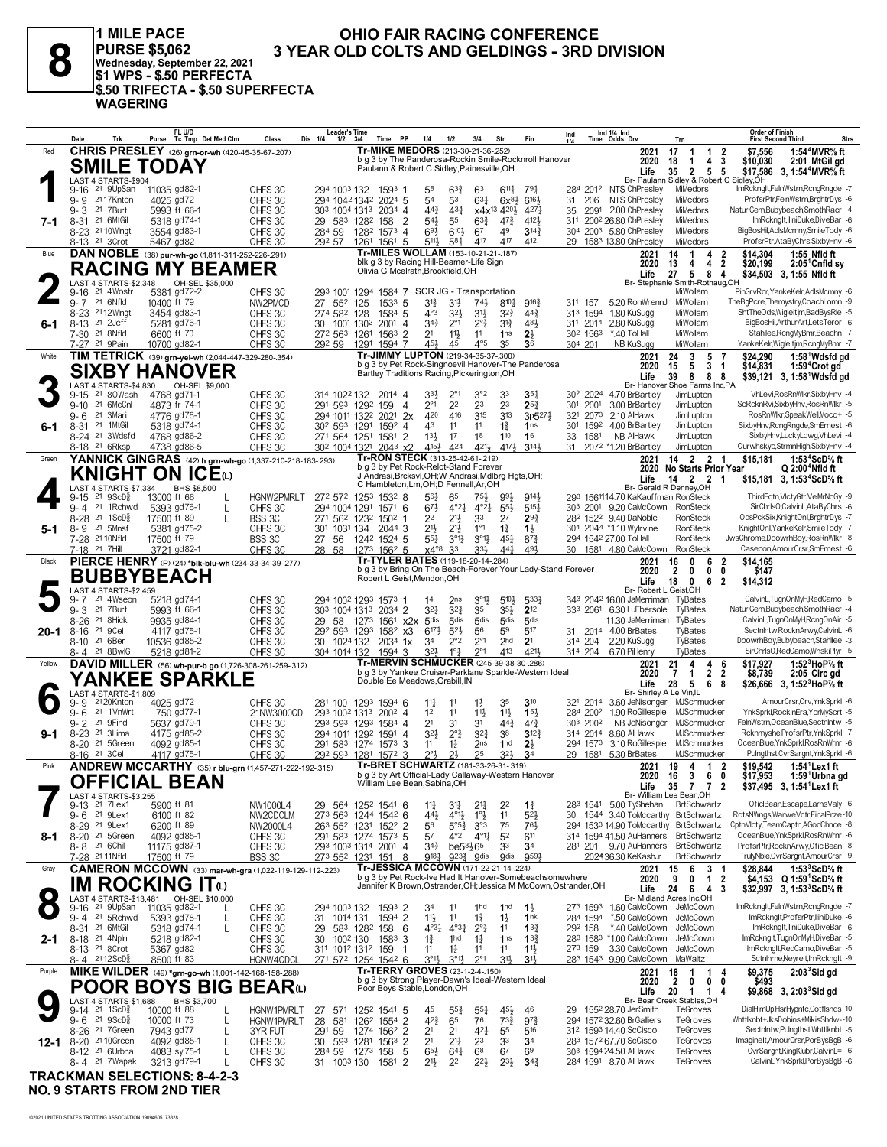J.

 $\overline{a}$ 

j.

| <b>MILE PACE</b><br><b>OHIO FAIR RACING CONFERENCE</b><br><b>PURSE \$5,062</b><br>8<br><b>3 YEAR OLD COLTS AND GELDINGS - 3RD DIVISION</b><br>Wednesday, September 22, 2021<br>IS1 WPS - S.50 PERFECTA<br><sup>I</sup> \$.50 TRIFECTA - \$.50 SUPERFECTA<br><b>WAGERING</b><br><b>Order of Finish</b><br>FL U/D<br><b>Leader's Time</b><br>Ind 1/4 Ind<br>Time Odds Drv<br>Ind<br>Purse Tc Tmp Det Med Clm<br>Fin<br>Trk<br>Class<br><b>PP</b><br>3/4<br>Trn<br><b>First Second Third</b><br>Date<br>Dis 1/4<br>1/2<br>Str<br>314<br>114<br>1/2<br>Time |  |                                                  |              |                                                        |                      |  |  |  |                                            |  |    |                    |                 |                                      |                                                       |  |                                                                   |    |          |       |          |                                                                  |             |
|---------------------------------------------------------------------------------------------------------------------------------------------------------------------------------------------------------------------------------------------------------------------------------------------------------------------------------------------------------------------------------------------------------------------------------------------------------------------------------------------------------------------------------------------------------|--|--------------------------------------------------|--------------|--------------------------------------------------------|----------------------|--|--|--|--------------------------------------------|--|----|--------------------|-----------------|--------------------------------------|-------------------------------------------------------|--|-------------------------------------------------------------------|----|----------|-------|----------|------------------------------------------------------------------|-------------|
|                                                                                                                                                                                                                                                                                                                                                                                                                                                                                                                                                         |  |                                                  |              |                                                        |                      |  |  |  |                                            |  |    |                    |                 |                                      |                                                       |  |                                                                   |    |          |       |          |                                                                  | <b>Strs</b> |
| Red                                                                                                                                                                                                                                                                                                                                                                                                                                                                                                                                                     |  |                                                  |              | <b>CHRIS PRESLEY</b> (26) grn-or-wh (420-45-35-67-207) |                      |  |  |  | Tr-MIKE MEDORS (213-30-21-36-.252)         |  |    |                    |                 |                                      |                                                       |  | 2021                                                              | 17 |          |       | \$7.556  | 1:54 <sup>4</sup> MVR% ft                                        |             |
|                                                                                                                                                                                                                                                                                                                                                                                                                                                                                                                                                         |  | <b>SMILE TODAY</b>                               |              |                                                        |                      |  |  |  |                                            |  |    |                    |                 |                                      | b g 3 by The Panderosa-Rockin Smile-Rocknroll Hanover |  | 2020                                                              | 18 |          |       | \$10,030 | 2:01 MtGil gd                                                    |             |
|                                                                                                                                                                                                                                                                                                                                                                                                                                                                                                                                                         |  |                                                  |              |                                                        |                      |  |  |  | Paulann & Robert C Sidley, Painesville, OH |  |    |                    |                 |                                      |                                                       |  | Life                                                              | 35 |          | 2 5 5 |          | \$17.586 3. 1:54 <sup>4</sup> MVR <sup>5</sup> / <sub>8</sub> ft |             |
|                                                                                                                                                                                                                                                                                                                                                                                                                                                                                                                                                         |  | LAST 4 STARTS-\$904<br>9-16 <sup>21</sup> 9UpSan | 11035 gd82-1 |                                                        | OHFS 3C              |  |  |  | 294 1003 132 1593 1                        |  | 58 | $6^{3}\frac{3}{4}$ | 63              | $6^{11}\frac{1}{4}$ 79 $\frac{1}{4}$ |                                                       |  | Br- Paulann Sidley & Robert C Sidley.OH<br>284 2012 NTS ChPresley |    | MiMedors |       |          | ImRcknaltFelnWstrn.RcnaRnade -7                                  |             |
|                                                                                                                                                                                                                                                                                                                                                                                                                                                                                                                                                         |  | $\sim$ $\sim$ $\sim$ $\sim$ $\sim$ $\sim$ $\sim$ | $1005 - 170$ |                                                        | $\sim$ $\sim$ $\sim$ |  |  |  | 0.0111010101000017                         |  |    |                    | $\sim$ $\sim$ 1 | 0.01001                              |                                                       |  | 04 000 NTC CLD sailors Nilla daga                                 |    |          |       |          | DenforDie Foliotto ben Dentstellung C                            |             |

|             |                                                         |           |                                                       | SMILE TODAY                            |                         |                                                                                 |                                                                       |              | g 3 by The Fangerosa-Rockin Simile-Rockinon Hanover<br>Paulann & Robert C Sidley, Painesville, OH |                                            |                                              |                                                       |                                                             |                                                                  |                     | ZUZU<br>Life                                                   | ា ក<br>-1<br>4<br>- 3<br>$\mathbf{2}$<br>5 <sub>5</sub><br>35                                  | \$10,030<br>2:01 MtGilga<br>\$17,586 3, 1:54 <sup>4</sup> MVR <sup>5</sup> / <sub>8</sub> ft |
|-------------|---------------------------------------------------------|-----------|-------------------------------------------------------|----------------------------------------|-------------------------|---------------------------------------------------------------------------------|-----------------------------------------------------------------------|--------------|---------------------------------------------------------------------------------------------------|--------------------------------------------|----------------------------------------------|-------------------------------------------------------|-------------------------------------------------------------|------------------------------------------------------------------|---------------------|----------------------------------------------------------------|------------------------------------------------------------------------------------------------|----------------------------------------------------------------------------------------------|
|             |                                                         |           | LAST 4 STARTS-\$904                                   | 9-16 <sup>21</sup> 9UpSan 11035 gd82-1 |                         | OHFS <sub>3C</sub>                                                              | 294 1003 132 1593 1                                                   |              |                                                                                                   | 58                                         | $63\frac{3}{4}$                              | 63                                                    | $6^{11}\frac{1}{4}$<br>$79\frac{1}{4}$                      |                                                                  |                     | 284 2012 NTS ChPresley                                         | Br- Paulann Sidley & Robert C Sidley, OH<br>MiMedors                                           | ImRcknglt,FelnWstrn,RcngRngde -7                                                             |
|             | 9-9 2117Knton<br>$9 - 3$                                | 21 7 Burt |                                                       | 4025 gd72<br>5993 ft 66-1              |                         | OHFS 3C<br>OHFS 3C                                                              | 294 1042 1342 2024 5<br>303 1004 1313 2034 4                          |              |                                                                                                   | 54<br>$44\frac{3}{4}$                      | 53<br>$4^{3}\frac{3}{4}$                     | 631<br>x4x <sup>13</sup> 4 <sup>20</sup> }            | $6^{16}$<br>$6x^{8}\frac{1}{2}$<br>4271                     | 31<br>35                                                         | 206<br>2091         | NTS ChPreslev<br>2.00 ChPresley                                | MiMedors<br>MiMedors                                                                           | ProfsrPtr,FelnWstrn,BrghtrDys -6<br>NaturlGem,Bubybeach,SmothRacr -4                         |
| 7-1         | $8 - 31$                                                | 21 6MtGil |                                                       | 5318 gd74-1                            |                         | OHFS <sub>3C</sub>                                                              | 29 583 1282 158                                                       |              | $\overline{2}$                                                                                    | 54}                                        | 55                                           | $63\frac{3}{4}$                                       | $4^{7}\frac{3}{4}$<br>4121                                  |                                                                  |                     | 311 2002 26.80 ChPresley                                       | MiMedors                                                                                       | ImRcknglt,lliniDuke,DiveBar -6                                                               |
|             | 8-23 21 10 Wingt<br>8-13 <sup>21</sup> 3 Crot           |           |                                                       | 3554 gd83-1<br>5467 gd82               |                         | OHFS <sub>3C</sub><br>OHFS3C                                                    | 284 59<br>292 57                                                      |              | 1282 1573 4<br>1261 1561 5                                                                        | $69\frac{1}{2}$<br>5111                    | $6^{10}$<br>$5^{81}$                         | 67<br>417                                             | 49<br>$3^{14}\frac{3}{4}$<br>417<br>412                     |                                                                  |                     | 304 2003 5.80 ChPresley<br>29 1583 13.80 ChPresley             | MiMedors<br>MiMedors                                                                           | BigBosHil,AdlsMcmny,SmileTody -6<br>ProfsrPtr,AtaByChrs,SixbyHnv -6                          |
| Blue        |                                                         |           |                                                       |                                        |                         | DAN NOBLE (38) pur-wh-go (1,811-311-252-226-291)                                |                                                                       |              | Tr-MILES WOLLAM (153-10-21-21-187)                                                                |                                            |                                              |                                                       |                                                             |                                                                  |                     | 2021                                                           | $\overline{2}$<br>14<br>1<br>4                                                                 | \$14.304<br>1:55 Nfld ft                                                                     |
|             |                                                         |           |                                                       |                                        | <b>RACING MY BEAMER</b> |                                                                                 |                                                                       |              | blk g 3 by Racing Hill-Beamer-Life Sign<br>Olivia G Mcelrath, Brookfield, OH                      |                                            |                                              |                                                       |                                                             |                                                                  |                     | 2020<br>Life                                                   | 13<br>2<br>4<br>4<br>27<br>5<br>8<br>4                                                         | \$20,199<br>$2:05^{\circ}$ Cnfld sy<br>\$34,503 3, 1:55 Nfld ft                              |
|             | 9-16                                                    |           | LAST 4 STARTS-\$2,348<br>21 4Wostr                    | 5381 gd72-2                            | OH-SEL \$35,000         | OHFS3C                                                                          | 293 1001 1294 1584 7 SCR JG - Transportation                          |              |                                                                                                   |                                            |                                              |                                                       |                                                             |                                                                  |                     |                                                                | Br- Stephanie Smith-Rothaug, OH<br>MiWollam                                                    | PinGrvRcr, YankeKelr, AdlsMcmny -6                                                           |
|             | $9 - 7$                                                 | 21 6Nfld  |                                                       | 10400 ft 79                            |                         | NW2PMCD                                                                         | 27 552 125                                                            |              | 153 <sup>3</sup> 5                                                                                | 31}                                        | 3½                                           | $74\frac{1}{2}$                                       | $8^{10}\frac{1}{4}$<br>$9^{16}\frac{3}{4}$                  |                                                                  | 311 157             | 5.20 RonWrennJr MiWollam                                       |                                                                                                | TheBgPcre,Themystry,CoachLomn -9                                                             |
| 6-1         | 8-23 2112Wingt<br>8-13 21 2Jeff                         |           |                                                       | 3454 gd83-1<br>5281 gd76-1             |                         | OHFS 3C<br>OHFS <sub>3C</sub>                                                   | 274 582 128<br>30 1001 1302                                           |              | 1584 5<br>$2001$ 4                                                                                | 4°3<br>$34\frac{3}{4}$                     | $3^{2}\frac{1}{2}$<br>$2^{\circ}1$           | 3½<br>$2^{\circ}$ $\frac{3}{4}$                       | $3^{2}\frac{3}{4}$<br>$44\frac{3}{4}$<br>$3^{13}$<br>481    |                                                                  |                     | 313 1594 1.80 KuSugg<br>311 2014 2.80 KuSugg                   | MiWollam<br>MiWollam                                                                           | ShtTheOds, Wigleit jm, Bad BysRle -5<br>BigBosHil, Arthur Art, Lets Teror -6                 |
|             | 7-30 <sup>21</sup> 8Nfld                                |           |                                                       | 6600 ft 70                             |                         | OHFS <sub>3C</sub>                                                              | 272 563 1261 1563 2                                                   |              | 1291 1594 7                                                                                       | 2 <sup>1</sup><br>451                      | $11\frac{1}{2}$                              | 11<br>$4^{\circ}5$                                    | 1 <sub>ns</sub><br>$2\frac{1}{2}$<br>35<br>36               |                                                                  | 302 1563            | *.40 ToHall                                                    | MiWollam                                                                                       | Stahllee, RcngMyBmr, Beachn - 7                                                              |
| White       | 7-27 <sup>21</sup> 9Pain                                |           |                                                       | 10700 gd82-1                           |                         | OHFS3C<br>TIM TETRICK (39) grn-yel-wh (2,044-447-329-280-.354)                  | 292 59                                                                |              | Tr-JIMMY LUPTON (219-34-35-37-.300)                                                               |                                            | 45                                           |                                                       |                                                             |                                                                  | 304 201             | NB KuSugg<br>2021                                              | MiWollam<br>3<br>5<br>$\overline{7}$<br>24                                                     | YankeKelr, Wigleitjm, RcngMyBmr -7<br>1:58 <sup>1</sup> Wdsfd gd<br>\$24.290                 |
|             |                                                         |           |                                                       |                                        | <b>SIXBY HANOVER</b>    |                                                                                 |                                                                       |              | b g 3 by Pet Rock-Singnoevil Hanover-The Panderosa<br>Bartley Traditions Racing, Pickerington, OH |                                            |                                              |                                                       |                                                             |                                                                  |                     | 2020<br>Life                                                   | 5<br>15<br>3<br>$\overline{1}$<br>8<br>39<br>88                                                | \$14,831<br>1:59 <sup>4</sup> Crot gd<br>\$39,121 3, 1:58 Wdsfd gd                           |
|             |                                                         |           | LAST 4 STARTS-\$4,830<br>21 80Wash                    |                                        | OH-SEL \$9,000          | OHFS3C                                                                          | 314 1022 132                                                          |              |                                                                                                   | 33}                                        | $2^{\circ}1$                                 | 3°2<br>33                                             | $35\frac{1}{4}$                                             |                                                                  |                     | 30 <sup>2</sup> 2024 4.70 BrBartley                            | Br- Hanover Shoe Farms Inc,PA<br>JimLupton                                                     | VhLevi, Ros Rn Wikr, SixbyHnv - 4                                                            |
|             | $9 - 15$<br>9-10 21 6McCnl                              |           |                                                       | 4768 gd71-1<br>4873 fr 74-1            |                         | OHFS3C                                                                          | 291 593 1292 159                                                      |              | 2014 4<br>4                                                                                       | $2^{\circ_1}$                              | 2 <sup>2</sup>                               | 23                                                    | 23<br>$25\frac{3}{4}$                                       |                                                                  | 301 2001            | 3.00 BrBartley                                                 | JimLupton                                                                                      | SoRcknRvi, SixbyHnv, RosRnWlkr -5                                                            |
| 6-1         | 9-6<br>8-31 21 1MtGil                                   | 21 3Mari  |                                                       | 4776 gd76-1<br>5318 gd74-1             |                         | OHFS 3C<br>OHFS 3C                                                              | 294 1011 1322 2021 2x<br>30 <sup>2</sup> 59 <sup>3</sup> 1291         |              | 1592 4                                                                                            | 420<br>43                                  | 416<br>11                                    | 315<br>$1\frac{3}{4}$<br>11                           | 3 <sup>13</sup><br>$3p5^{27}\frac{1}{2}$<br>1 <sub>ns</sub> |                                                                  |                     | 321 2073 2.10 AlHawk<br>301 1592 4.00 BrBartley                | JimLupton<br>JimLupton                                                                         | RosRnWlkr,SpeakWell,Moco+ -5<br>SixbyHnv,RcngRngde,SmErnest -6                               |
|             |                                                         |           | 8-24 21 3Wdsfd                                        | 4768 gd86-2                            |                         | OHFS3C                                                                          | 271 564 1251                                                          |              | 1581<br>$\overline{2}$                                                                            | 133                                        | 1 <sup>7</sup>                               | 1 <sup>8</sup>                                        | 110<br>16                                                   |                                                                  | 33 1581             | NB AlHawk                                                      | JimLupton                                                                                      | SixbyHnv,LuckyLdwg,VhLevi -4                                                                 |
| Green       | 8-18 <sup>21</sup> 6Rksp                                |           |                                                       | 4738 gd86-5                            |                         | OHFS <sub>3C</sub><br>YANNICK GINGRAS (42) h grn-wh-go (1,337-210-218-183-.293) | 30 <sup>2</sup> 100 <sup>4</sup> 132 <sup>1</sup> 204 <sup>3</sup> x2 |              | Tr-RON STECK (313-25-42-61-219)                                                                   | 4154                                       | 424                                          | 421}                                                  | 4171<br>$3^{14}$                                            |                                                                  |                     | 31 2072 *1.20 BrBartley<br>2021                                | JimLupton<br>14 2 2 1                                                                          | Ourwhskyc,StrmnHigh,SixbyHnv -4<br>1:53 $4$ ScD $\%$ ft<br>\$15,181                          |
|             |                                                         |           |                                                       |                                        | KNIGHT ON ICEധ          |                                                                                 |                                                                       |              | b g 3 by Pet Rock-Relot-Stand Forever<br>J Andrasi, Brcksvl, OH; W Andrasi, Mdlbrg Hgts, OH;      |                                            |                                              |                                                       |                                                             |                                                                  |                     | 2020                                                           | <b>No Starts Prior Year</b><br>14 2 2 1                                                        | Q 2:00 <sup>4</sup> Nfld ft                                                                  |
|             |                                                         |           | LAST 4 STARTS-\$7,334                                 |                                        | BHS \$8,500             |                                                                                 |                                                                       |              | C Hambleton, Lm, OH; D Fennell, Ar, OH                                                            |                                            |                                              |                                                       |                                                             |                                                                  |                     | Life                                                           | Br- Gerald R Denney, OH                                                                        | \$15,181 3, 1:53 <sup>4</sup> ScD <sup>5</sup> / <sub>8</sub> ft                             |
|             | $9 - 15$<br>$9 - 4$                                     |           | $21 \space$ $9$ ScD $\frac{5}{8}$<br>21 1Rchwd        | 13000 ft 66<br>5393 gd76-1             | L<br>L                  | HGNW2PMRLT<br>OHFS 3C                                                           | 272 572 1253 1532 8<br>294 1004 1291 1571 6                           |              |                                                                                                   | 561<br>$67\frac{1}{2}$                     | 65<br>$4^{\circ}2^{\frac{1}{4}}$             | 75}<br>$4^{\circ}2^{\frac{1}{4}}$                     | 9141<br>993<br>$55\frac{1}{2}$<br>$5^{15}$                  |                                                                  |                     | 293 1561114.70 KaKauffman RonSteck<br>303 2001 9.20 CaMcCown   | RonSteck                                                                                       | ThirdEdtn,VlctyGtr,VelMrNcGy -9<br>SirChrlsO,CalvinL,AtaByChrs -6                            |
|             | 8-28 21 1ScD <sup>5</sup><br>8-9 21 5Mnsf               |           |                                                       | 17500 ft 89<br>5381 gd75-2             | L                       | BSS 3C                                                                          | 271 562 1232 1502 1<br>301 1031 134 2044 3                            |              |                                                                                                   | 22<br>$21\frac{1}{2}$                      | $21\frac{1}{2}$<br>$21\frac{1}{2}$           | 33<br>2 <sup>7</sup><br>$1^{\circ}1$                  | $29\frac{3}{4}$<br>$1\frac{1}{2}$                           |                                                                  |                     | 282 1522 9.40 DaNoble<br>304 2044 *1.10 Wylrvine               | RonSteck<br>RonSteck                                                                           | OdsPckSix.KnightOnl.BrghtrDvs -7<br>KnightOnl.YankeKelr.SmileTodv -7                         |
| 5-1         | 7-28 21 10Nfld                                          |           |                                                       | 17500 ft 79                            |                         | OHFS 3C<br>BSS 3C                                                               | 27 56 1242 1524 5                                                     |              |                                                                                                   | 551                                        | $3^{012}$                                    | $1\frac{3}{4}$<br>$3^{01}$                            | 451<br>$8^{7}\frac{3}{4}$                                   |                                                                  |                     | 294 1542 27.00 ToHall                                          | RonSteck                                                                                       | JwsChrome,DoowrhBoy,RosRnWlkr -8                                                             |
| Black       | 7-18 21 7Hill                                           |           |                                                       | 3721 gd82-1                            |                         | OHFS 3C<br>PIERCE HENRY (P) (24) *blk-blu-wh (234-33-34-39-277)                 | 28 58                                                                 |              | 1273 1562 5<br>Tr-TYLER BATES (119-18-20-14-.284)                                                 | $x4^{\circ}8$                              | 33                                           | 33}                                                   | 44 <sup>1</sup><br>491                                      |                                                                  |                     | 30 1581 4.80 CaMcCown<br>2021                                  | RonSteck<br>6<br>16<br>0<br>2                                                                  | Casecon, AmourCrsr, SmErnest -6<br>\$14,165                                                  |
|             |                                                         |           |                                                       | <b>BUBBYBEACH</b>                      |                         |                                                                                 |                                                                       |              | Robert L Geist, Mendon, OH                                                                        |                                            |                                              |                                                       |                                                             | b g 3 by Bring On The Beach-Forever Your Lady-Stand Forever      |                     | 2020                                                           | $\overline{2}$<br>$\mathbf 0$<br>0<br>$\mathbf{0}$                                             | \$147                                                                                        |
|             |                                                         |           | LAST 4 STARTS-\$2,459                                 |                                        |                         |                                                                                 |                                                                       |              |                                                                                                   |                                            |                                              |                                                       |                                                             |                                                                  |                     | Life<br>Br- Robert L Geist, OH                                 | 18<br>6<br>- 2<br>0                                                                            | \$14,312                                                                                     |
|             | $9 - 7$<br>$9 - 3$                                      | 21 7 Burt | 21 4Wseon                                             | 5218 gd74-1<br>5993 ft 66-1            |                         | OHFS 3C<br>OHFS3C                                                               | 294 1002 1293 1573 1<br>303 1004 1313 2034 2                          |              |                                                                                                   | 14<br>$3^{21}$                             | 2 <sub>ns</sub><br>$3^{2}$                   | $3^{01}$<br>35                                        | $5^{10}$<br>5333<br>35}<br>$2^{12}$                         |                                                                  |                     | 343 2042 16.00 JaMerriman<br>333 2061 6.30 LuEbersole          | TyBates<br>TyBates                                                                             | CalvinL,TugnOnMyH,RedCamo -5<br>NaturlGem,Bubybeach,SmothRacr -4                             |
|             |                                                         |           |                                                       |                                        |                         |                                                                                 |                                                                       |              |                                                                                                   |                                            |                                              |                                                       |                                                             |                                                                  |                     |                                                                |                                                                                                |                                                                                              |
|             | $8 - 26$                                                | 21 8Hick  |                                                       | 9935 gd84-1                            |                         | OHFS3C                                                                          | 29                                                                    |              | 58 1273 1561 x2x                                                                                  | 5 <sub>dis</sub>                           | 5 <sub>dis</sub>                             | 5 <sub>dis</sub>                                      | 5 <sub>dis</sub><br>5 <sub>dis</sub>                        |                                                                  |                     | 11.30 JaMerriman                                               | TyBates                                                                                        | CalvinL,TugnOnMyH,RcngOnAir -5                                                               |
| 20-1        | 8-16<br>8-10 <sup>21</sup> 6Ber                         | 21 9Cel   |                                                       | 4117 gd75-1<br>10536 gd85-2            |                         | OHFS <sub>3C</sub><br>OHFS 3C                                                   | 292 593 1293 1582 x3<br>30 1024 132                                   |              | 2034 1x                                                                                           | $6^{17}\frac{1}{2}$<br>34                  | $5^{2}$<br>2°2                               | 56<br>$2^{\circ}1$                                    | 59<br>517<br>2 <sub>hd</sub><br>2 <sup>1</sup>              |                                                                  | 314 204             | 31 2014 4.00 BrBates<br>2.20 KuSugg                            | TyBates<br>TyBates                                                                             | Sectnintw, RocknArwy, CalvinL -6<br>DoowrhBoy,Bubybeach,Stahllee -3                          |
|             | 8-4 21 8BwlG                                            |           |                                                       | 5218 gd81-2                            |                         | OHFS 3C                                                                         | 304 1014 132                                                          |              | 1594 3                                                                                            | 32}                                        | $1^{\circ}$ $\frac{1}{4}$                    | $2^{\circ}1$                                          | 413<br>4211                                                 |                                                                  |                     | 314 204 6.70 PiHenry                                           | TyBates                                                                                        | SirChrlsO,RedCamo,WhskiPlyr -5                                                               |
| Yellow      |                                                         |           |                                                       |                                        |                         | DAVID MILLER (56) wh-pur-b go (1,726-308-261-259-.312)                          |                                                                       |              | Tr-MERVIN SCHMUCKER (245-39-38-30-.286)<br>b g 3 by Yankee Cruiser-Parklane Sparkle-Western Ideal |                                            |                                              |                                                       |                                                             |                                                                  |                     | 2021<br>2020                                                   | 21<br>4<br>4<br>-6<br>$\overline{2}$<br>$\overline{2}$<br>7<br>$\mathbf{1}$                    | \$17,927<br>1:52 $3$ HoP $\%$ ft<br>\$8,739<br>2:05 Circ gd                                  |
|             |                                                         |           | LAST 4 STARTS-\$1,809                                 |                                        | YANKEE SPARKLE          |                                                                                 |                                                                       |              | Double Ee Meadows, Grabill, IN                                                                    |                                            |                                              |                                                       |                                                             |                                                                  |                     | Life<br>Br- Shirley A Le Vin, IL                               | 28<br>5<br>6<br>-8                                                                             | \$26,666 3, 1:52 HoP% ft                                                                     |
|             | $9 - 6$                                                 |           | 9-9 2120Knton<br>21 1VnWrt                            | 4025 gd72<br>750 gd77-1                |                         | OHFS 3C                                                                         | 281 100 1293 1594 6<br>293 1002 1313 2002 4                           |              |                                                                                                   | $11\frac{1}{4}$<br>1 <sup>2</sup>          | 11<br>11                                     | $1\frac{1}{2}$<br>11}                                 | $3^{10}$<br>35<br>11}<br>15 <sup>1</sup>                    |                                                                  | 284 2002            | 321 2014 3.60 JeNisonger<br>1.90 RoGillespie                   | MJSchmucker<br>MJSchmucker                                                                     | AmourCrsr, Orv, YnkSprkl -6<br>YnkSprkl,RockinEra,YorMyScrt -5                               |
|             | $9 - 2$                                                 | 21 9Find  |                                                       | 5637 gd79-1                            |                         | 21NW3000CD<br>OHFS 3C                                                           | 293 593 1293 1584 4                                                   |              |                                                                                                   | 2 <sup>1</sup>                             | 3 <sup>1</sup>                               | 31                                                    | $44\frac{3}{4}$<br>$47\frac{3}{4}$                          |                                                                  | 303 2002            | NB JeNisonger                                                  | MJSchmucker                                                                                    | FelnWstrn, Ocean Blue, Sectnintw -5                                                          |
| $9 - 1$     | $8 - 23$                                                | 21 3Lima  | 8-20 <sup>21</sup> 5Green                             | 4175 gd85-2<br>4092 gd85-1             |                         | OHFS 3C<br>OHFS <sub>3C</sub>                                                   | 294 1011 1292 1591 4<br>291 583 1274 1573 3                           |              |                                                                                                   | $3^{2}$<br>11                              | $2^{\circ}$ $\frac{3}{4}$<br>$1\frac{1}{4}$  | $3^{2^{3}}$<br>38<br>2 <sub>ns</sub>                  | $3^{12}\frac{3}{4}$<br>1 <sub>hd</sub><br>$2\frac{1}{2}$    |                                                                  | 294 1573            | 314 2014 8.60 AlHawk<br>3.10 RoGillespie                       | MJSchmucker<br>MJSchmucker                                                                     | Rcknmyshe, ProfsrPtr, YnkSprkI -7<br>OceanBlue.YnkSprkl.RosRnWrnr -6                         |
|             | 8-16 <sup>21</sup> 3 Cel                                |           |                                                       | 4117 gd75-1                            |                         | OHFS <sub>3C</sub>                                                              | 292 593 1281 1572 3                                                   |              |                                                                                                   | $2^{\circ}3$                               | $2\frac{1}{2}$                               | 25                                                    | 32}<br>3 <sup>4</sup>                                       |                                                                  |                     | 29 1581 5.30 BrBates                                           | MJSchmucker                                                                                    | Pulngthst, CvrSargnt, YnkSprkI -6                                                            |
| Pink        |                                                         |           |                                                       |                                        |                         | <b>ANDREW MCCARTHY</b> (35) r blu-grn (1,457-271-222-192-.315)                  |                                                                       |              | Tr-BRET SCHWARTZ (181-33-26-31-319)<br>b g 3 by Art Official-Lady Callaway-Western Hanover        |                                            |                                              |                                                       |                                                             |                                                                  |                     | 2021<br>2020                                                   | 19<br>$\mathbf{1}$<br>4<br>$\overline{\mathbf{2}}$<br>16<br>3<br>6<br>0                        | \$19.542<br>$1:54^1$ Lex1 ft<br>\$17,953<br>1:59 Urbna gd                                    |
|             |                                                         |           | LAST 4 STARTS-\$3,255                                 | <b>OFFICIAL BEAN</b>                   |                         |                                                                                 |                                                                       |              | William Lee Bean, Sabina, OH                                                                      |                                            |                                              |                                                       |                                                             |                                                                  |                     | Life                                                           | 35<br>77<br>$\overline{2}$<br>Br- William Lee Bean, OH                                         | \$37.495 3.1:54 <sup>1</sup> Lex1 ft                                                         |
|             | 9-13 21 7Lex1<br>9- 6                                   | 21 9Lex1  |                                                       | 5900 ft 81<br>6100 ft 82               |                         | NW1000L4                                                                        | 29 564 1252 1541 6<br>273 563 1244 1542 6                             |              |                                                                                                   | 44}                                        | $1\frac{11}{4}$ $3\frac{11}{4}$<br>$4^{011}$ | $2^{11}$<br>11                                        | $2^2$<br>$1\frac{3}{4}$<br>$5^{2}$                          |                                                                  |                     | 283 1541 5.00 TyShehan<br>30 1544 3.40 ToMccarthy BrtSchwartz  | <b>BrtSchwartz</b>                                                                             | OficlBean,Escape,LarnsValy -6<br>RotsNWngs, Warwe Vctr, FinalPrze-10                         |
|             | 8-29 <sup>21</sup> 9 Lex1                               |           |                                                       | 6200 ft 89                             |                         | NW2CDCLM<br>NW2000L4                                                            | 263 552 1231 1522 2                                                   |              |                                                                                                   | 56                                         | $5^{\circ 5\frac{3}{4}}$                     | $1^{\circ}$<br>$3^{\circ}3$<br>75                     | 761                                                         |                                                                  |                     |                                                                | 294 1533 14.90 ToMccarthy BrtSchwartz                                                          | CptnVlcty,TeamCaptn,AGodChnce -8                                                             |
| 8-1         | 8-20 <sup>21</sup> 5Green<br>8-8 21 6Chil               |           |                                                       | 4092 gd85-1<br>11175 gd87-1            |                         | OHFS 3C<br>OHFS 3C                                                              | 291 583 1274 1573 5<br>293 1003 1314 2001 4                           |              |                                                                                                   | 57<br>$3^{4^{3}_{2}}$                      | $4^{\circ}2$<br>$be53\frac{1}{2}65$          | $4^{01}\frac{1}{4}$<br>5 <sup>2</sup><br>33           | 611<br>3 <sup>4</sup>                                       |                                                                  |                     | 314 1594 41.50 AuHanners<br>281 201 9.70 AuHanners BrtSchwartz | <b>BrtSchwartz</b>                                                                             | OceanBlue, YnkSprkl, RosRnWrnr -6<br>ProfsrPtr, RocknArwy, OficlBean -8                      |
|             | 7-28 <sup>21</sup> 11Nfld                               |           |                                                       | 17500 ft 79                            |                         | BSS 3C                                                                          | 273 552 1231 151                                                      |              | 8                                                                                                 | 9181                                       | $9^{23}\frac{3}{4}$ gdis                     |                                                       | 9591<br><b>gdis</b>                                         |                                                                  |                     | 202436.30 KeKashJr                                             | BrtSchwartz                                                                                    | TrulyNble,CvrSargnt,AmourCrsr -9                                                             |
| Gray        |                                                         |           |                                                       |                                        |                         | <b>CAMERON MCCOWN</b> (33) mar-wh-gra (1,022-119-129-112-.223)                  |                                                                       |              | Tr-JESSICA MCCOWN (171-22-21-14-.224)                                                             |                                            |                                              |                                                       |                                                             | b g 3 by Pet Rock-Ive Had It Hanover-Somebeachsomewhere          |                     | 2021<br>2020                                                   | 3 <sub>1</sub><br>15<br>6<br>9<br>$\overline{2}$<br>0<br>$\mathbf{1}$                          | $1:533$ ScD <sup>5</sup> % ft<br>\$28,844<br>\$4,153<br>Q 1:59 ScD% ft                       |
| $\mathbf C$ |                                                         |           |                                                       |                                        | IM ROCKING ITധ          |                                                                                 |                                                                       |              |                                                                                                   |                                            |                                              |                                                       |                                                             | Jennifer K Brown, Ostrander, OH; Jessica M McCown, Ostrander, OH |                     | Life                                                           | 24<br>6<br>4<br>3<br>Br- Midland Acres Inc,OH                                                  | \$32,997 3, 1:53 ${}^{3}$ ScD% ft                                                            |
|             |                                                         |           | 9-16 <sup>21</sup> 9UpSan<br>9-4 <sup>21</sup> 5Rchwd | 11035 gd82-1                           | L                       | OHFS 3C                                                                         | 294 1003 132                                                          |              | 1593 2                                                                                            | 34                                         | 11<br>11                                     | 1 <sub>hd</sub>                                       | 1 <sub>hd</sub><br>$1\frac{1}{2}$<br>1 <sup>nk</sup>        |                                                                  | 273 1593            | 1.60 CaMcCown JeMcCown<br>*.50 CaMcCown                        | JeMcCown                                                                                       | ImRckngIt,FelnWstrn,RcngRngde -7<br>ImRcknalt, ProfsrPtr, IliniDuke -6                       |
|             | 8-31 21 6MtGil                                          |           |                                                       | 5393 gd78-1<br>5318 gd74-1             | L                       | OHFS3C<br>OHFS 3C                                                               | 1014 131<br>31<br>29                                                  | 583 1282 158 | 1594 2<br>6                                                                                       | $11\frac{1}{2}$<br>$4^{\circ}3\frac{1}{4}$ | $4^{03}\frac{3}{4}$                          | $1\frac{3}{4}$<br>$1\frac{1}{2}$<br>$2^{\circ}$<br>11 | $13\frac{3}{4}$                                             |                                                                  | 284 1594<br>292 158 | *.40 CaMcCown                                                  | JeMcCown                                                                                       | ImRcknglt,lliniDuke,DiveBar -6                                                               |
| 2-1         | 8-18 21 4Npln<br>8-13 <sup>21</sup> 8 Crot              |           |                                                       | 5218 gd82-1<br>5367 gd82               |                         | OHFS 3C<br>OHFS3C                                                               | 30<br>311 1012 1312 159                                               |              | 100 <sup>2</sup> 130 158 <sup>3</sup> 3<br>1                                                      | $1\frac{3}{4}$<br>11                       | 1hd<br>$1\frac{1}{4}$                        | $1\frac{1}{4}$<br>11<br>11                            | 1 <sub>ns</sub><br>13 <sup>3</sup><br>11                    |                                                                  | 273 159             | 283 1583 *1.00 CaMcCown<br>3.30 CaMcCown                       | JeMcCown<br>JeMcCown                                                                           | ImRcknglt,TugnOnMyH,DiveBar -5<br>ImRckngIt,RedCamo,DiveBar -5                               |
|             | 8-4 2112ScD <sup>3</sup>                                |           |                                                       | 8500 ft 83                             |                         | HGNW4CDC                                                                        | 271 572 1254 1542 6                                                   |              |                                                                                                   | $3^{01}$                                   | $3^{01}$                                     | $2^{\circ}1$                                          | 31}<br>3 <sup>1</sup>                                       |                                                                  |                     | 283 1543 9.90 CaMcCown                                         | MaWaltz                                                                                        | Sctninrne, Neyreit, Im Rcknglt -9                                                            |
| Purple      |                                                         |           |                                                       |                                        |                         | MIKE WILDER (49) *grn-go-wh (1,001-142-168-158-288)                             |                                                                       |              | Tr-TERRY GROVES (23-1-2-4-.150)<br>b g 3 by Strong Player-Dawn's Ideal-Western Ideal              |                                            |                                              |                                                       |                                                             |                                                                  |                     | 2021<br>2020                                                   | $\begin{array}{c} 18 \\ 2 \end{array}$<br>$\mathbf{1}$<br>$\mathbf{1}$<br>4<br>0<br>$0\quad 0$ | \$9,375<br>$2:033$ Sid gd<br>\$493                                                           |
|             |                                                         |           | LAST 4 STARTS-\$1,688                                 |                                        | BHS \$3,700             | POOR BOYS BIG BEARഥ                                                             |                                                                       |              | Poor Boys Stable, London, OH                                                                      |                                            |                                              |                                                       |                                                             |                                                                  |                     | Life                                                           | 20<br>1 1 4<br>Br- Bear Creek Stables, OH                                                      | $$9,868$ 3, 2:03 $$3d$ gd                                                                    |
|             | $9 - 14$                                                |           | $21 \text{ } 1$ ScD $\frac{5}{8}$                     | 10000 ft 88                            | L                       | <b>HGNW1PMRLT</b>                                                               | 27                                                                    |              | 571 1252 1541 5                                                                                   | 45                                         | $55\frac{3}{4}$                              | $55\frac{1}{4}$                                       | $45\frac{1}{2}$<br>46                                       | 29                                                               |                     | 1552 28.70 JerSmith                                            | TeGroves                                                                                       | DialHimUp,HsrHypntc,Gotflshds-10<br>Whttlknbt+JksDobins+MikisShdw--10                        |
|             | $9 - 6$ 21 $9$ ScD $\frac{5}{8}$                        |           | 8-26 <sup>21</sup> 7Green                             | 10000 ft 73<br>7943 gd77               | L                       | <b>HGNW1PMRLT</b><br>3YR FUT                                                    | 28<br>581<br>291<br>59                                                |              | 126 <sup>2</sup> 1554 2<br>1274 1562 2                                                            | 42}<br>21                                  | 65<br>2 <sup>1</sup>                         | 76<br>421<br>55                                       | $73\frac{3}{4}$<br>$9^{7}$<br>516                           |                                                                  |                     | 294 1572 32.60 BrGalliers<br>312 1593 14.40 ScCisco            | TeGroves<br>TeGroves                                                                           | Sectnintw, Puingthst, Whttlknbt -5                                                           |
| $12 - 1$    | 8-20 <sup>21</sup> 10Green<br>8-12 <sup>21</sup> 6Urbna |           |                                                       | 4092 gd85-1<br>4083 sy 75-1            | L<br>L                  | OHFS 3C<br>OHFS 3C                                                              | 30<br>284 59 1273 158                                                 |              | 593 1281 1563 2<br>5                                                                              | 2 <sup>1</sup><br>$65\frac{1}{2}$          | $21\frac{1}{4}$<br>$64\frac{1}{4}$           | 23<br>33<br>6 <sup>8</sup><br>67                      | 3 <sup>4</sup><br>6 <sup>9</sup>                            |                                                                  |                     | 283 1572 67.70 ScCisco<br>303 1594 24.50 AlHawk                | TeGroves<br>TeGroves                                                                           | ImagineIt,AmourCrsr,PorBysBgB -6<br>CvrSargnt,KingKlubr,CalvinL= -6                          |

**TRACKMAN SELECTIONS: 8-4-2-3 NO. 9 STARTS FROM 2ND TIER**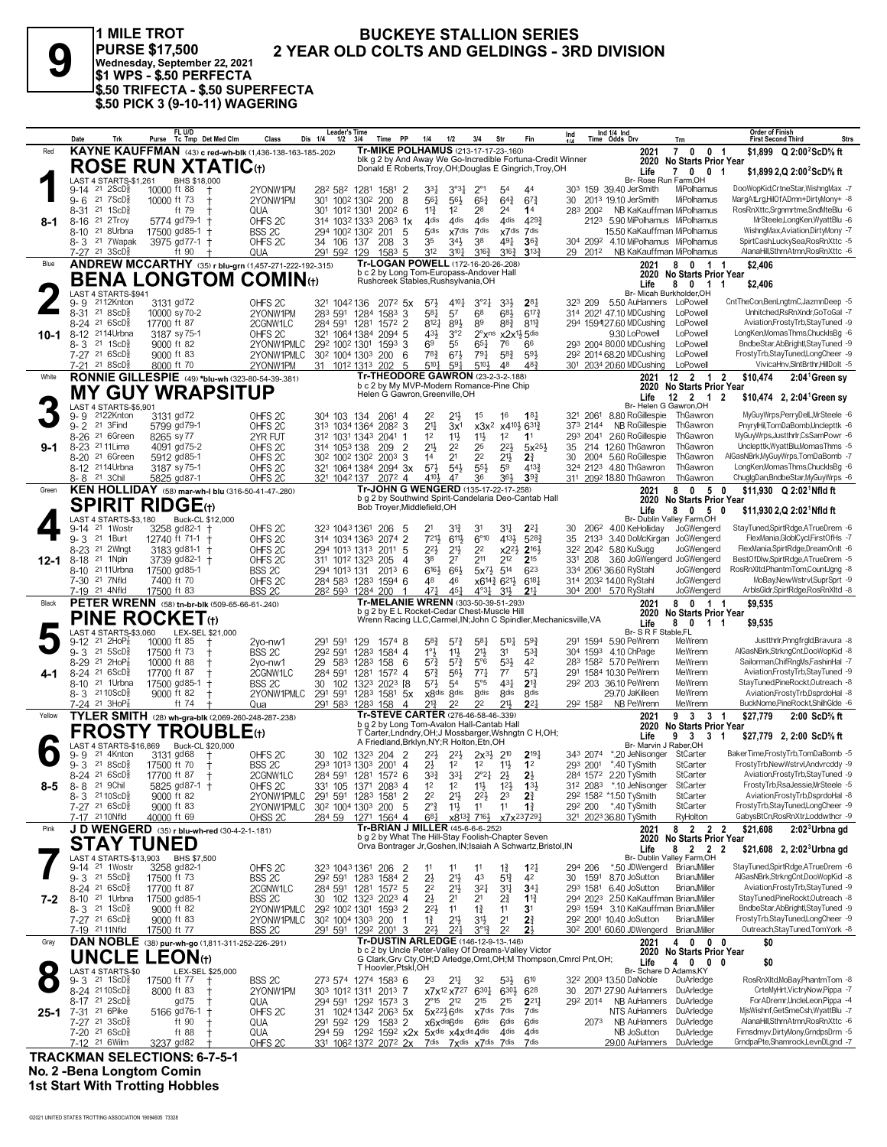

1 MILE TROT **BUCKEYE STALLION SERIES** PURSE \$17,500<br>
Wednesday, September 22, 2021<br>
\$1 WPS - \$.50 PERFECTA<br>
\$50 TRIFECTA - \$.50 SUPERFECTA<br>
\$.50 PICK 3 (9-10-11) WAGERING 2 YEAR OLD COLTS AND GELDINGS - 3RD DIVISION

|          | Date    | Trk                                                     |                             | FL U/D                     | Purse Tc Tmp Det Med Clm                                       | Class                                                          | Dis 1/4 | <b>Leader's Time</b><br>$1/2$ $3/4$                               |                                                       | Time PP                                                                                    | 1/4                                  | 1/2                                | 3/4                                                            | Str                                                                      | <b>Fin</b>                                                            | Ind      |                     | Ind 1/4 Ind<br>Time Odds Drv                                       | Trn                                                     | <b>Order of Finish</b><br><b>First Second Third</b>                                                     | <b>Strs</b> |
|----------|---------|---------------------------------------------------------|-----------------------------|----------------------------|----------------------------------------------------------------|----------------------------------------------------------------|---------|-------------------------------------------------------------------|-------------------------------------------------------|--------------------------------------------------------------------------------------------|--------------------------------------|------------------------------------|----------------------------------------------------------------|--------------------------------------------------------------------------|-----------------------------------------------------------------------|----------|---------------------|--------------------------------------------------------------------|---------------------------------------------------------|---------------------------------------------------------------------------------------------------------|-------------|
| Red      |         |                                                         |                             |                            |                                                                | KAYNE KAUFFMAN (43) c red-wh-blk (1,436-138-163-185-202)       |         |                                                                   |                                                       | Tr-MIKE POLHAMUS (213-17-17-23-160)                                                        |                                      |                                    |                                                                |                                                                          | blk g 2 by And Away We Go-Incredible Fortuna-Credit Winner            |          |                     | 2021                                                               | 7 0 0 1                                                 | \$1.899 $Q$ 2:00 <sup>2</sup> ScD <sup>5</sup> / <sub>8</sub> ft                                        |             |
|          |         |                                                         |                             |                            | <b>ROSE RUN XTATIC(t)</b>                                      |                                                                |         |                                                                   |                                                       |                                                                                            |                                      |                                    |                                                                |                                                                          | Donald E Roberts, Troy, OH; Douglas E Gingrich, Troy, OH              |          |                     | 2020<br>Life                                                       | <b>No Starts Prior Year</b><br>70<br>0 <sub>1</sub>     | \$1,899 2, Q 2:00 <sup>2</sup> ScD% ft                                                                  |             |
|          |         | LAST 4 STARTS-\$1,261                                   |                             | BHS \$18,000               |                                                                |                                                                |         |                                                                   |                                                       |                                                                                            |                                      |                                    |                                                                |                                                                          |                                                                       |          |                     |                                                                    | Br- Rose Run Farm.OH                                    |                                                                                                         |             |
|          |         | $9-14$ 21 $2$ ScD <sup>3</sup>                          | 10000 ft 88                 |                            | $^+$                                                           | 2YONW1PM                                                       |         | 282 582 1281                                                      |                                                       | 1581 2                                                                                     | 331                                  | 3°3 <sub>1</sub>                   | $2^{\circ}1$                                                   | 54                                                                       | 44                                                                    |          |                     | 303 159 39.40 JerSmith                                             | MiPolhamus                                              | DooWopKid,CrtneStar,WishngMax -7                                                                        |             |
|          | $9 - 6$ | 21 7 ScD 3<br>8-31 21 1ScD <sup>5</sup>                 | 10000 ft 73                 | ft 79                      |                                                                | 2YONW1PM<br>QUA                                                |         | 301 1002 1302<br>301 1012 1301                                    |                                                       | 200<br>8<br>200 <sup>2</sup> 6                                                             | 561<br>$11\frac{3}{4}$               | 56}<br>1 <sup>2</sup>              | $65\frac{3}{4}$<br>28                                          | $64\frac{3}{4}$<br>24                                                    | $67\frac{3}{4}$<br>14                                                 | 30       | 283 2002            | 2013 19.10 JerSmith<br>NB KaKauffman MiPolhamus                    | MiPolhamus                                              | MargAtLrg,HilOfADmn+DirtyMony+ -8<br>RosRnXttc,Srgnmrtme,SndMteBlu -6                                   |             |
| 8-1      | 8-16    | 21 2Troy                                                |                             | 5774 gd79-1                |                                                                | OHFS 2C                                                        |         | 314 1032 1333                                                     |                                                       | $2063$ 1x                                                                                  | 4 <sub>dis</sub>                     | 4 <sub>dis</sub>                   | 4 <sub>dis</sub>                                               | 4 <sub>dis</sub>                                                         | 4293                                                                  |          |                     | 2123 5.90 MiPolhamus MiPolhamus                                    |                                                         | MrSteele,LongKen,WyattBlu -6                                                                            |             |
|          | 8-10    | 21 8Urbna                                               | 17500 gd85-1                |                            |                                                                | BSS <sub>2C</sub>                                              |         | 294 1002 1302                                                     |                                                       | 201<br>5                                                                                   | 5 <sub>dis</sub>                     | x7 <sup>dis</sup>                  | 7dis                                                           | x7dis 7dis                                                               |                                                                       |          |                     | 15.50 KaKauffman MiPolhamus                                        |                                                         | WishngMax, Aviation, DirtyMony -7                                                                       |             |
|          |         | 8-3 <sup>21</sup> 7Wapak<br>7-27 21 3ScD <sup>3</sup>   |                             | 3975 gd77-1<br>ft 90       |                                                                | OHFS <sub>2C</sub><br>QUA                                      |         | 34 106 137<br>291 592 129                                         |                                                       | 3<br>208<br>$1583$ 5                                                                       | 35<br>312                            | 34}<br>$3^{10}$                    | 38<br>$3^{16}\frac{3}{4}$                                      | 491<br>$3^{16}$                                                          | $36\frac{3}{4}$<br>$3^{13}$                                           |          | 304 2092<br>29 2012 | 4.10 MiPolhamus MiPolhamus<br>NB KaKauffman MiPolhamus             |                                                         | SpirtCash,LuckySea,RosRnXttc -5<br>AlanaHill,SthrnAtmn,RosRnXttc -6                                     |             |
| Blue     |         |                                                         |                             |                            |                                                                | <b>ANDREW MCCARTHY</b> (35) r blu-grn (1,457-271-222-192-.315) |         |                                                                   |                                                       | Tr-LOGAN POWELL (172-16-20-26-.208)                                                        |                                      |                                    |                                                                |                                                                          |                                                                       |          |                     | 2021                                                               | 8 0 1 1                                                 | \$2,406                                                                                                 |             |
|          |         |                                                         |                             |                            |                                                                | <b>BENA LONGTOM COMIN(t)</b>                                   |         |                                                                   |                                                       | b c 2 by Long Tom-Europass-Andover Hall<br>Rushcreek Stables, Rushsylvania, OH             |                                      |                                    |                                                                |                                                                          |                                                                       |          |                     |                                                                    | 2020 No Starts Prior Year                               |                                                                                                         |             |
|          |         | LAST 4 STARTS-\$941                                     |                             |                            |                                                                |                                                                |         |                                                                   |                                                       |                                                                                            |                                      |                                    |                                                                |                                                                          |                                                                       |          |                     | Life                                                               | 80<br>$1\quad1$<br>Br- Micah Burkholder.OH              | \$2,406                                                                                                 |             |
|          | 9-9     | 2112Knton                                               | 3131 gd72                   |                            |                                                                | OHFS <sub>2C</sub>                                             |         | 321 1042 136                                                      |                                                       | $207^2$ 5x                                                                                 | $5^{7}$                              | $4^{10}$                           | $3^{°2}$                                                       | 33}                                                                      | $2^{8}$                                                               | 323 209  |                     | 5.50 AuHanners LoPowell                                            |                                                         | CntTheCon,BenLngtmC,JazmnDeep -5                                                                        |             |
|          |         | 8-31 21 8ScD <sup>5</sup>                               | 10000 sy 70-2               |                            |                                                                | 2YONW1PM                                                       | 283 591 |                                                                   | 1284 1583                                             | 3                                                                                          | 581                                  | 57                                 | 68                                                             | 683                                                                      | $6^{17}\frac{3}{4}$                                                   |          |                     | 314 2021 47.10 MDCushing                                           | LoPowell                                                | Unhitched,RsRnXndr,GoToGal -7                                                                           |             |
| 10-1     |         | 8-24 21 6ScD <sup>5</sup><br>8-12 <sup>21</sup> 14Urbna | 17700 ft 87                 | 3187 sy 75-1               |                                                                | 2CGNW1LC<br>OHFS <sub>2C</sub>                                 |         | 284 591 1281<br>321 1064 1384                                     |                                                       | $157^2$ 2<br>2094 5                                                                        | 8121<br>431                          | 891<br>3°2                         | 89                                                             | 88}<br>$2^{\circ}$ x <sup>ns</sup> x2x <sup>11</sup> / <sub>2</sub> 5dis | $8^{11}$                                                              |          |                     | 294 159427.60 MDCushing<br>9.30 LoPowell                           | LoPowell<br>LoPowell                                    | Aviation,FrostyTrb,StayTuned -9<br>LongKen,MomasThms,ChuckIsBg -6                                       |             |
|          | 8-3     | $21 \text{ } 1$ ScD $\frac{5}{8}$                       | 9000 ft 82                  |                            |                                                                | 2YONW1PMLC                                                     |         | 292 1002 1301                                                     |                                                       | $1593$ 3                                                                                   | 69                                   | 55                                 | $65\frac{1}{4}$                                                | 76                                                                       | 66                                                                    |          |                     | 293 2004 80.00 MDCushing                                           | LoPowell                                                | BndbeStar, AbBrightl, StayTuned -9                                                                      |             |
|          |         | 7-27 21 6ScD <sup>5</sup>                               | 9000 ft 83                  |                            |                                                                | 2YONW1PMLC                                                     |         |                                                                   | 30 <sup>2</sup> 100 <sup>4</sup> 130 <sup>3</sup> 200 | -6                                                                                         | $78\frac{3}{4}$                      | $6^{7}\frac{1}{2}$                 | $79\frac{1}{4}$                                                | $5^{8}2$                                                                 | $59\frac{1}{2}$                                                       |          |                     | 292 2014 68.20 MDCushing                                           | LoPowell                                                | FrostyTrb,StayTuned,LongCheer -9                                                                        |             |
|          |         | 7-21 21 8 ScD                                           | 8000 ft 70                  |                            |                                                                | 2YONW1PM                                                       |         |                                                                   | 31 1012 1313 202                                      | -5<br>Tr-THEODORE GAWRON (23-2-3-2-188)                                                    | $5^{10}$                             | 591                                | 5104                                                           | 48                                                                       | 48 <sup>3</sup>                                                       |          |                     | 301 2034 20.60 MDCushing                                           | LoPowell                                                | VivicaHnv, SIntBrthr, HillDolt -5                                                                       |             |
| White    |         |                                                         |                             |                            |                                                                | RONNIE GILLESPIE (49) *blu-wh (323-80-54-39-381)               |         |                                                                   |                                                       | b c 2 by My MVP-Modern Romance-Pine Chip                                                   |                                      |                                    |                                                                |                                                                          |                                                                       |          |                     | 2021                                                               | $12$ 2 1 2<br>2020 No Starts Prior Year                 | \$10.474<br>$2:04^1$ Green sy                                                                           |             |
|          |         |                                                         |                             |                            | <b>MY GUY WRAPSITUP</b>                                        |                                                                |         |                                                                   |                                                       | Helen G Gawron, Greenville, OH                                                             |                                      |                                    |                                                                |                                                                          |                                                                       |          |                     | Life                                                               | $12 \t2 \t1 \t2$                                        | \$10,474 2, 2:04 Green sy                                                                               |             |
|          | 9- 9    | LAST 4 STARTS-\$5,901<br>2122Knton                      | 3131 gd72                   |                            |                                                                | OHFS <sub>2C</sub>                                             |         |                                                                   | 304 103 134 2061 4                                    |                                                                                            | 22                                   | $21\frac{1}{2}$                    | 1 <sup>5</sup>                                                 | 16                                                                       | $18\frac{1}{4}$                                                       |          | 321 2061            | 8.80 RoGillespie                                                   | Br- Helen G Gawron, OH<br>ThGawror                      | MyGuyWrps,PerryDelL,MrSteele -6                                                                         |             |
|          |         | 9-2 <sup>21</sup> 3Find                                 |                             | 5799 gd79-1                |                                                                | OHFS <sub>2C</sub>                                             |         | 313 1034 1364                                                     |                                                       | 2082 3                                                                                     | 21‡                                  | 3x <sup>1</sup>                    | $x3x^2$                                                        | x4 <sup>101</sup> / <sub>2</sub> 6 <sup>31</sup> / <sub>4</sub>          |                                                                       |          | 373 2144            | NB RoGillespie                                                     | ThGawron                                                | PnyrylHil,TomDaBomb,Unclepttk -6                                                                        |             |
|          |         | 8-26 21 6Green                                          | 8265 sy 77                  |                            |                                                                | 2YR FUT                                                        |         |                                                                   | 312 1031 1343 2041                                    |                                                                                            | 1 <sup>2</sup>                       | $11\frac{1}{2}$                    | $11\frac{1}{2}$                                                | 1 <sup>2</sup>                                                           | 11                                                                    |          | 293 2041            | 2.60 RoGillespie                                                   | ThGawron                                                | MyGuyWrps,Justthrlr,CsSamPowr -6                                                                        |             |
| $9 - 1$  |         | 8-23 <sup>21</sup> 11 Lima<br>8-20 <sup>21</sup> 6Green |                             | 4091 ad75-2<br>5912 gd85-1 |                                                                | OHFS <sub>2C</sub><br>OHFS <sub>2C</sub>                       |         | 314 1053 138<br>30 <sup>2</sup> 100 <sup>2</sup> 130 <sup>2</sup> |                                                       | 209<br>$\overline{2}$<br>2003<br>3                                                         | 21}<br>1 <sup>4</sup>                | 2 <sup>2</sup><br>2 <sup>1</sup>   | 25<br>2 <sup>2</sup>                                           | $2^{2}$<br>2 <sup>11</sup>                                               | $5x^{25}$<br>2 <sup>3</sup>                                           | 30       |                     | 35 214 12.60 ThGawron<br>2004 5.60 RoGillespie                     | ThGawron<br>ThGawron                                    | Unclepttk, WyattBlu, Momas Thms -5<br>AlGasNBrk, MyGuyWrps, TomDaBomb -7                                |             |
|          |         | 8-12 <sup>21</sup> 14Urbna                              |                             | 3187 sy 75-1               |                                                                | OHFS <sub>2C</sub>                                             |         |                                                                   |                                                       | 321 1064 1384 2094 3x                                                                      | $5^{71}$                             | $5^{4}$                            | $55\frac{1}{2}$                                                | 59                                                                       | $4^{13}$                                                              |          |                     | 324 2123 4.80 ThGawron                                             | ThGawron                                                | LongKen,MomasThms,ChuckIsBg -6                                                                          |             |
|          |         | 8-8 21 3Chil                                            |                             | 5825 gd87-1                |                                                                | OHFS <sub>2C</sub>                                             |         | 321 1042 137                                                      |                                                       | 2072 4                                                                                     | 4104                                 | 47                                 | 36                                                             | 364                                                                      | 393                                                                   |          |                     | 311 2092 18.80 ThGawron                                            | ThGawron                                                | ChuglgDan,BndbeStar,MyGuyWrps -6                                                                        |             |
| Green    |         |                                                         |                             |                            |                                                                | KEN HOLLIDAY (58) mar-wh-I blu (316-50-41-47-280)              |         |                                                                   |                                                       | Tr-JOHN G WENGERD (135-17-22-17-258)                                                       |                                      |                                    |                                                                |                                                                          | b g 2 by Southwind Spirit-Candelaria Deo-Cantab Hall                  |          |                     | 2021<br>2020                                                       | 80<br>5 0                                               | \$11.930 $Q$ 2:02 <sup>1</sup> Nfld ft                                                                  |             |
|          |         |                                                         | <b>SPIRIT RIDGE</b> tt      |                            |                                                                |                                                                |         |                                                                   |                                                       | Bob Troyer, Middlefield, OH                                                                |                                      |                                    |                                                                |                                                                          |                                                                       |          |                     | Life                                                               | <b>No Starts Prior Year</b><br>8<br>$0\times 5\times 0$ | \$11,930 2,Q 2:02 Nfld ft                                                                               |             |
|          |         | LAST 4 STARTS-\$3,180                                   |                             |                            | Buck-CL \$12,000                                               |                                                                |         |                                                                   |                                                       |                                                                                            |                                      |                                    |                                                                |                                                                          |                                                                       |          |                     |                                                                    | Br- Dublin Valley Farm, OH                              | StayTuned,SpirtRdge,ATrueDrem -6                                                                        |             |
|          |         | 9-14 <sup>21</sup> 1Wostr<br>9-3 21 1Burt               | 12740 ft 71-1 +             | 3258 gd82-1 +              |                                                                | OHFS <sub>2C</sub><br>OHFS <sub>2C</sub>                       |         | 314 1034 1363                                                     | 323 1043 1361 206                                     | -5<br>2074<br>2                                                                            | 721}                                 | 31}<br>$6^{11}$                    | 31<br>$6^{\circ}10$                                            | 31<br>4134                                                               | $2^{2}$<br>5283                                                       | 30<br>35 | 2062<br>2133        | 4.00 KeHolliday<br>3.40 DoMcKirgan JoGWengerd                      | JoGWengerd                                              | FlexMania.GloblCvcl.FirstOfHs -7                                                                        |             |
|          |         | 8-23 21 2Wingt                                          |                             | $3183$ gd81-1 +            |                                                                | OHFS 2C                                                        |         | 294 1013 1313                                                     |                                                       | 5<br>2011                                                                                  | 22}                                  | $21\frac{1}{2}$                    | 22                                                             | $x2^{2}\frac{1}{2}$                                                      | $2^{16}$                                                              |          |                     | 322 2042 5.80 KuSugg                                               | JoGWengerd                                              | FlexMania,SpirtRdge,DreamOnIt -6                                                                        |             |
| $12 - 1$ |         | 8-18 <sup>21</sup> 1Npln                                |                             | 3739 gd82-1 +              |                                                                | OHFS 2C                                                        |         | 311 1012 1323                                                     |                                                       | 205<br>4                                                                                   | 38                                   | 2 <sup>7</sup>                     | 211                                                            | 212                                                                      | $2^{15}$                                                              | 331 208  |                     | 3.60 JoGWengerd JoGWengerd                                         |                                                         | BestOfDlw,SpirtRdge,ATrueDrem -5                                                                        |             |
|          |         | 8-10 <sup>21</sup> 11 Urbna<br>7-30 <sup>21</sup> 7Nfld | 17500 gd85-1<br>7400 ft 70  |                            |                                                                | BSS <sub>2C</sub><br>OHFS <sub>2C</sub>                        |         | 294 1013 131                                                      | 284 583 1283 1594 6                                   | $201^3$ 6                                                                                  | 6163<br>48                           | 66}<br>46                          | $5x^{7\frac{1}{2}}$ 5 <sup>14</sup>                            | x6 <sup>14</sup> 4 6 <sup>21</sup> }                                     | 623<br>$6^{18}$                                                       |          |                     | 334 2061 36.60 RyStahl<br>314 2032 14.00 RyStahl                   | JoGWengerd<br>JoGWengerd                                | RosRnXltd,PhantmTom,CountJgng -8<br>MoBay, New Wstrvl, SuprSprt -9                                      |             |
|          |         | 7-19 21 4Nfld                                           | 17500 ft 83                 |                            |                                                                | <b>BSS 2C</b>                                                  |         |                                                                   |                                                       |                                                                                            | 471                                  | $45\frac{1}{4}$                    |                                                                | $31\frac{1}{2}$                                                          |                                                                       |          |                     |                                                                    |                                                         | ArblsGldr,SpirtRdge,RosRnXltd -8                                                                        |             |
|          |         |                                                         |                             |                            |                                                                |                                                                |         |                                                                   | 282 593 1284 200                                      |                                                                                            |                                      |                                    | $4^{\circ}3\frac{1}{4}$                                        |                                                                          | $21\frac{1}{4}$                                                       |          |                     | 304 2001 5.70 RyStahl                                              | JoGWengerd                                              |                                                                                                         |             |
| Black    |         |                                                         |                             |                            |                                                                |                                                                |         |                                                                   |                                                       | Tr-MELANIE WRENN (303-50-39-51-293)                                                        |                                      |                                    |                                                                |                                                                          |                                                                       |          |                     | 2021                                                               | 8 0 1 1                                                 | \$9,535                                                                                                 |             |
|          |         |                                                         |                             |                            | <b>PETER WRENN</b> (58) tn-br-blk (509-65-66-61-240)           |                                                                |         |                                                                   |                                                       | b g 2 by E L Rocket-Cedar Chest-Muscle Hill                                                |                                      |                                    |                                                                |                                                                          | Wrenn Racing LLC, Carmel, IN; John C Spindler, Mechanicsville, VA     |          |                     | 2020                                                               | <b>No Starts Prior Year</b>                             |                                                                                                         |             |
|          |         | LAST 4 STARTS-\$3,060                                   | <b>PINE ROCKET</b> (t)      |                            | LEX-SEL \$21,000                                               |                                                                |         |                                                                   |                                                       |                                                                                            |                                      |                                    |                                                                |                                                                          |                                                                       |          |                     | Life<br>Br- S R F Stable, FL                                       | 80<br>11                                                | \$9,535                                                                                                 |             |
|          | 9-12    | 21 $2HOP_8$                                             | 10000 ft 85                 |                            |                                                                | 2vo-nw1                                                        | 291 591 |                                                                   | 129                                                   | 1574 8                                                                                     | 58}                                  | $5^{7}$                            | $5^{8}$                                                        | $5^{10}$                                                                 | $59$ <sub>4</sub>                                                     |          |                     | 291 1594 5.90 PeWrenn                                              | MeWrenn                                                 | Justthrir, Pnngfrgld, Bravura -8                                                                        |             |
|          |         | $9 - 3$ 21 5 ScD <sup>5</sup><br>8-29 21 2HoP3          | 17500 ft 73<br>10000 ft 88  |                            |                                                                | BSS <sub>2C</sub><br>2vo-nw1                                   | 292 591 | 29 583 1283                                                       | 1283                                                  | 1584 4<br>158<br>6                                                                         | $1^\circ \frac{1}{2}$<br>57}         | 11号<br>$5^{7}$                     | 21}<br>$5^{\circ}6$                                            | 31<br>$5^{31}$                                                           | $5^{3}{}_{4}^{3}$<br>42                                               |          |                     | 304 1593 4.10 ChPage<br>283 1582 5.70 PeWrenn                      | MeWrenn<br>MeWrenn                                      | AlGasNBrk,StrkngCnt,DooWopKid -8<br>Sailorman, Chif RngMs, Fashin Hal -7                                |             |
| 4-1      |         | $8-24$ 21 6ScD <sup>3</sup>                             | 17700 ft 87                 |                            |                                                                | 2CGNW1LC                                                       |         | 284 591 1281                                                      |                                                       | $157^2$ 4                                                                                  | $5^{7}\frac{3}{4}$                   | 56}                                | $77\frac{1}{4}$                                                | $7^7$                                                                    | $57\frac{1}{4}$                                                       |          |                     | 291 1584 10.30 PeWrenn                                             | MeWrenn                                                 | Aviation,FrostyTrb,StayTuned -9                                                                         |             |
|          |         | 8-10 <sup>21</sup> 1Urbna                               | 17500 gd85-1                |                            |                                                                | BSS 2C                                                         | 30      | 102 1323                                                          |                                                       | $2023$ [8                                                                                  | $5^{7}\frac{1}{2}$                   | 5 <sup>4</sup>                     | $5^{\circ}5$                                                   | 431                                                                      | $2^{13}$                                                              |          |                     | 292 203 36.10 PeWrenn                                              | MeWrenn                                                 | StayTuned,PineRockt,Outreach -8                                                                         |             |
|          |         | 8-3 2110ScD                                             | 9000 ft 82                  | ft 74                      |                                                                | 2YONW1PMLC                                                     | 291 591 |                                                                   | 1283                                                  | 1581<br>5x                                                                                 | x8 <sup>dis</sup>                    | 8 <sub>dis</sub><br>22             | 8 <sup>dis</sup><br>2 <sup>2</sup>                             | 8 <sub>dis</sub><br>211                                                  | 8 <sub>dis</sub><br>2 <sup>2</sup>                                    |          | 292 1582            | 29.70 JaKilleen                                                    | MeWrenn<br>MeWrenn                                      | Aviation,FrostyTrb,DsprdoHal -8<br>BuckNome.PineRockt.ShilhGlde -6                                      |             |
| Yellow   |         | 7-24 21 3HoP <sub>8</sub>                               |                             |                            |                                                                | Qua                                                            |         |                                                                   | 291 583 1283 158                                      | 4<br>Tr-STEVE CARTER (276-46-58-46-.339)                                                   | 21}                                  |                                    |                                                                |                                                                          |                                                                       |          |                     | NB PeWrenn<br>2021                                                 | 9 3 3 1                                                 | \$27.779<br>2:00 ScD% ft                                                                                |             |
|          |         |                                                         |                             |                            |                                                                | TYLER SMITH (28) wh-gra-blk (2,069-260-248-287-238)            |         |                                                                   |                                                       | b g 2 by Long Tom-Avalon Hall-Cantab Hall                                                  |                                      |                                    |                                                                |                                                                          |                                                                       |          |                     | 2020                                                               | <b>No Starts Prior Year</b>                             |                                                                                                         |             |
|          |         | LAST 4 STARTS-\$16,869                                  |                             |                            | $\mathsf{FROSTY}\,\mathsf{TROUBLE}_\oplus$<br>Buck-CL \$20,000 |                                                                |         |                                                                   |                                                       | A Friedland, Brklyn, NY; R Holton, Etn, OH                                                 |                                      |                                    |                                                                |                                                                          | T Carter, Lndndry, OH; J Mossbarger, Wshngtn C H, OH;                 |          |                     | Life<br>Br- Marvin J Raber, OH                                     | $\overline{\mathbf{3}}$<br>3 <sub>1</sub><br>9          | \$27,779 2, 2:00 ScD% ft                                                                                |             |
|          | 9- 9    | 21 4Knton                                               | 3131 gd68                   |                            |                                                                | OHFS <sub>2C</sub>                                             |         |                                                                   | 30 102 1323 204 2                                     |                                                                                            | $2^{21}$                             | $2^{2}\frac{1}{2}$                 | $2x^{3}\frac{1}{2}$ 2 <sup>10</sup>                            |                                                                          | $2^{19}\frac{1}{4}$                                                   |          | 343 2074            | *.20 JeNisonger                                                    | StCarter                                                | BakerTime.FrostvTrb.TomDaBomb -5                                                                        |             |
|          |         | $9 - 3$ 21 8ScD <sup>5</sup>                            | 17500 ft 70                 |                            | $^{\mathrm{+}}$                                                | BSS 2C                                                         |         |                                                                   | 293 1013 1303 2001 4                                  |                                                                                            | 2}                                   | $1^2$                              | $1^2$ $1^1$                                                    |                                                                          | 1 <sup>2</sup>                                                        |          |                     | 293 2001 *.40 TySmith                                              | StCarter<br>StCarter                                    | FrostyTrb,NewWstrvl,Andvrcddy -9<br>Aviation,FrostyTrb,StavTuned -9                                     |             |
| 8-5      | $8 - 8$ | 8-24 21 6ScD <sup>5</sup><br>21 9Chil                   | 17700 ft 87 +               | 5825 gd87-1 †              |                                                                | 2CGNW1LC<br>OHFS 2C                                            |         |                                                                   | 284 591 1281 1572 6<br>331 105 1371 2083 4            |                                                                                            | $3^{3}\frac{3}{4}$<br>1 <sup>2</sup> | $3^{31}$<br>1 <sup>2</sup>         | $2^{\circ}2^{\frac{1}{4}}$<br>$11\frac{1}{2}$                  | $2\frac{1}{2}$<br>$12\frac{1}{2}$                                        | $2\frac{1}{2}$<br>$1^{3}$                                             |          |                     | 284 1572 2.20 TySmith<br>312 2083 *.10 JeNisonger                  | StCarter                                                | FrostyTrb,RsaJessie,MrSteele -5                                                                         |             |
|          |         | 8-3 2110ScD <sup>5</sup>                                | 9000 ft 82                  |                            |                                                                | 2YONW1PMLC                                                     |         |                                                                   | 291 591 1283 1581                                     | $\overline{2}$                                                                             | 2 <sup>2</sup>                       | $21\frac{1}{2}$                    | $2^{2}\frac{1}{2}$                                             | 23                                                                       | $2\frac{3}{4}$                                                        |          |                     | 292 1582 *1.50 TySmith                                             | StCarter                                                | Aviation,FrostyTrb,DsprdoHal -8                                                                         |             |
|          |         | 7-27 21 6ScD <sup>5</sup>                               | 9000 ft 83                  |                            |                                                                | 2YONW1PMLC                                                     |         |                                                                   | 302 1004 1303 200                                     | 5                                                                                          | $2^{\circ}$ $\frac{3}{4}$            | $11\frac{1}{2}$                    | 11                                                             | 11                                                                       | $1\frac{3}{4}$                                                        |          |                     | 292 200 *.40 TySmith                                               | StCarter                                                | FrostyTrb,StayTuned,LongCheer -9<br>GabysBtCn,RosRnXtr,Loddwthcr -9                                     |             |
| Pink     |         | 7-17 21 10 Nfld                                         | 40000 ft 69                 |                            |                                                                | OHSS <sub>2C</sub>                                             |         |                                                                   | 284 59 1271 1564 4                                    | Tr-BRIAN J MILLER (45-6-6-6-252)                                                           | $6^{81}$                             |                                    | x8 <sup>13</sup> / <sub>4</sub> 7 <sup>16</sup> / <sub>2</sub> |                                                                          | x7x <sup>23</sup> 7291                                                |          |                     | 321 2023 36.80 TySmith<br>2021                                     | RyHolton<br>8 2 2 2                                     | \$21.608<br>2:02 <sup>3</sup> Urbna gd                                                                  |             |
|          |         |                                                         |                             |                            | JD WENGERD (35) r blu-wh-red (30-4-2-1-.181)                   |                                                                |         |                                                                   |                                                       | b g 2 by What The Hill-Stay Foolish-Chapter Seven                                          |                                      |                                    |                                                                |                                                                          |                                                                       |          |                     | 2020                                                               | <b>No Starts Prior Year</b>                             |                                                                                                         |             |
|          |         |                                                         | STAY TUNED                  |                            |                                                                |                                                                |         |                                                                   |                                                       |                                                                                            |                                      |                                    |                                                                |                                                                          | Orva Bontrager Jr, Goshen, IN; Isaiah A Schwartz, Bristol, IN         |          |                     | Life                                                               | 8 2 2 2<br>Br- Dublin Valley Farm, OH                   | \$21,608 2, 2:02 Urbna gd                                                                               |             |
|          |         | LAST 4 STARTS-\$13,903<br>9-14 <sup>21</sup> 1Wostr     |                             | BHS \$7,500<br>3258 gd82-1 |                                                                | OHFS <sub>2C</sub>                                             |         |                                                                   | 323 1043 1361 206                                     | - 2                                                                                        | 11                                   | 11                                 | 11                                                             | $1\frac{3}{4}$                                                           | $1^{2}$                                                               | 294 206  |                     | *.50 JDWengerd BrianJMiller                                        |                                                         | StayTuned,SpirtRdge,ATrueDrem -6                                                                        |             |
|          |         | $9 - 3$ 21 $5$ ScD $\frac{3}{8}$                        | 17500 ft 73                 |                            |                                                                | BSS 2C                                                         |         |                                                                   | 292 591 1283 1584 2                                   |                                                                                            | 2½                                   | $21\frac{1}{2}$                    | 43                                                             | 51}                                                                      | 42                                                                    |          | 30 1591             | 8.70 JoSutton                                                      | <b>BrianJMiller</b>                                     | AlGasNBrk,StrkngCnt,DooWopKid -8                                                                        |             |
|          |         | 8-24 21 6ScD}<br>8-10 <sup>21</sup> 1Urbna              | 17700 ft 87<br>17500 gd85-1 |                            |                                                                | 2CGNW1LC                                                       |         | 284 591 1281                                                      |                                                       | 1572 5                                                                                     | 2 <sup>2</sup><br>$2\frac{1}{2}$     | $2^{11}$<br>2 <sup>1</sup>         | 321<br>2 <sup>1</sup>                                          | 3 <sup>11</sup>                                                          | 34 <sub>1</sub><br>$1^{13}$                                           |          | 293 1581            | 6.40 JoSutton<br>294 2023 2.50 KaKauffman BrianJMiller             | <b>BrianJMiller</b>                                     | Aviation,FrostyTrb,StayTuned -9<br>StayTuned,PineRockt,Outreach -8                                      |             |
| $7 - 2$  |         | $8 - 3$ 21 1ScD <sup>5</sup>                            | 9000 ft 82                  |                            |                                                                | BSS 2C<br>2YONW1PMLC                                           |         | 292 1002 1301                                                     | 30 102 1323 2023 4                                    | 1593 2                                                                                     | $2^{21}$                             | 1 <sup>1</sup>                     | $1\frac{3}{4}$                                                 | 2∛<br>11                                                                 | 3 <sup>1</sup>                                                        |          |                     | 293 1594 3.10 KaKauffman BrianJMiller                              |                                                         | BndbeStar, AbBrightl, StayTuned -9                                                                      |             |
|          |         | 7-27 21 6ScD <sup>5</sup>                               | 9000 ft 83                  |                            |                                                                | 2YONW1PMLC                                                     |         |                                                                   | 30 <sup>2</sup> 100 <sup>4</sup> 130 <sup>3</sup> 200 | -1                                                                                         | $1\frac{3}{4}$                       | $21\frac{1}{2}$                    | 34                                                             | 2 <sup>1</sup>                                                           | 21                                                                    |          |                     | 292 2001 10.40 JoSutton                                            | <b>BrianJMiller</b>                                     | FrostyTrb,StayTuned,LongCheer -9                                                                        |             |
|          |         | 7-19 21 11 Nfld                                         | 17500 ft 77                 |                            |                                                                | BSS <sub>2C</sub>                                              |         |                                                                   | 291 591 1292 2001 3                                   |                                                                                            | 221                                  | 22                                 | $3^{013}$                                                      | 22                                                                       | 24                                                                    |          |                     | 302 2001 60.60 JDWengerd BrianJMiller                              |                                                         | Outreach,StayTuned,TomYork -8                                                                           |             |
| Gray     |         |                                                         |                             |                            | DAN NOBLE (38) pur-wh-go (1,811-311-252-226-.291)              |                                                                |         |                                                                   |                                                       | Tr-DUSTIN ARLEDGE (146-12-9-13-146)<br>b c 2 by Uncle Peter-Valley Of Dreams-Valley Victor |                                      |                                    |                                                                |                                                                          |                                                                       |          |                     | 2021                                                               | 4 0 0 0<br>2020 No Starts Prior Year                    | \$0                                                                                                     |             |
|          |         | <b>UNCLE</b>                                            |                             | <b>EON</b> (t)             |                                                                |                                                                |         |                                                                   |                                                       | T Hoovler, Ptskl, OH                                                                       |                                      |                                    |                                                                |                                                                          | G Clark, Grv Cty, OH; D Arledge, Ornt, OH; M Thompson, Cmrcl Pnt, OH; |          |                     | Life                                                               | 4 0 0 0                                                 | \$0                                                                                                     |             |
|          |         | LAST 4 STARTS-\$0<br>$9 - 3$ 21 1ScD <sup>3</sup>       | 17500 ft 77                 |                            | LEX-SEL \$25,000<br>Ť                                          | BSS 2C                                                         |         |                                                                   | 273 574 1274 1583 6                                   |                                                                                            | 23                                   | $21\frac{1}{4}$                    | 32                                                             | 5 <sup>31</sup>                                                          | 610                                                                   |          |                     | 32 <sup>2</sup> 200 <sup>3</sup> 13.50 DaNoble                     | Br- Schare D Adams, KY<br>DuArledge                     | RosRnXltd,MoBay,PhantmTom -8                                                                            |             |
|          |         | 8-24 2110ScD                                            | 8000 ft 83                  |                            | t                                                              | 2YONW1PM                                                       |         |                                                                   | 303 1012 1311 2013 7                                  |                                                                                            |                                      | x7x <sup>12</sup> x7 <sup>27</sup> | $6^{30}\frac{1}{4}$                                            | 6304                                                                     | 628                                                                   | 30       |                     | 2071 27.90 AuHanners DuArledge                                     |                                                         | CrteMyHrt,VictryNow,Pippa -7                                                                            |             |
|          |         | 8-17 21 2ScD <sup>5</sup>                               |                             | gd 75                      |                                                                | QUA                                                            |         |                                                                   | 294 591 1292 1573 3                                   |                                                                                            | $2^{\circ}$ 15                       | $2^{12}$                           | 215                                                            | 215                                                                      | $2^{21}$                                                              |          |                     | 29 <sup>2</sup> 2014 NB AuHanners DuArledge                        |                                                         | For ADremr, UncleLeon, Pippa -4                                                                         |             |
| $25 - 1$ |         | 7-31 <sup>21</sup> 6Pike                                |                             | 5166 gd76-1                | t                                                              | OHFS <sub>2C</sub>                                             |         |                                                                   |                                                       | 31 1024 1342 2063 5x                                                                       | $5x^{22}\frac{1}{9}6$ dis            |                                    | x7dis 7dis                                                     |                                                                          | 7dis                                                                  |          |                     | NTS AuHanners DuArledge                                            |                                                         | MisWishnf,GetSmeCsh,WyattBlu -7                                                                         |             |
|          |         | 7-27 21 3ScD <sup>5</sup><br>7-20 21 6ScD <sup>5</sup>  |                             | ft 90<br>ft 88             |                                                                | QUA<br>QUA                                                     |         | 291 592 129                                                       |                                                       | 1583 2<br>294 59 1292 1592 x2x 5xdis x4xdis4dis                                            | x6x <sup>dis</sup> 6 <sup>dis</sup>  |                                    | 6 <sup>dis</sup>                                               | 6 <sup>dis</sup><br>4 <sup>dis</sup>                                     | 6 <sup>dis</sup><br>4 <sub>dis</sub>                                  |          | 2073                | NB AuHanners DuArledge<br>NB JoSutton<br>29.00 AuHanners DuArledge | DuArledge                                               | AlanaHill,SthrnAtmn,RosRnXttc -6<br>Firnsdmyv,DirtyMony,GrndpsDrm -5<br>GrndpaPte,Shamrock,LevnDLgnd -7 |             |

TRACKMAN SELECTIONS: 6-7-5-1 No. 2 - Bena Longtom Comin **1st Start With Trotting Hobbles**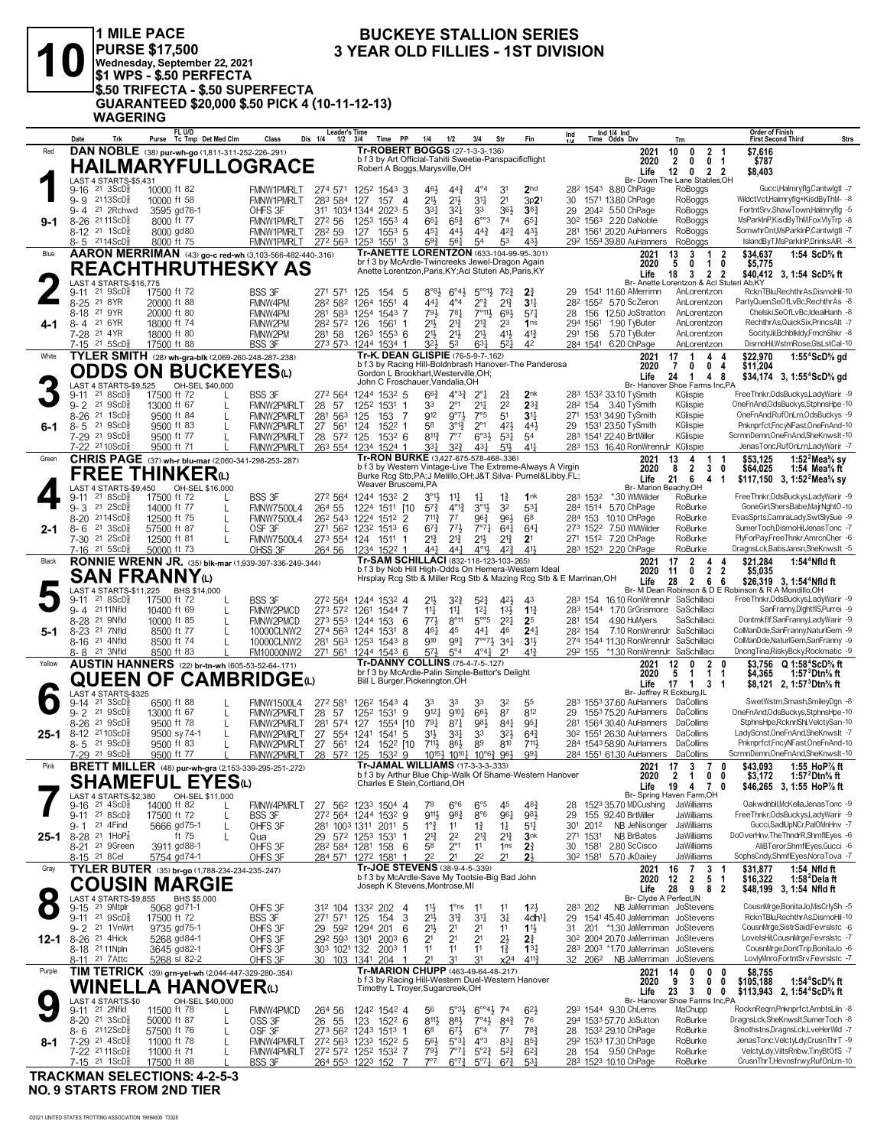

# 1 MILE PACE<br>
PURSE \$17,500 3 YEAR<br>
Wednesday, September 22, 2021<br>
\$1 WPS - \$.50 PERFECTA<br>
3.50 TRIFECTA - \$.50 SUPERFECTA<br>
GUARANTEED \$20,000 \$.50 PICK 4 (10-11-12-13)<br>
WAGERING

#### **BUCKEYE STALLION SERIES** 3 YEAR OLD FILLIES - 1ST DIVISION

|           | Date                      | Trk                                                                  |                            | FL U/D<br>Purse Tc Tmp Det Med Clm                          | Class                                  | <b>Leader's Time</b><br>Dis 1/4<br>$1/2$ $3/4$      |                          | Time PP                                                                                                   | 1/4                                   | 1/2                                   | 3/4                                                        | Str                               | Fin                                                                                                                       | Ind<br>11A      |                              | Ind 1/4 Ind<br>Time Odds Drv                                                 |              | Trn                                                                                    |                         | <b>Order of Finish</b><br><b>First Second Third</b>                         | <b>Strs</b> |
|-----------|---------------------------|----------------------------------------------------------------------|----------------------------|-------------------------------------------------------------|----------------------------------------|-----------------------------------------------------|--------------------------|-----------------------------------------------------------------------------------------------------------|---------------------------------------|---------------------------------------|------------------------------------------------------------|-----------------------------------|---------------------------------------------------------------------------------------------------------------------------|-----------------|------------------------------|------------------------------------------------------------------------------|--------------|----------------------------------------------------------------------------------------|-------------------------|-----------------------------------------------------------------------------|-------------|
| Red       |                           |                                                                      |                            | DAN NOBLE (38) pur-wh-go (1,811-311-252-226-.291)           |                                        |                                                     |                          | Tr-ROBERT BOGGS (27-1-3-3-.136)<br>b f 3 by Art Official-Tahiti Sweetie-Panspacificflight                 |                                       |                                       |                                                            |                                   |                                                                                                                           |                 |                              |                                                                              | 2021<br>2020 | $\overline{2}$<br>10<br>0<br>2<br>0<br>$\mathbf{0}$                                    | -1<br>-1                | \$7,616<br>\$787                                                            |             |
|           |                           |                                                                      |                            | <b>HAILMARYFULLOGRACE</b>                                   |                                        |                                                     |                          | Robert A Boggs, Marysville, OH                                                                            |                                       |                                       |                                                            |                                   |                                                                                                                           |                 |                              |                                                                              | Life         | $12 \quad 0$<br>Br- Down The Lane Stables, OH                                          | 2 <sub>2</sub>          | \$8,403                                                                     |             |
|           | 9-16                      | LAST 4 STARTS-\$5,431<br>21 3ScD <sup>3</sup>                        | 10000 ft 82                |                                                             | <b>FMNW1PMRLT</b>                      | 274 571                                             | 1252 1543 3              |                                                                                                           | 461                                   | $44\frac{3}{4}$                       | $4^{\circ}4$                                               | 3 <sup>1</sup>                    | 2 <sub>hd</sub>                                                                                                           |                 |                              | 28 <sup>2</sup> 154 <sup>3</sup> 8.80 ChPage                                 |              | RoBoggs                                                                                |                         | Gucci,Halmryflg,Cantwlgtl -7                                                |             |
|           | $9 - 4$                   | g- 9 2113ScD <sup>5</sup><br>21 2Rchwd                               | 10000 ft 58<br>3595 gd76-1 |                                                             | FMNW1PMRLT<br>OHFS 3F                  | 283 584 127<br>311 1034 1344 2023 5                 |                          | 157 4                                                                                                     | 2 <sup>1</sup><br>331                 | $21\frac{1}{2}$<br>$3^{21}$           | 34<br>33                                                   | 2 <sup>1</sup><br>$36\frac{1}{2}$ | 3p2<br>$38\frac{3}{4}$                                                                                                    | 30<br>29        |                              | 1571 13.80 ChPage<br>2042 5.50 ChPage                                        |              | RoBoggs<br>RoBoggs                                                                     |                         | WildctVct,Halmryflg+KisdByThM- -8<br>FortntSrv,ShawTown,Halmryflg -5        |             |
| 9-1       |                           | 8-26 <sup>21</sup> 11ScD <sup>3</sup>                                | 8000 ft 77                 |                                                             | FMNW1PMRLT                             | 272 56                                              | 1253 1553 4              |                                                                                                           | $66\frac{1}{4}$                       | $65\frac{3}{4}$                       | $6^{\circ\circ}3$                                          | 74                                | $65\frac{1}{4}$                                                                                                           |                 |                              | 30 <sup>2</sup> 156 <sup>3</sup> 2.20 DaNoble                                |              | RoBoggs                                                                                |                         | MsParkInP,KisdByThM,FoxVIyTrp -8                                            |             |
|           |                           | 8-12 <sup>21</sup> 1ScD <sup>5</sup><br>8-5 2114ScD                  | 8000 gd80<br>8000 ft 75    |                                                             | <b>FMNW1PMRLT</b><br>FMNW1PMRLT        | 282 59<br>272 563                                   | 127<br>1253 1551         | $155^3$ 5<br>3                                                                                            | $45\frac{1}{4}$<br>593                | 443<br>$56\frac{1}{4}$                | $44\frac{3}{4}$<br>54                                      | $4^{2}\frac{3}{4}$<br>53          | 431<br>431,                                                                                                               |                 |                              | 281 1561 20.20 AuHanners<br>29 <sup>2</sup> 1554 39.80 AuHanners             |              | RoBoggs<br>RoBoggs                                                                     |                         | SomwhrOnt, MsParkInP, CantwlgtI -7<br>IslandByT,MsParkInP,DrinksAIR -8      |             |
| Blue      |                           |                                                                      |                            | AARON MERRIMAN (43) go-c red-wh (3,103-566-482-440-.316)    |                                        |                                                     |                          | Tr-ANETTE LORENTZON (633-104-99-95-.301)                                                                  |                                       |                                       |                                                            |                                   |                                                                                                                           |                 |                              |                                                                              | 2021         | 13<br>3<br>-1                                                                          | $\overline{\mathbf{2}}$ | \$34,637<br>1:54 ScD% ft                                                    |             |
|           |                           |                                                                      |                            | <b>REACHTHRUTHESKY AS</b>                                   |                                        |                                                     |                          | br f 3 by McArdle-Twincreeks Jewel-Dragon Again<br>Anette Lorentzon, Paris, KY; Acl Stuteri Ab, Paris, KY |                                       |                                       |                                                            |                                   |                                                                                                                           |                 |                              |                                                                              | 2020<br>Life | 5<br>0<br>$\mathbf{1}$<br>18<br>3                                                      | 0<br>22                 | \$5,775<br>\$40,412 3, 1:54 ScD <sup>5</sup> / <sub>8</sub> ft              |             |
|           | $9 - 11$                  | LAST 4 STARTS-\$16,775<br>$21 \text{ } 9$ ScD $\frac{5}{8}$          | 17500 ft 72                |                                                             | <b>BSS 3F</b>                          | 271 571                                             | 125<br>154               | -5                                                                                                        | $8^{\circ}8\frac{1}{2}$               | $6^{\circ}4\frac{1}{2}$               | $5^{\circ 0}13$                                            | $72\frac{3}{4}$                   | $2\frac{3}{4}$                                                                                                            | 29              |                              | 1541 11.60 AMerrimn                                                          |              | Br- Anette Lorentzon & Acl Stuteri Ab.KY<br>AnLorentzon                                |                         | RcknTBluRechthrAs.DisrnoHil-10                                              |             |
|           | 8-25 <sup>21</sup> 8YR    |                                                                      | 20000 ft 88                |                                                             | FMNW4PM                                | 282 582                                             | 1264<br>1551             | $\overline{4}$                                                                                            | 441                                   | $4^{\circ}4$                          | $2^{\circ}$                                                | $2^{13}$                          | $3^{11}$                                                                                                                  |                 |                              | 28 <sup>2</sup> 155 <sup>2</sup> 5.70 ScZeron                                |              | AnLorentzon                                                                            |                         | PartyQuen,SeOfLvBc,RechthrAs -8                                             |             |
| 4-1       | 8-18 21 9YR<br>8-4 21 6YR |                                                                      | 20000 ft 80<br>18000 ft 74 |                                                             | FMNW4PM<br>FMNW2PM                     | 281<br>583<br>282 572 126                           | 1254<br>1561             | 1543 7                                                                                                    | 793<br>21}                            | $78\frac{1}{4}$<br>$2^{13}$           | 7°113<br>$2^{13}$                                          | 69<br>23                          | $5^{7}$<br>1 <sub>ns</sub>                                                                                                | 28              | 294 1561                     | 156 12.50 JoStratton<br>1.90 TyButer                                         |              | AnLorentzon<br>AnLorentzon                                                             |                         | Chelski.SeOfLvBc.IdealHanh -8<br>RechthrAs,QuickSix,PrincsAlt -7            |             |
|           | 7-28 <sup>21</sup> 4YR    |                                                                      | 18000 ft 80                |                                                             | FMNW2PM                                | 281 58                                              | 1263 1553 6              |                                                                                                           | 21}                                   | $21\frac{1}{2}$                       | 2 <sup>11</sup>                                            | 41}                               | $4^{13}$                                                                                                                  |                 | 291 156                      | 5.70 TyButer                                                                 |              | AnLorentzon                                                                            |                         | SocityJil,Bchblkldy,FrnchShkr -8                                            |             |
| White     |                           | 7-15 <sup>21</sup> 5ScD <sup>3</sup>                                 | 17500 ft 88                | TYLER SMITH (28) wh-gra-blk (2,069-260-248-287-.238)        | <b>BSS 3F</b>                          | 273 573                                             | 1244 1534 1              | Tr-K. DEAN GLISPIE (76-5-9-7-.162)                                                                        | 323                                   | 53                                    | $63\frac{1}{4}$                                            | $5^{2}$                           | 42                                                                                                                        |                 | 284 1541                     | 6.20 ChPage                                                                  | 2021         | AnLorentzon<br>17<br>-1<br>4                                                           | 4                       | DisrnoHil,WstrnRose,GlsLstCal-10<br>1:55 $4$ ScD $\%$ gd<br>\$22,970        |             |
|           |                           |                                                                      |                            | ODDS ON BUCKEYESധ                                           |                                        |                                                     |                          |                                                                                                           |                                       |                                       |                                                            |                                   | b f 3 by Racing Hill-Boldnbrash Hanover-The Panderosa                                                                     |                 |                              |                                                                              | 2020         | 7<br>0<br>0                                                                            | 4                       | \$11,204                                                                    |             |
|           |                           | LAST 4 STARTS-\$9,525                                                |                            | OH-SEL \$40,000                                             |                                        |                                                     |                          | Gordon L Brookhart, Westerville, OH;<br>John C Froschauer, Vandalia, OH                                   |                                       |                                       |                                                            |                                   |                                                                                                                           |                 |                              |                                                                              | Life         | 24<br>$\overline{1}$<br>4<br>Br- Hanover Shoe Farms Inc,PA                             | 8                       | \$34,174 3, 1:55 <sup>4</sup> ScD <sup>5</sup> / <sub>8</sub> gd            |             |
|           | $9 - 2$                   | $9-11$ 21 $8$ ScD $\frac{3}{8}$<br>$21 \text{ } 9$ ScD $\frac{5}{8}$ | 17500 ft 72<br>13000 ft 67 | L                                                           | BSS 3F<br><b>FMNW2PMRLT</b>            | 272 564<br>28 57                                    | 1244 1532 5<br>1252 1531 | -1                                                                                                        | $66\frac{3}{4}$<br>33                 | $4^{o_3}\frac{3}{4}$<br>$2^{\circ}1$  | $2^{\circ}1$<br>2 <sup>11</sup>                            | 2<br>2 <sup>2</sup>               | 2nk<br>$2^{3}$                                                                                                            |                 |                              | 283 1532 33.10 TySmith<br>28 <sup>2</sup> 154 3.40 TySmith                   |              | KGlispie<br>KGlispie                                                                   |                         | FreeThnkr, OdsBuckys, Lady Warir -9<br>OneFnAnd,OdsBuckys,StphnsHpe-10      |             |
|           |                           | 8-26 <sup>21</sup> 1ScD <sup>5</sup>                                 | 9500 ft 84                 |                                                             | <b>FMNW2PMRLT</b>                      | 281 563                                             | 125<br>153               | -7                                                                                                        | 912                                   | $9^{07}$                              | 7°5                                                        | 5 <sup>1</sup>                    | 3 <sup>11</sup>                                                                                                           |                 |                              | 271 1531 34.90 TySmith                                                       |              | KGlispie                                                                               |                         | OneFnAnd,RufOnLrn,OdsBuckys -9                                              |             |
| 6-1       |                           | $8 - 5$ 21 $9$ ScD <sup>5</sup><br>7-29 21 9ScD <sup>5</sup>         | 9500 ft 83<br>9500 ft 77   |                                                             | FMNW2PMRLT<br>FMNW2PMRLT               | 27<br>561<br>28 572 125                             | 124                      | 1522 1<br>1532 6                                                                                          | 58<br>$8^{11}\frac{3}{4}$             | $3^{012}$<br>$7^{\circ}7$             | $2^{\circ}1$<br>$6°3\frac{1}{2}$                           | 421<br>$53\frac{1}{4}$            | 443<br>54                                                                                                                 |                 |                              | 29 1531 23.50 TySmith<br>283 1541 22.40 BrtMiller                            |              | KGlispie<br>KGlispie                                                                   |                         | Pnknprfct,FncyNFast,OneFnAnd-10<br>ScrmnDemn, OneFnAnd, SheKnwslt-10        |             |
|           |                           | 7-22 2110ScD                                                         | 9500 ft 71                 |                                                             | <b>FMNW2PMRLT</b>                      | 263 554 1234 1524 1                                 |                          |                                                                                                           | 331                                   | $3^{2}\frac{3}{4}$                    | $4^{3}\frac{1}{4}$                                         | $5\frac{11}{2}$                   | 411                                                                                                                       |                 |                              | 283 153 16.40 RonWrennJr KGlispie                                            |              |                                                                                        |                         | JenasTonc.RufOnLrn.LadvWarir -7                                             |             |
| Green     |                           |                                                                      |                            | CHRIS PAGE (37) wh-r blu-mar (2,060-341-298-253-287)        |                                        |                                                     |                          | Tr-RON BURKE (3,427-675-578-468-.336)                                                                     |                                       |                                       |                                                            |                                   | b f 3 by Western Vintage-Live The Extreme-Always A Virgin                                                                 |                 |                              |                                                                              | 2021<br>2020 | 4<br>13<br>1<br>2<br>8<br>3                                                            | 0                       | \$53,125<br>1:52 $^2$ Mea $\%$ sy<br>\$64,025<br>1:54 Mea $\%$ ft           |             |
|           |                           | <b>FREE</b>                                                          |                            | <b>THINKER</b> <sup>(L)</sup>                               |                                        |                                                     |                          | Weaver Bruscemi, PA                                                                                       |                                       |                                       |                                                            |                                   | Burke Rcg Stb, PA; J Melillo, OH; J&T Silva- Purnel&Libby, FL;                                                            |                 |                              |                                                                              | Life         | 6<br>21<br>4                                                                           | $\mathbf 1$             | \$117,150 3, 1:52 <sup>2</sup> Mea <sup>5</sup> / <sub>8</sub> sy           |             |
|           | 9-11                      | LAST 4 STARTS-\$9,450<br>218SCD <sub>8</sub>                         | 17500 ft 72                | OH-SEL \$16,000                                             | <b>BSS 3F</b>                          | 272 564                                             | 1244 1532 2              |                                                                                                           | 3°1}                                  | $11\frac{1}{4}$                       | $1\frac{1}{4}$                                             | $1\frac{3}{4}$                    | 1nk                                                                                                                       |                 | 283 1532                     | *.30 WMWilder                                                                |              | Br- Marion Beachy, OH<br>RoBurke                                                       |                         | FreeThnkr, OdsBuckys, LadyWarir -9                                          |             |
|           | $9 - 3$<br>$8 - 20$       | $21 \text{ } 2SCD_R^5$<br>2114ScD $\frac{5}{8}$                      | 14000 ft 77<br>12500 ft 75 |                                                             | <b>FMNW7500L4</b><br><b>FMNW7500L4</b> | 264 55<br>26 <sup>2</sup> 54 <sup>3</sup> 1224      | 1224 1511 [10            | 1512 2                                                                                                    | $5^{7}$<br>$7^{11}\frac{3}{4}$        | $4^{012}$<br>$7^7$                    | $3^{01}$<br>$96\frac{3}{4}$                                | 32<br>96}                         | $5^{3}$<br>6 <sup>8</sup>                                                                                                 |                 |                              | 284 1514 5.70 ChPage<br>284 153 10.10 ChPage                                 |              | RoBurke<br>RoBurke                                                                     |                         | GoneGirl,ShersBabe,MajrNghtO-10<br>EvasSprts,CamraLady,SwtSlySue -9         |             |
| $2 - 1$   |                           | $8 - 6$ 21 3ScD <sup>5</sup>                                         | 57500 ft 87                | L                                                           | OSF 3F                                 | 271 562 1232 1513 6                                 |                          |                                                                                                           | $67\frac{3}{4}$                       | $77\frac{1}{2}$                       | $7^{\circ}7^{\frac{1}{4}}$                                 | $64\frac{1}{4}$                   | $64\frac{1}{4}$                                                                                                           |                 |                              | 273 1522 7.50 WMWilder                                                       |              | RoBurke                                                                                |                         | SumerToch,DisrnoHil,JenasTonc -7                                            |             |
|           | $7-16$                    | 7-30 21 2ScD <sup>5</sup><br>21 5 ScD <sup>3</sup>                   | 12500 ft 81<br>50000 ft 73 | L                                                           | <b>FMNW7500L4</b><br>OHSS 3F           | 273 554 124<br>264 56                               | 1511<br>1234 1522 1      |                                                                                                           | 21<br>$44\frac{1}{4}$                 | $2^{13}$<br>$44\frac{1}{4}$           | 2 <sup>1</sup><br>$4^{01}\frac{1}{2}$                      | $2^{13}$<br>$4^{2}\frac{3}{4}$    | 2 <sup>1</sup><br>411                                                                                                     |                 |                              | 271 1512 7.20 ChPage<br>283 1523 2.20 ChPage                                 |              | RoBurke<br>RoBurke                                                                     |                         | PlyForPay,FreeThnkr,AmrcnCher -6<br>DragnsLck,BabsJansn,SheKnwsIt -5        |             |
| Black     |                           |                                                                      |                            | RONNIE WRENN JR. (35) blk-mar (1,939-397-336-249-.344)      |                                        |                                                     |                          | Tr-SAM SCHILLACI (832-118-123-103-265)                                                                    |                                       |                                       |                                                            |                                   |                                                                                                                           |                 |                              |                                                                              | 2021         | 17<br>$\overline{2}$<br>4                                                              | 4                       | \$21,284<br>$1:544$ Nfld ft                                                 |             |
|           |                           | <b>SAN FRANNY</b> <sub>(L)</sub>                                     |                            |                                                             |                                        |                                                     |                          |                                                                                                           |                                       |                                       |                                                            |                                   | b f 3 by Nob Hill High-Odds On Hemera-Western Ideal<br>Hrsplay Rcg Stb & Miller Rcg Stb & Mazing Rcg Stb & E Marrinan, OH |                 |                              |                                                                              | 2020<br>Life | 11<br>0<br>2<br>28<br>2<br>6                                                           | 2<br>6                  | \$5,035<br>\$26,319 3, 1:54 <sup>4</sup> Nfld ft                            |             |
|           |                           | LAST 4 STARTS-\$11,225 BHS \$14,000                                  |                            |                                                             |                                        |                                                     |                          |                                                                                                           |                                       |                                       |                                                            |                                   |                                                                                                                           |                 |                              |                                                                              |              |                                                                                        |                         | Br- M Dean Robinson & D E Robinson & R A Mondillo, OH                       |             |
|           | $9 - 11$                  | 21 8 ScD <sup>3</sup><br>9-4 21 11 Nfld                              | 17500 ft 72<br>10400 ft 69 |                                                             | <b>BSS 3F</b><br>FMNW2PMCD             | 272 564<br>273 572 1261 1544 7                      | 1244 1532 4              |                                                                                                           | 21}<br>14                             | $3^{2}3$<br>$11\frac{1}{4}$           | $5^{2}$<br>$12\frac{1}{4}$                                 | 421<br>$13\frac{1}{2}$            | 43<br>$1^{13}$                                                                                                            |                 |                              | 283 1544 1.70 GrGrismore                                                     |              | 283 154 16.10 RonWrennJr SaSchillaci<br>SaSchillaci                                    |                         | FreeThnkr, OdsBuckys, Lady Warir -9<br>SanFranny,DlghtflS,Purrei -9         |             |
|           |                           | 8-28 <sup>21</sup> 9Nfld<br>8-23 <sup>21</sup> 7Nfld                 | 10000 ft 85<br>8500 ft 77  |                                                             | FMNW2PMCD                              | 273 553 1244 153 6<br>274 563 1244 1531             |                          | 8                                                                                                         | 771<br>$46\frac{1}{4}$                | $8^{\circ}11$<br>45                   | $5^{\circ}5^{\circ}$<br>441                                | $2^{2}$<br>46                     | 25<br>$24\frac{1}{4}$                                                                                                     |                 | 281 154<br>282 154           | 4.90 HuMyers                                                                 |              | SaSchillaci<br>7.10 RonWrennJr SaSchillaci                                             |                         | Dontmkflf,SanFranny,LadyWarir -9<br>ColManDde,SanFranny,NaturlGem -9        |             |
| 5-1       |                           | 8-16 <sup>21</sup> 4Nfld                                             | 8500 ft 74                 | L                                                           | 10000CLNW2<br>10000CLNW2               | 281 563 1253 1543 8                                 |                          |                                                                                                           | 910                                   | 991                                   | $7^{\circ}7^{\circ}7^{\circ}34^{\circ}$                    |                                   | 3 <sup>1</sup>                                                                                                            |                 |                              |                                                                              |              | 274 1544 11.30 RonWrennJr SaSchillaci                                                  |                         | ColManDde, NaturlGem, SanFranny -9                                          |             |
| Yellow    |                           | 8-8 21 3Nfld                                                         | 8500 ft 83                 | <b>AUSTIN HANNERS</b> (22) br-tn-wh (605-53-52-64-171)      | FM10000NW2                             | 271 561 1244 1543 6                                 |                          | Tr-DANNY COLLINS (75-4-7-5-.127)                                                                          | $5^{7}$                               | $5^{\circ}4$                          | $4^{\circ}4^{\circ}$                                       | 21                                | $41\frac{3}{4}$                                                                                                           |                 |                              |                                                                              |              | 292 155 *1.30 RonWrennJr SaSchillaci<br>0                                              |                         | DncngTina,RiskyBcky,Rockmatic -9                                            |             |
|           |                           | QUEEN OF                                                             |                            | <b>CAMBRIDGE</b>                                            |                                        |                                                     |                          | br f 3 by McArdle-Palin Simple-Bettor's Delight                                                           |                                       |                                       |                                                            |                                   |                                                                                                                           |                 |                              |                                                                              | 2021<br>2020 | 12<br>$\overline{2}$<br>5<br>$\mathbf{1}$<br>$\mathbf 1$                               | -1                      | \$3.756 Q 1:58 <sup>4</sup> ScD% ft<br>1:57 <sup>3</sup> Dtn% ft<br>\$4,365 |             |
|           |                           | LAST 4 STARTS-\$325                                                  |                            |                                                             |                                        |                                                     |                          | Bill L Burger, Pickerington, OH                                                                           |                                       |                                       |                                                            |                                   |                                                                                                                           |                 |                              |                                                                              | Life         | $17 \quad 1$<br>3<br>Br- Jeffrev R Eckburg.IL                                          | $\overline{1}$          | \$8,121 2, 1:57 ${}^{3}$ Dtn ${}^{5}$ s ft                                  |             |
|           | 9-14                      | 21 3 ScD <sup>3</sup>                                                | 6500 ft 88                 |                                                             | <b>FMNW1500L4</b>                      | 272 581                                             | 126 <sup>2</sup> 1543 4  |                                                                                                           | 33                                    | 33                                    | 33                                                         | 32                                | 55                                                                                                                        |                 |                              |                                                                              |              | 283 1553 37.60 AuHanners DaCollins                                                     |                         | SwetWstrn,Smash,SmileyDgn -8<br>OneFnAnd.OdsBuckys.StphnsHpe-10             |             |
|           |                           | 9-2 21 9ScD <sup>5</sup><br>8-26 21 9ScD <sup>5</sup>                | 13000 ft 67<br>9500 ft 78  | L                                                           | FMNW2PMRLT<br>FMNW2PMRLT               | 28<br>57<br>281<br>574 127                          | 1252<br>1531             | 9<br>1554 [10                                                                                             | $9^{12}$<br>$79\frac{1}{4}$           | $9^{10}\frac{1}{4}$<br>$8^{71}$       | 66}<br>981                                                 | 87<br>$84\frac{1}{4}$             | 812<br>951                                                                                                                | 29              |                              | 281 1564 30.40 AuHanners                                                     |              | 1553 75.20 AuHanners DaCollins<br>DaCollins                                            |                         | StphnsHpe,RcknrlShl,VelctySan-10                                            |             |
| $25 - 1$  |                           | 8-12 2110ScD <sup>5</sup><br>$8 - 5$ 21 $9$ ScD <sup>3</sup>         | 9500 sy 74-1<br>9500 ft 83 | L                                                           | FMNW2PMRLT<br>FMNW2PMRLT               | 27<br>554 1241<br>27<br>561                         | 1541<br>124              | -5<br>1522 [10                                                                                            | 31}<br>711,                           | $33\frac{1}{4}$<br>$86\frac{1}{2}$    | 33<br>89                                                   | $3^{2}$<br>810                    | $64\frac{3}{4}$<br>711,                                                                                                   |                 |                              | 30 <sup>2</sup> 155 <sup>1</sup> 26.30 AuHanners<br>284 1543 58.90 AuHanners |              | DaCollins<br>DaCollins                                                                 |                         | LadyScnst,OneFnAnd,SheKnwslt -7<br>Pnknprfct,FncyNFast,OneFnAnd-10          |             |
|           |                           | 7-29 21 9ScD                                                         | 9500 ft 77                 |                                                             | <b>FMNW2PMRLT</b>                      | 28 572 125                                          |                          | 15329                                                                                                     |                                       |                                       | $10^{15\frac{1}{2}} 10^{10\frac{1}{4}} 10^{96\frac{3}{4}}$ | 961                               | 991                                                                                                                       |                 |                              | 284 1551 61.30 AuHanners                                                     |              | DaCollins                                                                              |                         | ScrmnDemn.OneFnAnd.SheKnwsIt-10                                             |             |
| Pink      |                           |                                                                      |                            | <b>BRETT MILLER</b> (48) pur-wh-gra (2,153-339-295-251-272) |                                        |                                                     |                          | Tr-JAMAL WILLIAMS (17-3-3-3-333)                                                                          |                                       |                                       |                                                            |                                   | b f 3 by Arthur Blue Chip-Walk Of Shame-Western Hanover                                                                   |                 |                              |                                                                              | 2021         | $17 \quad 3$<br>$\overline{7}$<br>2020 2 1 0 0                                         | 0                       | \$43,093<br>1:55 HoP% ft<br>\$3.172<br>1:57 Dtn% ft                         |             |
|           |                           |                                                                      |                            | <b>SHAMEFUL EYES</b> ©                                      |                                        |                                                     |                          | Charles E Stein, Cortland, OH                                                                             |                                       |                                       |                                                            |                                   |                                                                                                                           |                 |                              |                                                                              | Life         | 19 4 7 0                                                                               |                         | \$46,265 3, 1:55 HoP% ft                                                    |             |
|           | 9-16                      | LAST 4 STARTS-\$2,380<br>$21 \text{ } 4\text{ScD}^5_8$               | 14000 ft 82                | OH-SEL \$11,000<br>L                                        | FMNW4PMRLT                             | 27 562 1233 1504 4                                  |                          |                                                                                                           | 78                                    | $6^{\circ}6$                          | $6^{\circ}5$                                               | 45                                | $48\frac{3}{4}$                                                                                                           | 28              |                              | 1523 35.70 MDCushing                                                         |              | Br- Spring Haven Farm,OH<br>JaWilliams                                                 |                         | Oakwdnbll, McKella, JenasTonc -9                                            |             |
|           |                           | $9-11$ 21 8ScD <sup>5</sup><br>21 4Find                              | 17500 ft 72                | L                                                           | <b>BSS 3F</b>                          | 272 564 1244 1532 9                                 |                          |                                                                                                           | 9111,                                 | 983                                   | 8°6                                                        | 961                               | 983                                                                                                                       | 29              | 2012                         | 155 92.40 BrtMiller<br>NB JeNisonger                                         |              | JaWilliams<br>JaWilliams                                                               |                         | FreeThnkr, OdsBuckys, Lady Warir -9<br>Gucci.SadlUpNCr.PalOMnHnv -7         |             |
| 25-1      | 9-1                       | 8-28 <sup>21</sup> 1HoP <sub>8</sub>                                 | 5666 gd75-1                | L<br>ft 75<br>L                                             | OHFS 3F<br>Qua                         | 281 1003 1311 2011 5<br>29 572 1253 1531            |                          | -1                                                                                                        | $1^{\circ}$ $\frac{3}{4}$<br>$2^{13}$ | 11<br>2 <sup>2</sup>                  | $1\frac{3}{4}$<br>$2^{13}$                                 | $1\frac{1}{4}$<br>$2^{13}$        | 511<br>3 <sub>nk</sub>                                                                                                    | 30 <sup>1</sup> | 271 1531                     | NB BrBates                                                                   |              | JaWilliams                                                                             |                         | DoOverHnv,TheThndrR,ShmfIEyes -6                                            |             |
|           | 8-15 <sup>21</sup> 8 Cel  | 8-21 <sup>21</sup> 9Green                                            | 3911 gd88-1<br>5754 gd74-1 |                                                             | OHFS 3F<br>OHFS 3F                     | 28 <sup>2</sup> 584 1281 158<br>284 571             | 1272 1581                | 6<br>-1                                                                                                   | 5 <sup>8</sup><br>2 <sup>2</sup>      | $2^{\circ}1$<br>2 <sup>1</sup>        | 11<br>2 <sup>2</sup>                                       | 1 <sub>ns</sub><br>21             | $2\frac{3}{4}$<br>2 <sup>1</sup>                                                                                          | 30              | 1581<br>30 <sup>2</sup> 1581 | 2.80 ScCisco<br>5.70 JkDailey                                                |              | JaWilliams<br>JaWilliams                                                               |                         | AliBTeror,ShmflEyes,Gucci -6<br>SophsCndy,ShmflEyes,NoraTova -7             |             |
| Gray      |                           |                                                                      |                            | TYLER BUTER (35) br-go (1,788-234-234-235-247)              |                                        |                                                     |                          | Tr-JOE STEVENS (38-9-4-5-339)                                                                             |                                       |                                       |                                                            |                                   |                                                                                                                           |                 |                              |                                                                              | 2021         | 16<br>7<br>3                                                                           |                         | \$31,877<br>1:54 Nfld ft                                                    |             |
|           |                           |                                                                      |                            | <b>COUSIN MARGIE</b>                                        |                                        |                                                     |                          | b f 3 by McArdle-Save My Tootsie-Big Bad John<br>Joseph K Stevens, Montrose, MI                           |                                       |                                       |                                                            |                                   |                                                                                                                           |                 |                              |                                                                              | 2020<br>Life | 12<br>$\mathbf{2}$<br>5<br>28<br>9                                                     | -1<br>82                | \$16,322<br>1:58 $2$ Delaft<br>\$48,199 3, 1:54 Nfld ft                     |             |
| $\bullet$ |                           | LAST 4 STARTS-\$9,855                                                |                            | BHS \$5,000                                                 |                                        |                                                     |                          |                                                                                                           |                                       |                                       |                                                            |                                   |                                                                                                                           |                 |                              |                                                                              |              | Br- Clyde A Perfect, IN                                                                |                         |                                                                             |             |
|           |                           | 9-15 <sup>21</sup> 9Mtplr<br>9-11 21 9ScD <sup>3</sup>               | 5068 gd71-1<br>17500 ft 72 |                                                             | OHFS 3F<br><b>BSS 3F</b>               | 31 <sup>2</sup> 104 133 <sup>2</sup> 202<br>271 571 | 125<br>154               | $\overline{4}$<br>3                                                                                       | $11\frac{1}{2}$<br>2 <sup>11</sup>    | $1^{\circ}$ ns<br>$3^{13}$            | 11<br>3 <sup>11</sup>                                      | 11<br>$3\frac{1}{4}$              | $12\frac{1}{2}$<br>4dh <sup>11</sup>                                                                                      | 29              | 283 202                      |                                                                              |              | NB JaMerriman JoStevens<br>1541 45.40 JaMerriman JoStevens                             |                         | CousnMrge,BonitaJo,MisCrIySh -5<br>RcknTBlu,RechthrAs,DisrnoHil-10          |             |
|           |                           | 9-2 <sup>21</sup> 1VnWrt                                             | 9735 gd75-1                |                                                             | OHFS 3F                                | 29 592 1294 201                                     |                          | 6                                                                                                         | 2 <sup>11</sup>                       | 2 <sup>1</sup>                        | 2 <sup>1</sup>                                             | 11                                | 11                                                                                                                        |                 |                              |                                                                              |              | 31 201 *1.30 JaMerriman JoStevens                                                      |                         | CousnMrge,SistrSaid,Fevrslstc -6<br>LovelsHil,CousnMrge,Fevrslstc -7        |             |
|           |                           | 12-1 8-26 21 4Hick<br>8-18 21 11 Npln                                | 5268 gd84-1<br>3645 gd82-1 |                                                             | OHFS 3F<br>OHFS 3F                     | 292 593 1301<br>303 1021 132 2003                   |                          | $200^3$ 6<br>-1                                                                                           | 2 <sup>1</sup><br>11                  | 2 <sup>1</sup><br>11                  | 2 <sup>1</sup><br>11                                       | $2\frac{1}{2}$<br>$1\frac{3}{4}$  | 21<br>$13\frac{1}{4}$                                                                                                     |                 |                              |                                                                              |              | 30 <sup>2</sup> 2004 20.70 JaMerriman JoStevens<br>283 2003 *1.70 JaMerriman JoStevens |                         | CousnMrge,DontTrip,BonitaJo -6                                              |             |
|           |                           | 8-11 <sup>21</sup> 7 Attc                                            | 5268 sl 82-2               |                                                             | OHFS 3F                                | 30 103 1341 204                                     |                          | Tr-MARION CHUPP (463-49-64-48-.217)                                                                       | 21                                    | 31                                    | 31                                                         | x24                               | $4^{11}$                                                                                                                  |                 |                              |                                                                              |              | 32 206 <sup>2</sup> NB JaMerriman JoStevens                                            |                         | LovlyMnro,FortntSrv,Fevrslstc -7                                            |             |
| Purple    |                           | WINEL                                                                |                            | TIM TETRICK (39) grn-yel-wh (2,044-447-329-280-.354)        |                                        |                                                     |                          | b f 3 by Racing Hill-Western Duel-Western Hanover                                                         |                                       |                                       |                                                            |                                   |                                                                                                                           |                 |                              |                                                                              | 2021<br>2020 | 0<br>0<br>14<br>9<br>3<br>0                                                            | 0<br>0                  | \$8,755<br>1:54 <sup>4</sup> ScD% ft<br>\$105,188                           |             |
|           |                           | LAST 4 STARTS-\$0                                                    |                            | A HANOVERധ<br>OH-SEL \$40,000                               |                                        |                                                     |                          | Timothy L Troyer, Sugarcreek, OH                                                                          |                                       |                                       |                                                            |                                   |                                                                                                                           |                 |                              |                                                                              | Life         | 23<br>3<br>$\mathbf 0$<br>Br- Hanover Shoe Farms Inc,PA                                | 0                       | \$113,943 2, 1:54 <sup>4</sup> ScD <sup>5</sup> / <sub>8</sub> ft           |             |
|           |                           | 9-11 21 2Nfld                                                        | 11500 ft 78                |                                                             | FMNW4PMCD                              | 264 56                                              | 1242 1542 4              |                                                                                                           | 56                                    | $5^{\circ}3\frac{1}{2}$               | $6^{\circ 4}$ <sup>3</sup>                                 | 74                                | $6^{21}$                                                                                                                  |                 |                              | 293 1544 9.30 ChLems                                                         |              | MaChupp                                                                                |                         | RocknReqm,Pnknprfct,AmbtsLiln -8                                            |             |
|           |                           | 8-20 <sup>21</sup> 3ScD <sup>3</sup><br>8-6 2112ScD <sup>5</sup>     | 50000 ft 87<br>57500 ft 76 | L                                                           | OSS 3F<br>OSF <sub>3F</sub>            | 26 55<br>273 562 1243 1513 1                        | 123 1522 6               |                                                                                                           | $8^{11}\frac{1}{2}$<br>68             | $8^{8}\frac{1}{2}$<br>$67\frac{1}{2}$ | $7^\circ 4\frac{1}{2}$<br>$6^{\circ}4$                     | $8^{4}$<br>$7^7$                  | 76<br>$78\frac{3}{4}$                                                                                                     | 28              |                              | 294 1533 57.70 JoSutton<br>153 <sup>2</sup> 29.10 ChPage                     |              | RoBurke<br>RoBurke                                                                     |                         | DragnsLck,SheKnwsIt,SumerToch -8<br>Smothstns, DragnsLck, LveHerWld -7      |             |
|           |                           |                                                                      |                            |                                                             |                                        |                                                     | 272 563 1233 1522 5      |                                                                                                           | $56\frac{1}{2}$                       | $5^{\circ}3\frac{1}{4}$               | $4^{\circ}3$                                               | $8^{3}$                           | $85\frac{3}{4}$                                                                                                           |                 |                              | 292 1533 17.30 ChPage                                                        |              | RoBurke                                                                                |                         | JenasTonc, VelctyLdy, CrusnThrT -9                                          |             |
| 8-1       | 7-29 21 4ScD <sup>5</sup> | 7-22 2111ScD <sup>3</sup>                                            | 11000 ft 78<br>11000 ft 71 | L<br>L                                                      | FMNW4PMRLT<br>FMNW4PMRLT               | 272 572 1252 1532 7                                 |                          |                                                                                                           | $79\frac{1}{2}$                       | $7^{\circ}7^{\frac{1}{4}}$            | $5^{\circ}2^{\frac{3}{4}}$                                 | $5^{2}$                           | $6^{2}3$                                                                                                                  |                 |                              | 28 154 9.50 ChPage                                                           |              | RoBurke                                                                                |                         | VelctyLdy,ViltsRnbw,TinyBtOfS -7                                            |             |

**TRACKMAN SELECTIONS: 4-2-5-3 NO. 9 STARTS FROM 2ND TIER**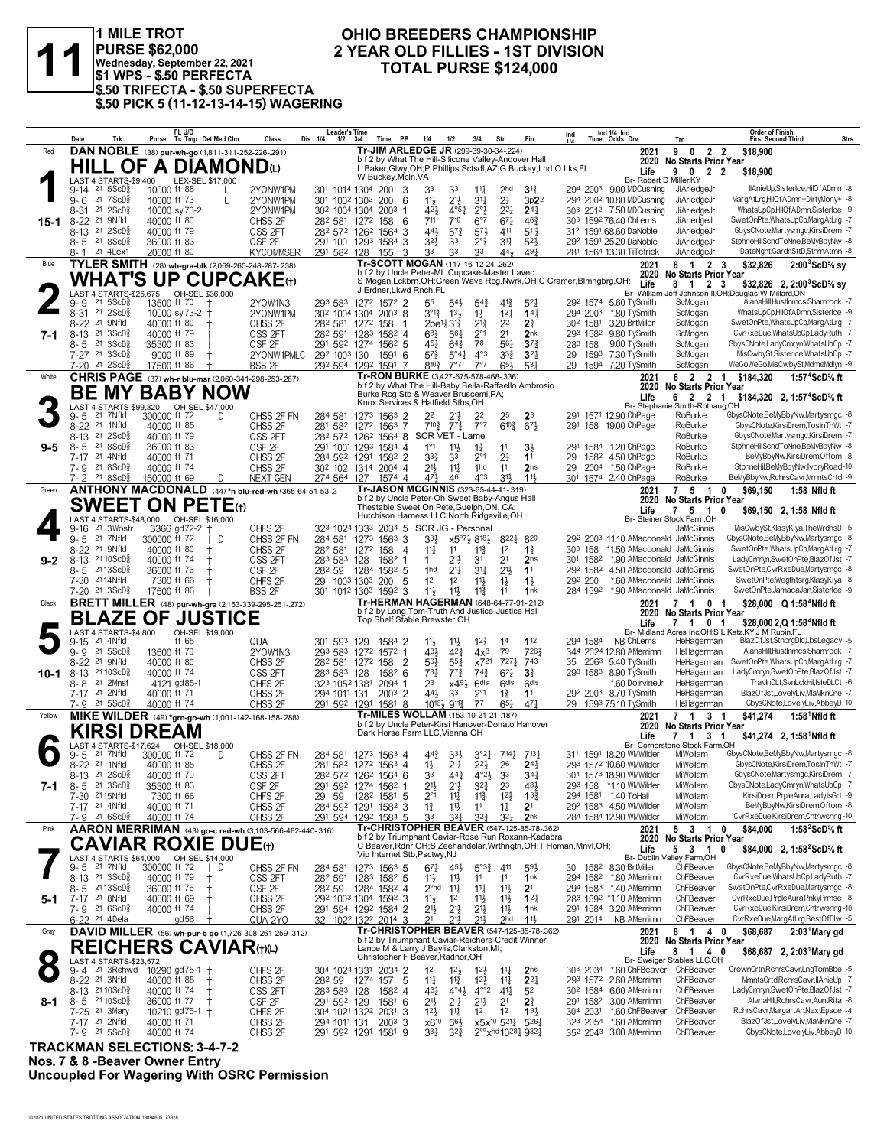

1 MILE TROT PURSE \$62,000<br>Wednesday, September 22, 2021<br>\$1 WPS - \$.50 PERFECTA \$.50 TRIFECTA - \$.50 SUPERFECTA \$.50 PICK 5 (11-12-13-14-15) WAGERING

#### OHIO BREEDERS CHAMPIONSHIP 2 YEAR OLD FILLIES - 1ST DIVISION TOTAL PURSE \$124,000

|         | Date                                                              | Trk                                         |                                        | FL U/D<br>Purse Tc Tmp Det Med Clm |     | Class                                                        | <b>Leader's Time</b><br>Dis 1/4<br>$1/2$ $3/4$                                              |          | <b>PP</b><br>Time        | 1/4                                                                                                                        | 1/2                                           | 3/4                                           | Str                                                                | Fin                               | Ind       |                                  | Ind 1/4 Ind<br>Time Odds Drv                                        | Trn                                                            | <b>Order of Finish</b><br><b>First Second Third</b>    | Strs                                                                   |
|---------|-------------------------------------------------------------------|---------------------------------------------|----------------------------------------|------------------------------------|-----|--------------------------------------------------------------|---------------------------------------------------------------------------------------------|----------|--------------------------|----------------------------------------------------------------------------------------------------------------------------|-----------------------------------------------|-----------------------------------------------|--------------------------------------------------------------------|-----------------------------------|-----------|----------------------------------|---------------------------------------------------------------------|----------------------------------------------------------------|--------------------------------------------------------|------------------------------------------------------------------------|
| Red     |                                                                   |                                             |                                        |                                    |     | DAN NOBLE (38) pur-wh-go (1,811-311-252-226-291)             |                                                                                             |          |                          | Tr-JIM ARLEDGE JR (299-39-30-34-224)                                                                                       |                                               |                                               |                                                                    |                                   |           |                                  | 2021                                                                | 2 2<br>9<br>$\mathbf{0}$                                       | \$18,900                                               |                                                                        |
|         |                                                                   |                                             | HILL OF A DIAMONDധ                     |                                    |     |                                                              |                                                                                             |          |                          | b f 2 by What The Hill-Silicone Valley-Andover Hall<br>L Baker, Glwy, OH; P Phillips, Sctsdl, AZ; G Buckey, Lnd O Lks, FL; |                                               |                                               |                                                                    |                                   |           |                                  | 2020<br>Life                                                        | No Starts Prior Year                                           |                                                        |                                                                        |
|         | LAST 4 STARTS-\$9,400 LEX-SEL \$17,000                            |                                             |                                        |                                    |     |                                                              |                                                                                             |          | W Buckey, McIn, VA       |                                                                                                                            |                                               |                                               |                                                                    |                                   |           |                                  | Br- Robert D Miller, KY                                             | 9 0 2 2                                                        | \$18,900                                               |                                                                        |
|         | $9-14$ 21 $5$ ScD $\frac{5}{8}$                                   |                                             | 10000 ft 88                            |                                    |     | 2YONW1PM                                                     | 301 1014 1304 2001 3                                                                        |          |                          | 33                                                                                                                         | 33                                            | $11\frac{1}{4}$                               | 2 <sub>hd</sub>                                                    | $3^{\frac{13}{4}}$                |           |                                  | 294 2003 9.00 MDCushing                                             | JiArledgeJr                                                    |                                                        | IlAnieUp,SisterIce,HilOfADmn -8                                        |
|         | $9 - 6$                                                           | 21 7 ScD 3<br>$21 \text{ } 2SCD\frac{5}{8}$ | 10000 ft 73<br>10000 sy 73-2           |                                    | L   | 2YONW1PM<br>2YONW1PM                                         | 301 1002 1302                                                                               |          | 200<br>6                 | 11<br>421                                                                                                                  | 21}<br>$4^{o}5^{3}$                           | 34<br>$2^{\circ}$                             | 2 <sup>1</sup><br>221                                              | 3p22<br>24 <sub>1</sub>           |           |                                  | 294 2002 10.80 MDCushing<br>303 2012 7.50 MDCushing                 | JiArledgeJr<br>JiArledgeJr                                     |                                                        | MargAtLrg,HilOfADmn+DirtyMony+ -8<br>WhatsUpCpHilOfADmn.SisterIce -9   |
| 15-1    | 8-31<br>$8 - 22$                                                  | 21 9Nfld                                    | 40000 ft 80                            |                                    |     | OHSS 2F                                                      | 30 <sup>2</sup> 100 <sup>4</sup> 130 <sup>4</sup> 200 <sup>3</sup> 1<br>282 581 1272 158    |          | - 6                      | 711                                                                                                                        | 710                                           | $6^{\circ}7$                                  | $67\frac{1}{4}$                                                    | $46\frac{3}{4}$                   |           |                                  | 303 1592 76.40 ChLems                                               | JiArledgeJr                                                    |                                                        | SwetOnPte, WhatsUpCp, MargAtLrg -7                                     |
|         | 8-13                                                              | $21 \, 2$ ScD $\frac{5}{8}$                 | 40000 ft 79                            |                                    |     | OSS <sub>2FT</sub>                                           | 282 572 1262 1564 3                                                                         |          |                          | 443                                                                                                                        | $5^{7}$                                       | $5^{7}$                                       | 411                                                                | $5^{11}\frac{3}{4}$               |           |                                  | 312 1591 68.60 DaNoble                                              | JiArledgeJr                                                    |                                                        | GbysCNote, Martysmgc, KirsiDrem -7                                     |
|         | $8 - 5$ 21 8 ScD <sup>3</sup>                                     |                                             | 36000 ft 83                            |                                    |     | OSF <sub>2F</sub>                                            | 291 1001 1293 1584 3                                                                        |          |                          | 32}                                                                                                                        | 33                                            | $2^{\circ}$ $\frac{3}{4}$                     | $3^{11}$                                                           | $5^{2}$                           |           |                                  | 292 1591 25.20 DaNoble                                              | JiArledgeJr                                                    |                                                        | StphneHil,ScndToNne,BeMyBbyNw -8                                       |
|         | 8- 1                                                              | 21 4Lex1                                    | 20000 ft 80                            |                                    |     | <b>KYCOMMSER</b>                                             | 291 582 128                                                                                 |          | - 3<br>155               | 33                                                                                                                         | 33                                            | 33                                            | 443                                                                | 491                               |           |                                  | 281 1564 13.30 TiTetrick                                            | JiArledgeJr                                                    |                                                        | DateNght,GardnSttD,SthrnAtmn -8                                        |
| Blue    |                                                                   |                                             |                                        |                                    |     | TYLER SMITH (28) wh-gra-blk (2,069-260-248-287-238)          |                                                                                             |          |                          | Tr-SCOTT MOGAN (117-16-12-24-.262)<br>b f 2 by Uncle Peter-ML Cupcake-Master Lavec                                         |                                               |                                               |                                                                    |                                   |           |                                  | 2021<br>2020                                                        | 8 1 2 3<br><b>No Starts Prior Year</b>                         | \$32,826                                               | $2:003$ ScD% sv                                                        |
|         |                                                                   |                                             |                                        |                                    |     | <b>WHAT'S UP CUPCAKE(t)</b>                                  |                                                                                             |          |                          | S Mogan, Lckbrn, OH; Green Wave Rcg, Nwrk, OH; C Cramer, Blmngbrg, OH;                                                     |                                               |                                               |                                                                    |                                   |           |                                  | Life                                                                | 8 1 2 3                                                        |                                                        | \$32,826 2, 2:00 ScD% sy                                               |
|         | LAST 4 STARTS-\$25,675 OH-SEL \$36,000                            |                                             |                                        |                                    |     |                                                              |                                                                                             |          |                          | J Erdner, Lkwd Rnch, FL                                                                                                    |                                               |                                               |                                                                    |                                   |           |                                  | Br- William                                                         |                                                                | Jeff Johnson II,OH;Douglas W Millard,ON                |                                                                        |
|         | 9-9<br>8-31 21 2ScD <sup>5</sup>                                  | $21 \, 5SCDg$                               | 13500 ft 70<br>10000 sy 73-2 +         |                                    |     | 2YOW1N3<br>2YONW1PM                                          | 293 583 1272 1572 2<br>30 <sup>2</sup> 100 <sup>4</sup> 130 <sup>4</sup> 200 <sup>3</sup> 8 |          |                          | 55<br>$3^{012}$                                                                                                            | $54\frac{1}{2}$<br>$13\frac{1}{2}$            | $5^{4}$<br>$1\frac{1}{2}$                     | $4^{13}$<br>12 <sub>1</sub>                                        | 5 <sup>2</sup><br>14 <sub>1</sub> |           | 294 2003                         | 292 1574 5.60 TvSmith<br>*.80 TySmith                               | ScMogan<br>ScMogan                                             |                                                        | AlanaHill,HustInmcs,Shamrock -7<br>WhatsUpCpHilOfADmn,SisterIce -9     |
|         | $8 - 22$                                                          | 21 9Nfld                                    | 40000 ft 80                            |                                    |     | OHSS 2F                                                      | 282 581 1272 158                                                                            |          | -1                       |                                                                                                                            | 2be <sup>11</sup> <sub>4</sub> 3 <sup>1</sup> | $2^{13}$                                      | 22                                                                 | $2\frac{3}{4}$                    |           | 302 1581                         | 3.20 BrtMiller                                                      | ScMogan                                                        |                                                        | SwetOnPte, WhatsUpCp, MargAtLrg -7                                     |
| 7-1     | 8-13 21 3ScD <sup>5</sup>                                         |                                             | 40000 ft 79                            |                                    |     | OSS 2FT                                                      | 282 591 1283 1582 4                                                                         |          |                          | $6^{8}$ <sub>4</sub>                                                                                                       | 561                                           | $2^{\circ}1$                                  | 2 <sup>1</sup>                                                     | 2 <sub>nk</sub>                   |           | 293 1582                         | 9.80 TySmith                                                        | ScMogan                                                        |                                                        | CvrRxeDue, WhatsUpCp, LadyRuth -7                                      |
|         | $8 - 5$                                                           | $21 \space 3SCD8$                           | 35300 ft 83                            |                                    |     | OSF <sub>2F</sub>                                            | 291 592 1274 1562 5                                                                         |          |                          | 451                                                                                                                        | $6^{4}$                                       | 78                                            | 561                                                                | $3^{72}$                          | 283 158   |                                  | 9.00 TySmith                                                        | ScMogan                                                        |                                                        | GbysCNote,LadyCmryn,WhatsUpCp -7                                       |
|         | 7-27 <sup>21</sup> 3ScD<br>$7-20$ 21 $2$ ScD $\frac{5}{8}$        |                                             | 9000 ft 89<br>17500 ft 86              |                                    |     | 2YONW1PMLC<br><b>BSS 2F</b>                                  | 292 1003 130 1591 6<br>292 594 1292 1591 7                                                  |          |                          | $5^{7}$<br>$8^{10}\frac{3}{4}$                                                                                             | $5^{\circ}41$<br>7°7                          | $4^{\circ}3$<br>7°7                           | $3^{3}$<br>$65\frac{1}{2}$                                         | 3 <sup>2</sup><br>$5^{3}$         | 29        | 1593                             | 7.30 TySmith<br>29 1594 7.20 TySmith                                | ScMogan<br>ScMogan                                             |                                                        | MisCwbySt,SisterIce,WhatsUpCp -7<br>WeGoWeGo, MisCwbySt, MdmeMdlyn -9  |
| White   |                                                                   |                                             |                                        |                                    |     | <b>CHRIS PAGE</b> (37) wh-r blu-mar (2,060-341-298-253-.287) |                                                                                             |          |                          | Tr-RON BURKE (3,427-675-578-468-.336)                                                                                      |                                               |                                               |                                                                    |                                   |           |                                  | 2021                                                                | 6 2 2 1                                                        | \$184.320                                              | 1:57 <sup>4</sup> ScD% ft                                              |
|         |                                                                   |                                             | <b>BE MY BABY NOW</b>                  |                                    |     |                                                              |                                                                                             |          |                          | b f 2 by What The Hill-Baby Bella-Raffaello Ambrosio                                                                       |                                               |                                               |                                                                    |                                   |           |                                  | 2020                                                                | <b>No Starts Prior Year</b>                                    |                                                        |                                                                        |
|         |                                                                   |                                             |                                        |                                    |     |                                                              |                                                                                             |          |                          | Burke Rcg Stb & Weaver Bruscemi, PA;<br>Knox Services & Hatfield Stbs, OH                                                  |                                               |                                               |                                                                    |                                   |           |                                  | Life                                                                | 6 2 2 1                                                        |                                                        | \$184,320 2, 1:57°ScD% ft                                              |
|         | LAST 4 STARTS-\$99,320<br>9-5                                     | 21 7Nfld                                    | 300000 ft 72                           | OH-SEL \$47,000                    | D   | OHSS 2F FN                                                   | 284 581                                                                                     |          | 1273 1563 2              | 2 <sup>2</sup>                                                                                                             | 21,                                           | 2 <sup>2</sup>                                | 25                                                                 | 23                                |           |                                  | Br-Stephar<br>291 1571 12.90 ChPage                                 | nie Smith-Rothaug,OH<br>RoBurke                                |                                                        | GbysCNote,BeMyBbyNw,Martysmgc -8                                       |
|         | 8-22 <sup>21</sup> 1Nfld                                          |                                             | 40000 ft 85                            |                                    |     | OHSS <sub>2F</sub>                                           | 281 582 1272 1563 7                                                                         |          |                          | $7^{10}$ <sup>3</sup>                                                                                                      | $77\frac{1}{4}$                               | 7°7                                           | $6^{10\frac{3}{4}}$                                                | $67\frac{1}{2}$                   | 291       |                                  | 158 19.00 ChPage                                                    | RoBurke                                                        |                                                        | GbysCNote,KirsiDrem,TosInThWt -7                                       |
|         | $8 - 13$                                                          | $21 \, 2$ ScD $\frac{5}{8}$                 | 40000 ft 79                            |                                    |     | OSS 2FT                                                      | 282 572 1262 1564 8 SCR VET - Lame                                                          |          |                          |                                                                                                                            |                                               |                                               |                                                                    |                                   |           |                                  |                                                                     | RoBurke                                                        |                                                        | GbysCNote,Martysmgc,KirsiDrem -7                                       |
| 9-5     | $8 - 5$<br>7-17 21 4Nfld                                          | 218SCD <sub>8</sub>                         | 36000 ft 83<br>40000 ft 71             |                                    |     | OSF <sub>2F</sub><br>OHSS <sub>2F</sub>                      | 291 1001 1293 1584 4<br>284 592 1291 1582 2                                                 |          |                          | $1^{\circ}1$<br>$3^{3}\frac{3}{4}$                                                                                         | $11\frac{1}{2}$<br>33                         | $1\frac{3}{4}$<br>$2^{\circ}1$                | 11<br>2 <sup>1</sup>                                               | 3 <sup>1</sup><br>1 <sup>1</sup>  | 291<br>29 | 1584<br>1582                     | 1.20 ChPage<br>4.50 ChPage                                          | RoBurke<br>RoBurke                                             |                                                        | StphneHil,ScndToNne,BeMyBbyNw -8<br>BeMyBbyNw,KirsiDrem,Oftom -8       |
|         | 7-9 21 8ScD                                                       |                                             | 40000 ft 74                            |                                    |     | OHSS <sub>2F</sub>                                           | 30 <sup>2</sup> 102 1314 2004 4                                                             |          |                          | 2 <sup>1</sup>                                                                                                             | $11\frac{1}{4}$                               | 1hd                                           | 11                                                                 | 2 <sub>ns</sub>                   | 29        |                                  | 2004 *.50 ChPage                                                    | RoBurke                                                        |                                                        | StphneHil,BeMyBbyNw,IvoryRoad-10                                       |
|         | 7-2 21 8 ScD <sup>3</sup>                                         |                                             | 150000 ft 69                           |                                    | D   | <b>NEXT GEN</b>                                              | 274 564 127 1574 4                                                                          |          |                          | 471                                                                                                                        | 46                                            | $4^{\circ}3$                                  | 31}                                                                | 11,1                              |           |                                  | 301 1574 2.40 ChPage                                                | RoBurke                                                        |                                                        | BeMyBbyNw,RchrsCavr,MmntsCrtd -9                                       |
| Green   |                                                                   |                                             |                                        |                                    |     | ANTHONY MACDONALD (44) *n blu-red-wh (365-64-51-53-.3        |                                                                                             |          |                          | Tr-JASON MCGINNIS (323-65-44-41-319)                                                                                       |                                               |                                               |                                                                    |                                   |           |                                  | 2021                                                                | $7\quad 5\quad 1$<br>0                                         | \$69.150                                               | 1:58 Nfld ft                                                           |
|         | <b>SWEET ON PETE</b> (t)                                          |                                             |                                        |                                    |     |                                                              |                                                                                             |          |                          | b f 2 by Uncle Peter-Oh Sweet Baby-Angus Hall<br>Thestable Sweet On Pete, Guelph, ON, CA;                                  |                                               |                                               |                                                                    |                                   |           |                                  | 2020                                                                | <b>No Starts Prior Year</b>                                    |                                                        |                                                                        |
|         |                                                                   |                                             | LAST 4 STARTS-\$48,000 OH-SEL \$16,000 |                                    |     |                                                              |                                                                                             |          |                          | Hutchison Harness LLC. North Ridgeville. OH                                                                                |                                               |                                               |                                                                    |                                   |           |                                  | Life                                                                | 7 5 1<br>0<br>Br- Steiner Stock Farm, OH                       |                                                        | \$69,150 2, 1:58 Nfld ft                                               |
|         | 9-16                                                              | 21 3Wostr                                   |                                        | 3366 gd72-2 †                      |     | OHFS <sub>2F</sub>                                           | 323 1024 1333 2034 5 SCR JG - Personal                                                      |          |                          |                                                                                                                            |                                               |                                               |                                                                    |                                   |           |                                  |                                                                     | JaMcGinnis                                                     |                                                        | MisCwbySt,KlasyKiya,TheWrdnsD -5                                       |
|         | $9 - 5$<br>8-22 <sup>21</sup> 9Nfld                               | 21 7Nfld                                    | 300000 ft 72<br>40000 ft 80            |                                    | + D | OHSS 2F FN                                                   | 284 581                                                                                     |          | 1273 1563 3              | 33}                                                                                                                        | 11                                            | x5°7} 818}                                    | 8221<br>1 <sup>2</sup>                                             | 820                               |           |                                  | 292 2003 11.10 AMacdonald JaMcGinnis<br>*1.50 AMacdonald JaMcGinnis |                                                                |                                                        | GbysCNote,BeMyBbyNw,Martysmgc -8<br>SwetOnPte, WhatsUpCp, MargAtLrg -7 |
| $9 - 2$ | 8-13 2110ScD <sup>5</sup>                                         |                                             | 40000 ft 74                            |                                    |     | OHSS 2F<br>OSS 2FT                                           | 282 581<br>283 583 128                                                                      | 1272 158 | $\overline{4}$<br>1582 1 | 11<br>11                                                                                                                   | 21}                                           | $11\frac{3}{4}$<br>31                         | 2 <sup>1</sup>                                                     | $1\frac{3}{4}$<br>2 <sub>ns</sub> | 303 158   | 301 1582                         | *.90 AMacdonald JaMcGinnis                                          |                                                                |                                                        | LadyCmryn,SwetOnPte,BlazOfJst -7                                       |
|         | $8 - 5$                                                           | $2113$ ScD $\frac{5}{8}$                    | 36000 ft 76                            |                                    |     | OSF <sub>2F</sub>                                            | 282 59                                                                                      |          | 1284 1582 5              | 1hd                                                                                                                        | $21\frac{1}{4}$                               | 3 <sup>11</sup>                               | 2 <sup>11</sup>                                                    | 1 <sup>1</sup>                    |           | 292 1582                         | 4.50 AMacdonald JaMcGinnis                                          |                                                                |                                                        | SwetOnPte,CvrRxeDue,Martysmgc -8                                       |
|         | 7-30 2114Nfld                                                     |                                             | 7300 ft 66                             |                                    |     | OHFS <sub>2F</sub>                                           | 29 100 <sup>3</sup> 130 <sup>3</sup> 200                                                    |          | -5                       | 1 <sup>2</sup>                                                                                                             | 1 <sup>2</sup>                                | $11\frac{1}{2}$                               | $1\frac{1}{2}$                                                     | $1\frac{1}{2}$                    | 292 200   |                                  |                                                                     | *.60 AMacdonald JaMcGinnis                                     |                                                        | SwetOnPte, Wegthtsrg, KlasyKiya -8                                     |
|         |                                                                   |                                             |                                        |                                    |     |                                                              |                                                                                             |          |                          |                                                                                                                            |                                               |                                               |                                                                    |                                   |           |                                  |                                                                     |                                                                |                                                        |                                                                        |
|         | 7-20 21 3ScD <sup>3</sup>                                         |                                             | 17500 ft 86                            | $\pm$                              |     | <b>BSS 2F</b>                                                | 301 1012 1303 1592 3                                                                        |          |                          | 11}                                                                                                                        | 11}                                           | $11\frac{3}{4}$                               | 11                                                                 | 1nk                               |           | 284 1592                         | *.90 AMacdonald JaMcGinnis                                          |                                                                |                                                        | SwetOnPte,JamacaJan,SisterIce -9                                       |
| Black   |                                                                   |                                             |                                        |                                    |     | <b>BRETT MILLER</b> (48) pur-wh-gra (2,153-339-295-251-272)  |                                                                                             |          |                          | Tr-HERMAN HAGERMAN (648-64-77-91-.212)<br>b f 2 by Long Tom-Truth And Justice-Justice Hall                                 |                                               |                                               |                                                                    |                                   |           |                                  | 2021<br>2020                                                        | 7 <sub>1</sub><br>$\mathbf{0}$<br>$\overline{1}$               |                                                        | \$28,000 Q 1:58 <sup>4</sup> Nfld ft                                   |
|         | <b>BLAZE OF JUSTICE</b>                                           |                                             |                                        |                                    |     |                                                              |                                                                                             |          |                          | Top Shelf Stable, Brewster, OH                                                                                             |                                               |                                               |                                                                    |                                   |           |                                  | Life                                                                | No Starts Prior Year<br>7 1<br>0 <sub>1</sub>                  |                                                        | \$28,000 2,Q 1:58 <sup>4</sup> Nfld ft                                 |
|         | LAST 4 STARTS-\$4,800                                             |                                             |                                        | OH-SEL \$19,000                    |     |                                                              |                                                                                             |          |                          |                                                                                                                            |                                               |                                               |                                                                    |                                   |           |                                  |                                                                     |                                                                | Br- Midland Acres Inc, OH; S L Katz, KY; J M Rubin, FL |                                                                        |
|         | 9-15<br>9-9 21 5ScD <sup>5</sup>                                  | 21 4Nfld                                    | 13500 ft 70                            | ft $65$                            |     | QUA<br>2YOW1N3                                               | 301 593 129<br>293 583 1272 1572 1                                                          |          | 1584 2                   | $1\frac{11}{2}$<br>431                                                                                                     | $11\frac{1}{2}$<br>42}                        | $12\frac{3}{4}$<br>4x <sup>3</sup>            | 14<br>79                                                           | 112<br>7263                       |           | 294 1584                         | NB ChLems<br>344 2024 12.80 AMerrimn                                | HeHagerman<br>HeHagerman                                       |                                                        | BlazOfJst,StnbrgDlc,LbsLegacy -5<br>AlanaHill.HustInmcs.Shamrock -7    |
|         | 8-22 21 9Nfld                                                     |                                             | 40000 ft 80                            |                                    |     | OHSS 2F                                                      | 28 <sup>2</sup> 581 127 <sup>2</sup> 158                                                    |          | 2                        | $56\frac{1}{2}$                                                                                                            | $55\frac{3}{4}$                               | x721                                          | $7^{27}$ <sup>1</sup>                                              | 743                               | 35        |                                  | 2063 5.40 TySmith                                                   | HeHagerman                                                     |                                                        | SwetOnPte, WhatsUpCp, MargAtLrg -7                                     |
| 10-1    | 8-13 2110ScD <sup>5</sup>                                         |                                             | 40000 ft 74                            |                                    |     | OSS 2FT                                                      | 283 583 128                                                                                 |          | 1582 6                   | $78\frac{1}{4}$                                                                                                            | $7^{7}\frac{3}{4}$                            | $74\frac{3}{4}$                               | $6^{21}$                                                           | $3\frac{3}{4}$                    |           | 293 1583                         | 8.90 TySmith                                                        | HeHagerman                                                     |                                                        | LadyCmryn,SwetOnPte,BlazOfJst -7                                       |
|         | 8-8                                                               | 21 2Mnsf                                    | 4121 gd85-1                            |                                    |     | OHFS <sub>2F</sub>                                           | 323 1052 1381                                                                               |          | 2094 1                   | 23                                                                                                                         | $x49\frac{1}{2}$                              | 6 <sup>dis</sup>                              | 6 <sup>dis</sup>                                                   | 6 <sup>dis</sup>                  |           |                                  | *.60 DolrvineJr                                                     | HeHagerman                                                     |                                                        | TravInDLt,SvnLckHil,IsleDLCt -6                                        |
|         | 7-17 21 2Nfld<br>7-9 21 5ScD <sup>3</sup>                         |                                             | 40000 ft 71<br>40000 ft 74             |                                    |     | OHSS <sub>2F</sub><br>OHSS <sub>2F</sub>                     | 294 1011 131<br>291 592 1291 1581 8                                                         |          | $200^3$ 2                | 443                                                                                                                        | 33<br>10161 9113                              | $2^{\circ}1$<br>$7^7$                         | $1\frac{3}{4}$<br>$65\frac{1}{4}$                                  | 11<br>47 <sub>7</sub>             |           |                                  | 292 2003 8.70 TySmith<br>29 1593 75.10 TySmith                      | HeHagerman<br>HeHagerman                                       |                                                        | BlazOfJst,LovelyLiv,MlaMknCne -7<br>GbysCNote,LovelyLiv,AbbeyD-10      |
| Yellow  |                                                                   |                                             |                                        |                                    |     | MIKE WILDER (49) *grn-go-wh (1,001-142-168-158-288)          |                                                                                             |          |                          | Tr-MILES WOLLAM (153-10-21-21-187)                                                                                         |                                               |                                               |                                                                    |                                   |           |                                  | 2021                                                                | 7 <sub>1</sub><br>3 <sub>1</sub>                               | \$41,274                                               | $1:581$ Nfld ft                                                        |
|         |                                                                   |                                             | KIRSI DREAM                            |                                    |     |                                                              |                                                                                             |          |                          | b f 2 by Uncle Peter-Kirsi Hanover-Donato Hanover<br>Dark Horse Farm LLC, Vienna, OH                                       |                                               |                                               |                                                                    |                                   |           |                                  | 2020                                                                | <b>No Starts Prior Year</b>                                    |                                                        |                                                                        |
|         | LAST 4 STARTS-\$17,624                                            |                                             |                                        | OH-SEL \$18,000                    |     |                                                              |                                                                                             |          |                          |                                                                                                                            |                                               |                                               |                                                                    |                                   |           |                                  | Life                                                                | $7 \quad 1$<br>3 <sub>1</sub><br>Br- Cornerstone Stock Farm,OH |                                                        | \$41,274 2, 1:58 Nfld ft                                               |
|         | 9-5                                                               | 21 7Nfld                                    | 300000 ft 72                           |                                    | D   | OHSS 2F FN                                                   | 284 581 1273 1563 4                                                                         |          |                          | $44\frac{3}{4}$                                                                                                            | 3 <sup>3</sup>                                | $3^{o_2}4$                                    | $7^{14}$                                                           | $7^{13}\frac{1}{4}$               |           |                                  | 311 1591 18.20 WMWilder                                             | MiWollam                                                       |                                                        | GbysCNote,BeMyBbyNw,Martysmgc -8                                       |
|         | 8-22 <sup>21</sup> 1Nfld                                          |                                             | 40000 ft 85                            |                                    |     | OHSS <sub>2F</sub>                                           | 281 582 1272 1563 4                                                                         |          |                          | $1\frac{1}{2}$<br>33                                                                                                       | 21‡                                           | $2^{2}\frac{1}{2}$                            | 26                                                                 | $2^{4}$<br>34 <sup>1</sup>        |           |                                  | 293 1572 10.60 WMWilder                                             | MiWollam<br>MiWollam                                           |                                                        | GbysCNote,KirsiDrem,TosInThWt -7<br>GbysCNote, Martysmgc, KirsiDrem -7 |
| 7-1     | $8-13$ 21 $2$ ScD $\frac{5}{8}$<br>$8 - 5$ 21 3ScD $\frac{5}{8}$  |                                             | 40000 ft 79<br>35300 ft 83             |                                    |     | OSS <sub>2FT</sub><br>OSF 2F                                 | 28 <sup>2</sup> 57 <sup>2</sup> 126 <sup>2</sup> 156 <sup>4</sup> 6<br>291 592 1274 1562 1  |          |                          | 21½                                                                                                                        | $44\frac{3}{4}$<br>21}                        | $4^{\circ}2\frac{1}{2}$<br>$3^{2}\frac{3}{4}$ | 3 <sup>3</sup><br>23                                               | $48\frac{1}{2}$                   |           | 293 158                          | 304 1573 18.90 WMWilder<br>*1.10 WMWilder                           | MiWollam                                                       |                                                        | GbysCNote,LadyCmryn,WhatsUpCp -7                                       |
|         | 7-30 2115Nfld                                                     |                                             | 7300 ft 66                             |                                    |     | OHFS <sub>2F</sub>                                           | 59<br>29                                                                                    |          | 1282 1581 5              | $2^{\circ}1$                                                                                                               | $11\frac{1}{4}$                               | $11\frac{3}{4}$                               | $12\frac{1}{2}$                                                    | $13\frac{3}{4}$                   |           |                                  | 294 1581 *.40 ToHall                                                | MiWollam                                                       |                                                        | KirsiDrem, PrpleAura, LadylsGrt -9                                     |
|         | 7-17 21 4Nfld                                                     |                                             | 40000 ft 71                            |                                    |     | OHSS <sub>2F</sub>                                           | 284 592 1291 1582 3                                                                         |          |                          | $1\frac{3}{4}$                                                                                                             | $11\frac{1}{2}$                               | 11                                            | $1\frac{1}{4}$                                                     | 2 <sup>1</sup>                    |           |                                  | 292 1583 4.50 WMWilder                                              | MiWollam                                                       |                                                        | BeMyBbyNw,KirsiDrem,Oftom -8                                           |
| Pink    | 7-9 21 6ScD <sup>3</sup>                                          |                                             | 40000 ft 74                            |                                    |     | OHSS <sub>2F</sub>                                           | 291 594 1292 1584 5                                                                         |          |                          | 33                                                                                                                         | 331                                           | $3^{22}$                                      | $3^{2}$                                                            | 2 <sub>nk</sub>                   |           |                                  | 284 1584 12.90 WMWilder                                             | MiWollam                                                       |                                                        | CvrRxeDue,KirsiDrem,Cntrwshng-10                                       |
|         |                                                                   |                                             |                                        |                                    |     | AARON MERRIMAN (43) go-c red-wh (3,103-566-482-440-.316)     |                                                                                             |          |                          | Tr-CHRISTOPHER BEAVER (547-125-85-78-.362)<br>b f 2 by Triumphant Caviar-Rose Run Roxann-Kadabra                           |                                               |                                               |                                                                    |                                   |           |                                  | 2021<br>2020                                                        | 5 3 1<br>0<br><b>No Starts Prior Year</b>                      | \$84.000                                               | 1:58 $2$ ScD $\%$ ft                                                   |
|         | <b>CAVIAR ROXIE DUE</b> (t)                                       |                                             |                                        |                                    |     |                                                              |                                                                                             |          |                          | C Beaver, Rdnr, OH; S Zeehandelar, Wrthngtn, OH; T Homan, Mnvl, OH;<br>Vip Internet Stb, Psctwy, NJ                        |                                               |                                               |                                                                    |                                   |           |                                  | Life                                                                | 5 3 1<br>0                                                     |                                                        | \$84,000 2, 1:58 $^{\circ}$ ScD $^{\circ}$ s ft                        |
|         | LAST 4 STARTS-\$64,000<br>9-5 21 7Nfld                            |                                             | 300000 ft 72                           | OH-SEL \$14,000                    | + D |                                                              | 284 581                                                                                     |          | 1273 1563 5              | $67\frac{1}{4}$                                                                                                            | 45}                                           | $5^{\circ}3^{\frac{3}{4}}$                    | 411                                                                | 593                               |           | 30 1582                          | 8.30 BrtMiller                                                      | Br- Dublin Valley Farm, OH<br>ChFBeaver                        |                                                        | GbysCNote,BeMyBbyNw,Martysmgc -8                                       |
|         | 8-13 21 3 ScD <sup>3</sup>                                        |                                             | 40000 ft 79                            |                                    |     | OHSS 2F FN<br>OSS <sub>2FT</sub>                             | 282 591                                                                                     |          | 1283 1582 5              | 11号                                                                                                                        | $11\frac{1}{2}$                               | 11                                            | 11                                                                 | 1 <sub>nk</sub>                   |           | 294 1582                         | *.80 AMerrimn                                                       | ChFBeaver                                                      |                                                        | CvrRxeDue, WhatsUpCp, LadyRuth -7                                      |
|         | 8-5 2113ScD <sup>3</sup>                                          |                                             | 36000 ft 76                            | t                                  |     | OSF <sub>2F</sub>                                            | 282 59                                                                                      |          | 1284 1582 4              | $2^{\circ}$ hd                                                                                                             | $11\frac{1}{4}$                               | $11\frac{1}{4}$                               | 11                                                                 | 2 <sup>1</sup>                    |           | 294 1583                         | *.40 AMerrimn                                                       | ChFBeaver                                                      |                                                        | SwetOnPte,CvrRxeDue,Martysmgc -8                                       |
| 5-1     | 7-17 <sup>21</sup> 8Nfld                                          |                                             | 40000 ft 69                            |                                    |     | OHSS 2F                                                      | 292 1003 1304 1592 3                                                                        |          |                          | 11                                                                                                                         | 1 <sup>2</sup>                                | $11\frac{1}{2}$                               | 11                                                                 | $12\frac{1}{4}$                   |           |                                  | 283 1592 *1.10 AMerrimn                                             | ChFBeaver                                                      |                                                        | CvrRxeDue,PrpleAura,PnkyPrmse -8                                       |
|         | 7-9 21 6ScD <sup>3</sup><br>6-22 <sup>21</sup> 4Dela              |                                             | 40000 ft 74                            | gd 56                              |     | OHSS <sub>2F</sub><br>QUA 2YO                                | 291 594 1292 1584 2<br>32 1022 1322 2014 3                                                  |          |                          | $21\frac{1}{2}$<br>21                                                                                                      | 2 <sup>11</sup><br>211,                       | 2 <sup>1</sup><br>211,                        | $11\frac{1}{2}$<br>2 <sub>hd</sub>                                 | 1 <sup>nk</sup><br>11,            |           | 291 2014                         | 291 1584 3.20 AMerrimn<br>NB AMerrimn                               | ChFBeaver<br>ChFBeaver                                         |                                                        | CvrRxeDue,KirsiDrem,Cntrwshng-10<br>CvrRxeDue,MargAtLrg,BestOfDlw -5   |
| Gray    |                                                                   |                                             |                                        |                                    |     | DAVID MILLER (56) wh-pur-b go (1,726-308-261-259-.312)       |                                                                                             |          |                          | Tr-CHRISTOPHER BEAVER (547-125-85-78-.362)                                                                                 |                                               |                                               |                                                                    |                                   |           |                                  | 2021                                                                | 8 1 4 0                                                        | \$68,687                                               | $2:03$ <sup>1</sup> Mary gd                                            |
|         |                                                                   |                                             |                                        |                                    |     |                                                              |                                                                                             |          |                          | b f 2 by Triumphant Caviar-Reichers-Credit Winner<br>Lance M & Larry J Baylis, Clarkston, MI;                              |                                               |                                               |                                                                    |                                   |           |                                  | 2020                                                                | No Starts Prior Year                                           |                                                        |                                                                        |
|         | <b>REICHERS CAVIAR(t)(L)</b><br>LAST 4 STARTS-\$23,572            |                                             |                                        |                                    |     |                                                              |                                                                                             |          |                          | Christopher F Beaver, Radnor, OH                                                                                           |                                               |                                               |                                                                    |                                   |           |                                  | Life                                                                | 8 1 4<br>0<br>Br- Sweiger Stables LLC,OH                       |                                                        | \$68,687 2, 2:03 Mary gd                                               |
|         | 9-4 <sup>21</sup> 3Rchwd 10290 gd75-1 +                           |                                             |                                        |                                    |     | OHFS <sub>2F</sub>                                           | 304 1024 1331 2034 2                                                                        |          |                          | 1 <sup>2</sup>                                                                                                             | $12\frac{1}{2}$                               | $12\frac{1}{2}$                               | 14                                                                 | 2 <sub>ns</sub>                   |           | 303 2034                         | *.60 ChFBeaver                                                      | ChFBeaver                                                      |                                                        | CrownCrtn,RchrsCavr,LngTomBbe -5                                       |
|         | 8-22 <sup>21</sup> 3Nfld                                          |                                             | 40000 ft 85                            | $\ddagger$                         |     | OHSS <sub>2F</sub>                                           | 28 <sup>2</sup> 59 1274 157                                                                 |          | 5                        | 11                                                                                                                         | $11\frac{3}{4}$                               | $12\frac{1}{2}$                               | 11                                                                 | $2^{2}$                           |           | 293 1572                         | 2.60 AMerrimn                                                       | ChFBeaver                                                      |                                                        | MmntsCrtd,RchrsCavr,IIAnieUp -7                                        |
| 8-1     | 8-13 2110ScD <sup>3</sup>                                         |                                             | 40000 ft 74<br>36000 ft 77             | $^{+}$<br>$\pm$                    |     | OSS <sub>2FT</sub>                                           | 283 583 128                                                                                 |          | 1582 4                   | 431                                                                                                                        | $4^{\circ}4^{\circ}$<br>$2^{11}$              | $4^{\circ}2$                                  | 411<br>2 <sup>1</sup>                                              | 5 <sup>2</sup><br>$2\frac{3}{4}$  |           | 30 <sup>2</sup> 1584<br>291 1582 | 6.00 AMerrimn<br>3.00 AMerrimn                                      | ChFBeaver<br>ChFBeaver                                         |                                                        | LadyCmryn,SwetOnPte,BlazOfJst -7<br>AlanaHill, RchrsCavr, AuntRita -8  |
|         | 8-5 2110ScD <sup>3</sup><br>7-25 <sup>21</sup> 3Mary              |                                             | 10210 gd75-1 †                         |                                    |     | OSF <sub>2F</sub><br>OHFS <sub>2F</sub>                      | 291 592 129<br>304 1021 1322 2031 3                                                         |          | 1581 6                   | 21}<br>$12\frac{1}{2}$                                                                                                     | 11                                            | 21}<br>$1^2$                                  | 1 <sup>2</sup>                                                     | 193                               |           | 304 2031                         | *.60 ChFBeaver                                                      | ChFBeaver                                                      |                                                        | RchrsCavr, Margart An, NextEpsde -4                                    |
|         | 7-17 <sup>21</sup> 2Nfld<br>$7 - 9$ 21 $5 \text{ScD} \frac{3}{8}$ |                                             | 40000 ft 71<br>40000 ft 74             |                                    |     | OHSS <sub>2F</sub><br>OHSS <sub>2F</sub>                     | 294 1011 131<br>291 592 1291 1581 9                                                         |          | $200^3$ 3                | x6 <sup>10</sup><br>$3^{3}$                                                                                                | $56\frac{1}{2}$<br>32 <sup>3</sup>            |                                               | x5x <sup>10</sup> 5 <sup>21</sup><br>2 <sup>oo</sup> xhd10281 9321 | 526                               |           | 323 2054                         | *.60 AMerrimn<br>35 <sup>2</sup> 204 <sup>3</sup> 3.00 AMerrimn     | ChFBeaver<br>ChFBeaver                                         |                                                        | BlazOfJst,LovelyLiv,MlaMknCne -7<br>GbysCNote,LovelyLiv,AbbeyD-10      |

TRACKMAN SELECTIONS: 3-4-7-2<br>Nos. 7 & 8 -Beaver Owner Entry Uncoupled For Wagering With OSRC Permission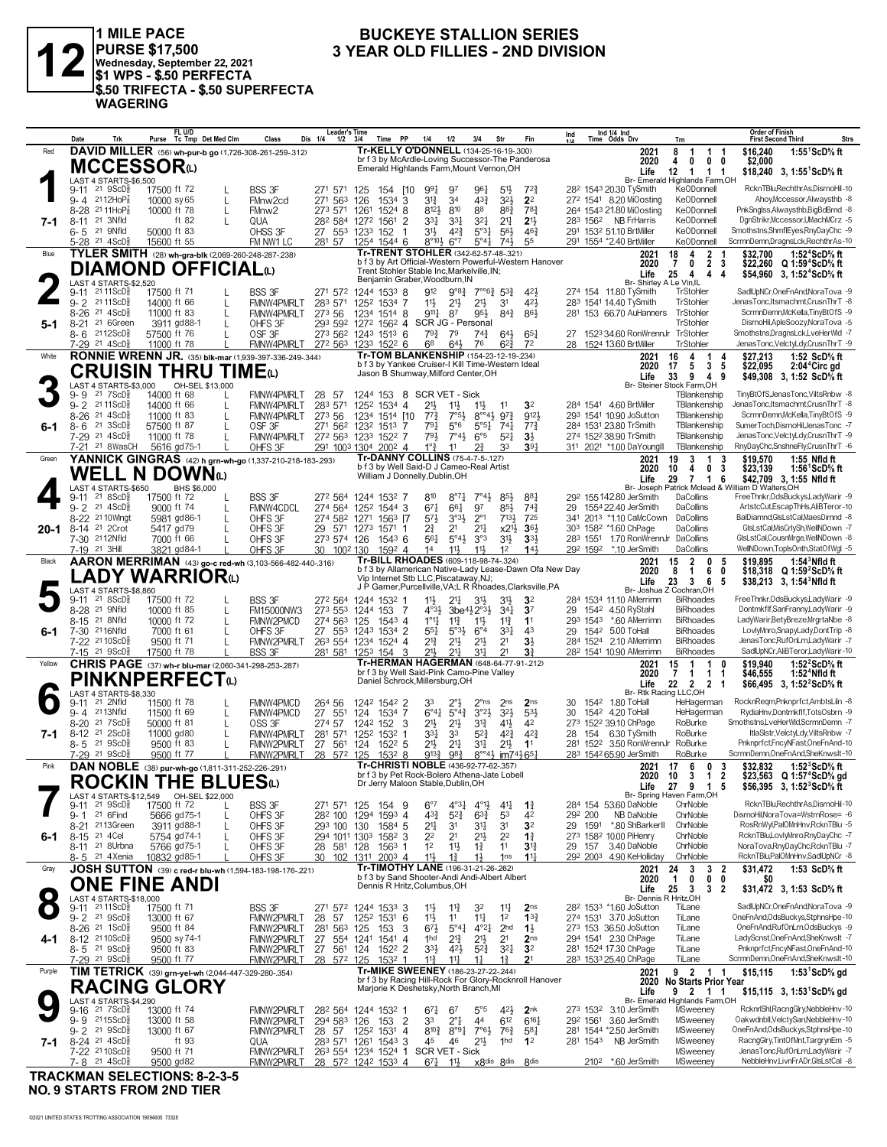

1 MILE PACE<br>PURSE \$17,500<br>Wednesday, September 22, 2021<br>\$1 WPS - \$.50 PERFECTA \$.50 TRIFECTA - \$.50 SUPERFECTA **WAGERING** 

#### **BUCKEYE STALLION SERIES** 3 YEAR OLD FILLIES - 2ND DIVISION

|        | Date<br>Trk                                                         | FL U/D<br>Purse Tc Tmp Det Med Clm                           | Class<br>Dis 1/4                                         | <b>Leader's Time</b><br>Time PP<br>$1/2$ $3/4$    | 1/4<br>1/2                                                                                     | 3/4<br>Str                                                             | Fin                               | Ind $1/4$ Ind<br>Ind<br>Time Odds Drv                                        | Trn                                                    | <b>Order of Finish</b><br>Strs<br><b>First Second Third</b>            |
|--------|---------------------------------------------------------------------|--------------------------------------------------------------|----------------------------------------------------------|---------------------------------------------------|------------------------------------------------------------------------------------------------|------------------------------------------------------------------------|-----------------------------------|------------------------------------------------------------------------------|--------------------------------------------------------|------------------------------------------------------------------------|
| Red    |                                                                     | DAVID MILLER (56) wh-pur-b go (1,726-308-261-259-.312)       |                                                          |                                                   | Tr-KELLY O'DONNELL (134-25-16-19-.300)                                                         |                                                                        |                                   | 2021                                                                         | $\mathbf{1}$<br>8<br>-1<br>-1                          | \$16,240<br>1:55 <sup>1</sup> ScD% ft                                  |
|        |                                                                     |                                                              |                                                          |                                                   | br f 3 by McArdle-Loving Successor-The Panderosa                                               |                                                                        |                                   | 2020                                                                         | $\mathbf{0}$<br>$0\quad 0$<br>4                        | \$2,000                                                                |
|        | MCCESSORω                                                           |                                                              |                                                          |                                                   | Emerald Highlands Farm, Mount Vernon, OH                                                       |                                                                        |                                   | Life                                                                         | 12<br>1 1 1                                            | \$18,240 3, 1:55 ScD % ft                                              |
|        | LAST 4 STARTS-\$6,500                                               |                                                              |                                                          |                                                   |                                                                                                |                                                                        |                                   |                                                                              | Br- Emerald Highlands Farm, OH                         |                                                                        |
|        | 9-11 21 9ScDs                                                       | 17500 ft 72<br>L                                             | <b>BSS 3F</b><br>271 571                                 | 125<br>154 [10                                    | 991<br>97                                                                                      | 961<br>5 <sup>1</sup>                                                  | $72\frac{3}{4}$                   | 28 <sup>2</sup> 1543 20.30 TySmith                                           | Ke0Donnell                                             | RcknTBlu,RechthrAs,DisrnoHil-10                                        |
|        | $9 - 4$ 2112HoP $\frac{7}{8}$                                       | 10000 sy 65<br>L                                             | FMnw <sub>2cd</sub><br>271 563                           | 126<br>1534<br>3                                  | $3^{13}$<br>34                                                                                 | 433<br>$3^{2}\frac{1}{2}$                                              | 2 <sup>2</sup>                    | 272 1541 8.20 MiOosting                                                      | <b>KeODonnell</b>                                      | Ahoy, Mccessor, Alwaysthb -8                                           |
|        | 8-28 2111HoP <sub>8</sub>                                           | 10000 ft 78                                                  | 273 571<br>FMnw <sub>2</sub>                             | 1261<br>1524<br>8                                 | 810<br>$8^{12}\frac{1}{2}$                                                                     | 883<br>88                                                              | 783                               | 264 1543 21.80 MiOosting                                                     | <b>KeODonnell</b>                                      | PnkSnglss, Alwaysthb, Big BdBrnd -8                                    |
| 7-1    | 8-11 <sup>21</sup> 3Nfld                                            | ft $82$                                                      | QUA                                                      | 282 584 1272 1561<br>-2                           | $3^{31}$<br>$3^{3}$                                                                            | 321<br>$2^{11}$                                                        | $21\frac{1}{2}$                   | 283 1562 NB FrHarris                                                         | Ke0Donnell                                             | DgnStrikr,Mccessor,UMachMCrz -5                                        |
|        | 6-5 <sup>21</sup> 9Nfld                                             | 50000 ft 83                                                  | OHSS 3F                                                  | 27 553 1233 152<br>-1                             | 3 <sup>1</sup><br>$4^{2}\frac{3}{4}$                                                           | $5°3\frac{1}{4}$<br>$56\frac{1}{2}$                                    | $46\frac{3}{4}$                   | 291 1532 51.10 BrtMiller                                                     | KeODonnell                                             | Smothstns, ShmflEyes, RnyDayChc -9                                     |
|        | $5-28$ 21 $4$ ScD $\frac{5}{8}$                                     | 15600 ft 55                                                  | FM NW1 LC<br>281 57                                      | 1254 1544 6                                       | $8^{\circ}10\frac{1}{2}$<br>$6^{\circ}7$                                                       | $5^{\circ}41$<br>$74\frac{1}{2}$                                       | 55                                | 291 1554 *2.40 BrtMiller                                                     | KeODonnell                                             | ScrmnDemn,DragnsLck,RechthrAs-10                                       |
| Blue   |                                                                     | TYLER SMITH (28) wh-gra-blk (2,069-260-248-287-238)          |                                                          |                                                   | Tr-TRENT STOHLER (342-62-57-48-.321)<br>b f 3 by Art Official-Western Powerful-Western Hanover |                                                                        |                                   | 2021                                                                         | 2<br>18<br>4                                           | 1:52 <sup>4</sup> ScD% ft<br>\$32,700                                  |
|        |                                                                     | <b>DIAMOND OFFICIAL(L)</b>                                   |                                                          |                                                   | Trent Stohler Stable Inc, Markelville, IN;                                                     |                                                                        |                                   | 2020                                                                         | $\overline{7}$<br>2 <sub>3</sub><br>0<br>4<br>4<br>4   | \$22,260 Q 1:59 <sup>4</sup> ScD% ft                                   |
|        | LAST 4 STARTS-\$2,520                                               |                                                              |                                                          |                                                   | Benjamin Graber, Woodburn, IN                                                                  |                                                                        |                                   | Life<br>Br- Shirley A Le Vin, IL                                             | 25                                                     | \$54,960 3, 1:52 <sup>4</sup> ScD <sup>5</sup> / <sub>8</sub> ft       |
|        | 9-11 21 11 ScD <sup>3</sup>                                         | 17500 ft 71                                                  | <b>BSS 3F</b>                                            | 271 572 1244 1533 8                               | 912                                                                                            | $9^{08}\frac{3}{4}$ $7^{006}\frac{3}{4}$ 53 <sub>4</sub>               | 42}                               | 274 154 11.80 TySmith                                                        | TrStohler                                              | SadlUpNCr, OneFnAnd, NoraTova -9                                       |
|        | 9-2 2111ScDs                                                        | 14000 ft 66<br>L                                             | FMNW4PMRLT<br>283 571                                    | 1252 1534 7                                       | $11\frac{1}{2}$<br>$21\frac{1}{2}$                                                             | $21\frac{1}{2}$<br>3 <sup>1</sup>                                      | 42}                               | 283 1541 14.40 TvSmith                                                       | TrStohler                                              | JenasTonc, Itsmachmt, CrusnThrT -8                                     |
|        | $21 \text{ } 4\text{ScD}$ $\frac{5}{8}$<br>$8 - 26$                 | 11000 ft 83                                                  | FMNW4PMRLT<br>273 56                                     | 1514 8<br>1234                                    | $9^{11}$<br>87                                                                                 | 95}<br>$8^{4}$                                                         | 863                               | 281 153 66.70 AuHanners                                                      | TrStohler                                              | ScrmnDemn, McKella, Tiny BtOfS -9                                      |
| 5-1    | 8-21 <sup>21</sup> 6Green                                           | 3911 gd88-1                                                  | OHFS 3F                                                  |                                                   | 293 592 1272 1562 4 SCR JG - Personal                                                          |                                                                        |                                   |                                                                              | TrStohler                                              | DisrnoHil.ApleSoozv.NoraTova -5                                        |
|        | 8-6 2112ScD                                                         | 57500 ft 76<br>$\mathbf{L}$                                  | OSF <sub>3F</sub>                                        | 273 562 1243 1513 6                               | $79\frac{3}{4}$<br>79                                                                          | $74\frac{3}{4}$<br>643                                                 | $65\frac{1}{4}$                   | 27 1523 34.60 RonWrennJr TrStohler                                           |                                                        | Smothstns, DragnsLck, LveHerWld -7                                     |
|        | 7-29 <sup>21</sup> 4ScD <sup>3</sup>                                | 11000 ft 78                                                  | <b>FMNW4PMRLT</b>                                        | 272 563 1233 1522 6                               | 68<br>$64\frac{1}{2}$                                                                          | 76<br>$6^{2}3$                                                         | 7 <sup>2</sup>                    | 28 1524 13.60 BrtMiller                                                      | <b>TrStohler</b>                                       | JenasTonc, VelctyLdy, CrusnThrT -9                                     |
| White  |                                                                     | RONNIE WRENN JR. (35) blk-mar (1,939-397-336-249-.344)       |                                                          |                                                   | Tr-TOM BLANKENSHIP (154-23-12-19-.234)                                                         |                                                                        |                                   | 2021                                                                         | 16<br>4<br>1<br>-4                                     | 1:52 ScD% ft<br>\$27,213                                               |
|        |                                                                     | <b>CRUISIN THRU TIME</b> (L)                                 |                                                          |                                                   | b f 3 by Yankee Cruiser-I Kill Time-Western Ideal                                              |                                                                        |                                   | 2020                                                                         | 5<br>17<br>5<br>3                                      | \$22,095<br>2:04 <sup>*</sup> Circ gd                                  |
|        |                                                                     |                                                              |                                                          |                                                   | Jason B Shumway, Milford Center, OH                                                            |                                                                        |                                   | Life                                                                         | 33<br>9<br>4<br>9                                      | \$49,308 3, 1:52 ScD% ft                                               |
|        | LAST 4 STARTS-\$3,000                                               | OH-SEL \$13,000                                              |                                                          |                                                   |                                                                                                |                                                                        |                                   |                                                                              | Br- Steiner Stock Farm, OH                             |                                                                        |
|        | $9 - 9$ 21 7 ScD <sup>3</sup><br>9-2 2111ScD <sup>5</sup>           | 14000 ft 68<br>L                                             | FMNW4PMRLT<br>28 57<br>283 571                           |                                                   | 1244 153 8 SCR VET - Sick                                                                      |                                                                        | 3 <sup>2</sup>                    | 284 1541 4.60 BrtMiller                                                      | TBlankenship<br>TBlankenship                           | TinyBtOfS,JenasTonc,ViltsRnbw -8<br>JenasTonc, Itsmachmt, CrusnThrT -8 |
|        | 8-26 <sup>21</sup> 4ScD <sup>5</sup>                                | 14000 ft 66<br>11000 ft 83<br>L                              | FMNW4PMRLT<br>FMNW4PMRLT<br>273 56                       | 1252 1534 4<br>1234 1514 [10]                     | $21\frac{1}{2}$<br>$11\frac{1}{2}$<br>$7^{73}$<br>$7°5\frac{1}{2}$                             | $11\frac{1}{2}$<br>11<br>$8^{\circ\circ}4\frac{1}{2}$ 97 $\frac{3}{4}$ | 9121                              | 293 1541 10.90 JoSutton                                                      | TBlankenship                                           | ScrmnDemn, McKella, Tiny BtOfS -9                                      |
| 6-1    | 21 3 ScD <sup>5</sup><br>$8 - 6$                                    | 57500 ft 87                                                  | OSF 3F                                                   | 271 562 1232<br>1513 7                            | 791<br>$5^{\circ}6$                                                                            | $5^{\circ 5}$ <sup>1</sup><br>$74\frac{1}{4}$                          | $77\frac{3}{4}$                   | 284 1531 23.80 TrSmith                                                       | TBlankenship                                           | SumerToch,DisrnoHil,JenasTonc -7                                       |
|        | 7-29 21 4ScD <sup>5</sup>                                           | 11000 ft 78                                                  | FMNW4PMRLT 272 563 1233 1522 7                           |                                                   | 793<br>$7^{\circ}4\frac{1}{2}$                                                                 | $6^{\circ 5}$<br>$5^{21}$                                              | $3\frac{1}{2}$                    | 274 1522 38.90 TrSmith                                                       | TBlankenship                                           | JenasTonc,VelctyLdy,CrusnThrT -9                                       |
|        | 7-21 <sup>21</sup> 8WasCH                                           | 5616 gd75-1                                                  | OHFS 3F                                                  | 291 1003 1304 2002 4                              | $1^{\circ}$ $\frac{3}{4}$<br>11                                                                | 33                                                                     | $39\frac{1}{4}$                   | 311 2021 *1.00 DaYoungII                                                     | TBlankenship                                           | RnyDayChc,SnshneFly,CrusnThrT -6                                       |
| Green  |                                                                     |                                                              | YANNICK GINGRAS (42) h grn-wh-go (1,337-210-218-183-293) |                                                   | <b>Tr-DANNY COLLINS (75-4-7-5-127)</b>                                                         |                                                                        |                                   | 2021                                                                         | 19<br>$\mathbf{1}$<br>3<br>3                           | 1:55 Nfld ft<br>\$19,570                                               |
|        |                                                                     |                                                              |                                                          |                                                   | b f 3 by Well Said-D J Cameo-Real Artist                                                       |                                                                        |                                   | 2020                                                                         | 10<br>$\mathbf{0}$<br>4<br>3                           | \$23,139<br>1:56 ScD% ft                                               |
|        | WELL N                                                              | <b>DOWN</b> <sup>0</sup>                                     |                                                          |                                                   | William J Donnelly, Dublin, OH                                                                 |                                                                        |                                   | Life                                                                         | 29<br>$\overline{7}$<br>$\mathbf{1}$<br>6              | \$42,709 3, 1:55 Nfld ft                                               |
|        | LAST 4 STARTS-\$650                                                 | BHS \$6,000                                                  |                                                          |                                                   |                                                                                                |                                                                        |                                   |                                                                              |                                                        | Br- Joseph Patrick Mclead & William D Walters, OH                      |
|        | 21 8 ScD <sup>3</sup><br>9-11                                       | 17500 ft 72                                                  | <b>BSS 3F</b>                                            | 272 564 1244 1532 7                               | 810<br>$8^{\circ}7\frac{1}{4}$                                                                 | $7^\circ 4\frac{1}{2}$<br>$85\frac{1}{2}$                              | 881                               | 292 155 142.80 JerSmith                                                      | DaCollins                                              | FreeThnkr, OdsBuckys, Lady Warir - 9                                   |
|        | 9-2 <sup>21</sup> 4ScD <sup>§</sup>                                 | 9000 ft 74<br>$\mathbf{L}$                                   | FMNW4CDCL                                                | 274 564 1252 1544 3                               | $67\frac{1}{4}$<br>661                                                                         | 97<br>85}                                                              | $74\frac{3}{4}$                   | 1554 22.40 JerSmith<br>29                                                    | DaCollins                                              | ArtstcCut.EscapThHs.AliBTeror-10                                       |
|        | 8-22 <sup>21</sup> 10 Wingt                                         | 5981 gd86-1                                                  | OHFS 3F                                                  | 274 582 1271 1563 [7                              | $5^{7}\frac{1}{2}$<br>$3^{03}\frac{1}{2}$                                                      | $2^{\circ}1$<br>$7^{13}$                                               | 725                               | 341 2013 *1.10 CaMcCown                                                      | DaCollins                                              | BalDiamnd, GIsLstCal, MaesDimnd -8                                     |
| 20-1   | 8-14 <sup>21</sup> 2Crot<br>7-30 2112Nfld                           | 5417 gd79<br>7000 ft 66                                      | OHFS 3F                                                  | 29 571 1273<br>1571<br>-1                         | $2^{3}_{4}$<br>2 <sup>1</sup><br>561                                                           | $2^{11}$<br>$x2^{11}$<br>3°3                                           | $36\frac{1}{2}$                   | 303 1582 *1.60 ChPage<br>283 1551 1.70 RonWrennJr                            | DaCollins<br>DaCollins                                 | GlsLstCal, MisCrIySh, WellNDown -7<br>GIsLstCal.CousnMrge.WellNDown -8 |
|        | 7-19 21 3Hill                                                       | 3821 gd84-1                                                  | OHFS 3F<br>OHFS 3F                                       | 273 574 126<br>$154^3$ 6<br>30 1002 130<br>1592 4 | $5^{\circ}4\frac{1}{2}$<br>1 <sup>4</sup><br>$11\frac{1}{2}$                                   | 3 <sup>1</sup><br>$11\frac{1}{2}$<br>1 <sup>2</sup>                    | $3^{3}\frac{1}{2}$<br>143         | 292 1592 *.10 JerSmith                                                       | DaCollins                                              | WellNDown,TopIsOnth,StatOfWgl -5                                       |
| Black  |                                                                     |                                                              | AARON MERRIMAN (43) go-c red-wh (3,103-566-482-440-.316) |                                                   | Tr-BILL RHOADES (609-118-98-74-.324)                                                           |                                                                        |                                   | 2021                                                                         | $\overline{2}$<br>0<br>15<br>- 5                       | \$19.895<br>$1:543$ Nfld ft                                            |
|        |                                                                     |                                                              |                                                          |                                                   | b f 3 by Allamerican Native-Lady Lease-Dawn Ofa New Day                                        |                                                                        |                                   | 2020                                                                         | 6<br>8<br>$\mathbf{1}$<br>0                            | \$18,318 Q 1:59'ScD% ft                                                |
|        |                                                                     | <b>.ADY WARRIOR</b> ധ                                        |                                                          |                                                   | Vip Internet Stb LLC, Piscataway, NJ;                                                          |                                                                        |                                   | Life                                                                         | 23<br>$\overline{\mathbf{3}}$<br>6<br>5                | $$38,213$ 3, 1:54 Nfld ft                                              |
|        | LAST 4 STARTS-\$8,860                                               |                                                              |                                                          |                                                   | J P Garner, Purcellville, VA; L R Rhoades, Clarksville, PA                                     |                                                                        |                                   |                                                                              | Br- Joshua Z Cochran, OH                               |                                                                        |
|        | $9-11$ 21 8ScD <sup>3</sup>                                         | 17500 ft 72                                                  | <b>BSS 3F</b>                                            | 272 564 1244 1532 1                               | $11\frac{1}{2}$<br>$21\frac{1}{4}$                                                             | 3 <sup>1</sup><br>$3^{11}$                                             | 3 <sup>2</sup>                    | 284 1534 11.10 AMerrimn                                                      | <b>BiRhoades</b>                                       | FreeThnkr, OdsBuckys, LadyWarir -9                                     |
|        | 8-28 <sup>21</sup> 9Nfld                                            | 10000 ft 85                                                  | <b>FM15000NW3</b>                                        | 273 553 1244 153 7                                | $4^{03}\frac{1}{2}$<br>$3be^{4}\frac{1}{2}2^{\circ}3\frac{1}{2}$                               | $34\frac{1}{4}$                                                        | 3 <sup>7</sup>                    | 1542 4.50 RyStahl<br>29                                                      | <b>BiRhoades</b>                                       | Dontmkflf,SanFranny,LadyWarir -9                                       |
|        | 8-15 21 8Nfld                                                       | 10000 ft 72<br>L                                             | FMNW2PMCD                                                | 274 563 125<br>$154^3$ 4                          | $1^{\circ}1\frac{1}{4}$<br>$11\frac{3}{4}$                                                     | $11\frac{3}{4}$<br>$11\frac{1}{2}$                                     | 11                                | 293 1543 *.60 AMerrimn                                                       | <b>BiRhoades</b>                                       | LadyWarir,BetyBreze,MrgrtaNbe -8                                       |
| 6-1    | 7-30 2116Nfld<br>7-22 2110ScD <sup>5</sup>                          | 7000 ft 61                                                   | OHFS 3F                                                  | 27 553 1243 1534 2                                | $55\frac{1}{4}$<br>$5^{\circ}3\frac{1}{2}$                                                     | $3^{3}$<br>$6^{\circ 4}$                                               | 43<br>3 <sup>1</sup>              | 29 1542 5.00 ToHall<br>284 1524 2.10 AMerrimn                                | <b>BiRhoades</b><br><b>BiRhoades</b>                   | LovlyMnro,SnapyLady,DontTrip -8<br>JenasTonc,RufOnLrn,LadyWarir -7     |
|        | 7-15 21 9ScD                                                        | 9500 ft 71<br>17500 ft 78                                    | FMNW2PMRLT<br><b>BSS 3F</b>                              | 263 554 1234 1524 4<br>281 581 1253 154<br>-3     | $2^{13}$<br>$21\frac{1}{2}$<br>$21\frac{1}{2}$<br>$2^{11}$                                     | 2 <sup>1</sup><br>2 <sup>11</sup><br>31<br>2 <sup>1</sup>              | 31                                | 28 <sup>2</sup> 1541 10.90 AMerrimn                                          | <b>BiRhoades</b>                                       | SadlUpNCr, AliBTeror, Lady Warir-10                                    |
| Yellow |                                                                     | <b>CHRIS PAGE</b> (37) wh-r blu-mar (2,060-341-298-253-.287) |                                                          |                                                   | Tr-HERMAN HAGERMAN (648-64-77-91-.212)                                                         |                                                                        |                                   | 2021                                                                         | $\mathbf{1}$<br>0                                      | 1:52 $2$ ScD $\%$ ft<br>\$19,940                                       |
|        |                                                                     |                                                              |                                                          |                                                   | br f 3 by Well Said-Pink Camo-Pine Valley                                                      |                                                                        |                                   | 2020                                                                         | $\begin{array}{cc} 15 & 1 \\ 7 & 1 \end{array}$<br>1 1 | \$46,555<br>1:52 <sup>4</sup> Nfld ft                                  |
|        |                                                                     | <b>PINKNPERFECT</b> <sub>(1)</sub>                           |                                                          |                                                   | Daniel Schrock, Millersburg, OH                                                                |                                                                        |                                   | Life                                                                         | 22  2  2  1                                            | \$66,495 3, 1:52 <sup>2</sup> ScD% ft                                  |
|        | LAST 4 STARTS-\$8,330                                               |                                                              |                                                          |                                                   |                                                                                                |                                                                        |                                   | Br- Rtk Racing LLC, OH                                                       |                                                        |                                                                        |
|        | 21 2Nfld<br>9-11                                                    | 11500 ft 78                                                  | FMNW4PMCD<br>264 56                                      | 1242 1542 2                                       | 33                                                                                             | $2^{\circ}$ ns<br>2 <sub>ns</sub>                                      | 2 <sub>ns</sub>                   | 30<br>1542 1.80 ToHall                                                       | HeHagerman                                             | RocknReqm,Pnknprfct,AmbtsLiln -8                                       |
|        | 9-4 2113Nfld                                                        | 11500 ft 69<br>$\mathbf{I}$                                  | FMNW4PMCD<br>27 551                                      | 124<br>1534 7                                     | $6^{\circ}4^{\circ}$<br>$5^{\circ}4^{\frac{3}{4}}$                                             | $3°2\frac{1}{2}$<br>$3^{21}$                                           | 533                               | 30<br>1542 4.20 ToHall                                                       | HeHagerman                                             | RydiaHnv,Dontmkflf,TotsOsbrn -9                                        |
|        | 8-20 <sup>21</sup> 7ScD}                                            | 50000 ft 81                                                  | 274 57<br>OSS 3F                                         | 1242 152 3                                        | 2 <sup>11</sup><br>$21\frac{1}{2}$                                                             | 31}<br>$4^{11}$<br>$4^{2}\frac{3}{4}$                                  | 42<br>$4^{2}\frac{3}{4}$          | 273 1522 39.10 ChPage                                                        | RoBurke<br>RoBurke                                     | Smothstns,LveHerWld,ScrmnDemn -7<br>ItlaSistr,VelctyLdy,ViltsRnbw -7   |
| 7-1    | 8-12 <sup>21</sup> 2ScD <sup>5</sup><br>8-5 21 9 ScD                | L<br>11000 gd80                                              | FMNW4PMRLT<br>281<br>571                                 | 1252 1532<br>-1                                   | 3 <sup>31</sup><br>33<br>2 <sup>11</sup>                                                       | $5^{2}\frac{3}{4}$<br>2 <sup>11</sup>                                  | 1 <sup>1</sup>                    | 6.30 TySmith<br>28<br>154<br>281<br>152 <sup>2</sup> 3.50 RonWrennJr RoBurke |                                                        | Pnknprfct,FncyNFast,OneFnAnd-10                                        |
|        | 7-29 <sup>21</sup> 9ScD                                             | 9500 ft 83<br>9500 ft 77                                     | 27 561<br>FMNW2PMRLT<br>28 572 125<br>FMNW2PMRLT         | 124<br>$152^2$ 5<br>1532 8                        | $2^{11}$<br>983<br>$9^{13}\frac{3}{4}$                                                         | 34<br>8°°41/ <sub>2</sub> im741/ <sub>2</sub> 651                      |                                   | 283 1542 65.90 JerSmith                                                      | RoBurke                                                | ScrmnDemn, OneFnAnd, SheKnwslt-10                                      |
| Pink   |                                                                     | DAN NOBLE (38) pur-wh-go (1,811-311-252-226-.291)            |                                                          |                                                   | Tr-CHRISTI NOBLE (436-92-77-62-.357)                                                           |                                                                        |                                   | 2021                                                                         | 17<br>6<br>0<br>3                                      | 1:52 $3$ ScD $\%$ ft<br>\$32,832                                       |
|        |                                                                     |                                                              |                                                          |                                                   | br f 3 by Pet Rock-Bolero Athena-Jate Lobell                                                   |                                                                        |                                   | 2020                                                                         | $\overline{2}$<br>10<br>3<br>1                         | \$23,563 Q 1:57 <sup>4</sup> ScD% gd                                   |
|        |                                                                     | <b>ROCKIN THE BLUES</b> <sup>®</sup>                         |                                                          |                                                   | Dr Jerry Maloon Stable, Dublin, OH                                                             |                                                                        |                                   | Life                                                                         | 27 9 1<br>-5                                           | \$56,395 3, 1:52 ${}^3$ ScD ${}^5$ s ft                                |
|        |                                                                     |                                                              |                                                          |                                                   |                                                                                                |                                                                        |                                   |                                                                              | Br- Spring Haven Farm,OH                               |                                                                        |
|        | $9-11$ 21 $9$ ScD $\frac{3}{8}$                                     | 17500 ft 72                                                  | <b>BSS 3F</b><br>271 571 125                             | 154 9                                             | $4^{\circ}3\frac{1}{4}$<br>$6^{\circ}7$                                                        | $4^{01}$<br>41                                                         | $1\frac{3}{4}$                    | 284 154 53.60 DaNoble                                                        | ChrNoble                                               | RcknTBluRechthrAs.DisrnoHil-10                                         |
|        | $9 - 1$<br>21 6 Find                                                | 5666 gd75-1<br>L                                             | OHFS 3F                                                  | 282 100 1294<br>1593 4                            | $4^{3}\frac{3}{4}$<br>$5^{2}3$                                                                 | $63\frac{3}{4}$<br>53                                                  | 42                                | NB DaNoble<br>292 200                                                        | ChrNoble                                               | DisrnoHil.NoraTova=WstrnRose= -6                                       |
|        | 8-21 2113Green                                                      | 3911 gd88-1                                                  | OHFS 3F                                                  | 293 100 130<br>1584 5                             | 2 <sup>11</sup><br>31                                                                          | 34<br>3 <sup>1</sup>                                                   | 3 <sup>2</sup>                    | *.80 ShBarkerII<br>29 1591                                                   | ChrNoble                                               | RosRnWyl,PalOMnHnv,RcknTBlu -5                                         |
| 6-1    | 8-15 21 4 Cel                                                       | 5754 gd74-1                                                  | OHFS 3F                                                  | 294 1011 1303<br>1582 3                           | 2 <sup>2</sup><br>2 <sup>1</sup><br>12                                                         | 21}<br>2 <sup>2</sup><br>11                                            | $1\frac{3}{4}$                    | 273 1582 10.00 PiHenry<br>29 157 3.40 DaNoble                                | ChrNoble<br>ChrNoble                                   | RcknTBlu,LovlyMnro,RnyDayChc -7<br>NoraTova, RnyDayChc, RcknTBlu -7    |
|        | 8-11 <sup>21</sup> 8Urbna<br>8-5 <sup>21</sup> 4Xenia               | 5766 gd75-1<br>10832 gd85-1                                  | OHFS 3F<br>OHFS 3F<br>30                                 | 28 581 128<br>$1563$ 1<br>102 1311 2003 4         | $11\frac{1}{2}$<br>11}<br>$1\frac{3}{4}$                                                       | $1\frac{3}{4}$<br>11<br>1 <sub>ns</sub>                                | $3^{13}$<br>$11\frac{1}{4}$       | 292 2003 4.90 KeHolliday                                                     | ChrNoble                                               | RcknTBlu,PalOMnHnv,SadlUpNCr -8                                        |
| Gray   |                                                                     |                                                              |                                                          |                                                   | Tr-TIMOTHY LANE (196-31-21-26-.262)                                                            |                                                                        |                                   | 2021                                                                         | 24<br>3<br>3 <sub>2</sub>                              | \$31,472<br>1:53 ScD% ft                                               |
|        |                                                                     | JOSH SUTTON (39) c red-r blu-wh (1,594-183-198-176-221)      |                                                          |                                                   | b f 3 by Sand Shooter-Andi Andi-Albert Albert                                                  |                                                                        |                                   | 2020                                                                         | $\mathbf{1}$<br>Ó<br>$0\quad 0$                        | SO.                                                                    |
|        | <b>ONE FINE ANDI</b>                                                |                                                              |                                                          |                                                   | Dennis R Hritz, Columbus, OH                                                                   |                                                                        |                                   | Life                                                                         | 25<br>$\mathbf{3}$<br>3 <sub>2</sub>                   | \$31,472 3, 1:53 ScD% ft                                               |
|        | LAST 4 STARTS-\$18,000<br>9-11 <sup>21</sup> 11ScD <sup>§</sup> 175 |                                                              |                                                          |                                                   |                                                                                                |                                                                        |                                   | Br- Dennis R Hritz, OH                                                       |                                                        |                                                                        |
|        |                                                                     | 17500 ft 71                                                  | <b>BSS 3F</b>                                            | 271 572 1244 1533 3                               | 11<br>$11\frac{3}{4}$                                                                          | 32<br>$11\frac{1}{4}$                                                  | 2 <sub>ns</sub>                   | 28 <sup>2</sup> 153 <sup>3</sup> *1.60 JoSutton                              | TiLane                                                 | SadlUpNCr, OneFnAnd, NoraTova -9                                       |
|        | 9-2 <sup>21</sup> 9ScD <sup>3</sup>                                 | 13000 ft 67                                                  | FMNW2PMRLT<br>28<br>-57                                  | 1252 1531 6                                       | 11<br>11                                                                                       | 1 <sup>2</sup><br>$11\frac{1}{4}$                                      | $13\frac{3}{4}$                   | 274 1531 3.70 JoSutton                                                       | TiLane                                                 | OneFnAnd,OdsBuckys,StphnsHpe-10                                        |
|        | 8-26 <sup>21</sup> 1ScD <sup>5</sup>                                | 9500 ft 84                                                   | FMNW2PMRLT<br>281 563                                    | 125<br>153<br>3                                   | $67\frac{1}{2}$<br>$5^{\circ}4\frac{1}{4}$                                                     | $4^{\circ}2^{\frac{1}{4}}$<br>2 <sup>hd</sup>                          | $1\frac{1}{2}$                    | 273 153 36.50 JoSutton                                                       | TiLane                                                 | OneFnAnd,RufOnLrn,OdsBuckys -9                                         |
| 4-1    | 8-12 2110ScD <sup>5</sup><br>8-5 21 9ScD <sup>5</sup>               | 9500 sy 74-1<br>9500 ft 83                                   | FMNW2PMRLT<br>FMNW2PMRLT<br>27                           | 27 554 1241<br>1541<br>$\overline{4}$             | 1hd<br>$2^{13}$<br>$3^{3}\frac{1}{2}$<br>$4^{2}\frac{1}{2}$                                    | $21\frac{1}{2}$<br>2 <sup>1</sup><br>$3^{2}$<br>$5^{2}\frac{3}{4}$     | 2 <sub>ns</sub><br>3 <sup>2</sup> | 294 1541 2.30 ChPage<br>281 1524 17.30 ChPage                                | TiLane<br>TiLane                                       | LadyScnst,OneFnAnd,SheKnwslt -7<br>Pnknprfct,FncyNFast,OneFnAnd-10     |
|        | 7-29 <sup>21</sup> 9ScD <sup>3</sup>                                | 9500 ft 77                                                   | FMNW2PMRLT                                               | 561 124<br>1522 2<br>28 572 125<br>1532 1         | $11\frac{3}{4}$<br>$11\frac{1}{4}$                                                             | $1\frac{1}{4}$<br>$1\frac{3}{4}$                                       | 2 <sup>1</sup>                    | 283 1533 25.40 ChPage                                                        | TiLane                                                 | ScrmnDemn, OneFnAnd, SheKnwslt-10                                      |
| Purple |                                                                     |                                                              |                                                          |                                                   | Tr-MIKE SWEENEY (186-23-27-22-.244)                                                            |                                                                        |                                   | 2021                                                                         | 9 2 1 1                                                | \$15,115                                                               |
|        |                                                                     | TIM TETRICK (39) grn-yel-wh (2,044-447-329-280-.354)         |                                                          |                                                   | br f 3 by Racing Hill-Rock For Glory-Rocknroll Hanover                                         |                                                                        |                                   | 2020                                                                         | <b>No Starts Prior Year</b>                            | 1:53 ScD% gd                                                           |
|        |                                                                     | <b>RACING GLORY</b>                                          |                                                          |                                                   | Marjorie K Deshetsky, North Branch, MI                                                         |                                                                        |                                   | Life                                                                         | 9 2 1 1                                                | \$15,115 3, 1:53 ScD <sup>5</sup> / <sub>8</sub> gd                    |
|        | LAST 4 STARTS-\$4,290                                               |                                                              |                                                          |                                                   |                                                                                                |                                                                        |                                   |                                                                              | Br- Emerald Highlands Farm, OH                         |                                                                        |
|        | 9-16 21 7ScD <sup>5</sup>                                           | 13000 ft 74                                                  | FMNW2PMRLT                                               | 28 <sup>2</sup> 564 1244 1532 1                   | $6^{71}$<br>67                                                                                 | $5^{\circ}5$<br>$4^{21}$                                               | 2 <sub>nk</sub>                   | 273 1532 3.10 JerSmith                                                       | MSweeney                                               | RcknrlShl,RacngGlry,NebbleHnv-10                                       |
|        | 9-9 2115ScD                                                         | 13000 ft 58                                                  | FMNW2PMRLT                                               | 153 2<br>294 583 126                              | $2^{\circ}$ <sup>1</sup><br>33                                                                 | 612<br>44                                                              | $6^{16}$                          | 3.60 JerSmith<br>292 1561                                                    | MSweeney                                               | Oakwdnbll, VelctySan, NebbleHnv-10                                     |
|        | $9 - 2$ 21 $9$ ScD $\frac{5}{8}$<br>8-24 21 4ScD <sup>5</sup>       | 13000 ft 67                                                  | FMNW2PMRLT                                               | 28 57 125 <sup>2</sup> 1531 4                     | $8^{10\frac{3}{4}}$<br>$8^{\circ}9^{\frac{1}{4}}$ $7^{\circ}6^{\frac{1}{2}}$                   | 76}                                                                    | $5^{8}$                           | 281 1544 *2.50 JerSmith<br>NB JerSmith                                       | MSweeney                                               | OneFnAnd,OdsBuckys,StphnsHpe-10<br>RacngGlry,TintOfMnt,TargrynEm -5    |
| 7-1    | 7-22 2110ScD <sup>5</sup>                                           | ft 93<br>9500 ft 71                                          | QUA<br>FMNW2PMRLT                                        | 283 571 1261 1543 3<br>263 554 1234 1524 1        | 45<br>46<br>SCR VET - Sick                                                                     | 2 <sup>11</sup><br>1hd                                                 | 1 <sup>2</sup>                    | 281 1543                                                                     | MSweeney<br>MSweeney                                   | JenasTonc,RufOnLrn,LadyWarir -7                                        |
|        | 7-8 21 4ScD <sup>3</sup>                                            | 9500 gd82                                                    | FMNW2PMRLT                                               | 28 572 1242 1533 4                                | $67\frac{1}{4}$ 1 <sup>1</sup>                                                                 | x8 <sup>dis</sup> 8 <sup>dis</sup>                                     | 8 <sup>dis</sup>                  | *.60 JerSmith<br>2102                                                        | MSweeney                                               | NebbleHnv,LivnFrADr,GlsLstCal -8                                       |
|        |                                                                     |                                                              |                                                          |                                                   |                                                                                                |                                                                        |                                   |                                                                              |                                                        |                                                                        |

**TRACKMAN SELECTIONS: 8-2-3-5 NO. 9 STARTS FROM 2ND TIER**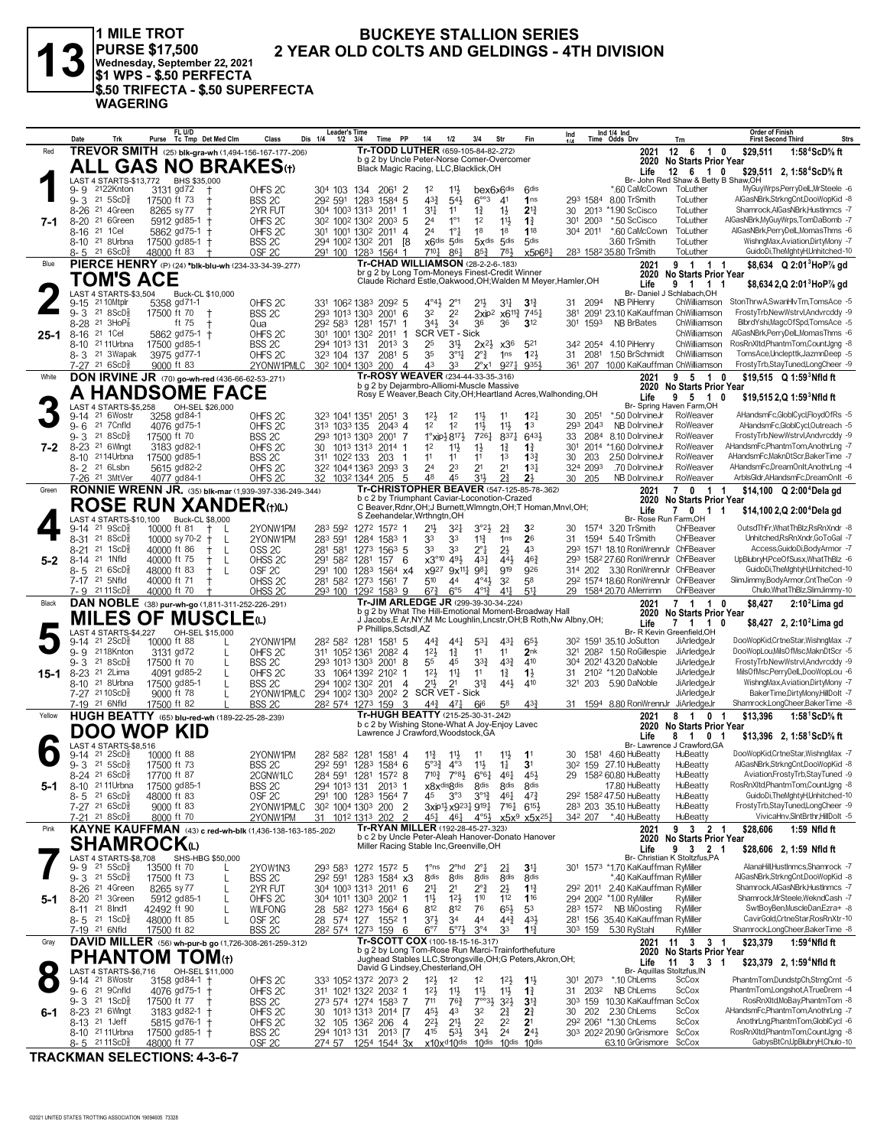1 MILE TROT<br>|PURSE \$17,500<br>|Wednesday, September 22, 2021<br>|\$1 WPS - \$.50 PERFECTA

**WAGERING** 

\$.50 TRIFECTA - \$.50 SUPERFECTA

 $\mathbf{G}$ 

#### **BUCKEYE STALLION SERIES** 2 YEAR OLD COLTS AND GELDINGS - 4TH DIVISION

|        | Date<br>Trk                                                            | FL U/D<br>Purse Tc Tmp Det Med Clm                                  |                           | Class<br>Dis 1/4                         | <b>Leader's Time</b><br>$1/2$ $3/4$ | Time                                                                                          | <b>PP</b><br>1/4                                         | 1/2                                                                                          | 3/4                                                            | Str                                                               | Fin                                                                  | Ind                     | Ind 1/4 Ind<br>Time Odds Drv                                               | Trn                                                               | <b>Order of Finish</b><br><b>First Second Third</b> | Strs                                                                  |
|--------|------------------------------------------------------------------------|---------------------------------------------------------------------|---------------------------|------------------------------------------|-------------------------------------|-----------------------------------------------------------------------------------------------|----------------------------------------------------------|----------------------------------------------------------------------------------------------|----------------------------------------------------------------|-------------------------------------------------------------------|----------------------------------------------------------------------|-------------------------|----------------------------------------------------------------------------|-------------------------------------------------------------------|-----------------------------------------------------|-----------------------------------------------------------------------|
| Red    |                                                                        | TREVOR SMITH (25) blk-gra-wh (1,494-156-167-177-206)                |                           |                                          |                                     |                                                                                               | Tr-TODD LUTHER (659-105-84-82-.272)                      |                                                                                              |                                                                |                                                                   |                                                                      |                         | 2021                                                                       | 12 6 1<br>0                                                       | \$29,511                                            | 1:58 <sup>4</sup> ScD% ft                                             |
|        |                                                                        | <b>ALL GAS NO BRAKES(t)</b>                                         |                           |                                          |                                     | b g 2 by Uncle Peter-Norse Comer-Overcomer<br>Black Magic Racing, LLC, Blacklick, OH          |                                                          |                                                                                              |                                                                |                                                                   |                                                                      |                         |                                                                            | 2020 No Starts Prior Year                                         |                                                     |                                                                       |
|        |                                                                        | LAST 4 STARTS-\$13,772 BHS \$35,000                                 |                           |                                          |                                     |                                                                                               |                                                          |                                                                                              |                                                                |                                                                   |                                                                      |                         | Life                                                                       | 12 6 1 0<br>Br- John Red Shaw & Betty B Shaw, OH                  |                                                     | \$29,511 2, 1:58 <sup>4</sup> ScD% ft                                 |
|        | 2122Knton<br>9- 9                                                      | 3131 gd72                                                           |                           | OHFS <sub>2C</sub>                       | 304 103 134                         | 2061                                                                                          | -2<br>$1^2$                                              | 11물                                                                                          | bex6x6dis                                                      |                                                                   | <b>Gdis</b>                                                          |                         | *.60 CaMcCown                                                              | ToLuther                                                          |                                                     | MyGuyWrps,PerryDelL,MrSteele -6                                       |
|        | $9 - 3$ 21 5ScD <sup>5</sup><br>8-26 21 4Green                         | 17500 ft 73<br>8265 sy 77                                           |                           | BSS 2C                                   |                                     | 292 591 1283 1584 5<br>304 1003 1313 2011                                                     | $43\frac{3}{4}$<br>31<br>-1                              | $5^{4}$<br>11                                                                                | $6^{\circ\circ}3$<br>17                                        | 4 <sup>1</sup><br>$1\frac{1}{2}$                                  | 1ns<br>$2^{13}$                                                      | 30                      | 293 1584 8.00 TrSmith<br>2013 *1.90 ScCisco                                | ToLuther<br>ToLuther                                              |                                                     | AlGasNBrk,StrkngCnt,DooWopKid -8<br>Shamrock, AlGasNBrk, HustInmcs -7 |
| 7-1    | $8 - 20$<br>21 6Green                                                  | 5912 gd85-1                                                         |                           | 2YR FUT<br>OHFS <sub>2C</sub>            |                                     | 302 1002 1302 2003 5                                                                          | 2 <sup>4</sup>                                           | $1^{\circ}1$                                                                                 | 1 <sup>2</sup>                                                 | $11\frac{1}{2}$                                                   | $1\frac{3}{4}$                                                       | 2003<br>301             | *.50 ScCisco                                                               | ToLuther                                                          |                                                     | AlGasNBrk,MyGuyWrps,TomDaBomb -7                                      |
|        | 8-16 <sup>21</sup> 1 Cel                                               | 5862 gd75-1                                                         |                           | OHFS <sub>2C</sub>                       |                                     | 301 1001 1302 2011                                                                            | 2 <sup>4</sup><br>$\overline{4}$                         | $1^{\circ}$ $\frac{1}{4}$                                                                    | 18                                                             | 18                                                                | 118                                                                  | 304 2011                | *.60 CaMcCown                                                              | ToLuther                                                          |                                                     | AlGasNBrk,PerryDelL,MomasThms -6                                      |
|        | 8-10 <sup>21</sup> 8Urbna                                              | 17500 gd85-1 +                                                      |                           | BSS <sub>2C</sub>                        |                                     | 294 1002 1302 201                                                                             | - 18                                                     | x6dis 5dis                                                                                   | $5x$ dis $5$ dis                                               |                                                                   | 5 <sub>dis</sub>                                                     |                         | 3.60 TrSmith                                                               | ToLuther                                                          |                                                     | WishngMax, Aviation, DirtyMony -7                                     |
| Blue   | 8-5 21 6ScD <sup>3</sup>                                               | 48000 ft 83<br>PIERCE HENRY (P) (24) *blk-blu-wh (234-33-34-39-277) |                           | OSF <sub>2C</sub>                        |                                     | 291 100 1283 1564 1                                                                           | 7104<br>Tr-CHAD WILLIAMSON (28-2-2-6-183)                | $86\frac{1}{4}$                                                                              | $85\frac{3}{4}$                                                | 781                                                               | x5p684                                                               |                         | 283 1582 35.80 TrSmith                                                     | ToLuther<br>9 1 1 1                                               |                                                     | GuidoDi,TheMghtyH,Unhitched-10                                        |
|        |                                                                        |                                                                     |                           |                                          |                                     | br g 2 by Long Tom-Moneys Finest-Credit Winner                                                |                                                          |                                                                                              |                                                                |                                                                   |                                                                      |                         | 2021<br>2020                                                               | <b>No Starts Prior Year</b>                                       |                                                     | \$8,634 $Q$ 2:01 <sup>3</sup> HoP <sup>7</sup> / <sub>8</sub> gd      |
|        | TOM'S ACE                                                              |                                                                     |                           |                                          |                                     |                                                                                               |                                                          |                                                                                              |                                                                |                                                                   | Claude Richard Estle, Oakwood, OH; Walden M Meyer, Hamler, OH        |                         | Life                                                                       | 9 1 1                                                             |                                                     | \$8,634 2,Q 2:01 HoP% gd                                              |
|        | LAST 4 STARTS-\$3,504<br>21 10Mtplr<br>9-15                            | 5358 gd71-1                                                         | Buck-CL \$10,000          | OHFS <sub>2C</sub>                       |                                     | 331 1062 1383 2092 5                                                                          | $4^{\circ}4^{\circ}$                                     | $2^{\circ}1$                                                                                 | 21}                                                            | 3 <sup>11</sup>                                                   | $3^{\frac{13}{4}}$                                                   | 2094<br>31              | Br- Daniel J<br>NB PiHenry                                                 | Schlabach, OH<br>ChWilliamson                                     |                                                     | StonThrwA,SwanHlvTm,TomsAce -5                                        |
|        | 21 8 ScD <sup>5</sup><br>$9 - 3$                                       | 17500 ft 70                                                         |                           | BSS 2C                                   |                                     | 293 1013 1303 2001 6                                                                          | 32                                                       | 2 <sup>2</sup>                                                                               |                                                                | 2xip <sup>2</sup> x6 <sup>113</sup> <sub>2</sub> 745 <sup>1</sup> |                                                                      | 381                     | 2091 23.10 KaKauffman ChWilliamson                                         |                                                                   |                                                     | FrostyTrb,NewWstrvl,Andvrcddy -9                                      |
|        | 8-28 21 3HoP <sup>7</sup>                                              | ft 75                                                               |                           | Qua                                      |                                     | 292 583 1281 1571                                                                             | 34}<br>-1                                                | 3 <sup>4</sup>                                                                               | 36                                                             | 36                                                                | $3^{12}$                                                             | 30 <sup>1</sup><br>1593 | <b>NB BrBates</b>                                                          | ChWilliamson                                                      |                                                     | BlbrdYshi,MagcOfSpd,TomsAce -5                                        |
| 25-1   | 8-16 <sup>21</sup> 1 Cel<br>8-10 <sup>21</sup> 11 Urbna                | 5862 gd75-1 +<br>17500 gd85-1                                       |                           | OHFS <sub>2C</sub><br>BSS <sub>2C</sub>  | 294 1013 131                        | 301 1001 1302 2011<br>2013 3                                                                  | -1<br>25                                                 | SCR VET - Sick<br>3 <sup>1</sup>                                                             | $2x^{2}\frac{1}{2}x^{36}$                                      |                                                                   | 521                                                                  |                         | 342 2054 4.10 PiHenry                                                      | ChWilliamson<br>ChWilliamson                                      |                                                     | AlGasNBrk,PerryDelL,MomasThms -6<br>RosRnXltd,PhantmTom,CountJgng -8  |
|        | 8-3 <sup>21</sup> 3Wapak                                               | 3975 gd77-1                                                         |                           | OHFS <sub>2C</sub>                       | 323 104 137                         | $2081$ 5                                                                                      | 35                                                       | $3^{\circ}$ 1 $\ddagger$                                                                     | $2^{\circ}$ $\frac{3}{4}$                                      | 1ns                                                               | $12\frac{1}{2}$                                                      | 31<br>2081              | 1.50 BrSchmidt                                                             | ChWilliamson                                                      |                                                     | TomsAce,Unclepttk,JazmnDeep -5                                        |
|        | 7-27 21 6ScD <sup>3</sup>                                              | 9000 ft 83                                                          |                           | 2YONW1PMLC                               |                                     | 30 <sup>2</sup> 100 <sup>4</sup> 130 <sup>3</sup> 200                                         | 43<br>4                                                  | 33                                                                                           | $2^{\circ}$ x1                                                 | 9271                                                              | 9354                                                                 |                         | 361 207 10.00 KaKauffman ChWilliamson                                      |                                                                   |                                                     | FrostyTrb,StayTuned,LongCheer -9                                      |
| White  |                                                                        | <b>DON IRVINE JR</b> (70) go-wh-red (436-66-62-53-.271)             |                           |                                          |                                     | b g 2 by Dejarmbro-Alliomi-Muscle Massive                                                     | Tr-ROSY WEAVER (234-44-33-35-.316)                       |                                                                                              |                                                                |                                                                   |                                                                      |                         | 2021                                                                       | 9 5 1<br>0                                                        |                                                     | \$19,515 Q 1:59 <sup>3</sup> Nfld ft                                  |
|        |                                                                        | <b>A HANDSOME FACE</b>                                              |                           |                                          |                                     |                                                                                               |                                                          |                                                                                              |                                                                |                                                                   | Rosy E Weaver, Beach City, OH; Heartland Acres, Walhonding, OH       |                         | 2020<br>Life                                                               | <b>No Starts Prior Year</b><br>9<br>510                           |                                                     | \$19,515 2,Q 1:59 Nfld ft                                             |
|        | LAST 4 STARTS-\$5,258                                                  |                                                                     | OH-SEL \$26,000           |                                          |                                     |                                                                                               |                                                          |                                                                                              |                                                                |                                                                   |                                                                      |                         |                                                                            | Br- Spring Haven Farm,OH                                          |                                                     |                                                                       |
|        | 21 6Wostr<br>9-14<br>21 7 Cnfld                                        | 3258 gd84-1                                                         |                           | OHFS <sub>2C</sub>                       | 323 1041 1351                       | $205^{\circ}$ 3                                                                               | $12\frac{1}{2}$<br>1 <sup>2</sup>                        | $1^2$<br>1 <sup>2</sup>                                                                      | $11\frac{1}{2}$                                                | 11                                                                | $12\frac{1}{4}$<br>1 <sup>3</sup>                                    | 2051<br>30<br>293 2043  | *.50 DolrvineJr<br>NB DolrvineJr                                           | RoWeaver<br>RoWeaver                                              |                                                     | AHandsmFc,GlobICycl,FloydOfRs -5<br>AHandsmFc,GloblCycl,Outreach -5   |
|        | $9 - 6$<br>$9 - 3$ 21 8ScD <sup>5</sup>                                | 4076 gd75-1<br>17500 ft 70                                          |                           | OHFS <sub>2C</sub><br>BSS 2C             | 313 1033 135                        | $204^3$ 4<br>293 1013 1303 2001 7                                                             |                                                          | $1^{\circ}$ xip $\frac{1}{2}$ 8 <sup>17</sup> $\frac{1}{2}$                                  | $11\frac{1}{2}$<br>7261                                        | 11<br>8371                                                        | 643                                                                  | 33<br>2084              | 8.10 DolrvineJr                                                            | RoWeaver                                                          |                                                     | FrostyTrb,NewWstrvl,Andvrcddy -9                                      |
| 7-2    | 8-23 <sup>21</sup> 6 Wingt                                             | 3183 gd82-1                                                         |                           | OHFS <sub>2C</sub>                       | 30                                  | 1013 1313 2014 1                                                                              | 1 <sup>2</sup>                                           | $11\frac{1}{2}$                                                                              | $1\frac{1}{2}$                                                 | $1\frac{3}{4}$                                                    | $1\frac{3}{4}$                                                       | 30 <sup>1</sup>         | 2014 *1.60 DolrvineJr                                                      | RoWeaver                                                          |                                                     | AHandsmFc,PhantmTom,AnothrLng -7                                      |
|        | 8-10 2114Urbna                                                         | 17500 gd85-1                                                        |                           | BSS <sub>2C</sub>                        | 311 1022 133                        | 203                                                                                           | 11                                                       | 11                                                                                           | 11                                                             | 1 <sup>3</sup>                                                    | $13\frac{3}{4}$                                                      | 203<br>30               | 2.50 DolrvineJr                                                            | RoWeaver                                                          |                                                     | AHandsmFc,MaknDtScr,BakerTime -7                                      |
|        | 8-2 <sup>21</sup> 6Lsbn<br>7-26 21 3MtVer                              | 5615 gd82-2<br>4077 gd84-1                                          |                           | OHFS <sub>2C</sub><br>OHFS <sub>2C</sub> |                                     | 322 1044 1363 2093 3<br>32 1032 1344 205                                                      | 24<br>.5<br>48                                           | 23<br>45                                                                                     | 2 <sup>1</sup><br>31                                           | 2 <sup>1</sup><br>21                                              | $13\frac{1}{4}$<br>2 <sup>1</sup>                                    | 324 2093<br>30 205      | .70 DolrvineJr<br>NB DolrvineJr                                            | RoWeaver<br>RoWeaver                                              |                                                     | AHandsmFc.DreamOnIt.AnothrLng -4<br>ArbisGldr.AHandsmFc.DreamOnit -6  |
| Green  |                                                                        | RONNIE WRENN JR. (35) blk-mar (1,939-397-336-249-.344)              |                           |                                          |                                     |                                                                                               | Tr-CHRISTOPHER BEAVER (547-125-85-78-362)                |                                                                                              |                                                                |                                                                   |                                                                      |                         | 2021                                                                       | 7 0 1 1                                                           |                                                     | \$14,100 Q 2:00 <sup>4</sup> Dela gd                                  |
|        |                                                                        | ROSE RUN XANDER(t)(L)                                               |                           |                                          |                                     | b c 2 by Triumphant Caviar-Loconotion-Crazed                                                  |                                                          |                                                                                              |                                                                |                                                                   | C Beaver, Rdnr, OH; J Burnett, Wimngtn, OH; T Homan, Mnvl, OH;       |                         | 2020                                                                       | <b>No Starts Prior Year</b>                                       |                                                     |                                                                       |
|        |                                                                        | LAST 4 STARTS-\$10,100 Buck-CL \$8,000                              |                           |                                          |                                     | S Zeehandelar, Wrthngtn, OH                                                                   |                                                          |                                                                                              |                                                                |                                                                   |                                                                      |                         | Life<br>Br- Rose Run Farm.OH                                               | 7<br>0 <sub>1</sub><br>-1                                         |                                                     | \$14,100 2, Q 2:00 <sup>4</sup> Dela gd                               |
|        | $21 \text{ } 9$ ScD $\frac{3}{8}$<br>9-14                              | 10000 ft 81                                                         | -L                        | 2YONW1PM                                 |                                     | 283 592 1272 1572 1                                                                           | 21}                                                      | $3^{2}$                                                                                      | 3°2}                                                           | $2\frac{3}{4}$                                                    | 32                                                                   | 30                      | 1574 3.20 TrSmith                                                          | ChFBeaver                                                         |                                                     | OutsdThFr, WhatThBlz, RsRnXndr -8                                     |
|        | 8-31 21 8ScD <sup>5</sup>                                              | 10000 sy 70-2 $+$                                                   | L                         | 2YONW1PM                                 | 283 591                             | 1284 1583 1                                                                                   | 33                                                       | 33                                                                                           | $11\frac{3}{4}$                                                | 1 <sub>ns</sub>                                                   | 26                                                                   | 31                      | 1594 5.40 TrSmith                                                          | ChFBeaver                                                         |                                                     | Unhitched,RsRnXndr,GoToGal -7                                         |
| $5-2$  | 21 1 ScD<br>8-21<br>21 1Nfld<br>$8 - 14$                               | 40000 ft 86<br>40000 ft 75                                          | L<br>$^+$<br>$\mathbf{I}$ | OSS <sub>2C</sub><br>OHSS <sub>2C</sub>  | 291 582 1281                        | 281 581 1273 1563 5<br>157                                                                    | 33<br>$\times 3^{\circ 10}$<br>- 6                       | 33<br>49}                                                                                    | $2^{\circ}\frac{1}{4}$<br>431                                  | $2\frac{1}{2}$<br>443                                             | 43<br>$46\frac{3}{4}$                                                |                         | 293 1571 18.10 RonWrennJr ChFBeaver<br>293 1582 27.60 RonWrennJr ChFBeaver |                                                                   |                                                     | Access, GuidoDi, Body Armor - 7<br>UpBlubryH,PceOfSusx,WhatThBlz -6   |
|        | 216SCD <sub>8</sub><br>$8 - 5$                                         | 48000 ft 83                                                         | L                         | OSF <sub>2C</sub>                        |                                     | 291 100 1283 1564 x4                                                                          | x927                                                     | $9x^{11}$                                                                                    | 981                                                            | 919                                                               | 926                                                                  |                         | 314 202 3.30 RonWrennJr ChFBeaver                                          |                                                                   |                                                     | GuidoDi, The MghtyH, Unhitched-10                                     |
|        | 7-17 <sup>21</sup> 5Nfld                                               | 40000 ft 71                                                         | t                         | OHSS <sub>2C</sub>                       |                                     | 281 582 1273 1561                                                                             | 510<br>-7                                                | 44                                                                                           | $4^{\circ}4\frac{1}{2}$                                        | 3 <sup>2</sup>                                                    | 58                                                                   |                         | 292 1574 18.60 RonWrennJr ChFBeaver                                        |                                                                   |                                                     | SlimJimmy,BodyArmor,CntTheCon -9                                      |
|        | 7-9 2111ScD <sup>3</sup>                                               | 40000 ft 70                                                         |                           | OHSS <sub>20</sub>                       |                                     | 293 100 1292 1583 9                                                                           | $67\frac{3}{4}$<br>Tr-JIM ARLEDGE JR (299-39-30-34-.224) | $6^{\circ 5}$                                                                                | $4^{013}$                                                      | $4^{11}$                                                          | $5^{11}$                                                             |                         | 29 1584 20.70 AMerrimn                                                     | ChFBeaver                                                         |                                                     | Chulo, What ThBlz, SlimJimmy-10                                       |
| Black  |                                                                        | DAN NOBLE (38) pur-wh-go (1,811-311-252-226-.291)                   |                           |                                          |                                     |                                                                                               |                                                          |                                                                                              |                                                                |                                                                   | b g 2 by What The Hill-Emotional Moment-Broadway Hall                |                         | 2021                                                                       | 7 1 1 0<br>2020 No Starts Prior Year                              | \$8,427                                             | $2:102$ Lima gd                                                       |
|        |                                                                        | MILES OF MUSCLEധ                                                    |                           |                                          |                                     | P Phillips, Sctsdl, AZ                                                                        |                                                          |                                                                                              |                                                                |                                                                   | J Jacobs, E Ar, NY; M Mc Loughlin, Lncstr, OH; B Roth, Nw Albny, OH; |                         | Life                                                                       | 7 1 1                                                             |                                                     | \$8,427 2, 2:10 <sup>2</sup> Lima gd                                  |
|        | LAST 4 STARTS-\$4,227<br>21 2ScD <sup>3</sup><br>9-14                  | 10000 ft 88                                                         | OH-SEL \$15,000           | 2YONW1PM                                 |                                     | 28 <sup>2</sup> 58 <sup>2</sup> 128 <sup>1</sup> 158 <sup>1</sup> 5                           | $44\frac{3}{4}$                                          | $44\frac{1}{4}$                                                                              | 531                                                            | $43\frac{1}{4}$                                                   | 65}                                                                  |                         | 30 <sup>2</sup> 1591 35.10 JoSutton                                        | Br- R Kevin Greenfield, OH<br>JiArledgeJr                         |                                                     | DooWopKid,CrtneStar,WishngMax -7                                      |
|        | 9-9 2118Knton                                                          | 3131 gd72                                                           |                           | OHFS <sub>2C</sub>                       |                                     | 311 1052 1361 2082 4                                                                          | $12\frac{1}{2}$                                          | $1\frac{3}{4}$                                                                               | 11                                                             | 11                                                                | 2 <sub>nk</sub>                                                      |                         | 321 2082 1.50 RoGillespie                                                  | JiArledgeJr                                                       |                                                     | DooWopLou, MilsOfMsc, MaknDtScr -5                                    |
|        | $9 - 3$ 21 8ScD <sup>5</sup>                                           | 17500 ft 70                                                         | $\mathbf{I}$              | BSS 2C                                   |                                     | 293 1013 1303 2001 8                                                                          | 55<br>12 <sup>1</sup>                                    | 45<br>$11\frac{1}{4}$                                                                        | $3^{32}$                                                       | $4^{3}\frac{3}{4}$<br>$1\frac{3}{4}$                              | 410<br>$1\frac{1}{2}$                                                |                         | 304 2021 43.20 DaNoble                                                     | JiArledgeJr                                                       |                                                     | FrostyTrb,NewWstrvl,Andvrcddy -9                                      |
| 15-1   | 8-23 <sup>21</sup> 2Lima<br>8-10 <sup>21</sup> 8Urbna                  | 4091 gd85-2                                                         |                           | OHFS <sub>2C</sub>                       |                                     |                                                                                               |                                                          |                                                                                              |                                                                |                                                                   |                                                                      |                         |                                                                            |                                                                   |                                                     |                                                                       |
|        |                                                                        |                                                                     | L                         |                                          |                                     | 33 1064 1392 2102 1                                                                           |                                                          |                                                                                              | 11                                                             |                                                                   |                                                                      | 31                      | 210 <sup>2</sup> *1.20 DaNoble                                             | JiArledgeJr                                                       |                                                     | MilsOfMsc,PerryDelL,DooWopLou -6                                      |
|        | 7-27 21 10ScD <sup>5</sup>                                             | 17500 gd85-1<br>9000 ft 78                                          | L<br>L                    | BSS 2C<br>2YONW1PMLC                     |                                     | 294 1002 1302 201<br>294 1002 1303 2002 2                                                     | $21\frac{1}{2}$<br>4                                     | 2 <sup>1</sup><br>SCR VET - Sick                                                             | $3^{13}$                                                       | 443                                                               | 410                                                                  | 203<br>321              | 5.90 DaNoble                                                               | JiArledgeJr<br>JiArledgeJr                                        |                                                     | WishngMax, Aviation, DirtyMony -7<br>BakerTime,DirtyMony,HillDolt -7  |
|        | 7-19 21 6Nfld                                                          | 17500 ft 82                                                         |                           | BSS <sub>2C</sub>                        |                                     | 282 574 1273 159                                                                              | 3<br>$44\frac{3}{4}$                                     | $47\frac{1}{4}$                                                                              | 6i <sup>6</sup>                                                | 58                                                                | $4^{3}\frac{3}{4}$                                                   |                         | 31 1594 8.80 RonWrennJr JiArledgeJr                                        |                                                                   |                                                     | Shamrock,LongCheer,BakerTime -8                                       |
| Yellow |                                                                        | HUGH BEATTY (65) blu-red-wh (189-22-25-28-.239)                     |                           |                                          |                                     | b c 2 by Wishing Stone-What A Joy-Enjoy Lavec                                                 | Tr-HUGH BEATTY (215-25-30-31-242)                        |                                                                                              |                                                                |                                                                   |                                                                      |                         | 2021                                                                       | 81<br>0 <sub>1</sub>                                              | \$13,396                                            | 1:58 $1$ ScD $\%$ ft                                                  |
|        |                                                                        | DOO WOP KID                                                         |                           |                                          |                                     | Lawrence J Crawford, Woodstock, GA                                                            |                                                          |                                                                                              |                                                                |                                                                   |                                                                      |                         | 2020<br>Life                                                               | <b>No Starts Prior Year</b><br>8<br>$\overline{1}$<br>$\mathbf 0$ |                                                     | \$13,396 2, 1:58 ScD % ft                                             |
|        | AST 4 STARTS-\$8,516                                                   |                                                                     |                           |                                          |                                     |                                                                                               |                                                          |                                                                                              |                                                                |                                                                   |                                                                      |                         |                                                                            | Br- Lawrence J Crawford, GA                                       |                                                     |                                                                       |
|        | $21 \quad 2$ ScD $\frac{5}{8}$<br>9-14<br>$9 - 3$ 21 5ScD <sup>5</sup> | 10000 ft 88<br>17500 ft 73                                          |                           | 2YONW1PM<br>BSS 2C                       |                                     | 28 <sup>2</sup> 58 <sup>2</sup> 128 <sup>1</sup> 158 <sup>1</sup> 4<br>292 591 1283 1584 6    | $11\frac{3}{4}$                                          | $11\frac{1}{2}$<br>$5^{\circ}3^3$ 4°3                                                        | 11<br>$11\frac{1}{2}$                                          | 11号<br>$1\frac{1}{4}$                                             | 1 <sup>1</sup><br>3 <sup>1</sup>                                     | 30                      | 1581 4.60 HuBeatty<br>30 <sup>2</sup> 159 27.10 HuBeatty                   | HuBeatty<br>HuBeatty                                              |                                                     | DooWopKid,CrtneStar,WishngMax -7<br>AlGasNBrk,StrkngCnt,DooWopKid -8  |
|        | 8-24 21 6ScD <sup>5</sup>                                              | 17700 ft 87                                                         |                           | 2CGNW1LC                                 |                                     | 284 591 1281 1572 8                                                                           |                                                          | $7^{10\frac{3}{4}}$ $7^{08\frac{1}{2}}$ $6^{06\frac{1}{4}}$                                  |                                                                | 461                                                               | 45}                                                                  |                         | 29 1582 60.80 HuBeatty                                                     | HuBeatty                                                          |                                                     | Aviation,FrostyTrb,StayTuned -9                                       |
| 5-1    | 8-10 21 11 Urbna                                                       | 17500 gd85-1                                                        |                           | BSS 2C                                   |                                     | 294 1013 131 2013 1                                                                           |                                                          | x8x <sup>disgdis</sup> 8 <sup>dis</sup>                                                      |                                                                | 8 <sup>dis</sup>                                                  | 8 <sup>dis</sup>                                                     |                         | 17.80 HuBeatty                                                             | HuBeatty                                                          |                                                     | RosRnXItd,PhantmTom,CountJgng -8                                      |
|        | $8 - 5$ 21 6 ScD <sup>5</sup><br>7-27 21 6ScD <sup>5</sup>             | 48000 ft 83<br>9000 ft 83                                           |                           | OSF 2C                                   |                                     | 291 100 1283 1564 7                                                                           | 45                                                       | $3^{\circ}3$                                                                                 | $3^{012}$                                                      | 461                                                               | $47\frac{3}{4}$                                                      |                         | 292 1582 47.50 HuBeatty<br>283 203 35.10 HuBeatty                          | HuBeatty<br>HuBeatty                                              |                                                     | GuidoDi, The MghtyH, Unhitched-10<br>FrostyTrb,StayTuned,LongCheer -9 |
|        | 7-21 21 8ScD <sup>3</sup>                                              | 8000 ft 70                                                          |                           | 2YONW1PMLC<br>2YONW1PM                   |                                     | 30 <sup>2</sup> 100 <sup>4</sup> 130 <sup>3</sup> 200<br>31 1012 1313 202                     | $\overline{2}$<br>$\mathcal{P}$<br>451                   | 3xip11 <sub>2</sub> x9231 <sub>4</sub> 9191 <sub>4</sub> 7161 <sub>46</sub> 151 <sub>2</sub> | 461 4°51 x5x9 x5x251                                           |                                                                   |                                                                      | 342 207                 | *.40 HuBeatty                                                              | HuBeatty                                                          |                                                     | VivicaHnv,SIntBrthr,HillDolt -5                                       |
| Pink   |                                                                        | KAYNE KAUFFMAN (43) c red-wh-blk (1,436-138-163-185-202)            |                           |                                          |                                     |                                                                                               | Tr-RYAN MILLER (192-28-45-27-.323)                       |                                                                                              |                                                                |                                                                   |                                                                      |                         | 2021                                                                       | 9 3 2 1                                                           | \$28,606                                            | 1:59 Nfld ft                                                          |
|        |                                                                        | SHAMROCKധ                                                           |                           |                                          |                                     | b c 2 by Uncle Peter-Aleah Hanover-Donato Hanover<br>Miller Racing Stable Inc, Greenville, OH |                                                          |                                                                                              |                                                                |                                                                   |                                                                      |                         | Life                                                                       | 2020 No Starts Prior Year<br>9<br>3 2 1                           |                                                     | \$28,606 2, 1:59 Nfld ft                                              |
|        | LAST 4 STARTS-\$8,708                                                  |                                                                     | SHS-HBG \$50,000          |                                          |                                     |                                                                                               |                                                          |                                                                                              |                                                                |                                                                   |                                                                      |                         |                                                                            | Br- Christian K Stoltzfus,PA                                      |                                                     |                                                                       |
|        | 9-9 <sup>21</sup> 5ScD <sup>5</sup><br>$9 - 3$ 21 5 ScD <sup>3</sup>   | 13500 ft 70<br>17500 ft 73                                          |                           | 2YOW1N3<br>BSS <sub>2C</sub>             |                                     | 293 583 1272 1572 5<br>29 <sup>2</sup> 59 <sup>1</sup> 128 <sup>3</sup> 1584 x3               | $1^{\circ}$ ns<br>8 <sup>dis</sup>                       | 2 <sup>ohd</sup><br>8 <sub>dis</sub>                                                         | $2^{\circ}$ <sup>1</sup><br>8 <sub>dis</sub>                   | $2\frac{1}{4}$<br>8 <sub>dis</sub>                                | 3 <sup>11</sup><br>8 <sub>dis</sub>                                  |                         | 301 1573 *1.70 KaKauffman RyMiller<br>*.40 KaKauffman Rwiller              |                                                                   |                                                     | AlanaHill.HustInmcs.Shamrock -7<br>AlGasNBrk,StrkngCnt,DooWopKid -8   |
|        | 8-26 <sup>21</sup> 4Green                                              | 8265 sy 77                                                          | L                         | 2YR FUT                                  |                                     | 304 1003 1313 2011 6                                                                          | 21                                                       | 2 <sup>1</sup>                                                                               | $2^{\circ}$ $\frac{3}{4}$                                      | $2\frac{1}{2}$                                                    | $1\frac{13}{4}$                                                      |                         | 292 2011 2.40 KaKauffman RyMiller                                          |                                                                   |                                                     | Shamrock, AlGasNBrk, HustInmcs -7                                     |
| 5-1    | 8-20 <sup>21</sup> 3Green                                              | 5912 gd85-1                                                         |                           | OHFS <sub>2C</sub>                       |                                     | 304 1011 1303 2002 1                                                                          | 11}                                                      | $12\frac{1}{2}$                                                                              | 110                                                            | 112                                                               | 116                                                                  |                         | 294 2002 *1.00 RyMiller                                                    | RyMiller                                                          |                                                     | Shamrock,MrSteele,WekndCash -7                                        |
|        | 8-11 21 8 Ind1                                                         | 42492 ft 90                                                         |                           | <b>WILFONG</b>                           |                                     | 28 582 1273 1564 6                                                                            | 812                                                      | 812                                                                                          | 76                                                             | $65\frac{1}{2}$                                                   | 53                                                                   |                         | 283 1572 NB MiOosting                                                      | RyMiller                                                          |                                                     | SwtBoyBen, MuscleDan, Ezra+ -8<br>CavirGold.CrtneStar.RosRnXtr-10     |
|        | 8-5 21 1ScD <sup>3</sup><br>7-19 21 6Nfld                              | 48000 ft 85<br>17500 ft 82                                          |                           | OSF 2C<br>BSS <sub>2C</sub>              |                                     | 28 574 127 1552 1<br>28 <sup>2</sup> 574 1273 159 6                                           | 37}<br>$6^{\circ}7$                                      | 34<br>$5^{07}$                                                                               | 44<br>$3^{\circ 4}$                                            | 44}<br>33                                                         | 431<br>$1^{13}$                                                      |                         | 281 156 35.40 KaKauffman RyMiller<br>303 159 5.30 RyStahl                  | RyMiller                                                          |                                                     | Shamrock,LongCheer,BakerTime -8                                       |
| Gray   |                                                                        | DAVID MILLER (56) wh-pur-b go (1,726-308-261-259-.312)              |                           |                                          |                                     |                                                                                               | Tr-SCOTT COX (100-18-15-16-.317)                         |                                                                                              |                                                                |                                                                   |                                                                      |                         | 2021                                                                       | $11 \quad 3$<br>3 1                                               | \$23.379                                            | $1:594$ Nfld ft                                                       |
|        |                                                                        | <b>PHANTOM TOM</b> (t)                                              |                           |                                          |                                     | b g 2 by Long Tom-Rose Run Marci-Trainforthefuture                                            |                                                          |                                                                                              |                                                                |                                                                   | Jughead Stables LLC, Strongsville, OH; G Peters, Akron, OH;          |                         | Life                                                                       | 2020 No Starts Prior Year<br>11 3 3 1                             |                                                     |                                                                       |
|        | LAST 4 STARTS-\$6,716                                                  |                                                                     | OH-SEL \$11,000           |                                          |                                     | David G Lindsey, Chesterland, OH                                                              |                                                          |                                                                                              |                                                                |                                                                   |                                                                      |                         | Br- Aquillas Stoltzfus, IN                                                 |                                                                   |                                                     | \$23,379 2, 1:59°Nfld ft                                              |
|        | 9-14 <sup>21</sup> 8Wostr                                              | 3158 gd84-1 +                                                       |                           | OHFS <sub>2C</sub>                       |                                     | 333 1052 1372 2073 2                                                                          | $12\frac{1}{2}$                                          | $1^2$                                                                                        | 1 <sup>2</sup>                                                 | $12\frac{1}{2}$                                                   | 1 "շ                                                                 | 2073<br>301             | *.10 ChLems                                                                | ScCox<br>ScCox                                                    |                                                     | PhantmTom,DundstpCh,StrngCrnt -5<br>PhantmTom,Longshot,ATrueDrem -4   |
|        | 9-6 21 9 Cnfld<br>$9 - 3$ 21 1ScD $\frac{5}{8}$                        | 4076 gd75-1 +<br>17500 ft 77                                        | $\mathsf{f}$              | OHFS <sub>2C</sub><br>BSS <sub>2C</sub>  |                                     | 311 1021 1322 2032 1<br>273 574 1274 1583 7                                                   | $12\frac{1}{2}$<br>711                                   | $11\frac{1}{2}$<br>$76\frac{3}{4}$                                                           | 11支<br>$7^{\circ}\substack{31}$ 3 <sup>21</sup> / <sub>2</sub> | 11                                                                | $1\frac{3}{4}$<br>$3^{13}$                                           | 31 2032                 | NB ChLems<br>303 159 10.30 KaKauffman ScCox                                |                                                                   |                                                     | RosRnXltd,MoBay,PhantmTom -8                                          |
| 6-1    | 8-23 <sup>21</sup> 6 Wingt                                             | $3183$ gd82-1 +                                                     |                           | OHFS <sub>2C</sub>                       |                                     | 30 1013 1313 2014 7                                                                           | 45}                                                      | 43                                                                                           | 32                                                             | 21                                                                | $2\frac{3}{4}$                                                       | 30<br>202               | 2.30 ChLems                                                                | ScCox                                                             |                                                     | AHandsmFc,PhantmTom,AnothrLng -7                                      |
|        | 8-13 <sup>21</sup> 1Jeff<br>8-10 <sup>21</sup> 11 Urbna                | 5815 gd76-1 +<br>17500 gd85-1 +                                     |                           | OHFS <sub>2C</sub><br>BSS 2C             |                                     | 32 105 136 <sup>2</sup> 206 4<br>294 1013 131 2013 [7                                         | $2^{2}\frac{1}{2}$<br>415                                | 2 <sup>11</sup><br>$5^{31}$                                                                  | 2 <sup>2</sup><br>$34\frac{1}{2}$                              | 2 <sup>2</sup><br>2 <sup>4</sup>                                  | 2 <sup>1</sup><br>$24\frac{1}{2}$                                    |                         | 292 2061 *1.30 ChLems<br>303 2022 20.90 GrGrismore ScCox                   | ScCox                                                             |                                                     | AnothrLng,PhantmTom,GlobICycl -6<br>RosRnXltd,PhantmTom,CountJgng -8  |

**TRACKMAN SELECTIONS: 4-3-6-7**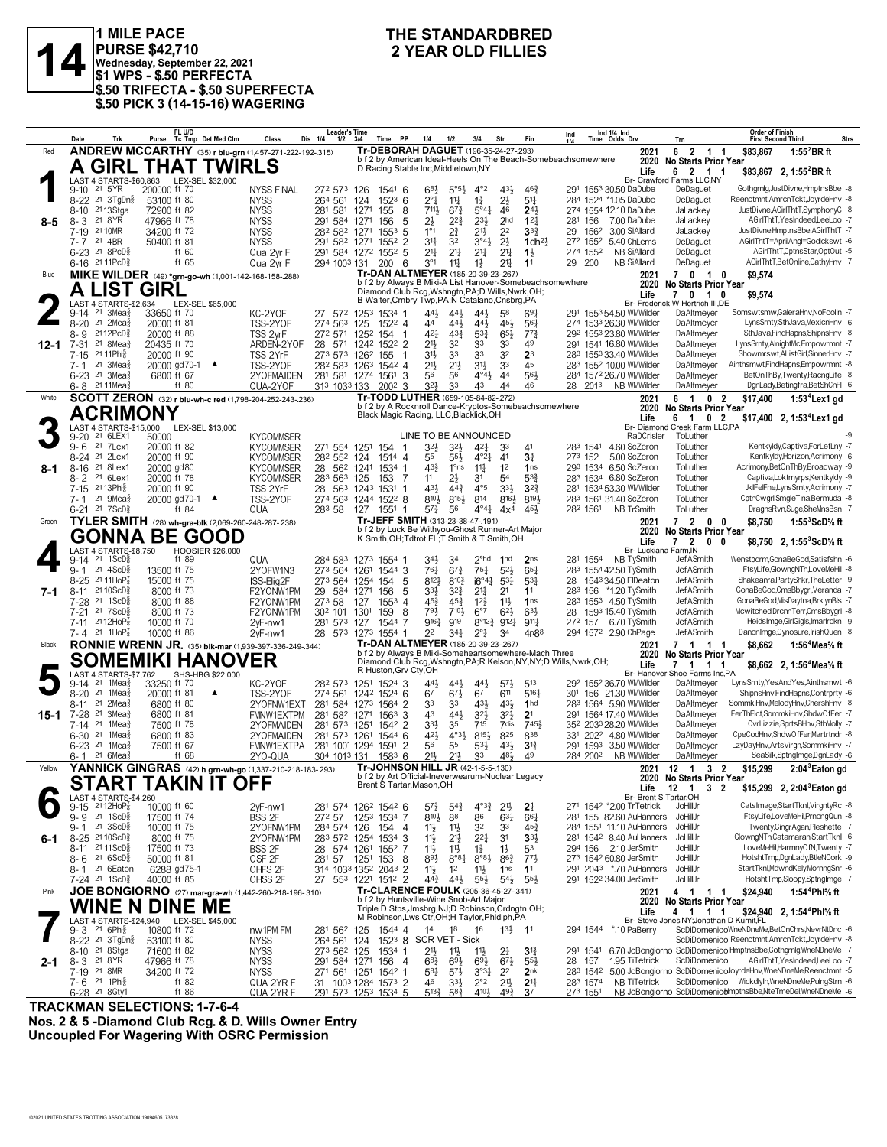

1 MILE PACE<br>
PURSE \$42,710<br>
Wednesday, September 22, 2021<br>
\$1 WPS - \$.50 PERFECTA<br> **2** YEAR OLD FILLIES **PURSE \$42,710 Wednesday, September 22, 2021 \$1 WPS - \$.50 PERFECTA \$.50 TRIFECTA - \$.50 SUPERFECTA \$.50 PICK 3 (14-15-16) WAGERING**

## **THE STANDARDBRED**

|        | Date                | Trk                                                        | FL U/D                                  | Purse Tc Tmp Det Med Clm                             | Class                                                                      | Leader's Time<br>Dis 1/4<br>1/2     | 3/4          | PP<br>Time                                                                                            | 1/4                                       | 1/2                                       | 3/4                                         | Str                                  | Fin                                | Ind<br>414                                                          |                    | Ind 1/4 Ind<br>Time Odds Drv                        | Trn                                                                            | <b>Order of Finish</b><br><b>First Second Third</b> |                                                                                         | Strs |
|--------|---------------------|------------------------------------------------------------|-----------------------------------------|------------------------------------------------------|----------------------------------------------------------------------------|-------------------------------------|--------------|-------------------------------------------------------------------------------------------------------|-------------------------------------------|-------------------------------------------|---------------------------------------------|--------------------------------------|------------------------------------|---------------------------------------------------------------------|--------------------|-----------------------------------------------------|--------------------------------------------------------------------------------|-----------------------------------------------------|-----------------------------------------------------------------------------------------|------|
| Red    |                     |                                                            |                                         |                                                      | <b>ANDREW MCCARTHY</b> (35) r blu-grn (1,457-271-222-192-.315)             |                                     |              | Tr-DEBORAH DAGUET (196-35-24-27-293)                                                                  |                                           |                                           |                                             |                                      |                                    |                                                                     |                    | 2021                                                | 6 2 1<br>-1                                                                    | \$83,867                                            | $1:552BR$ ft                                                                            |      |
|        |                     |                                                            |                                         | <b>A GIRL THAT TWIRLS</b>                            |                                                                            |                                     |              | D Racing Stable Inc, Middletown, NY                                                                   |                                           |                                           |                                             |                                      |                                    | b f 2 by American Ideal-Heels On The Beach-Somebeachsomewhere       |                    | 2020<br>Life                                        | No Starts Prior Year<br>6 2 1 1                                                |                                                     |                                                                                         |      |
|        |                     |                                                            |                                         | LAST 4 STARTS-\$60.863 LEX-SEL \$32.000              |                                                                            |                                     |              |                                                                                                       |                                           |                                           |                                             |                                      |                                    |                                                                     |                    |                                                     | Br- Crawford Farms LLC,NY                                                      |                                                     | \$83,867 2, 1:55 BR ft                                                                  |      |
|        | $9 - 10$            | 21 5 YR                                                    | 200000 ft 70                            |                                                      | <b>NYSS FINAL</b>                                                          | 272 573                             | 126          | $154^1$ 6                                                                                             | 683                                       | 5°5 <sup>3</sup>                          | $4^{\circ}2$                                | $43\frac{1}{2}$                      | $46\frac{3}{4}$                    |                                                                     |                    | 291 1553 30.50 DaDube                               | DeDaguet                                                                       |                                                     | Gothgrnlg,JustDivne,HmptnsBbe -8                                                        |      |
|        |                     | 8-22 <sup>21</sup> 3TgDn <sup>3</sup><br>8-10 2113Stga     | 53100 ft 80                             |                                                      | <b>NYSS</b>                                                                | 264 561                             | 124          | 1523<br>6                                                                                             | $2^{\circ}1$<br>711,                      | $11\frac{1}{4}$<br>$6^{73}$               | $1\frac{3}{4}$                              | $2\frac{1}{2}$<br>46                 | 5 <sup>11</sup><br>$2^{4}$         |                                                                     |                    | 284 1524 *1.05 DaDube<br>274 1554 12.10 DaDube      | DeDaguet<br>JaLackey                                                           |                                                     | Reenctmnt, AmrcnTckt, JoyrdeHnv -8<br>JustDivne, AGirlThtT, SymphonyG -8                |      |
| 8-5    | $8 - 3$             | 21 8 YR                                                    | 72900 ft 82<br>47966 ft 78              |                                                      | <b>NYSS</b><br><b>NYSS</b>                                                 | 281<br>581<br>291 584               | 1271<br>1271 | 155<br>8<br>156<br>5                                                                                  | 2}                                        | 22}                                       | $5^{\circ}41$<br>$2^{3}\frac{1}{2}$         | 2 <sub>hd</sub>                      | $12\frac{1}{4}$                    |                                                                     | 281 156            | 7.00 DaDube                                         | JaLackey                                                                       |                                                     | AGirlThtT, YesIndeed, LeeLoo -7                                                         |      |
|        |                     | 7-19 21 10MR                                               | 34200 ft 72                             |                                                      | <b>NYSS</b>                                                                | 282 582 1271                        |              | $155^3$ 5                                                                                             | $1^{\circ}1$                              | $2\frac{3}{4}$                            | 21}                                         | 22                                   | $3^{3}{}_{4}$                      | 29                                                                  | 1562               | 3.00 SiAllard                                       | JaLackey                                                                       |                                                     | JustDivne,HmptnsBbe,AGirlThtT -7                                                        |      |
|        | 7- 7                | 21 4BR                                                     | 50400 ft 81                             |                                                      | <b>NYSS</b>                                                                | 291 582 1271                        |              | 1552 2                                                                                                | $3^{11}$                                  | 32                                        | 3°4 <sup>3</sup>                            | $2\frac{1}{2}$                       | $1$ dh <sup>21</sup>               |                                                                     | 272 1552           | 5.40 ChLems                                         | DeDaguet                                                                       |                                                     | AGirlThtT=AprilAngl=Godlckswt -6                                                        |      |
|        |                     | 6-23 21 8PcD <sup>5</sup><br>6-16 21 11 PcD <sup>3</sup>   | ft 60<br>ft $65$                        |                                                      | Qua 2yr F<br>Qua 2yr F                                                     | 291 584 1272 1552 5<br>294 1003 131 |              | 200 6                                                                                                 | $21\frac{1}{4}$<br>$3^{\circ}1$           | $2^{11}$<br>$11\frac{1}{4}$               | 2 <sup>11</sup><br>$1\frac{1}{2}$           | 2 <sup>11</sup><br>$21\frac{1}{4}$   | $1\frac{1}{2}$<br>11               |                                                                     | 274 1552<br>29 200 | <b>NB SiAllard</b><br>NB SiAllard                   | DeDaguet<br>DeDaguet                                                           |                                                     | AGirlThtT,CptnsStar,OptOut -5<br>AGirlThtT,BetOnline,CathyHnv -7                        |      |
| Blue   |                     |                                                            |                                         | MIKE WILDER (49) *grn-go-wh (1,001-142-168-158-.288) |                                                                            |                                     |              | Tr-DAN ALTMEYER (185-20-39-23-.267)                                                                   |                                           |                                           |                                             |                                      |                                    |                                                                     |                    | 2021                                                | 701<br>0                                                                       | \$9.574                                             |                                                                                         |      |
|        |                     | <b>A LIST GIRL</b>                                         |                                         |                                                      |                                                                            |                                     |              |                                                                                                       |                                           |                                           |                                             |                                      |                                    | b f 2 by Always B Miki-A List Hanover-Somebeachsomewhere            |                    | 2020                                                | <b>No Starts Prior Year</b>                                                    |                                                     |                                                                                         |      |
|        |                     |                                                            |                                         |                                                      |                                                                            |                                     |              | Diamond Club Rcg, Wshngtn, PA; D Wills, Nwrk, OH;<br>B Waiter, Crnbry Twp, PA; N Catalano, Cnsbrg, PA |                                           |                                           |                                             |                                      |                                    |                                                                     |                    | Life                                                | 7 0 1 0<br>Br- Frederick W Hertrich III.DE                                     | \$9,574                                             |                                                                                         |      |
|        |                     | LAST 4 STARTS-\$2,634<br>9-14 21 3Mea§                     | 33650 ft 70                             | LEX-SEL \$65,000                                     | KC-2YOF                                                                    | 27 572                              | 1253         | 1534 1                                                                                                | 44}                                       | 443                                       | 443                                         | 58                                   | 691                                |                                                                     |                    | 291 1553 54.50 WMWilder                             | DaAltmeyer                                                                     |                                                     | Somswtsmw,GaleraHnv,NoFoolin -7                                                         |      |
|        |                     | 8-20 <sup>21</sup> 2Mea                                    | 20000 ft 81                             |                                                      | TSS-2YOF                                                                   | 274 563                             | 125          | 1522 4                                                                                                | 44                                        | $44\frac{1}{2}$                           | 443                                         | 45}                                  | 561                                |                                                                     |                    | 274 1533 26.30 WMWilder                             | DaAltmeyer                                                                     |                                                     | LvnsSrntv.SthJava.MexicnHnv -6                                                          |      |
|        | 8- 9                | 2112PcD <sub>8</sub>                                       | 20000 ft 88                             |                                                      | TSS 2yrF                                                                   | 272 571                             | 1252         | 154<br>-1                                                                                             | $4^{2}$                                   | $43\frac{3}{4}$                           | $5^{3}\frac{3}{4}$                          | $65\frac{1}{2}$                      | $77\frac{3}{4}$                    |                                                                     |                    | 292 1553 23.80 WMWilder                             | DaAltmeyer                                                                     |                                                     | SthJava,FindHapns,ShipnsHnv -8                                                          |      |
| 12-1   | 7-15                | 7-31 <sup>21</sup> 8 Mea<br>21 11 Phis                     | 20435 ft 70<br>20000 ft 90              |                                                      | ARDEN-2YOF<br>TSS 2YrF                                                     | 28 571<br>273 573                   | 1262         | 1242 1522 2<br>155                                                                                    | 2 <sup>1</sup><br>3 <sup>1</sup>          | 32<br>33                                  | 33<br>33                                    | 33<br>32                             | 49<br>2 <sup>3</sup>               |                                                                     |                    | 291 1541 16.80 WMWilder<br>283 1553 33.40 WMWilder  | DaAltmeyer<br>DaAltmeyer                                                       |                                                     | LynsSrnty,AlnightMc,Empowrmnt -7<br>Showmrswt, AListGirl, SinnerHnv -7                  |      |
|        | 7-1                 | 21 3Mea                                                    | 20000 gd70-1 ▲                          |                                                      | TSS-2YOF                                                                   | 282 583 1263 1542 4                 |              |                                                                                                       | 2 <sup>1</sup>                            | $2^{11}$                                  | 3 <sup>1</sup>                              | 33                                   | 45                                 |                                                                     |                    | 283 1552 10.00 WMWilder                             | DaAltmeyer                                                                     |                                                     | Ainthsmwt,FindHapns,Empowrmnt -8                                                        |      |
|        |                     | 6-23 <sup>21</sup> 3Mea                                    | 6800 ft 67                              |                                                      | 2YOFMAIDEN                                                                 | 281 581 1274 1561 3                 |              |                                                                                                       | 56                                        | 56                                        | $4^{\circ}4^{\circ}$                        | 44                                   | 56}                                |                                                                     |                    | 284 1572 26.70 WMWilder                             | DaAltmeyer                                                                     |                                                     | BetOnThBy,Twenty,RacngLife -8                                                           |      |
|        | 6-8                 | 21 11 Mea                                                  | ft 80                                   |                                                      | QUA-2YOF                                                                   | 313 1033 133                        |              | 2002<br>3                                                                                             | 321                                       | 33                                        | 43                                          | 44                                   | 46                                 |                                                                     |                    | 28 2013 NB WMWilder                                 | DaAltmeyer                                                                     |                                                     | DgnLady,Betingfra,BetShCnFl -6                                                          |      |
| White  |                     |                                                            |                                         |                                                      | SCOTT ZERON (32) r blu-wh-c red (1,798-204-252-243-.236)                   |                                     |              | Tr-TODD LUTHER (659-105-84-82-.272)<br>b f 2 by A Rocknroll Dance-Kryptos-Somebeachsomewhere          |                                           |                                           |                                             |                                      |                                    |                                                                     |                    | 2021<br>2020                                        | 6 1<br>0 <sub>2</sub>                                                          | \$17,400                                            | $1:534$ Lex1 gd                                                                         |      |
|        |                     | ACRIMONY                                                   |                                         |                                                      |                                                                            |                                     |              | Black Magic Racing, LLC, Blacklick, OH                                                                |                                           |                                           |                                             |                                      |                                    |                                                                     |                    | Life                                                | <b>No Starts Prior Year</b><br>$\overline{1}$<br>0 <sub>2</sub><br>6           |                                                     | \$17,400 2, 1:53 <sup>4</sup> Lex1 gd                                                   |      |
|        |                     | LAST 4 STARTS-\$15,000                                     |                                         | LEX-SEL \$13,000                                     |                                                                            |                                     |              |                                                                                                       |                                           |                                           |                                             |                                      |                                    |                                                                     |                    |                                                     | Br- Diamond Creek Farm LLC.PA                                                  |                                                     |                                                                                         |      |
|        | $9 - 20$<br>$9 - 6$ | 21 6LEX1<br>21 7Lex1                                       | 50000<br>20000 ft 82                    |                                                      | <b>KYCOMMSER</b><br><b>KYCOMMSER</b>                                       | 271 554                             | 1251         | 154 1                                                                                                 | LINE TO BE ANNOUNCED<br>$3^{2}$           | 32}                                       | 421                                         | 33                                   | 41                                 |                                                                     | 283 1541           | RaDCrisler<br>4.60 ScZeron                          | ToLuther<br>ToLuther                                                           |                                                     | Kentkyldy,Captiva,ForLefLny -7                                                          |      |
|        |                     | 8-24 <sup>21</sup> 2Lex1                                   | 20000 ft 90                             |                                                      | <b>KYCOMMSER</b>                                                           | 28 <sup>2</sup> 55 <sup>2</sup> 124 |              | 1514 4                                                                                                | 55                                        | 55}                                       | $4^{\circ}2^{\frac{1}{4}}$                  | 41                                   | 31                                 |                                                                     | 273 152            | 5.00 ScZeron                                        | ToLuther                                                                       |                                                     | Kentkyldy,Horizon,Acrimony -6                                                           |      |
| 8-1    |                     | 8-16 <sup>21</sup> 8Lex1                                   | 20000 gd80                              |                                                      | <b>KYCOMMSER</b>                                                           | 28 562 1241                         |              | 1534 1                                                                                                | $4^{3}\frac{3}{4}$                        | 1°ns                                      | $11\frac{1}{4}$                             | 1 <sup>2</sup>                       | 1 <sub>ns</sub>                    |                                                                     | 293 1534           | 6.50 ScZeron                                        | ToLuther                                                                       |                                                     | Acrimony,BetOnThBy,Broadway -9                                                          |      |
|        | $8 - 2$             | 21 6Lex1                                                   | 20000 ft 78                             |                                                      | <b>KYCOMMSER</b>                                                           | 283 563 125                         |              | 153<br>-7                                                                                             | 11                                        | 2}                                        | 31                                          | 54                                   | $5^{3}$                            |                                                                     |                    | 283 1534 6.80 ScZeron                               | ToLuther                                                                       |                                                     | Captiva,Loktmyrps,Kentkyldy -9                                                          |      |
|        | $7 - 1$             | 7-15 2113Phlg<br>$21 \text{ 9}$ Mea $\frac{5}{8}$          | 20000 ft 90                             |                                                      | TSS 2YrF<br>TSS-2YOF                                                       | 28 563 1243<br>274 563              |              | 1531<br>-1<br>1244 1522 8                                                                             | 431<br>810}                               | $44\frac{3}{4}$<br>$8^{15}\frac{1}{2}$    | $4^{\circ}5$<br>814                         | 3 <sup>3</sup><br>$8^{16}$           | $3^{2}$<br>8193                    |                                                                     |                    | 281 1534 53.30 WMWilder<br>283 1561 31.40 ScZeron   | ToLuther<br>ToLuther                                                           |                                                     | JklFelFne,LynsSrnty,Acrimony -7<br>CptnCwgrl,SmgleTina,Bermuda -8                       |      |
|        |                     | $6-21$ 21 7 ScD <sup>3</sup>                               | 20000 gd70-1 ▲<br>ft 84                 |                                                      | QUA                                                                        | 283 58                              | 127          | 1551<br>-1                                                                                            | $5^{7}\frac{3}{4}$                        | 56                                        | $4^{\circ}4^{\circ}$                        | 4x <sup>4</sup>                      | 45}                                |                                                                     | 282 1561           | NB TrSmith                                          | ToLuther                                                                       |                                                     | DragnsRvn,Suge,SheMnsBsn -7                                                             |      |
| Green  |                     |                                                            |                                         | TYLER SMITH (28) wh-gra-blk (2,069-260-248-287-.238) |                                                                            |                                     |              | Tr-JEFF SMITH (313-23-38-47-.191)                                                                     |                                           |                                           |                                             |                                      |                                    |                                                                     |                    | 2021                                                | 7 2 0 0                                                                        | \$8,750                                             | $1:55^3$ ScD% ft                                                                        |      |
|        |                     |                                                            |                                         | <b>GONNA BE GOOD</b>                                 |                                                                            |                                     |              | b f 2 by Luck Be Withyou-Ghost Runner-Art Major<br>K Smith, OH; Tdtrot, FL; T Smith & T Smith, OH     |                                           |                                           |                                             |                                      |                                    |                                                                     |                    | 2020                                                | <b>No Starts Prior Year</b>                                                    |                                                     |                                                                                         |      |
|        |                     | LAST 4 STARTS-\$8,750                                      |                                         | <b>HOOSIER \$26,000</b>                              |                                                                            |                                     |              |                                                                                                       |                                           |                                           |                                             |                                      |                                    |                                                                     |                    | Life                                                | 7 <sub>2</sub><br>$0\quad 0$<br>Br- Luckiana Farm, IN                          |                                                     | \$8,750 2, 1:55 <sup>3</sup> ScD% ft                                                    |      |
|        |                     | $9-14$ 21 1ScD <sup>3</sup>                                | ft 89                                   |                                                      | QUA                                                                        | 284 583                             |              | 1273 1554 1                                                                                           | 34}                                       | 34                                        | $2^{\circ}$ hd                              | 1hd                                  | 2 <sub>ns</sub>                    |                                                                     | 281 1554           | NB TySmith                                          | JefASmith                                                                      |                                                     | Wenstpdrm,GonaBeGod,Satisfshn -6                                                        |      |
|        |                     | $9 - 1$ 21 4ScD <sup>3</sup>                               | 13500 ft 75                             |                                                      | 2YOFW1N3                                                                   | 273 564 1261                        |              | 1544 3                                                                                                | 761                                       | $6^{7\frac{3}{4}}$                        | $75\frac{1}{4}$                             | $5^{2}$                              | $65\frac{1}{4}$                    |                                                                     |                    | 283 1554 42.50 TySmith                              | JefASmith                                                                      |                                                     | FtsyLife,GlowngNTh,LoveMeHil -8                                                         |      |
| 7-1    |                     | 8-25 2111HoP <sub>8</sub><br>8-11 2110ScD <sup>5</sup>     | 15000 ft 75<br>8000 ft 73               |                                                      | ISS-Elig2F<br>F2YONW1PM                                                    | 273 564<br>29 584                   | 1254<br>1271 | 154<br>5<br>5<br>156                                                                                  | 8121<br>333                               | $8^{10}\frac{3}{4}$<br>$3^{2}\frac{3}{4}$ | $i6^{\circ}4\frac{1}{4}$<br>2 <sup>11</sup> | $5^{3}$<br>2 <sup>1</sup>            | 5 <sup>31</sup><br>11              | 28                                                                  |                    | 154334.50 ElDeaton<br>283 156 *1.20 TySmith         | JefASmith<br>JefASmith                                                         |                                                     | Shakeanra, PartyShkr, The Letter -9<br>GonaBeGod,CmsBbygrl,Veranda -7                   |      |
|        | 7-28                | 21 1ScD <sup>3</sup>                                       | 8000 ft 88                              |                                                      | F2YONW1PM                                                                  | 273 58                              | 127          | $155^3$ 4                                                                                             | $45\frac{3}{4}$                           | $45\frac{3}{4}$                           | $12\frac{3}{4}$                             | 11}                                  | 1 <sub>ns</sub>                    |                                                                     |                    | 283 1553 4.50 TySmith                               | JefASmith                                                                      |                                                     | GonaBeGod, MisDaytna, BrklynBls -7                                                      |      |
|        | $7 - 21$            | 21 7 ScD <sup>5</sup>                                      | 8000 ft 73                              |                                                      | F2YONW1PM                                                                  | 30 <sup>2</sup> 101                 | 1301         | 159<br>8                                                                                              | 791                                       | 7101                                      | $6^{\circ}7$                                | $6^{21}$                             | 631                                | 28                                                                  |                    | 1593 15.40 TySmith                                  | JefASmith                                                                      |                                                     | Mcwitched,DrcnnTerr,CmsBbygrl -8                                                        |      |
|        |                     | 7-11 2112HoP <sub>8</sub>                                  | 10000 ft 70                             |                                                      | $2vF-nw1$                                                                  | 281 573 127                         |              | 1544 7                                                                                                | $9^{16}\frac{3}{4}$                       | 919                                       |                                             | $8^{\circ}12^3$ $9^{12}$             | $9^{11}\frac{1}{4}$                |                                                                     | 272 157            | 6.70 TySmith                                        | JefASmith                                                                      |                                                     | HeidsImge, GirlGigls, Imarlrckn -9                                                      |      |
| Black  | 7- 4                | 21 1HoP $\frac{7}{8}$                                      | 10000 ft 86                             |                                                      | $2vF-mw1$<br><b>RONNIE WRENN JR.</b> (35) blk-mar (1,939-397-336-249-.344) | 28 573                              | 1273         | 1554 1<br>Tr-DAN ALTMEYER (185-20-39-23-.267)                                                         | 2 <sup>2</sup>                            | 341                                       | $2^{\circ}1$                                | 34                                   | 4p88                               |                                                                     |                    | 294 1572 2.90 ChPage<br>2021                        | JefASmith                                                                      | \$8,662                                             | DancnImge,Cynosure,IrishQuen -8<br>1:56 <sup>4</sup> Mea <sup>5</sup> / <sub>8</sub> ft |      |
|        |                     |                                                            |                                         |                                                      |                                                                            |                                     |              | b f 2 by Always B Miki-Someheartsomewhere-Mach Three                                                  |                                           |                                           |                                             |                                      |                                    |                                                                     |                    | 2020                                                | 7 1 1 1<br><b>No Starts Prior Year</b>                                         |                                                     |                                                                                         |      |
|        |                     |                                                            |                                         | <b>SOMEMIKI HANOVER</b>                              |                                                                            |                                     |              | R Huston, Grv Cty, OH                                                                                 |                                           |                                           |                                             |                                      |                                    | Diamond Club Rcg, Wshngtn, PA; R Kelson, NY, NY; D Wills, Nwrk, OH; |                    | Life                                                | 7 1 1 1                                                                        |                                                     | \$8,662 2, 1:56 <sup>4</sup> Mea <sup>5</sup> / <sub>8</sub> ft                         |      |
|        | $9 - 14$            | LAST 4 STARTS-\$7,762<br>$21$ 1Mea $\frac{3}{8}$           | 33250 ft 70                             | SHS-HBG \$22,000                                     | KC-2YOF                                                                    | 282 573 1251                        |              | 1524 3                                                                                                | 44}                                       | 44}                                       | $44\frac{1}{2}$                             | $5^{7}\frac{1}{2}$                   | 513                                |                                                                     |                    | 292 1552 36.70 WMWilder                             | Br- Hanover Shoe Farms Inc,PA<br>DaAltmeyer                                    |                                                     | LynsSrnty, YesAndYes, Ainthsmwt -6                                                      |      |
|        |                     | 8-20 <sup>21</sup> 1Mea                                    | 20000 ft 81                             | ▲                                                    | TSS-2YOF                                                                   | 274 561                             |              | 1242 1524 6                                                                                           | 67                                        | $67\frac{1}{2}$                           | 67                                          | 611                                  | 5161                               | 301                                                                 |                    | 156 21.30 WMWilder                                  | DaAltmeyer                                                                     |                                                     | ShipnsHnv,FindHapns,Contrprty -6                                                        |      |
|        | $8 - 11$            | $21 \t2Mea\frac{5}{8}$                                     | 6800 ft 80                              |                                                      | 2YOFNW1EXT                                                                 | 281 584 1273                        |              | 1564 2                                                                                                | 33                                        | 33                                        | $43\frac{1}{2}$                             | 431                                  | 1 <sub>hd</sub>                    |                                                                     |                    | 283 1564 5.90 WMWilder                              | DaAltmeyer                                                                     |                                                     | SommkiHnv,MelodyHnv,ChershHnv -8                                                        |      |
| 15-1   | 7-28                | 21 3Mea<br>21 1Mea                                         | 6800 ft 81                              |                                                      | FMNW1EXTPM                                                                 | 281 582 1271                        |              | 1563<br>3                                                                                             | 43                                        | 443                                       | $3^{21}$                                    | $3^{2}\frac{1}{2}$<br>7dis           | 2 <sup>1</sup><br>7453             |                                                                     |                    | 291 1564 17.40 WMWilder                             | DaAltmeyer                                                                     |                                                     | FerThElct,SommkiHnv,ShdwOfFer -7<br>CvrLizzie,SprtsBHnv,SthMolly -7                     |      |
|        | 7-14                | $6-30$ <sup>21</sup> 1Mea <sup>5</sup>                     | 7500 ft 78<br>6800 ft 83                |                                                      | 2YOFMAIDEN<br>2YOFMAIDEN                                                   | 281 573 1251<br>281 573 1261        |              | 1542 2<br>1544 6                                                                                      | $3^{3}\frac{1}{2}$<br>42}                 | 35<br>$4^{\circ}3\frac{1}{2}$             | 715<br>$8^{15}\frac{1}{2}$                  | 825                                  | 838                                |                                                                     |                    | 352 2033 28.20 WMWilder<br>331 2022 4.80 WMWilder   | DaAltmeyer<br>DaAltmeyer                                                       |                                                     | CpeCodHnv,ShdwOfFer,Martrtndr -8                                                        |      |
|        | 6-23                | 21 1Mea                                                    | 7500 ft 67                              |                                                      | <b>FMNW1EXTPA</b>                                                          | 281 1001 1294                       |              | 1591 2                                                                                                | 56                                        | 55                                        | $5^{31}$                                    | $43\frac{1}{2}$                      | 3 <sup>13</sup>                    |                                                                     | 291 1593           | 3.50 WMWilder                                       | DaAltmeyer                                                                     |                                                     | LzyDayHnv,ArtsVirgn,SommkiHnv -7                                                        |      |
|        | $6 - 1$             | $21.6$ Mea $\frac{1}{2}$                                   | ft 68                                   |                                                      | 2YO-QUA                                                                    | 304 1013 131                        |              | $1583$ 6                                                                                              | 211                                       | 21,                                       | 33                                          | 481                                  | 49                                 |                                                                     | 284 2002           | NB WMWilder                                         | DaAltmeyer                                                                     |                                                     | SeaSilk,SptngImge,DgnLady -6                                                            |      |
| Yellow |                     |                                                            |                                         |                                                      | YANNICK GINGRAS (42) h grn-wh-go (1,337-210-218-183-293)                   |                                     |              | Tr-JOHNSON HILL JR (42-1-5-5-130)<br>b f 2 by Art Official-Ineverwearum-Nuclear Legacy                |                                           |                                           |                                             |                                      |                                    |                                                                     |                    | 2021                                                | 12 1 3 2<br>2020 No Starts Prior Year                                          | \$15,299                                            | 2:04 <sup>3</sup> Eaton gd                                                              |      |
|        |                     |                                                            |                                         | SIARI TAKINTI OFF                                    |                                                                            |                                     |              | Brent S Tartar, Mason, OH                                                                             |                                           |                                           |                                             |                                      |                                    |                                                                     |                    | Life                                                | 12 1<br>3 <sub>2</sub>                                                         |                                                     | \$15,299 2, 2:04 <sup>3</sup> Eaton gd                                                  |      |
|        |                     | LAST 4 STARTS-\$4,260                                      |                                         |                                                      |                                                                            |                                     |              |                                                                                                       |                                           |                                           |                                             |                                      |                                    |                                                                     |                    |                                                     | Br- Brent S Tartar, OH                                                         |                                                     |                                                                                         |      |
|        | $9 - 15$            | $2112H0P_8^7$<br>$9 - 9$ 21 1ScD <sup>5</sup> <sub>8</sub> | 10000 ft 60<br>17500 ft 74              |                                                      | 2yF-nw1<br>BSS 2F                                                          | 281 574 1262 1542 6<br>272 57       |              | 1253 1534 7                                                                                           | $5^{7}\frac{3}{4}$<br>$8^{10}\frac{1}{2}$ | $5^{4}3$<br>88                            | $4^{03}\frac{3}{4}$<br>86                   | 2 <sup>11</sup><br>$63\frac{1}{4}$   | $2\frac{1}{4}$<br>66               |                                                                     |                    | 271 1542 *2.00 TrTetrick<br>281 155 82.60 AuHanners | JoHillJr<br>JoHillJr                                                           |                                                     | CatsImage,StartTknl,VirgntyRc -8<br>FtsyLife,LoveMeHil,PrncngQun -8                     |      |
|        |                     | 9-1 21 3ScD                                                | 10000 ft 75                             |                                                      | 2YOFNW1PM                                                                  | 284 574 126                         |              | 154 4                                                                                                 | 11                                        | $11\frac{1}{2}$                           | 32                                          | 33                                   | $45\frac{3}{4}$                    |                                                                     |                    | 284 1551 11.10 AuHanners                            | JoHillJr                                                                       |                                                     | Twenty, Gingr Agan, Pleshette -7                                                        |      |
| 6-1    |                     | 8-25 2110ScD <sup>3</sup>                                  | 8000 ft 75                              |                                                      | 2YOFNW1PM                                                                  | 283 572 1254 1534 3                 |              |                                                                                                       | 11                                        | 21}                                       | $2^{21}$                                    | 3 <sup>1</sup>                       | $33\frac{1}{2}$                    |                                                                     |                    | 281 1542 8.40 AuHanners                             | JoHillJr                                                                       |                                                     | GlowngNTh,Catamaran,StartTknl -6                                                        |      |
|        |                     | 8-11 2111ScD <sup>3</sup>                                  | 17500 ft 73                             |                                                      | BSS 2F                                                                     | 28 574 1261 1552 7                  |              |                                                                                                       | 11물                                       | 11                                        | $1\frac{3}{4}$                              | $1\frac{1}{2}$                       | 53                                 |                                                                     |                    | 294 156 2.10 JerSmith                               | JoHillJr                                                                       |                                                     | LoveMeHil,HarmnyOfN,Twenty -7                                                           |      |
|        | 8-6                 | $216$ ScD $\frac{5}{8}$<br>8-1 21 6 Eaton                  | 50000 ft 81<br>6288 gd75-1              |                                                      | OSF <sub>2F</sub><br>OHFS <sub>2F</sub>                                    | 281 57<br>314 1033 1352 2043 2      | 1251         | 153<br>- 8                                                                                            | 893<br>11                                 | $8^{\circ}8_{4}^{1}$<br>1 <sup>2</sup>    | $8^{\circ}8\frac{1}{2}$<br>$11\frac{1}{2}$  | $86\frac{3}{4}$<br>1 <sub>ns</sub>   | 771,<br>1 <sup>1</sup>             |                                                                     |                    | 273 1542 60.80 JerSmith<br>291 2043 *.70 AuHanners  | JoHillJr<br>JoHillJr                                                           |                                                     | HotshtTmp,DgnLady,BtleNCork -9<br>StartTknl,MdwndKely,MornngSnr -6                      |      |
|        |                     | 7-24 <sup>21</sup> 1ScD <sup>3</sup>                       | 40000 ft 85                             |                                                      | OHSS <sub>2F</sub>                                                         | 27 553 1221 1512 2                  |              |                                                                                                       | $44\frac{3}{4}$                           | 443                                       | $55\frac{1}{2}$                             | $5^{4}$                              | 55                                 |                                                                     |                    | 291 1522 34.00 JerSmith                             | JoHillJr                                                                       |                                                     | HotshtTmp,Sloopy,SptngImge -7                                                           |      |
| Pink   |                     |                                                            |                                         |                                                      | JOE BONGIORNO (27) mar-gra-wh (1,442-260-218-196-.310)                     |                                     |              | Tr-CLARENCE FOULK (205-36-45-27-.341)                                                                 |                                           |                                           |                                             |                                      |                                    |                                                                     |                    | 2021                                                | 4 1<br>1 1                                                                     | \$24.940                                            | 1:54 <sup>4</sup> Phl% ft                                                               |      |
|        |                     |                                                            | WINE N DINE ME                          |                                                      |                                                                            |                                     |              | b f 2 by Huntsville-Wine Snob-Art Maior<br>Triple D Stbs, Jmsbrg, NJ; D Robinson, Crdngtn, OH;        |                                           |                                           |                                             |                                      |                                    |                                                                     |                    | 2020                                                | <b>No Starts Prior Year</b>                                                    |                                                     |                                                                                         |      |
|        |                     |                                                            | LAST 4 STARTS-\$24,940 LEX-SEL \$45,000 |                                                      |                                                                            |                                     |              | M Robinson, Lws Ctr, OH; H Taylor, Phidlph, PA                                                        |                                           |                                           |                                             |                                      |                                    |                                                                     |                    | Life                                                | 4 1 1 1<br>Br- Steve Jones, NY; Jonathan D Kurnit, FL                          |                                                     | \$24,940 2, 1:54 <sup>4</sup> Phl <sup>5</sup> / <sub>8</sub> ft                        |      |
|        |                     | 9-3 21 6Ph                                                 | 10800 ft 72                             |                                                      | nw1PM FM                                                                   | 281 562                             | 125          | 1544 4                                                                                                | 14                                        | 1 <sup>8</sup>                            | 16                                          | $1^{3\frac{1}{2}}$ 11                |                                    |                                                                     | 294 1544           | *.10 PaBerry                                        |                                                                                |                                                     | ScDiDomenicoWneNDneMe,BetOnChrs,NevrNtDnc -6                                            |      |
|        |                     | 8-22 <sup>21</sup> 3TgDng                                  | 53100 ft 80                             |                                                      | <b>NYSS</b>                                                                | 264 561                             | 124          |                                                                                                       | 1523 8 SCR VET - Sick                     |                                           |                                             |                                      |                                    |                                                                     |                    |                                                     |                                                                                |                                                     | ScDiDomenico Reenctmnt, AmrcnTckt, JoyrdeHnv -8                                         |      |
| 2-1    |                     | 8-10 <sup>21</sup> 8Stga<br>8-3 <sup>21</sup> 8YR          | 71600 ft 82<br>47966 ft 78              |                                                      | <b>NYSS</b><br><b>NYSS</b>                                                 | 273 562 125<br>291 584 1271         |              | 1534 1<br>156 4                                                                                       | 21}<br>$6^{8}$ <sub>4</sub>               | $11\frac{1}{2}$<br>$69\frac{1}{2}$        | $11\frac{1}{2}$<br>$69\frac{1}{2}$          | $2\frac{1}{4}$<br>$6^{7}\frac{1}{2}$ | 3 <sup>12</sup><br>$55\frac{1}{2}$ |                                                                     | 291 1541<br>28 157 | 1.95 TiTetrick                                      | 6.70 JoBongiorno ScDiDomenico HmptnsBbe,Gothgrnlg,WneNDneMe -7<br>ScDiDomenico |                                                     | AGirlThtT, YesIndeed,LeeLoo -7                                                          |      |
|        |                     | 7-19 21 8MR                                                | 34200 ft 72                             |                                                      | <b>NYSS</b>                                                                | 271 561 1251                        |              | 1542 1                                                                                                | 581                                       | $5^{7}\frac{1}{2}$                        | $3^{03}\frac{1}{4}$                         | 2 <sup>2</sup>                       | 2 <sub>nk</sub>                    |                                                                     | 283 1542           |                                                     | 5- 5.00 JoBongiorno ScDiDomenicoJoyrdeHnv, WneNDneMe, Reenctmnt                |                                                     |                                                                                         |      |
|        |                     | 7-6 21 1Phls                                               | ft $82$                                 |                                                      | QUA 2YR F                                                                  | 31 1003 1284 1573 2                 |              |                                                                                                       | 46                                        | 33}                                       | $2^{\circ}2$                                | 2 <sup>11</sup>                      | 2 <sup>11</sup>                    |                                                                     | 283 1574           | NB TiTetrick                                        |                                                                                |                                                     | ScDiDomenico WickdlyIn, WneNDneMe, PulngStrn -6                                         |      |
|        |                     | 6-28 21 8Gty1                                              | ft 86                                   |                                                      | QUA 2YR F                                                                  | 291 573 1253 1534 5                 |              |                                                                                                       | $5^{13}\frac{3}{4}$                       | $5^{8}$ <sub>4</sub>                      | 4104                                        | 493                                  | 3 <sup>7</sup>                     |                                                                     | 273 1551           |                                                     | NB JoBongiorno ScDiDomenicompthsBbe,NteTmeDel,WneNDneMe -6                     |                                                     |                                                                                         |      |

**TRACKMAN SELECTIONS: 1-7-6-4 Nos. 2 & 5 -Diamond Club Rcg. & D. Wills Owner Entry Uncoupled For Wagering With OSRC Permission**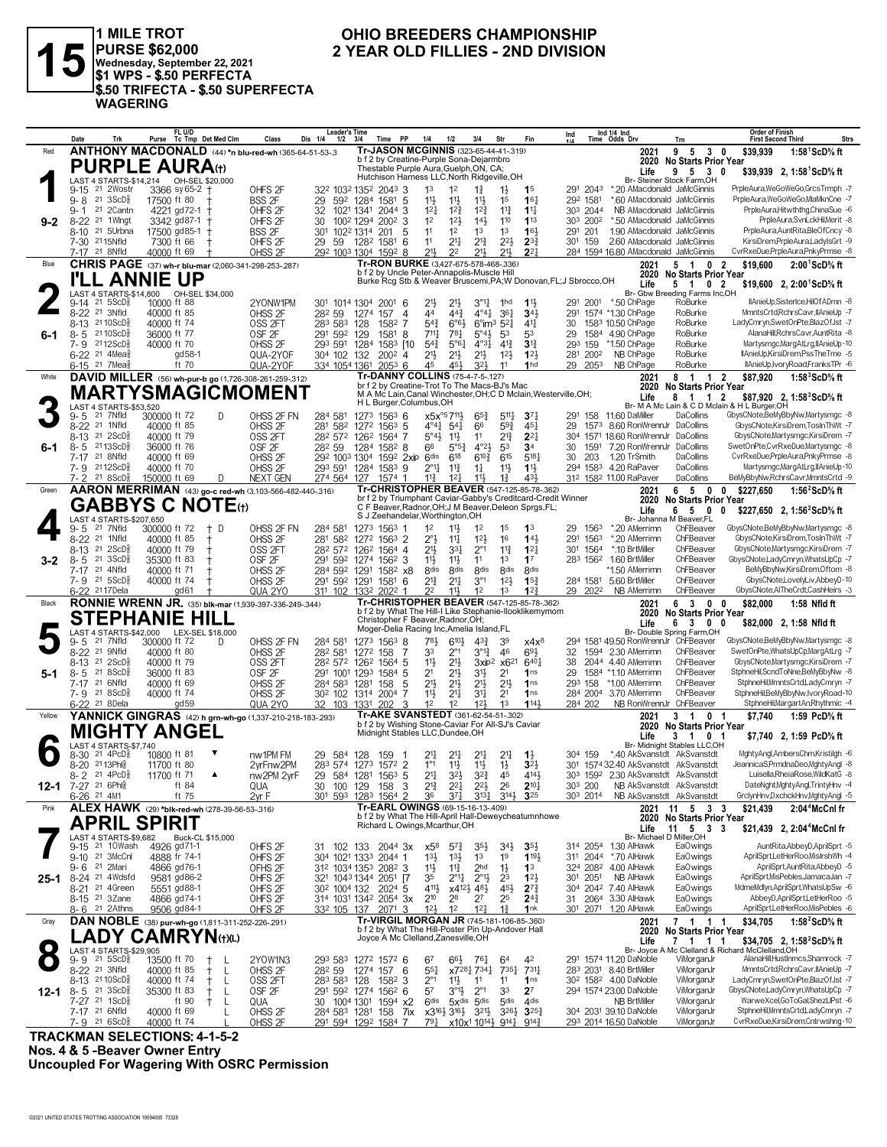

1 MILE TROT<br>PURSE \$62,000<br>Wednesday, September 22, 2021<br>\$1 WPS - \$.50 PERFECTA \$.50 TRIFECTA - \$.50 SUPERFECTA **WAGERING** 

#### OHIO BREEDERS CHAMPIONSHIP 2 YEAR OLD FILLIES - 2ND DIVISION

|           | Date                                                      | Trk<br>Purse                            | FL U/D<br>Tc Tmp Det Med Clm                   | Class                                                                            | Leader's lime<br>Dis 1/4<br>$1/2$ $3/4$                 |                  | PP<br>Time            | 1/4                                                                                   | 1/2                                 | 3/4                                                      | Str                                                     | Fin                                                               | Ind<br>11A           |      | Ind $1/4$ Ind<br>Time Odds Drv                                          | Trn                                                    | Order of Finish<br><b>First Second Third</b>                                           | <b>Strs</b> |
|-----------|-----------------------------------------------------------|-----------------------------------------|------------------------------------------------|----------------------------------------------------------------------------------|---------------------------------------------------------|------------------|-----------------------|---------------------------------------------------------------------------------------|-------------------------------------|----------------------------------------------------------|---------------------------------------------------------|-------------------------------------------------------------------|----------------------|------|-------------------------------------------------------------------------|--------------------------------------------------------|----------------------------------------------------------------------------------------|-------------|
| Red       |                                                           |                                         |                                                | ANTHONY MACDONALD (44) *n blu-red-wh (365-64-51-53-.3                            |                                                         |                  |                       | Tr-JASON MCGINNIS (323-65-44-41-319)                                                  |                                     |                                                          |                                                         |                                                                   |                      |      | 2021                                                                    | 95<br>30                                               | \$39,939<br>1:58 <sup>1</sup> ScD% ft                                                  |             |
|           |                                                           | <b>PURPLE AURA</b> (t)                  |                                                |                                                                                  |                                                         |                  |                       | b f 2 by Creatine-Purple Sona-Dejarmbro                                               |                                     |                                                          |                                                         |                                                                   |                      |      | 2020                                                                    | <b>No Starts Prior Year</b>                            |                                                                                        |             |
|           |                                                           |                                         |                                                |                                                                                  |                                                         |                  |                       | Thestable Purple Aura, Guelph, ON, CA;<br>Hutchison Harness LLC, North Ridgeville, OH |                                     |                                                          |                                                         |                                                                   |                      |      | Life                                                                    | 9 5 3 0<br>Br- Steiner Stock Farm.OH                   | \$39,939 2, 1:58 ScD % ft                                                              |             |
|           | 21 2Wostr<br>$9 - 15$                                     |                                         | 3366 sy 65-2 +                                 | OHFS <sub>2F</sub>                                                               | 322 1032 1352 2043 3                                    |                  |                       | 1 <sup>3</sup>                                                                        | 1 <sup>2</sup>                      | $1\frac{3}{4}$                                           |                                                         | 1 <sup>5</sup>                                                    | 291 2043             |      | *.20 AMacdonald JaMcGinnis                                              |                                                        | PrpleAura,WeGoWeGo,GrcsTrmph -7                                                        |             |
|           | $21 \text{ } 3ScD\frac{5}{8}$<br>$9 - 8$                  |                                         | 17500 ft 80                                    | <b>BSS 2F</b>                                                                    | 29                                                      | 592 1284 1581    | -5                    | 11                                                                                    | $11\frac{1}{2}$                     | $11\frac{1}{2}$                                          | 1 <sup>5</sup>                                          | 16 <sub>1</sub>                                                   | 292 1581             |      | *.60 AMacdonald JaMcGinnis                                              |                                                        | PrpleAura,WeGoWeGo,MlaMknCne -7                                                        |             |
|           | 21 2Cantn<br>$9 - 1$                                      |                                         | 4221 gd72-1 +                                  | OHFS <sub>2F</sub>                                                               | 32                                                      | 1021 1341 2044 3 |                       | $1^{2}$                                                                               | $12\frac{3}{4}$                     | $12\frac{3}{4}$                                          | $11\frac{3}{4}$                                         | $1\frac{11}{4}$                                                   | 303 2044             |      | NB AMacdonald JaMcGinnis                                                |                                                        | PrpleAura,Hitwththg,ChinaSue -6                                                        |             |
| $9 - 2$   | 8-22 <sup>21</sup> 1Wingt                                 |                                         | 3342 gd87-1 +                                  | OHFS <sub>2F</sub>                                                               | 30                                                      | 1002 1294 2002 3 |                       | 1 <sup>2</sup>                                                                        | 12 <sup>1</sup>                     | $14\frac{1}{2}$                                          | 110                                                     | 113                                                               | 303 2002             |      | *.50 AMacdonald JaMcGinnis                                              |                                                        | PrpleAura,SvnLckHil,Merit -8                                                           |             |
|           | 8-10 <sup>21</sup> 5Urbna                                 |                                         | 17500 gd85-1 †                                 | BSS 2F                                                                           | 301 1022 1314 201                                       |                  | 5                     | 11                                                                                    | 1 <sup>2</sup>                      | 1 <sup>3</sup>                                           | 1 <sup>3</sup>                                          | 16 <sup>1</sup>                                                   | 291 201              |      | 1.90 AMacdonald JaMcGinnis                                              |                                                        | PrpleAura,AuntRita,BleOfCncy -8                                                        |             |
|           | 7-30 2115Nfld                                             |                                         | 7300 ft 66                                     | OHFS <sub>2F</sub>                                                               | 29<br>-59                                               | 1282 1581        | 6                     | 11                                                                                    | $2^{11}$                            | $2^{13}$                                                 | $2^{21}$                                                | $2^{3}\frac{3}{4}$                                                | 301 159              |      | 2.60 AMacdonald JaMcGinnis                                              |                                                        | KirsiDrem, PrpleAura, LadylsGrt -9                                                     |             |
|           | 7-17 21 8Nfld                                             |                                         | 40000 ft 69                                    | OHSS <sub>2F</sub>                                                               | 292 1003 1304 1592 8                                    |                  |                       | $21\frac{1}{2}$                                                                       | 22                                  | 211                                                      | $21\frac{1}{2}$                                         | $2^{2}$                                                           |                      |      | 284 1594 16.80 AMacdonald JaMcGinnis                                    |                                                        | CvrRxeDue,PrpleAura,PnkyPrmse -8                                                       |             |
| Blue      |                                                           |                                         |                                                | CHRIS PAGE (37) wh-r blu-mar (2,060-341-298-253-287)                             |                                                         |                  |                       | Tr-RON BURKE (3,427-675-578-468-.336)                                                 |                                     |                                                          |                                                         |                                                                   |                      |      | 2021                                                                    | $\overline{2}$<br>51<br>0                              | \$19,600<br>$2:00^1$ ScD% ft                                                           |             |
|           |                                                           | <b>LL ANNIE UP</b>                      |                                                |                                                                                  |                                                         |                  |                       | b f 2 by Uncle Peter-Annapolis-Muscle Hill                                            |                                     |                                                          |                                                         | Burke Rcg Stb & Weaver Bruscemi, PA; W Donovan, FL; J Sbrocco, OH |                      |      | 2020                                                                    | <b>No Starts Prior Year</b>                            |                                                                                        |             |
|           |                                                           | LAST 4 STARTS-\$14,800                  | OH-SEL \$34,000                                |                                                                                  |                                                         |                  |                       |                                                                                       |                                     |                                                          |                                                         |                                                                   |                      |      | Life                                                                    | 0 <sub>2</sub><br>5 1<br>Br- Gbw Breeding Farms Inc,OH | \$19,600 2, 2:00 ScD % ft                                                              |             |
|           | $9 - 14$<br>21 5 ScD <sup>3</sup>                         |                                         | 10000 ft 88                                    | 2YONW1PM                                                                         | 301 1014 1304 2001                                      |                  | -6                    | 2 <sup>1</sup>                                                                        | $21\frac{1}{2}$                     | $3^{011}$                                                | 1 <sub>hd</sub>                                         | $11\frac{1}{2}$                                                   |                      |      | 291 2001 *.50 ChPage                                                    | RoBurke                                                | IlAnieUp,SisterIce,HilOfADmn -8                                                        |             |
|           | 8-22 <sup>21</sup> 3Nfld                                  |                                         | 40000 ft 85                                    | OHSS <sub>2F</sub>                                                               | 282 59                                                  | 1274             | 157<br>$\overline{4}$ | 44                                                                                    | $44\frac{3}{4}$                     | $4^{\circ}4^{\frac{1}{4}}$                               | 361                                                     | $34\frac{1}{2}$                                                   | 291                  |      | 1574 *1.30 ChPage                                                       | RoBurke                                                | MmntsCrtd,RchrsCavr,IIAnieUp -7                                                        |             |
|           | 8-13 21 10 ScD <sup>5</sup>                               |                                         | 40000 ft 74                                    | OSS <sub>2FT</sub>                                                               | 283 583 128                                             |                  | -7<br>1582            | $5^{4}3$                                                                              | $6^{\circ}6^{\circ}$                | $6^{\circ}$ im <sup>3</sup> 5 <sup>2</sup> $\frac{1}{4}$ |                                                         | $4^{11}$                                                          | 30                   |      | 1583 10.50 ChPage                                                       | RoBurke                                                | LadyCmryn,SwetOnPte,BlazOfJst -7                                                       |             |
| 6-1       | 8-5 2110ScD3                                              |                                         | 36000 ft 77                                    | OSF <sub>2F</sub>                                                                | 291 592 129                                             |                  | 1581<br>8             | $7^{11}\frac{1}{4}$                                                                   | 781                                 | $5^{\circ}4\frac{1}{2}$                                  | 53                                                      | 53                                                                | 29                   |      | 1584 4.90 ChPage                                                        | RoBurke                                                | AlanaHill, RchrsCavr, AuntRita -8                                                      |             |
|           | 7-9 2112ScD                                               |                                         | 40000 ft 70                                    | OHSS <sub>2F</sub>                                                               | 293 591 1284                                            |                  | 1583 [10              | $5^{4}3$                                                                              | $5^{\circ}6\frac{1}{4}$             | 4°3 <sup>1</sup>                                         | $4^{13}$                                                | $3^{13}$                                                          | 293 159              |      | *1.50 ChPage                                                            | RoBurke                                                | Martysmgc, MargAtLrg, IIAnieUp-10                                                      |             |
|           | 6-22 <sup>21</sup> 4Mea <sup>§</sup>                      |                                         | gd 58-1                                        | QUA-2YOF                                                                         | 304 102 132                                             |                  | $200^2$ 4             | $21\frac{1}{2}$                                                                       | $21\frac{1}{2}$                     | 2 <sup>1</sup>                                           | 12 <sup>1</sup>                                         | 123                                                               | 281 2002             |      | NB ChPage                                                               | RoBurke                                                | IlAnieUp,KirsiDrem,PssTheTme -5                                                        |             |
|           | 6-15 <sup>21</sup> 7 Mea <sub>8</sub>                     |                                         | ft 70                                          | QUA-2YOF                                                                         | 334 1054 1361                                           |                  | $205^3$ 6             | 45                                                                                    | 45}                                 | 32}                                                      | 11                                                      | 1 <sub>hd</sub>                                                   | 29 2053              |      | NB ChPage                                                               | RoBurke                                                | llAnieUp,IvoryRoad,FranksTPr -6                                                        |             |
| White     |                                                           |                                         |                                                | DAVID MILLER (56) wh-pur-b go (1,726-308-261-259-.312)                           |                                                         |                  |                       | Tr-DANNY COLLINS (75-4-7-5-.127)<br>br f 2 by Creatine-Trot To The Macs-BJ's Mac      |                                     |                                                          |                                                         |                                                                   |                      |      | 2021                                                                    | 8 1 1 2                                                | \$87,920<br>1:58 $3$ ScD $\%$ ft                                                       |             |
|           |                                                           |                                         |                                                | MARTYSMAGICMOMENT                                                                |                                                         |                  |                       |                                                                                       |                                     |                                                          |                                                         | M A Mc Lain, Canal Winchester, OH; C D Mclain, Westerville, OH;   |                      |      | 2020<br>Life                                                            | <b>No Starts Prior Year</b><br>8 1 1 2                 |                                                                                        |             |
|           | LAST 4 STARTS-\$53,520                                    |                                         |                                                |                                                                                  |                                                         |                  |                       | H L Burger, Columbus, OH                                                              |                                     |                                                          |                                                         |                                                                   |                      |      |                                                                         |                                                        | \$87,920 2, 1:58 <sup>3</sup> ScD% ft<br>Br- M A Mc Lain & C D Mclain & H L Burger, OH |             |
|           | 21 7Nfld<br>9-5                                           | 300000 ft 72                            |                                                | D<br>OHSS 2F FN                                                                  | 284 581                                                 |                  | 1273 1563 6           | $x5x^{95}7^{11}\frac{1}{2}$                                                           |                                     | $65\frac{3}{4}$                                          | $5^{11}\frac{1}{4}$                                     | $3^{7}{}_{1}$                                                     | 291                  | 158  | 11.60 DaMiller                                                          | DaCollins                                              | GbysCNote,BeMyBbyNw,Martysmgc -8                                                       |             |
|           | 8-22 <sup>21</sup> 1Nfld                                  |                                         | 40000 ft 85                                    | OHSS <sub>2F</sub>                                                               | 281 582                                                 | 1272 1563 5      |                       | $4^{\circ}4^{\frac{1}{4}}$ 5 <sup>4</sup>                                             |                                     | 66                                                       | $59\frac{3}{4}$                                         | $45\frac{1}{4}$                                                   | 29                   |      | 1573 8.60 RonWrennJr DaCollins                                          |                                                        | GbysCNote,KirsiDrem,TosInThWt -7                                                       |             |
|           | 8-13 21 2ScD <sup>5</sup>                                 |                                         | 40000 ft 79                                    | OSS <sub>2FT</sub>                                                               | 282 572 1262 1564 7                                     |                  |                       | $5^{\circ}4\frac{1}{2}$                                                               | 11,                                 | 11                                                       | $2^{13}$                                                | $2^{2}$                                                           | 304                  |      | 1571 18.60 RonWrennJr                                                   | DaCollins                                              | GbysCNote,Martysmgc,KirsiDrem -7                                                       |             |
| 6-1       | 8-5 2113ScD <sup>5</sup>                                  |                                         | 36000 ft 76                                    | OSF <sub>2F</sub>                                                                | 28 <sup>2</sup> 59                                      | 1284 1582 8      |                       | 66                                                                                    | $5^{\circ 5^3}$                     | $4^{\circ}2\frac{1}{2}$                                  | 53                                                      | 34                                                                | 30                   | 1591 | 7.20 RonWrennJr                                                         | DaCollins                                              | SwetOnPte,CvrRxeDue,Martysmgc -8                                                       |             |
|           | 7-17 <sup>21</sup> 8Nfld                                  |                                         | 40000 ft 69                                    | OHSS <sub>2F</sub>                                                               | 292 1003 1304 1592 2xip 6dis                            |                  |                       |                                                                                       | 618                                 | $6^{10}\frac{3}{4}$                                      | 615                                                     | 5181                                                              | 30                   | 203  | 1.20 TrSmith                                                            | DaCollins                                              | CvrRxeDue,PrpleAura,PnkyPrmse -8                                                       |             |
|           | 7-9 2112ScD<br>218SCD <sub>8</sub><br>$7 - 2$             |                                         | 40000 ft 70                                    | OHSS <sub>2F</sub>                                                               | 293 591 1284 1583 9                                     |                  |                       | $2^{\circ}11$                                                                         | $11\frac{3}{4}$                     | $1\frac{1}{4}$                                           | 11}                                                     | $11\frac{1}{2}$                                                   | 294 1583             |      | 4.20 RaPaver<br>312 1582 11.00 RaPaver                                  | DaCollins<br>DaCollins                                 | Martysmgc, MargAtLrg, IIAnieUp-10<br>BeMyBbyNw,RchrsCavr,MmntsCrtd -9                  |             |
|           |                                                           | 150000 ft 69                            |                                                | <b>NEXT GEN</b><br>D<br>AARON MERRIMAN (43) go-c red-wh (3.103-566-482-440-.316) | 274 564                                                 | 127              | $1574$ 1              | $11\frac{3}{4}$                                                                       | 12 <sub>1</sub>                     | 11}                                                      | $1\frac{3}{4}$                                          | 431<br>Tr-CHRISTOPHER BEAVER (547-125-85-78-362)                  |                      |      |                                                                         |                                                        |                                                                                        |             |
| Green     |                                                           |                                         |                                                |                                                                                  |                                                         |                  |                       |                                                                                       |                                     |                                                          |                                                         | br f 2 by Triumphant Caviar-Gabby's Creditcard-Credit Winner      |                      |      | 2021<br>2020                                                            | 65<br>$0\quad 0$<br>No Starts Prior Year               | \$227,650<br>1:56 $2$ ScD $\%$ ft                                                      |             |
|           |                                                           | <b>GABBYS C NOTE</b> (t)                |                                                |                                                                                  |                                                         |                  |                       |                                                                                       |                                     |                                                          |                                                         | C F Beaver, Radnor, OH; J M Beaver, Deleon Sprgs, FL;             |                      |      | Life                                                                    | 6 5 0                                                  | \$227.650 2. 1:56 <sup>2</sup> ScD <sup>5</sup> / <sub>8</sub> ft<br>0                 |             |
|           |                                                           | LAST 4 STARTS-\$207,650                 |                                                |                                                                                  |                                                         |                  |                       | S J Zeehandelar, Worthington, OH                                                      |                                     |                                                          |                                                         |                                                                   |                      |      |                                                                         | Br- Johanna M Beaver.FL                                |                                                                                        |             |
|           | 21 7Nfld<br>9-5                                           | 300000 ft 72                            |                                                | † D<br>OHSS 2F FN                                                                | 284 581                                                 | 1273 1563 1      |                       | 1 <sup>2</sup>                                                                        | $11\frac{1}{2}$                     | 1 <sup>2</sup>                                           | 1 <sup>5</sup>                                          | 1 <sup>3</sup>                                                    | 29.                  | 1563 | *.20 AMerrimn                                                           | ChFBeaver                                              | GbysCNote,BeMyBbyNw,Martysmgc -8                                                       |             |
|           | 8-22 <sup>21</sup> 1Nfld                                  |                                         | 40000 ft 85                                    | OHSS <sub>2F</sub>                                                               | 281<br>582                                              |                  | 1272 1563 2           | $2^{\circ}$                                                                           | $11\frac{1}{4}$                     | 12 <sup>1</sup>                                          | 16                                                      | $14\frac{1}{2}$                                                   | 291                  | 1563 | *.20 AMerrimn                                                           | ChFBeaver                                              | GbysCNote,KirsiDrem,TosInThWt -7                                                       |             |
|           | 8-13 21 2ScD <sup>5</sup>                                 |                                         | 40000 ft 79<br>$\pm$                           | OSS <sub>2FT</sub>                                                               | 282 572 1262 1564 4                                     |                  |                       | $21\frac{1}{2}$                                                                       | 3 <sup>31</sup>                     | $2^{\circ}1$                                             | $11\frac{3}{4}$                                         | $12\frac{1}{4}$                                                   | 301                  | 1564 | *.10 BrtMiller                                                          | ChFBeaver                                              | GbysCNote, Martysmgc, KirsiDrem -7                                                     |             |
| $3 - 2$   | $8 - 5$ 21<br>21 4Nfld<br>7-17                            | $3ScD_{8}^{5}$                          | 35300 ft 83<br>t                               | OSF <sub>2F</sub><br>OHSS <sub>2F</sub>                                          | 291 592 1274 1562 3                                     |                  |                       | $11\frac{1}{2}$<br><b>8dis</b>                                                        | $11\frac{1}{2}$<br>8 <sub>dis</sub> | 11<br><b>8dis</b>                                        | 1 <sup>3</sup><br><b>8dis</b>                           | 17<br><b><i><u>Rdis</u></i></b>                                   |                      |      | 283 1562 1.60 BrtMiller<br>*1.50 AMerrimn                               | ChFBeaver<br>ChFBeaver                                 | GbysCNote,LadyCmryn,WhatsUpCp -7<br>BeMyBbyNw,KirsiDrem,Oftom -8                       |             |
|           | 7-9 21 5ScD                                               |                                         | 40000 ft 71<br>40000 ft 74                     | OHSS <sub>2F</sub>                                                               | 284 592 1291<br>291 592 1291 1581 6                     |                  | 158 <sup>2</sup> x8   | $2^{13}$                                                                              | $2^{11}$                            | $3^{\circ}1$                                             | $12\frac{1}{2}$                                         | 15 <sup>3</sup>                                                   |                      |      | 284 1581 5.60 BrtMiller                                                 | ChFBeaver                                              | GbysCNote,LovelyLiv,AbbeyD-10                                                          |             |
|           | 6-22 2117 Dela                                            |                                         | gd61                                           | QUA 2YO                                                                          | 311 102 1332 2022 1                                     |                  |                       | 22                                                                                    | $11\frac{1}{2}$                     | 1 <sup>2</sup>                                           | 1 <sup>3</sup>                                          | 12 <sup>3</sup>                                                   | 29 2022              |      | <b>NB AMerrimn</b>                                                      | ChFBeaver                                              | GbysCNote,AlTheCrdt,CashHeirs -3                                                       |             |
| Black     |                                                           |                                         |                                                | RONNIE WRENN JR. (35) blk-mar (1,939-397-336-249-.344)                           |                                                         |                  |                       |                                                                                       |                                     |                                                          |                                                         | Tr-CHRISTOPHER BEAVER (547-125-85-78-.362)                        |                      |      | 2021                                                                    | 63<br>$0\quad 0$                                       | \$82,000<br>1:58 Nfld ft                                                               |             |
|           |                                                           |                                         |                                                |                                                                                  |                                                         |                  |                       |                                                                                       |                                     |                                                          |                                                         | b f 2 by What The Hill-I Like Stephanie-Ilooklikemymom            |                      |      | 2020                                                                    | <b>No Starts Prior Year</b>                            |                                                                                        |             |
|           |                                                           | <b>STEPHANIE HILL</b>                   |                                                |                                                                                  |                                                         |                  |                       | Christopher F Beaver, Radnor, OH;                                                     |                                     |                                                          |                                                         |                                                                   |                      |      | Life                                                                    | 6 3 0 0                                                | \$82,000 2, 1:58 Nfld ft                                                               |             |
|           |                                                           | LAST 4 STARTS-\$42,000 LEX-SEL \$18,000 |                                                |                                                                                  |                                                         |                  |                       | Moger-Delia Racing Inc, Amelia Island, FL                                             |                                     |                                                          |                                                         |                                                                   |                      |      |                                                                         | Br- Double Spring Farm,OH                              |                                                                                        |             |
|           | 21 7Nfld<br>9-5<br>8-22 <sup>21</sup> 9Nfld               | 300000 ft 72                            |                                                | OHSS 2F FN<br>D                                                                  | 284 581                                                 | 1273 1563 8      |                       | 781                                                                                   | 6104<br>$2^{\circ}1$                | $4^{3}\frac{3}{4}$<br>$3^{013}$                          | 39                                                      | $x4x^8$                                                           |                      |      | 294 1581 49.50 RonWrennJr ChFBeaver<br>1594 2.30 AMerrimn               | ChFBeaver                                              | GbysCNote,BeMyBbyNw,Martysmgc -8<br>SwetOnPte, WhatsUpCp, MargAtLrg -7                 |             |
|           | 8-13 21 2ScD <sup>5</sup>                                 |                                         | 40000 ft 80<br>40000 ft 79                     | OHSS <sub>2F</sub><br>OSS <sub>2FT</sub>                                         | 282 581<br>282 572 1262 1564 5                          | 1272 158         | 7                     | 33<br>11                                                                              | $21\frac{1}{2}$                     | 3xip <sup>2</sup>                                        | 46<br>x6 <sup>21</sup>                                  | 693<br>6401                                                       | 32<br>38             |      | 2044 4.40 AMerrimn                                                      | ChFBeaver                                              | GbysCNote, Martysmgc, KirsiDrem -7                                                     |             |
| $5-1$     | 218SCD <sub>8</sub><br>8-5                                |                                         | 36000 ft 83                                    | OSF <sub>2F</sub>                                                                | 291 1001 1293 1584 5                                    |                  |                       | 2 <sup>1</sup>                                                                        | $21\frac{1}{2}$                     | 31}                                                      | 2 <sup>1</sup>                                          | 1 <sub>ns</sub>                                                   | 29                   |      | 1584 *1.10 AMerrimn                                                     | ChFBeaver                                              | StphneHil,ScndToNne,BeMyBbyNw -8                                                       |             |
|           | 7-17 21 6Nfld                                             |                                         | 40000 ft 69                                    | OHSS <sub>2F</sub>                                                               | 284 583 1281                                            |                  | 158<br>5              | 2 <sup>11</sup>                                                                       | $21\frac{1}{2}$                     | $21\frac{1}{2}$                                          | $21\frac{1}{2}$                                         | 1 <sub>ns</sub>                                                   | 293 158              |      | *1.00 AMerrimn                                                          | ChFBeaver                                              | StphneHil,MmntsCrtd,LadyCmryn -7                                                       |             |
|           | 7-9 21 8 ScD <sup>3</sup>                                 |                                         | 40000 ft 74                                    | OHSS <sub>2F</sub>                                                               | 30 <sup>2</sup> 102 1314 2004 7                         |                  |                       | $11\frac{1}{2}$                                                                       | $21\frac{1}{4}$                     | 34                                                       | 2 <sup>1</sup>                                          | 1 <sub>ns</sub>                                                   | 284 2004             |      | 3.70 AMerrimn                                                           | ChFBeaver                                              | StphneHil,BeMyBbyNw,IvoryRoad-10                                                       |             |
|           | 6-22 21 8 Dela                                            |                                         | qd59                                           | QUA 2YO                                                                          | 32 103                                                  | 1331             | 202<br>3              | 1 <sup>2</sup>                                                                        | 12                                  | 12 <sup>1</sup>                                          | 1 <sup>3</sup>                                          | 1143                                                              | 284 202              |      | NB RonWrennJr ChFBeaver                                                 |                                                        | StphneHil, Margart An, Rhythmic -4                                                     |             |
| Yellow    |                                                           |                                         |                                                | YANNICK GINGRAS (42) h grn-wh-go (1,337-210-218-183-293)                         |                                                         |                  |                       | Tr-AKE SVANSTEDT (361-62-54-51-.302)                                                  |                                     |                                                          |                                                         |                                                                   |                      |      | 2021                                                                    | 3 1<br>0 <sub>1</sub>                                  | \$7,740<br>1:59 PcD% ft                                                                |             |
|           |                                                           | <b>MIGHTY ANGEL</b>                     |                                                |                                                                                  |                                                         |                  |                       | b f 2 by Wishing Stone-Caviar For All-SJ's Caviar                                     |                                     |                                                          |                                                         |                                                                   |                      |      |                                                                         | 2020 No Starts Prior Year                              |                                                                                        |             |
|           |                                                           |                                         |                                                |                                                                                  |                                                         |                  |                       | Midnight Stables LLC, Dundee, OH                                                      |                                     |                                                          |                                                         |                                                                   |                      |      | Life                                                                    | 3 1 0 1                                                | \$7,740 2, 1:59 PcD% ft                                                                |             |
|           | LAST 4 STARTS-\$7.740<br>$21 \text{ } 4PCD_8^5$<br>8-30   |                                         | 10800 ft 81                                    | nw1PM FM                                                                         | 29                                                      |                  |                       | 2 <sup>11</sup>                                                                       |                                     |                                                          | 2 <sup>11</sup>                                         | $1\frac{1}{2}$                                                    | 304 159              |      | *.40 AkSvanstdt AkSvanstdt                                              | Br- Midnight Stables LLC,OH                            | MghtyAngl,AmbersChm,Kristilgh -6                                                       |             |
|           | 8-20 2113Phls                                             |                                         | 11700 ft 80                                    | 2vrFnw2PM                                                                        | 584 128<br>283 574 1273 1572 2                          |                  | 159                   | $1^{\circ}1$                                                                          | $2^{11}$<br>$11\frac{1}{2}$         | 2 <sup>11</sup><br>$11\frac{1}{2}$                       | $1\frac{1}{2}$                                          | 3 <sup>2</sup>                                                    | 301                  |      | 1574 32.40 AkSvanstdt AkSvanstdt                                        |                                                        | JeannicaS,PrmdnaDeo,MghtyAngl -8                                                       |             |
|           | 8-2 21 4PcD <sup>5</sup>                                  |                                         | 11700 ft 71                                    | ▲<br>nw2PM 2yrF                                                                  | 29 584 1281 1563 5                                      |                  |                       | 2 <sup>11</sup>                                                                       | $3^{2}$                             | $3^{22}$                                                 | 45                                                      | 4141                                                              |                      |      | 303 1592 2.30 AkSvanstdt AkSvanstdt                                     |                                                        | Luisella, RheiaRose, WildKatG -8                                                       |             |
|           | 12-1 7-27 <sup>21 6Phl</sup>                              |                                         | ft 84                                          | QUA                                                                              |                                                         |                  | 100 129 158 3         | $2^{13}$                                                                              | $2^{21}$                            | $2^{2}\frac{1}{2}$                                       | 26                                                      | $2^{10}\frac{1}{4}$                                               | 303 200              |      |                                                                         | NB AkSvanstdt AkSvanstdt                               | DateNght, MghtyAngl, TrintyHnv -4                                                      |             |
|           | 6-26 <sup>21</sup> 4M1                                    |                                         | ft 75                                          | 2vr F                                                                            | 301 593 1283 1564 2                                     |                  |                       | 36                                                                                    | $3^{7}\frac{1}{4}$                  |                                                          | $3^{13}\frac{1}{4}$ $3^{14}\frac{1}{2}$ 3 <sup>25</sup> |                                                                   | 30 <sup>3</sup> 2014 |      |                                                                         | NB AkSvanstdt AkSvanstdt                               | GrclynHnv,DxchckHnv,MghtyAngl -5                                                       |             |
| Pink      |                                                           |                                         |                                                | ALEX HAWK (29) *blk-red-wh (278-39-56-53-.316)                                   |                                                         |                  |                       | Tr-EARL OWINGS (69-15-16-13-.409)                                                     |                                     |                                                          |                                                         |                                                                   |                      |      | 2021                                                                    | 11 5 3 3                                               | 2:04 <sup>4</sup> McCnl fr<br>\$21,439                                                 |             |
|           |                                                           | <b>APRIL SPIRIT</b>                     |                                                |                                                                                  |                                                         |                  |                       |                                                                                       |                                     |                                                          |                                                         | b f 2 by What The Hill-April Hall-Deweycheatumnhowe               |                      |      |                                                                         | 2020 No Starts Prior Year                              |                                                                                        |             |
|           |                                                           |                                         |                                                |                                                                                  |                                                         |                  |                       | Richard L Owings, Mcarthur, OH                                                        |                                     |                                                          |                                                         |                                                                   |                      |      | Life                                                                    | 11 5 3 3                                               | \$21,439 2, 2:04 <sup>4</sup> McCnl fr                                                 |             |
|           | LAST 4 STARTS-\$9,682<br>9-15 <sup>21</sup> 10Wash        |                                         | Buck-CL \$15,000<br>4926 gd71-1                | OHFS <sub>2F</sub>                                                               | 31 102 133 2044 3x                                      |                  |                       | x58                                                                                   | $5^{74}$                            | $35\frac{1}{2}$                                          | $34\frac{1}{2}$                                         | $35\frac{1}{2}$                                                   |                      |      | 314 2054 1.30 AlHawk                                                    | Br- Michael D Miller, OH<br>Ea0wings                   | AuntRita, Abbey D, April Sprt -5                                                       |             |
|           | 9-10 21 3McCnl                                            |                                         | 4888 fr 74-1                                   | OHFS <sub>2F</sub>                                                               | 304 1021 1333 2044 1                                    |                  |                       | $13\frac{1}{2}$                                                                       | $13\frac{1}{2}$                     | 1 <sup>3</sup>                                           | 1 <sup>9</sup>                                          | 1191                                                              |                      |      | 311 2044 *.70 AlHawk                                                    | Ea0wings                                               | AprilSprt,LetHerRoo,MisIrshWh -4                                                       |             |
|           | 9-6 <sup>21</sup> 2Mari                                   |                                         | 4866 gd76-1                                    | OFHS 2F                                                                          | 312 1034 1353 2082 3                                    |                  |                       | 11                                                                                    | $11\frac{3}{4}$                     | 2 <sub>hd</sub>                                          | $1\frac{1}{2}$                                          | 1 <sup>3</sup>                                                    |                      |      | 324 2082 4.00 AlHawk                                                    | Ea0wings                                               | AprilSprt, AuntRita, AbbeyD -5                                                         |             |
| 25-1      | 8-24 <sup>21</sup> 4Wdsfd                                 |                                         | 9581 gd86-2                                    | OHFS <sub>2F</sub>                                                               | 321 1043 1344 2051 [7                                   |                  |                       | 35                                                                                    | $2^{\circ}1\frac{1}{4}$             | $2^{\circ}1\frac{1}{2}$                                  | 2 <sup>3</sup>                                          | 12 <sup>1</sup>                                                   | 301                  | 2051 | NB AlHawk                                                               | Ea0wings                                               | AprilSprt, MisPebles, JamacaJan -7                                                     |             |
|           | 8-21 21 4Green                                            |                                         | 5551 gd88-1                                    | OHFS <sub>2F</sub>                                                               | 30 <sup>2</sup> 100 <sup>4</sup> 132 202 <sup>4</sup> 5 |                  |                       | 4111                                                                                  |                                     | x412} 48}                                                | 45}                                                     | $2^{7}\frac{3}{4}$                                                |                      |      | 304 2042 7.40 AlHawk                                                    | Ea0wings                                               | MdmeMdlyn,AprilSprt,WhatsUpSw -6                                                       |             |
|           | 8-15 <sup>21</sup> 3Zane                                  |                                         | 4866 gd74-1                                    | OHFS <sub>2F</sub>                                                               | 314 1031 1342 2054 3x                                   |                  |                       | $2^{10}$                                                                              | 28                                  | $2^7$                                                    | 25                                                      | $2^{4}$                                                           |                      |      | 31 2064 3.30 AlHawk                                                     | Ea0wings                                               | AbbeyD,AprilSprt,LetHerRoo -5                                                          |             |
|           | 8-6 <sup>21</sup> 2Athns                                  |                                         | 9506 gd84-1                                    | OHFS <sub>2F</sub>                                                               | 332 105 137 2071 3                                      |                  |                       | $12\frac{1}{2}$                                                                       | 1 <sup>2</sup>                      | $12\frac{1}{4}$                                          | $1\frac{3}{4}$                                          | 1nk                                                               |                      |      | 301 2071 1.20 AlHawk                                                    | Ea0wings                                               | AprilSprt,LetHerRoo,MisPebles -6                                                       |             |
| Gray      |                                                           |                                         |                                                | DAN NOBLE (38) pur-wh-go (1,811-311-252-226-.291)                                |                                                         |                  |                       | Tr-VIRGIL MORGAN JR (745-181-106-85-.360)                                             |                                     |                                                          |                                                         |                                                                   |                      |      | 2021                                                                    | 7 1 1 1                                                | 1:58 $2$ ScD $\%$ ft<br>\$34.705                                                       |             |
|           |                                                           |                                         |                                                |                                                                                  |                                                         |                  |                       | b f 2 by What The Hill-Poster Pin Up-Andover Hall                                     |                                     |                                                          |                                                         |                                                                   |                      |      | 2020                                                                    | <b>No Starts Prior Year</b>                            |                                                                                        |             |
|           |                                                           |                                         |                                                |                                                                                  |                                                         |                  |                       | Joyce A Mc Clelland, Zanesville, OH                                                   |                                     |                                                          |                                                         |                                                                   |                      |      | Life                                                                    |                                                        |                                                                                        |             |
|           | <b>LADY CAMRYN(t)(L)</b>                                  |                                         |                                                |                                                                                  |                                                         |                  |                       |                                                                                       |                                     |                                                          |                                                         |                                                                   |                      |      |                                                                         | 7 1 1 1                                                | \$34,705 2, 1:58 <sup>2</sup> ScD <sup>5</sup> / <sub>8</sub> ft                       |             |
| $\bullet$ | LAST 4 STARTS-\$29,905                                    |                                         |                                                |                                                                                  |                                                         |                  |                       |                                                                                       |                                     |                                                          |                                                         |                                                                   |                      |      |                                                                         |                                                        | Br- Joyce A Mc Clelland & Richard McClelland, OH                                       |             |
|           | $9 - 9$ 21 $5 \text{ScD} \frac{5}{8}$                     |                                         | 13500 ft 70<br>$\ddagger$                      | 2YOW1N3                                                                          | 293 583 1272 1572 6                                     |                  |                       | 67                                                                                    | $66\frac{1}{2}$                     | 761                                                      | 64                                                      | 42                                                                |                      |      | 291 1574 11.20 DaNoble                                                  | ViMorganJr                                             | AlanaHill,HustInmcs,Shamrock -7                                                        |             |
|           | 8-22 <sup>21</sup> 3Nfld                                  |                                         | 40000 ft 85<br>$^{+}$                          | L<br>OHSS 2F                                                                     | 28 <sup>2</sup> 59                                      | 1274 157         | 6                     | $55\frac{1}{4}$                                                                       |                                     | x7281 7341                                               | 7351                                                    | $731\frac{1}{4}$                                                  |                      |      | 283 2031 8.40 BrtMiller                                                 | ViMorganJr                                             | MmntsCrtd,RchrsCavr,IIAnieUp -7                                                        |             |
| 12-1      | 8-13 2110ScD <sup>§</sup>                                 |                                         | 40000 ft 74<br>Ť.<br>35300 ft 83<br>$\ddagger$ | L<br>OSS 2FT                                                                     | 283 583 128                                             |                  | 1582 3                | $2^{\circ}1$<br>57                                                                    | $11\frac{1}{2}$<br>$3^{01}$         | 11<br>$2^{\circ}1$                                       | 11<br>33                                                | 1 <sub>ns</sub><br>2 <sup>7</sup>                                 |                      |      | 30 <sup>2</sup> 158 <sup>2</sup> 4.00 DaNoble<br>294 1574 23.00 DaNoble | ViMorganJr<br>ViMorganJr                               | LadyCmryn,SwetOnPte,BlazOfJst -7<br>GbysCNote,LadyCmryn,WhatsUpCp -7                   |             |
|           | $8 - 5$ 21 3ScD <sup>5</sup><br>7-27 21 1ScD <sup>5</sup> |                                         | ft 90<br>$\ddagger$                            | OSF <sub>2F</sub><br>L<br>L<br>QUA                                               | 291 592 1274 1562 6                                     |                  |                       | 6 <sup>dis</sup>                                                                      |                                     | 5xdis 5dis                                               | 5 <sub>dis</sub>                                        | 4 <sub>dis</sub>                                                  |                      |      | <b>NB BrtMiller</b>                                                     | ViMorganJr                                             | WarweXcel,GoToGal,ShezLIPst -6                                                         |             |
|           | 7-17 21 6Nfld                                             |                                         | 40000 ft 69                                    | OHSS 2F                                                                          | 30 1004 1301 1594 x2<br>284 583 1281 158                |                  | 7ix                   |                                                                                       |                                     | x316} 316} 321} 326} 325}                                |                                                         |                                                                   |                      |      | 304 2031 39.10 DaNoble                                                  | ViMorganJr<br>ViMorganJr                               | StphneHil,MmntsCrtd,LadyCmryn -7<br>CvrRxeDue,KirsiDrem,Cntrwshng-10                   |             |

**TRACKMAN SELECTIONS: 4-1-5-2** Nos. 4 & 5 - Beaver Owner Entry Uncoupled For Wagering With OSRC Permission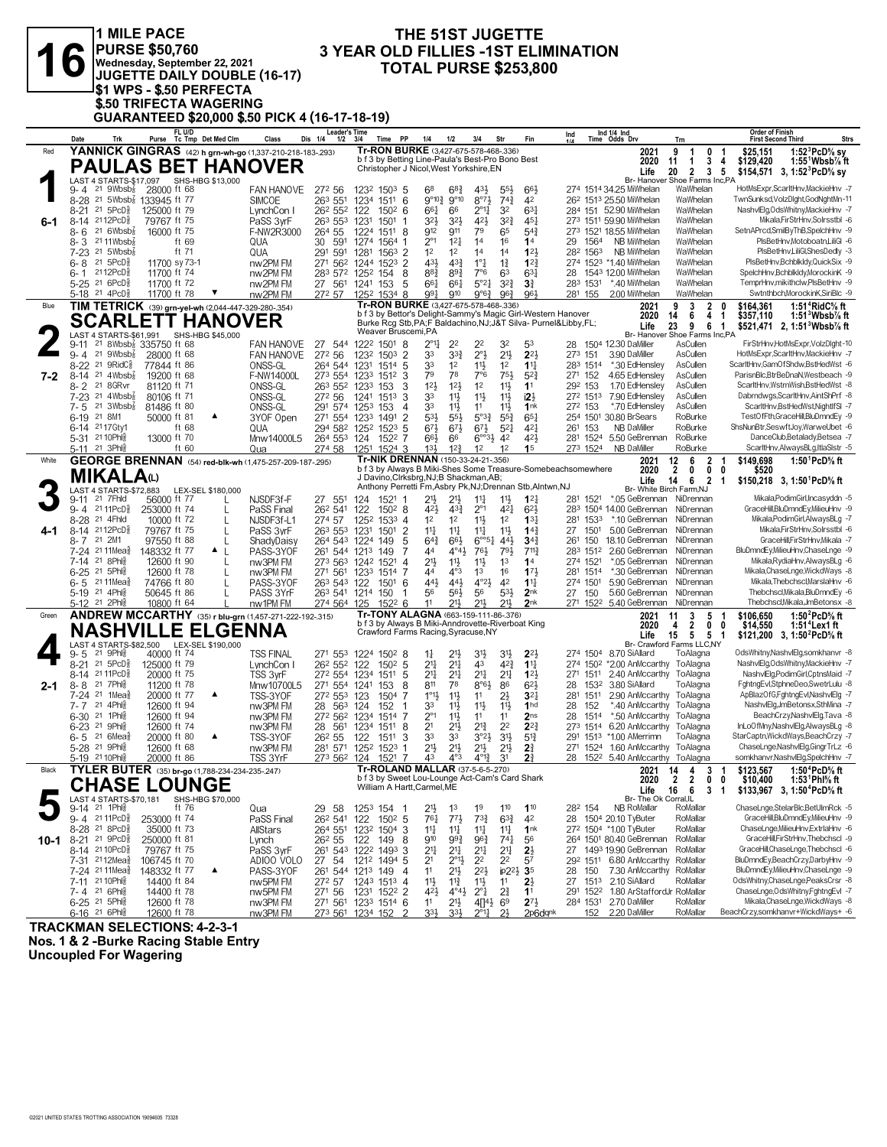|         | <b>1 MILE PACE</b><br><b>PURSE \$50,760</b><br>Wednesday, September 22, 2021<br>JUGETTE DAILY DOUBLE (16-17)<br>I\$1 WPS - \$.50 PERFECTA<br><b>\$.50 TRIFECTA WAGERING</b> | THE 51ST JUGETTE<br><b>3 YEAR OLD FILLIES -1ST ELIMINATION</b><br><b>TOTAL PURSE \$253,800</b>                                                                                                                                    |                                                                                                                                                                                                                                                   |
|---------|-----------------------------------------------------------------------------------------------------------------------------------------------------------------------------|-----------------------------------------------------------------------------------------------------------------------------------------------------------------------------------------------------------------------------------|---------------------------------------------------------------------------------------------------------------------------------------------------------------------------------------------------------------------------------------------------|
|         | GUARANTEED \$20,000 \$.50 PICK 4 (16-17-18-19)                                                                                                                              |                                                                                                                                                                                                                                   |                                                                                                                                                                                                                                                   |
|         | FL U/D<br>Tc Tmp Det Med Clm<br>Class<br>Date<br>Trk<br>Purse                                                                                                               | <b>Leader's Time</b><br>Dis 1/4<br>1/2<br>PP<br>1/4<br>1/2<br>3/4<br>Fin<br>3/4<br>Time<br>Str                                                                                                                                    | <b>Order of Finish</b><br>Ind 1/4 Ind<br>Ind<br>Strs<br>Time Odds Drv<br>Trn<br><b>First Second Third</b>                                                                                                                                         |
| Red     | YANNICK GINGRAS (42) h grn-wh-go (1,337-210-218-183-.293)<br><b>PAULAS BET HANOVER</b>                                                                                      | Tr-RON BURKE (3,427-675-578-468-.336)<br>b f 3 by Betting Line-Paula's Best-Pro Bono Best<br>Christopher J Nicol, West Yorkshire, EN                                                                                              | 1:52 ${}^{3}$ PcD ${}^{5}$ sv<br>2021<br>9<br>0<br>\$25,151<br>1<br>-1<br>2020<br>3<br>\$129,420<br>$1:55^1$ Wbsb $\%$ ft<br>$\mathbf{1}$<br>4<br>11<br>20<br>2<br>3 <sub>5</sub><br>\$154,571 3, 1:52 PcD <sup>5</sup> / <sub>8</sub> sy<br>Life |
|         | LAST 4 STARTS-\$17,097<br>SHS-HBG \$13,000<br>21 $9Wbsb\overline{s}$<br>28000 ft 68<br>9-4<br><b>FAN HANOVE</b>                                                             | 272 56<br>1232 1503 5<br>68<br>$6^{8}$ <sub>4</sub><br>43}<br>$55\frac{1}{2}$<br>663                                                                                                                                              | Br- Hanover Shoe Farms Inc,PA<br>HotMsExpr,ScarltHnv,MackieHnv -7<br>274 1514 34.25 MiWhelan<br>WaWhelan                                                                                                                                          |
|         | 8-28 <sup>21</sup> 5Wbsb <sup>2</sup> 133945 ft 77<br><b>SIMCOE</b>                                                                                                         | 263 551<br>6<br>$9^{\circ}10\frac{3}{4}$<br>$9^{\circ}10$<br>$8^{\circ}7\frac{1}{2}$<br>$74\frac{3}{4}$<br>1234 1511<br>42                                                                                                        | WaWhelan<br>TwnSunksd,VolzDlght,GodNghtMn-11<br>26 <sup>2</sup> 151 <sup>3</sup> 25.50 MiWhelan                                                                                                                                                   |
| 6-1     | $21\text{ }5PCD_8^5$<br>125000 ft 79<br>$8 - 21$<br>LynchCon I<br>8-14 2112PcD <sup>5</sup><br>79767 ft 75<br>PaSS 3wF                                                      | $2^{\circ}1\frac{1}{4}$<br>32<br>26 <sup>2</sup> 55 <sup>2</sup> 122<br>$150^2$ 6<br>661<br>66<br>$63\frac{1}{4}$<br>$3^{2^{3}}$<br>263 553 1231<br>$3^{2}\frac{1}{2}$<br>$3^{2}\frac{1}{2}$<br>42}<br>$45\frac{1}{4}$<br>1501    | NashvlElg, Ods Whitny, MackieHnv -7<br>284 151 52.90 MiWhelan<br>WaWhelan<br>Mikala.FirStrHnv.Solrsstbl -6<br>273 1511 59.90 MiWhelan<br>WaWhelan                                                                                                 |
|         | 21.6Wbsb <sub>8</sub><br>16000 ft 75<br>8-6<br>F-NW2R3000<br>$8 - 3$ 21 11 Wbsb <sup>7</sup><br>ft 69                                                                       | 79<br>$5^{4}$<br>264 55<br>1511 8<br>912<br>911<br>65<br>1224<br>$2^{\circ}1$<br>14<br>12 <sup>1</sup><br>16<br>14<br>30<br>591                                                                                                   | SetnAPrcd,SmilByThB,SpelchHnv -9<br>273 1521 18.55 MiWhelan<br>WaWhelan<br>WaWhelan<br>PIsBetHnv,Motoboatn,LiliGI -6<br>29 1564<br>NB MiWhelan                                                                                                    |
|         | QUA<br>$7-23$ 21 5Wbsb <sup>7</sup><br>ft 71<br>QUA                                                                                                                         | 1274<br>1564 1<br>1 <sup>2</sup><br>1 <sup>2</sup><br>123<br>291 591<br>$1563$ 2<br>14<br>1 <sup>4</sup><br>1281                                                                                                                  | NB MiWhelan<br>WaWhelan<br>PIsBetHnv,LiliGl,ShesDedly -3<br>282 1563                                                                                                                                                                              |
|         | 21 $5PCD\frac{5}{8}$<br>11700 sy 73-1<br>nw2PM FM<br>6-8<br>2112PcD 8<br>11700 ft 74<br>nw2PM FM<br>6- 1                                                                    | 431<br>$4^{3}\frac{3}{4}$<br>$1^{\circ}$ $\frac{1}{4}$<br>$1\frac{3}{4}$<br>271 562 1244<br>1523<br>$\overline{2}$<br>$1^{2}$<br>283 572 1252 154<br>$8^{8}$ <sub>4</sub><br>$89\frac{3}{4}$<br>7°6<br>63<br>$63\frac{1}{4}$<br>8 | PIsBetHnv,BchblkIdy,QuickSix -9<br>274 1523 *1.40 MiWhelan<br>WaWhelan<br>SpelchHnv,Bchblkldy,MorockinK -9<br>28 1543 12.00 MiWhelan<br>WaWhelan                                                                                                  |
|         | 5-25 21 6PcD <sup>5</sup><br>11700 ft 72<br>nw2PM FM                                                                                                                        | $5^{\circ}2\frac{1}{4}$<br>$3^{2}\frac{3}{4}$<br>27 561<br>661<br>3 <sup>3</sup><br>1241<br>153<br>5<br>$66\frac{1}{4}$                                                                                                           | TemprHnv,mikithclw,PIsBetHnv -9<br>283 1531<br>*.40 MiWhelan<br>WaWhelan                                                                                                                                                                          |
| Blue    | 5-18 <sup>21</sup> 4PcD <sup>3</sup><br>11700 ft 78<br>nw2PM FM<br>TIM TETRICK (39) grn-yel-wh (2,044-447-329-280-.354)                                                     | 991<br>963<br>1252 1534 8<br>910<br>9°6 <sup>3</sup><br>964<br>272 57<br>Tr-RON BURKE (3,427-675-578-468-.336)                                                                                                                    | 281 155<br>2.00 MiWhelan<br>WaWhelan<br>Swtnthbch, MorockinK, SiriBlc -9<br>9<br>1:51 <sup>4</sup> RidC% ft<br>2021<br>3<br>2<br>\$164,361<br>0                                                                                                   |
|         | <b>SCARLETT HANOVER</b>                                                                                                                                                     | b f 3 by Bettor's Delight-Sammy's Magic Girl-Western Hanover<br>Burke Rcg Stb, PA; F Baldachino, NJ; J&T Silva- Purnel&Libby, FL;                                                                                                 | 4<br>2020<br>14<br>6<br>\$357,110<br>$1:513Wbsb%$ ft<br>1<br>23<br>9<br>6<br>\$521,471 2, 1:51 <sup>3</sup> Wbsb <sup>7</sup> / <sub>8</sub> ft<br>Life<br>$\overline{1}$                                                                         |
|         | SHS-HBG \$45,000<br>LAST 4 STARTS-\$61,991<br><sup>21</sup> 8Wbsb <sup>7</sup> 335750 ft 68<br><b>FAN HANOVE</b><br>$9 - 11$                                                | Weaver Bruscemi,PA<br>27 544 1222 1501 8<br>$2^{\circ}1\frac{1}{4}$<br>32<br>22<br>22<br>53                                                                                                                                       | Br- Hanover Shoe Farms Inc,PA<br>FirStrHnv,HotMsExpr,VolzDlght-10<br>28 1504 12.30 DaMiller<br>AsCullen                                                                                                                                           |
|         | $9 - 4$<br>21 $9Wbsb\frac{7}{8}$<br>28000 ft 68<br><b>FAN HANOVE</b>                                                                                                        | $21\frac{1}{2}$<br>272 56<br>33<br>$3^{34}$<br>$2^{\circ}$<br>$2^{2}$<br>$\overline{2}$<br>1232 1503                                                                                                                              | 273 151<br>3.90 DaMiller<br>AsCullen<br>HotMsExpr,ScarltHnv,MackieHnv -7                                                                                                                                                                          |
| $7 - 2$ | 8-22 <sup>21</sup> 9RidC <sub>8</sub><br>77844 ft 86<br>ONSS-GL<br>8-14 21 4Wbsb <sup>7</sup><br>19200 ft 68<br>F-NW14000L                                                  | 33<br>264 544 1231<br>1514<br>5<br>1 <sup>2</sup><br>$11\frac{1}{2}$<br>1 <sup>2</sup><br>$1\frac{11}{4}$<br>79<br>78<br>7°6<br>273 554 1233<br>3<br>75}<br>$5^{2}$<br>1512                                                       | *.30 EdHensley<br>AsCullen<br>ScarltHnv,GamOfShdw,BstHedWst -6<br>283 1514<br>AsCullen<br>ParisnBlc.BtrBeDnaN.Westbeach -9<br>271 152<br>4.65 EdHensley                                                                                           |
|         | 8-2 <sup>21</sup> 8GRvr<br>ONSS-GL<br>81120 ft 71<br>7-23 <sup>21</sup> 4Wbsb <sup>7</sup> <sub>8</sub><br>ONSS-GL<br>80106 ft 71                                           | 123<br>12 <sup>1</sup><br>1 <sup>2</sup><br>11<br>11<br>263 552 1233<br>153<br>3<br>33<br>$11\frac{1}{2}$<br>$11\frac{1}{2}$<br>12 <sup>1</sup><br>272 56<br>1513<br>3<br>$11\frac{1}{2}$<br>1241                                 | 1.70 EdHensley<br>AsCullen<br>ScarltHnv,WstrnWish,BstHedWst -8<br>292 153<br>7.90 EdHensley<br>272 1513<br>AsCullen<br>Dabrndwgs,ScarltHnv,AintShPrf -8                                                                                           |
|         | 21 $3Wbsb\overline{s}$<br>$7 - 5$<br>81486 ft 80<br>ONSS-GL                                                                                                                 | 33<br>11}<br>11<br>11<br>1nk<br>291 574<br>1253<br>153<br>$\overline{4}$                                                                                                                                                          | *.70 EdHensley<br>AsCullen<br>ScarltHnv,BstHedWst,NightIfSI -7<br>272 153                                                                                                                                                                         |
|         | 6-19 21 8M1<br>50000 ft 81<br>3YOF Open<br>▲<br>6-14 2117 Gty1<br>ft 68<br>QUA                                                                                              | $\overline{2}$<br>53}<br>55}<br>5°3 <sup>3</sup><br>$65\frac{1}{4}$<br>271 554<br>1491<br>$55\frac{3}{4}$<br>1233<br>294 582 1252<br>1523<br>5<br>$6^{71}$<br>$6^{71}$<br>$6^{7}\frac{1}{2}$<br>$5^{21}$<br>$4^{2}$               | 254 1501 30.80 BrSears<br>RoBurke<br>TestOfFth,GraceHill,BluDmndEy -9<br><b>NB DaMiller</b><br>RoBurke<br>ShsNunBtr,SeswftJoy,WarweUbet -6<br>261 153                                                                                             |
|         | 5-31 21 10 Phls<br>13000 ft 70<br>Mnw14000L5<br>5-11 21 3Ph<br>ft 60<br>Qua                                                                                                 | 264 553 124<br>$6^{\circ}3\frac{1}{2}$<br>42<br>42}<br>1522<br>7<br>$66\frac{1}{2}$<br>66<br>$1^{2}\frac{3}{4}$<br>274 58<br>1524 3<br>$13\frac{1}{2}$<br>1 <sup>2</sup><br>1 <sup>2</sup><br>1 <sup>5</sup><br>1251              | DanceClub,Betalady,Betsea -7<br>5.50 GeBrennan<br>RoBurke<br>281 1524<br>RoBurke<br>ScarltHnv,AlwaysBLg,ItlaSIstr -5<br>273 1524<br>NB DaMiller                                                                                                   |
| White   | <b>GEORGE BRENNAN</b> (54) red-blk-wh (1,475-257-209-187-295)                                                                                                               | Tr-NIK DRENNAN (150-33-24-21-.356)                                                                                                                                                                                                | 12<br>6<br>$\overline{2}$<br>1:50 $^1$ PcD $^5\!\!$ ft<br>\$149,698<br>2021<br>-1                                                                                                                                                                 |
|         | <b>MIKALA</b> (L)                                                                                                                                                           | b f 3 by Always B Miki-Shes Some Treasure-Somebeachsomewhere<br>J Davino, Clrksbrg, NJ; B Shackman, AB;                                                                                                                           | $\overline{2}$<br>0<br>2020<br>0<br>0<br>\$520<br>14<br>6 2 1<br>Life<br>\$150,218 3, 1:50 PcD % ft                                                                                                                                               |
|         | LAST 4 STARTS-\$72,883<br>LEX-SEL \$180,000<br>9-11 21 7Fhld<br>56000 ft 77<br>NJSDF3f-F                                                                                    | Anthony Perretti Fm, Asbry Pk, NJ; Drennan Stb, Alntwn, NJ<br>27 551<br>124<br>1521 1<br>$21\frac{1}{2}$<br>$21\frac{1}{2}$<br>$11\frac{1}{4}$<br>11号<br>$1^{2}$                                                                  | Br- White Birch Farm, NJ<br>Mikala, Podim Girl, Incasyddn - 5<br>*.05 GeBrennan<br>281 1521<br>NiDrennan                                                                                                                                          |
|         | 9-4 2111PcD <sup>5</sup><br>253000 ft 74<br>L<br>PaSS Final<br>8-28 <sup>21</sup> 4Fhld<br>10000 ft 72<br>L<br>NJSDF3f-L1                                                   | $2^{\circ}1$<br>262 541<br>1502 8<br>421<br>$4^{3}\frac{3}{4}$<br>$4^{2}$<br>$6^{2}$<br>122<br>1 <sup>2</sup><br>1 <sup>2</sup><br>$11\frac{1}{2}$<br>1 <sup>2</sup><br>13 <sup>1</sup><br>274 57<br>1252<br>1533 4               | 283 1504 14.00 GeBrennan<br>GraceHill,BluDmndEy,MilieuHnv -9<br>NiDrennan<br>*.10 GeBrennan<br>NiDrennan<br>Mikala, Podim Girl, Always BLg - 7<br>281 1533                                                                                        |
| 4-1     | 8-14 2112PcD <sup>5</sup><br>79767 ft 75<br>L<br>PaSS 3wF                                                                                                                   | $\overline{2}$<br>263 553<br>1501<br>$11\frac{1}{4}$<br>$11\frac{1}{4}$<br>$11\frac{1}{4}$<br>11}<br>$14\frac{3}{4}$<br>1231                                                                                                      | 5.00 GeBrennan<br>Mikala,FirStrHnv,Solrsstbl -6<br>27<br>1501<br>NiDrennan                                                                                                                                                                        |
|         | 8-7 21 2M1<br>97550 ft 88<br>ShadyDaisy<br>7-24 2111Mea <sup>5</sup><br>148332 ft 77<br>▲<br>PASS-3YOF<br>L                                                                 | 264 543 1224<br>149<br>5<br>$64\frac{3}{4}$<br>66}<br>$6^{\circ 51}$<br>443<br>$34\frac{3}{4}$<br>44<br>$4^{\circ}4\frac{1}{2}$<br>$76\frac{1}{2}$<br>791<br>711월<br>261 544 1213<br>149<br>7                                     | 18.10 GeBrennan<br>GraceHill,FirStrHnv,Mikala -7<br>150<br>NiDrennan<br>261<br>BluDmndEy,MilieuHnv,ChaseLnge -9<br>2.60 GeBrennan<br>NiDrennan<br>283 1512                                                                                        |
|         | 7-14 21 8Ph<br>12600 ft 90<br>L<br>nw3PM FM<br>6-25 <sup>21</sup> 5Phls<br>12600 ft 78<br>L<br>nw3PM FM                                                                     | $21\frac{1}{2}$<br>$11\frac{1}{2}$<br>273 563 1242 1521<br>$11\frac{1}{2}$<br>1 <sup>3</sup><br>14<br>4<br>271 561<br>44<br>$4^{\circ}3$<br>1 <sup>3</sup><br>16<br>173<br>1233<br>1514<br>7                                      | *.05 GeBrennan<br>NiDrennan<br>Mikala, RydiaHnv, Always BLg -6<br>274 1521<br>281 1514<br>*.30 GeBrennan<br>NiDrennan<br>Mikala, Chase Lnge, Wickd Ways -8                                                                                        |
|         | 74766 ft 80<br>$6 - 5$<br>21 11Mea§<br>PASS-3Y0F                                                                                                                            | 441<br>441<br>$4^{\circ}2\frac{1}{2}$<br>42<br>$11\frac{1}{4}$<br>263 543 122<br>1501<br>6                                                                                                                                        | 5.90 GeBrennan<br>NiDrennan<br>Mikala, Thebchscl, MarslaHnv -6<br>274 1501                                                                                                                                                                        |
|         | 5-19 21 4Phls<br>50645 ft 86<br>PASS 3YrF<br>5-12 <sup>21</sup> 2Phis<br>10800 ft 64<br>nw1PM FM                                                                            | 53}<br>263 541 1214<br>56<br>56}<br>56<br>2 <sub>nk</sub><br>150<br>$21\frac{1}{2}$<br>274 564 125<br>11<br>$21\frac{1}{2}$<br>211,<br>2nk<br>$152^2$ 6                                                                           | 5.60 GeBrennan NiDrennan<br>Thebchscl, Mikala, BluDmndEy -6<br>27 150<br>Thebchscl.Mikala.JmBetonsx -8<br>271 1522 5.40 GeBrennan NiDrennan                                                                                                       |
| Green   | <b>ANDREW MCCARTHY</b> (35) r blu-grn (1,457-271-222-192-.315)                                                                                                              | Tr-TONY ALAGNA (663-159-111-86-.376)<br>b f 3 by Always B Miki-Anndrovette-Riverboat King                                                                                                                                         | 1:50 $^{2}$ PcD $\%$ ft<br>2021<br>11<br>5<br>\$106,650<br>3<br>-1<br>2020<br>2<br>4<br>0<br>\$14,550<br>1:51 <sup>+</sup> Lex1 ft<br>0                                                                                                           |
|         | <b>NASHVILLE ELGÈNNA</b><br>LAST 4 STARTS-\$82,500 LEX-SEL \$190,000                                                                                                        | Crawford Farms Racing, Syracuse, NY                                                                                                                                                                                               | 5 <sub>1</sub><br>Life<br>15<br>5<br>\$121.200 3. 1:50 <sup>2</sup> PcD <sup>5</sup> / <sub>8</sub> ft<br>Br- Crawford Farms LLC.NY                                                                                                               |
|         | 21 9Phis<br>40000 ft 74<br>$9 - 5$<br><b>TSS FINAL</b>                                                                                                                      | 271 553 1224 1502 8<br>$21\frac{1}{2}$<br>3½<br>3 <sup>1</sup><br>$2^{2}$<br>$1\frac{1}{4}$                                                                                                                                       | OdsWhitny, NashvlElg, som khanvr -8<br>274 1504 8.70 SiAllard<br>ToAlagna<br>NashvlElg, Ods Whitny, MackieHnv -7                                                                                                                                  |
|         | 8-21 <sup>21</sup> 5PcD <sup>§</sup><br>125000 ft 79<br>LynchCon I<br>8-14 21 11 PcD <sup>3</sup><br>20000 ft 75<br>TSS 3yrF                                                | 2 <sup>11</sup><br>$2^{11}$<br>423<br>$1^{11}$<br>26 <sup>2</sup> 55 <sup>2</sup> 122<br>$150^2$ 5<br>43<br>$12\frac{1}{2}$<br>272 554 1234 1511 5<br>21<br>$21\frac{1}{4}$<br>$2^{11}$<br>$2^{11}$                               | 274 150 <sup>2</sup> *2.00 AnMccarthy ToAlagna<br>NashvlElg,PodimGirl,CptnsMaid -7<br>2.40 AnMccarthy ToAlagna<br>271 1511                                                                                                                        |
| 2-1     | $8 - 8$<br>21 7Phl§<br>11200 ft 78<br>Mnw10700L5<br>7-24 21 1Mea <sup>5</sup><br>20000 ft 77<br>▲<br>TSS-3YOF                                                               | 8<br>811<br>78<br>$8°6\frac{1}{2}$<br>86<br>$6^{21}$<br>271 554 1241<br>153<br>$1^{\circ}1\frac{1}{2}$<br>$2\frac{1}{2}$<br>$3^{2}$<br>272 553 123<br>$11\frac{1}{2}$<br>1504<br>11<br>7                                          | 3.80 SiAllard<br>ToAlagna<br>FghtngEvl,StphneDeo,SwetrLulu -8<br>28<br>1532<br>ApBlazOfG,FghtngEvl,NashvlElg -7<br>2.90 AnMccarthy<br>ToAlagna<br>281<br>1511                                                                                     |
|         | 7-7 21 4Phls<br>12600 ft 94<br>nw3PM FM                                                                                                                                     | $11\frac{1}{2}$<br>33<br>$11\frac{1}{2}$<br>$11\frac{1}{2}$<br>1 <sub>hd</sub><br>28 563 124<br>152                                                                                                                               | *.40 AnMccarthy ToAlagna<br>NashvlElg, JmBetonsx, SthMina -7<br>152<br>28                                                                                                                                                                         |
|         | 6-30 <sup>21</sup> 1Phls<br>12600 ft 94<br>nw3PM FM<br>12600 ft 74<br>6-23 <sup>21</sup> 9Ph<br>nw3PM FM                                                                    | $2^{\circ}1$<br>272 562 1234 1514 7<br>$11\frac{1}{2}$<br>11<br>2 <sub>ns</sub><br>11<br>2 <sup>1</sup><br>2 <sup>1</sup> 2<br>2 <sup>2</sup><br>$2^{2^{3}}$<br>28 561 1234 1511 8<br>$2^{13}$                                    | BeachCrzy, NashvlElg, Tava -8<br>1514<br>*.50 AnMccarthy ToAlagna<br>28<br>InLoOfMny, NashvlElg, AlwaysBLg -8<br>273 1514 6.20 AnMccarthy ToAlagna                                                                                                |
|         | $6 - 5$ 21 6 Meas<br>20000 ft 80<br>▲<br>TSS-3YOF<br>5-28 21 9Phls<br>12600 ft 68<br>nw3PM FM                                                                               | 33<br>33<br>$3^{o_2}\frac{1}{2}$<br>3 <sup>1</sup><br>$5^{13}$<br>262 55<br>122<br>1511<br>3<br>$21\frac{1}{2}$<br>$2^{11}$<br>2 <sup>11</sup><br>$2\frac{3}{4}$<br>281 571 1252 1523 1<br>21}                                    | StarCaptn, WickdWays, BeachCrzy -7<br>291 1513 *1.00 AMerrimn<br>ToAlagna<br>271 1524 1.60 AnMccarthy ToAlagna<br>ChaseLnge,NashvlElg,GingrTrLz -6                                                                                                |
|         | 5-19 21 10 Phil<br>20000 ft 86<br>TSS 3YrF                                                                                                                                  | 273 562 124<br>$4^{\circ}3$<br>$4^{012}$<br>3 <sup>1</sup><br>21<br>1521 7<br>43                                                                                                                                                  | somkhanvr, NashvlElg, SpelchHnv -7<br>28 1522 5.40 AnMccarthy ToAlagna                                                                                                                                                                            |
| Black   | TYLER BUTER (35) br-go (1,788-234-234-235-.247)                                                                                                                             | Tr-ROLAND MALLAR (37-5-6-5-270)<br>b f 3 by Sweet Lou-Lounge Act-Cam's Card Shark                                                                                                                                                 | \$123,567<br>1:50 <sup>4</sup> PcD% ft<br>2021<br>14<br>4<br>3 <sub>1</sub><br>$\overline{2}$<br>$\overline{2}$<br>$0\quad 0$<br>2020<br>\$10,400<br>1:53 Phl% ft                                                                                 |
|         | <b>CHASE LOUNGE</b><br>LAST 4 STARTS-\$70,181<br>SHS-HBG \$70,000                                                                                                           | William A Hartt, Carmel, ME                                                                                                                                                                                                       | 16<br>\$133,967 3, 1:50 <sup>4</sup> PcD <sup>5</sup> / <sub>8</sub> ft<br>Life<br>6<br>3<br>$\overline{\mathbf{1}}$<br>Br- The Ok Corral, IL                                                                                                     |
|         | ft 76<br>9-14 21 1Phls<br>Qua<br>9-4 2111PcD <sup>3</sup><br>253000 ft 74<br>PaSS Final                                                                                     | 1 <sup>9</sup><br>110<br>110<br>29 58<br>1253 154<br>21}<br>1 <sup>3</sup><br>-1<br>$73\frac{3}{4}$<br>$63\frac{3}{4}$<br>262 541<br>122<br>$150^2$ 5<br>$76\frac{1}{4}$<br>$77\frac{1}{2}$<br>42                                 | ChaseLnge,StelarBlc,BetUlmRck -5<br><b>NB RoMallar</b><br>RoMallar<br>28 <sup>2</sup> 154<br>GraceHill,BluDmndEy,MilieuHnv -9<br>28 1504 20.10 TyButer<br>RoMallar                                                                                |
|         | 8-28 <sup>21</sup> 8PcD <sup>§</sup><br>35000 ft 73<br>AllStars                                                                                                             | 14<br>11<br>$11\frac{1}{4}$<br>11<br>1nk<br>264 551<br>1232<br>1504<br>3                                                                                                                                                          | ChaseLnge, MilieuHnv, ExtrlaHnv -6<br>272 1504 *1.00 TyButer<br>RoMallar                                                                                                                                                                          |
| 10-1    | 8-21 21 9PcD <sup>5</sup><br>250000 ft 81<br>Lynch<br>8-14 2110PcD <sup>3</sup><br>79767 ft 75<br>PaSS 3yrF                                                                 | $74\frac{1}{4}$<br>910<br>993<br>963<br>26 <sup>2</sup> 55<br>122<br>149<br>8<br>56<br>$21\frac{1}{4}$<br>$21\frac{1}{4}$<br>261 543 1222 1493<br>$21\frac{1}{4}$<br>2 <sup>11</sup><br>$2\frac{1}{2}$<br>3                       | GraceHill,FirStrHnv,Thebchscl -9<br>264 1501 80.40 GeBrennan<br>RoMallar<br>27 1493 19.90 GeBrennan<br>RoMallar<br>GraceHill,ChaseLnge,Thebchscl -6                                                                                               |
|         | 7-31 2112Mea}<br>106745 ft 70<br>ADIOO VOLO                                                                                                                                 | 2 <sup>1</sup><br>$2^{\circ}1\frac{1}{2}$<br>2 <sup>2</sup><br>2 <sup>2</sup><br>1494 5<br>57<br>27 54<br>1212                                                                                                                    | 292 1511 6.80 AnMccarthy<br>RoMallar<br>BluDmndEy,BeachCrzy,DarbyHnv -9                                                                                                                                                                           |
|         | 7-24 2111Mea<br>148332 ft 77<br>▲<br>PASS-3YOF<br>nw5PM FM<br>7-11 21 10 Phis<br>14400 ft 84                                                                                | 11<br>$2^{21}$<br>ip2 <sup>2</sup><br>$\overline{4}$<br>$21\frac{1}{2}$<br>3 <sub>5</sub><br>261 544 1213<br>149<br>11<br>$11\frac{3}{4}$<br>11号<br>$2\frac{1}{2}$<br>272 57<br>1243 1513 4<br>11                                 | RoMallar<br>BluDmndEy,MilieuHnv,ChaseLnge -9<br>7.30 AnMccarthy<br>28<br>150<br>OdsWhitny,ChaseLnge,PeaksCrsr -8<br>2.10 SiAllard<br>RoMallar<br>27<br>1513                                                                                       |
|         | 7-4 21 6Phls<br>14400 ft 78<br>nw5PM FM                                                                                                                                     | $2^{3}_{4}$<br>$4^{2}\frac{1}{2}$<br>$2^{\circ}$ <sup>1</sup><br>271 56<br>1522 2<br>$4^{04}\frac{1}{2}$<br>1 <sup>1</sup><br>1231                                                                                                | ChaseLnge,OdsWhitny,FghtngEvI -7<br>1.80 ArStaffordJr RoMallar<br>291 1522                                                                                                                                                                        |
|         | 6-25 <sup>21</sup> 5Ph<br>12600 ft 78<br>nw3PM FM<br>6-16 21 6Ph<br>12600 ft 78<br>nw3PM FM                                                                                 | $21\frac{1}{2}$<br>$2^{7}\frac{1}{2}$<br>271 561<br>1233 1514 6<br>11<br>4[14}<br>6 <sup>9</sup><br>$3^{3}\frac{1}{2}$<br>$3^{3}\frac{1}{2}$<br>273 561<br>1234 152<br>$2^{\circ}1\frac{1}{4}$<br>2}<br>2p6dqnk                   | RoMallar<br>Mikala, Chase Lnge, Wickd Ways -8<br>284 1531 2.70 DaMiller<br>BeachCrzy,somkhanvr+WickdWays+ -6<br>2.20 DaMiller<br>RoMallar<br>152                                                                                                  |

**TRACKMAN SELECTIONS: 4-2-3-1**

**Nos. 1 & 2 -Burke Racing Stable Entry**

**Uncoupled For Wagering**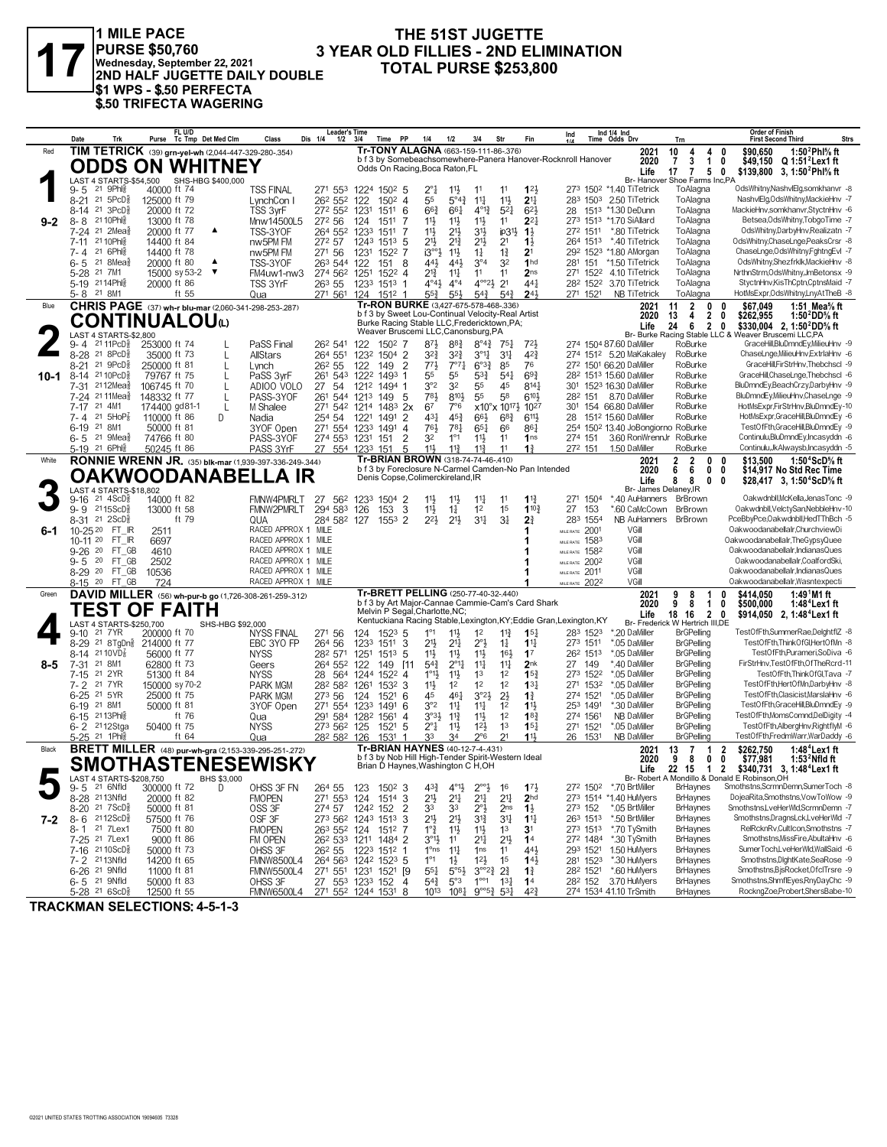

#### THE 51ST JUGETTE **3 YEAR OLD FILLIES - 2ND ELIMINATION TOTAL PURSE \$253,800**

|         | Date                                                                  | FL U/D<br>Purse Tc Tmp Det Med Clm                            | Class<br>Dis 1/4                             | <b>Leader's Time</b><br>Time PP<br>1/2<br>3/4                           | 1/4<br>1/2<br>3/4                                                                  | Str<br>Fin                                                                                                        | Ind 1/4 Ind<br>Ind<br>Time Odds Drv                                  | Trn                                                        | <b>Order of Finish</b><br><b>Strs</b><br><b>First Second Third</b>                       |
|---------|-----------------------------------------------------------------------|---------------------------------------------------------------|----------------------------------------------|-------------------------------------------------------------------------|------------------------------------------------------------------------------------|-------------------------------------------------------------------------------------------------------------------|----------------------------------------------------------------------|------------------------------------------------------------|------------------------------------------------------------------------------------------|
| Red     |                                                                       | TIM TETRICK (39) grn-yel-wh (2,044-447-329-280-.354)          |                                              |                                                                         | Tr-TONY ALAGNA (663-159-111-86-376)                                                |                                                                                                                   | 2021                                                                 | 10<br>4<br>4                                               | 1:50 $^2$ Phl% ft<br>\$90.650<br>0                                                       |
|         |                                                                       | <b>ODDS ON WHITNEY</b>                                        |                                              |                                                                         | Odds On Racing, Boca Raton, FL                                                     |                                                                                                                   | b f 3 by Somebeachsomewhere-Panera Hanover-Rocknroll Hanover<br>2020 | 3<br>$\overline{1}$<br>7                                   | 0<br>\$49,150 Q 1:51 <sup>2</sup> Lex1 ft                                                |
|         |                                                                       |                                                               |                                              |                                                                         |                                                                                    |                                                                                                                   | Life                                                                 | 17<br>$\overline{1}$<br>5<br>Br- Hanover Shoe Farms Inc,PA | \$139,800 3, 1:50 <sup>2</sup> Phl <sup>5</sup> / <sub>8</sub> ft<br>0                   |
|         | 21 9Phl?<br>$9 - 5$                                                   | LAST 4 STARTS-\$54,500 SHS-HBG \$400,000<br>40000 ft 74       | TSS FINAL                                    | 271 553 1224 1502 5                                                     | 2°1<br>$11\frac{1}{2}$<br>11                                                       | 123<br>11                                                                                                         | 273 1502 *1.40 TiTetrick                                             | ToAlagna                                                   | OdsWhitny,NashvlElg,somkhanvr -8                                                         |
|         | 21 $5PCD\frac{5}{8}$<br>$8 - 21$                                      | 125000 ft 79                                                  | LynchCon I                                   | 26 <sup>2</sup> 55 <sup>2</sup> 122<br>$150^2$ 4                        | 55<br>$5^{\circ}4^{\frac{3}{4}}$                                                   | $11\frac{1}{2}$<br>$11\frac{1}{4}$<br>2 <sup>11</sup>                                                             | 283 1503 2.50 TiTetrick                                              | ToAlagna                                                   | NashvlElg, Ods Whitny, MackieHnv -7                                                      |
|         | 21 3PcD <sup>5</sup><br>8-14                                          | 20000 ft 72                                                   | 272 552<br>TSS 3vrF                          | 6<br>1231<br>1511                                                       | $66\frac{3}{4}$<br>661                                                             | $4^{013}$<br>$5^{21}$<br>$6^{2}$                                                                                  | 1513 *1.30 DeDunn<br>28                                              | ToAlagna                                                   | MackieHnv,somkhanvr,StyctnHnv -6                                                         |
| $9 - 2$ | 8-8 2110Phls                                                          | 13000 ft 78                                                   | 272 56<br>Mnw14500L5                         | 124<br>1511<br>7                                                        | 11}<br>$11\frac{1}{2}$                                                             | $11\frac{1}{2}$<br>11<br>$2^{2}$                                                                                  | 273 1513 *1.70 SiAllard                                              | ToAlagna                                                   | Betsea, Ods Whitny, Tobgo Time -7                                                        |
|         | 7-24 <sup>21</sup> 2Mea                                               | 20000 ft 77<br>▲                                              | TSS-3YOF                                     | 264 552 1233<br>1511<br>7                                               | 11号<br>$21\frac{1}{2}$                                                             | 3 <sup>1</sup><br>$ip31\frac{1}{2}$<br>$1\frac{1}{2}$                                                             | 272 1511<br>*.80 TiTetrick                                           | ToAlagna                                                   | OdsWhitny,DarbyHnv,Realizatn -7                                                          |
|         | 21 10Phl용<br>$7 - 11$                                                 | 14400 ft 84                                                   | nw5PM FM<br>272 57                           | $151^3$ 5<br>1243                                                       | 21}<br>$2^{13}$                                                                    | 2 <sup>11</sup><br>2 <sup>1</sup><br>$1\frac{1}{2}$                                                               | 264 1513 *.40 TiTetrick                                              | ToAlagna                                                   | OdsWhitny,ChaseLnge,PeaksCrsr -8                                                         |
|         | 21 6Phis<br>7-4<br>$21.8$ Mea $\frac{5}{8}$                           | 14400 ft 78<br>$\blacktriangle$                               | nw5PM FM<br>271 56                           | 1231<br>1522 7                                                          | $11\frac{1}{2}$<br>i3°<br>441,                                                     | $1\frac{3}{4}$<br>2 <sup>1</sup><br>$1\frac{1}{4}$<br>$3^{\circ 4}$<br>32<br>1 <sub>hd</sub>                      | 292 1523 *1.80 AMorgan                                               | ToAlagna<br>ToAlagna                                       | ChaseLnge,OdsWhitny,FghtngEvI -7<br>OdsWhitny,Shezfrklk,MackieHnv -8                     |
|         | 6-5<br>5-28 <sup>21</sup> 7M1                                         | 20000 ft 80<br>15000 sy 53-2<br>$\overline{\mathbf{v}}$       | TSS-3YOF<br>FM4uw1-nw3                       | 263 544 122<br>8<br>151<br>274 562 1251<br>1522 4                       | 443<br>21<br>$11\frac{1}{4}$                                                       | 2 <sub>ns</sub><br>11<br>11                                                                                       | *1.50 TiTetrick<br>281<br>151<br>271 1522<br>4.10 TiTetrick          | ToAlagna                                                   | NrthnStrm,OdsWhitny,JmBetonsx -9                                                         |
|         | 5-19 2114Phlg                                                         | 20000 ft 86                                                   | TSS 3YrF<br>263 55                           | 1233 1513 1                                                             | $4^{\circ}4$<br>$4^{\circ}4^{\circ}$                                               | $4^{\circ}2^1$ $2^1$<br>$44\frac{1}{4}$                                                                           | 282 1522<br>3.70 TiTetrick                                           | ToAlagna                                                   | StyctnHnv,KisThCptn,CptnsMaid -7                                                         |
|         | 5-8 21 8M1                                                            | ft 55                                                         | Qua                                          | 271 561 124<br>1512                                                     | $55\frac{3}{4}$<br>$55\frac{1}{2}$                                                 | $5^{4}$<br>54 <sup>3</sup><br>$2^{4}$                                                                             | 271 1521<br><b>NB TiTetrick</b>                                      | ToAlagna                                                   | HotMsExpr,OdsWhitny,LnyAtTheB -8                                                         |
| Blue    |                                                                       | CHRIS PAGE (37) wh-r blu-mar (2,060-341-298-253-.287)         |                                              |                                                                         | Tr-RON BURKE (3,427-675-578-468-.336)                                              |                                                                                                                   | 2021                                                                 | $\overline{2}$<br>0<br>11                                  | \$67,049<br>1:51 Mea $\%$ ft<br>0                                                        |
|         |                                                                       | <b>CONTINUALOU(L)</b>                                         |                                              |                                                                         | b f 3 by Sweet Lou-Continual Velocity-Real Artist                                  |                                                                                                                   | 2020                                                                 | $\overline{2}$<br>13<br>4                                  | \$262,955<br>0<br>1:50 $^2$ DD $\%$ ft                                                   |
|         |                                                                       |                                                               |                                              |                                                                         | Burke Racing Stable LLC, Fredericktown, PA;<br>Weaver Bruscemi LLC, Canonsburg, PA |                                                                                                                   | Life                                                                 | $\overline{2}$<br>24<br>6                                  | \$330,004 2, 1:50 <sup>2</sup> DD% ft<br>0                                               |
|         | LAST 4 STARTS-\$2,800<br>$2111$ Pc $D_{8}^5$<br>9-4                   | 253000 ft 74                                                  | PaSS Final<br>262 541                        | 122<br>150 <sup>2</sup> 7                                               | $8^{71}$<br>$8^{8}$ <sub>4</sub>                                                   | $8^{\circ}4^{\frac{3}{4}}$<br>$72\frac{1}{2}$<br>$75\frac{1}{4}$                                                  | 274 1504 87.60 DaMiller                                              | RoBurke                                                    | Br- Burke Racing Stable LLC & Weaver Bruscemi LLC.PA<br>GraceHill,BluDmndEy,MilieuHnv -9 |
|         | 8-28 21 8PcD3                                                         | 35000 ft 73<br>L                                              | 264 551<br>AllStars                          | 1232 1504 2                                                             | $3^{2}\frac{3}{4}$<br>$3^{2}\frac{3}{4}$                                           | 42}<br>$3^{01}$<br>3 <sup>11</sup>                                                                                | 274 1512 5.20 MaKakaley                                              | RoBurke                                                    | ChaseLnge, MilieuHnv, ExtrlaHnv -6                                                       |
|         | 21 9PcD3<br>$8 - 21$                                                  | 250000 ft 81<br>L                                             | 26 <sup>2</sup> 55<br>Lynch                  | $\overline{2}$<br>122<br>149                                            | $77\frac{1}{2}$<br>$7^{\circ}7^{\circ}$                                            | 76<br>$6^{o_{32}}$<br>85                                                                                          | 272 1501 66.20 DaMiller                                              | RoBurke                                                    | GraceHill,FirStrHnv,Thebchscl -9                                                         |
| 10-1    | 21 10 PcD<br>8-14                                                     | 79767 ft 75<br>$\mathbf{I}$                                   | PaSS 3wF                                     | 261 543 1222<br>1493<br>-1                                              | 55<br>55                                                                           | $5^{3}\frac{3}{4}$<br>$5^{41}$<br>$69\frac{3}{4}$                                                                 | 28 <sup>2</sup> 151 <sup>3</sup> 15.60 DaMiller                      | RoBurke                                                    | GraceHill,ChaseLnge,Thebchscl -6                                                         |
|         | 7-31 2112Meas                                                         | 106745 ft 70                                                  | 27 54<br>ADIOO VOLO                          | 1212<br>1494 1                                                          | 3°2<br>32                                                                          | 55<br>45<br>$8^{14}$                                                                                              | 301 1523 16.30 DaMiller                                              | RoBurke                                                    | BluDmndEy,BeachCrzy,DarbyHnv -9                                                          |
|         | 7-24 21 11 Mea <sup>5</sup>                                           | 148332 ft 77<br>L                                             | PASS-3YOF<br>261                             | 544 1213 149<br>-5                                                      | $8^{10}$<br>783                                                                    | $6^{10}$<br>55<br>58                                                                                              | 282 151<br>8.70 DaMiller                                             | RoBurke                                                    | BluDmndEy,MilieuHnv,ChaseLnge -9                                                         |
|         | 21 4M1<br>$7 - 17$                                                    | L<br>174400 gd81-1                                            | M Shalee                                     | 271 542 1214<br>1483<br>2x                                              | 67<br>7°6                                                                          | $x10^{\circ}x$ 10 <sup>171</sup> / <sub>2</sub><br>1027                                                           | 301 154 66.80 DaMiller                                               | RoBurke                                                    | HotMsExpr,FirStrHnv,BluDmndEy-10                                                         |
|         | 21 $5HOP_8^T$<br>$7 - 4$                                              | 110000 ft 86<br>D                                             | 254 54<br>Nadia                              | 2<br>1221<br>1491                                                       | 431<br>45 <sup>3</sup>                                                             | $68\frac{3}{4}$<br>$6^{11}$<br>$66\frac{1}{2}$                                                                    | 1512 15.60 DaMiller<br>28<br>254 1502 13.40 JoBongiorno RoBurke      | RoBurke                                                    | HotMsExpr,GraceHill,BluDmndEy -6                                                         |
|         | 21 8M1<br>$6 - 19$<br>$21 \text{ 9}$ Mea $\frac{5}{8}$<br>6-5         | 50000 ft 81<br>74766 ft 80                                    | 271 554<br>3YOF Open<br>PASS-3YOF            | 1233<br>1491<br>$\overline{4}$<br>274 553 1231<br>$\overline{2}$<br>151 | 761<br>781<br>32<br>$1^{\circ}1$                                                   | $65\frac{1}{4}$<br>861<br>66<br>$11\frac{1}{2}$<br>11<br>1 <sub>ns</sub>                                          | 3.60 RonWrennJr<br>274 151                                           | RoBurke                                                    | TestOfFth,GraceHill,BluDmndEy -9<br>Continulu,BluDmndEy,Incasyddn -6                     |
|         | 5-19 21 6Phlg                                                         | 50245 ft 86                                                   | PASS 3YrF                                    | 27 554 1233 151<br>5                                                    | 11}<br>$11\frac{3}{4}$                                                             | $11\frac{3}{4}$<br>11<br>$1\frac{3}{4}$                                                                           | 272 151<br>1.50 DaMiller                                             | RoBurke                                                    | Continulu, Jk Alwaysb, Incasyddn - 5                                                     |
| White   |                                                                       | <b>RONNIE WRENN JR.</b> (35) blk-mar (1,939-397-336-249-.344) |                                              |                                                                         | Tr-BRIAN BROWN (318-74-74-46-.410)                                                 |                                                                                                                   | 2021                                                                 | $\boldsymbol{2}$<br>2<br>0                                 | 1:50 $4$ ScD $%$ ft<br>0<br>\$13,500                                                     |
|         |                                                                       | <b>OAKWOODANABELLA IR</b>                                     |                                              |                                                                         |                                                                                    | b f 3 by Foreclosure N-Carmel Camden-No Pan Intended                                                              | 2020                                                                 | 6<br>0<br>6                                                | 0<br>\$14,917 No Std Rec Time                                                            |
|         |                                                                       |                                                               |                                              |                                                                         | Denis Copse, Colimerckireland, IR                                                  |                                                                                                                   | Life                                                                 | 8<br>0<br>8                                                | 0<br>\$28,417 3, 1:50 <sup>4</sup> ScD% ft                                               |
|         | LAST 4 STARTS-\$18,802<br>$9-16$ 21 $4$ ScD <sup>5</sup> <sub>8</sub> | 14000 ft 82                                                   | FMNW4PMRLT<br>27                             | 1233 1504 2<br>562                                                      | 11}<br>$11\frac{1}{2}$                                                             | 11<br>$1^{13}$<br>$11\frac{1}{4}$                                                                                 | *.40 AuHanners BrBrown<br>271 1504                                   | Br- James Delanev.IR                                       | Oakwdnbll, McKella, Jenas Tonc -9                                                        |
|         | $2115$ ScD $\frac{5}{8}$<br>9-9                                       | 13000 ft 58                                                   | 294 583<br>FMNW2PMRLT                        | 3<br>126<br>153                                                         | $11\frac{1}{2}$<br>$1\frac{1}{4}$                                                  | 1 <sup>2</sup><br>1 <sup>5</sup><br>$1^{10\frac{3}{4}}$                                                           | 27<br>*.60 CaMcCown<br>153                                           | BrBrown                                                    | Oakwdnbll, VelctySan, NebbleHnv-10                                                       |
|         | 8-31 21 2ScD <sup>5</sup>                                             | ft 79                                                         | QUA                                          | 284 582 127<br>$155^3$ 2                                                | $2^{21}$<br>$21\frac{1}{2}$                                                        | 34<br>3 <sup>1</sup><br>2 <sup>3</sup>                                                                            | 283 1554<br>NB AuHanners                                             | BrBrown                                                    | PceBbvPce.Oakwdnbll.HedTThBch -5                                                         |
| 6-1     | 10-25 20<br>FT IR                                                     | 2511                                                          | RACED APPROX 1 MILE                          |                                                                         |                                                                                    |                                                                                                                   | VGill<br>MILE RATE 2001                                              |                                                            | Oakwoodanabellalr, Churchview Di                                                         |
|         | 10-11 20 FT IR                                                        | 6697                                                          | RACED APPROX 1 MILE                          |                                                                         |                                                                                    |                                                                                                                   | VGill<br>1583<br>MILE RATE                                           |                                                            | Oakwoodanabellalr, The Gypsy Quee                                                        |
|         | 9-26 20 FT GB                                                         | 4610                                                          | RACED APPROX 1 MILE                          |                                                                         |                                                                                    |                                                                                                                   | 1582<br>VGill<br>MILE RATE                                           |                                                            | Oakwoodanabellalr, IndianasQues                                                          |
|         | 20 FT GB<br>9-5                                                       | 2502                                                          | RACED APPROX 1 MILE                          |                                                                         |                                                                                    |                                                                                                                   | 2002<br>VGill<br>MILE RATE                                           |                                                            | Oakwoodanabellalr.CoalfordSki.                                                           |
|         | 8-29 20<br>FT GB<br>8-15 20 FT_GB                                     | 10536<br>724                                                  | RACED APPROX 1 MILE<br>RACED APPROX 1 MILE   |                                                                         |                                                                                    |                                                                                                                   | VGill<br>MILE RATE 2011<br>VGill<br>MILE RATE 2022                   |                                                            | Oakwoodanabellalr, IndianasQues<br>Oakwoodanabellalr, Wasntexpecti                       |
| Green   |                                                                       | DAVID MILLER (56) wh-pur-b go (1,726-308-261-259-.312)        |                                              |                                                                         | Tr-BRETT PELLING (250-77-40-32-.440)                                               |                                                                                                                   | 2021                                                                 | 9<br>8<br>1                                                | \$414,050<br>1:49 <sup>1</sup> M1 ft<br>0                                                |
|         |                                                                       |                                                               |                                              |                                                                         |                                                                                    | b f 3 by Art Major-Cannae Cammie-Cam's Card Shark                                                                 | 2020                                                                 | 8<br>$\overline{1}$<br>9                                   | 0<br>\$500,000<br>1:48°Lex1 ft                                                           |
|         |                                                                       | TEST OF FAITH                                                 |                                              |                                                                         | Melvin P Segal, Charlotte, NC;                                                     | Kentuckiana Racing Stable, Lexington, KY; Eddie Gran, Lexington, KY                                               | Life                                                                 | $\overline{2}$<br>18<br>16                                 | \$914,050 2, 1:48 <sup>4</sup> Lex1 ft<br>0                                              |
|         | LAST 4 STARTS-\$250.700<br>21 7 YR                                    | SHS-HBG \$92,000                                              |                                              |                                                                         |                                                                                    | 1 <sup>2</sup><br>15 <sub>1</sub>                                                                                 | 283 1523<br>*.20 DaMiller                                            | Br- Frederick W Hertrich III,DE<br><b>BrGPelling</b>       | TestOfFth,SummerRae,DelghtflZ -8                                                         |
|         | 9-10<br>8-29 21 8TgDng                                                | 200000 ft 70<br>214000 ft 77                                  | NYSS FINAL<br>271 56<br>264 56<br>EBC 3YO FP | $152^3$ 5<br>124<br>3<br>1233<br>1511                                   | $11\frac{1}{2}$<br>$1^{\circ}1$<br>$21\frac{1}{4}$<br>21}                          | 11<br>$2^{\circ}3$<br>$1\frac{1}{4}$<br>$1^{11}$                                                                  | 273 1511<br>*.05 DaMiller                                            | <b>BrGPelling</b>                                          | TestOfFth,ThinkOfGl,HertOfMn -8                                                          |
|         | 8-14 2110VD <sup>7</sup>                                              | 56000 ft 77                                                   | <b>NYSS</b><br>282 571                       | 1251<br>1513<br>5                                                       | 11}<br>$11\frac{1}{2}$                                                             | $11\frac{1}{2}$<br>16 <sup>1</sup><br>1 <sup>7</sup>                                                              | *.05 DaMiller<br>262 1513                                            | <b>BrGPelling</b>                                          | TestOfFth,Purameri,SoDiva -6                                                             |
| $8 - 5$ | 7-31 21 8M1                                                           | 62800 ft 73                                                   | Geers                                        | 264 552 122<br>149<br>[11                                               | $2^{\circ}1\frac{1}{4}$<br>$5^{4}$                                                 | $11\frac{1}{4}$<br>$11\frac{1}{4}$<br>2 <sub>nk</sub>                                                             | 27 149<br>*.40 DaMiller                                              | <b>BrGPelling</b>                                          | FirStrHnv,TestOfFth,OfTheRcrd-11                                                         |
|         | 21 2YR<br>7-15                                                        | 51300 ft 84                                                   | <b>NYSS</b><br>28                            | 564<br>1244<br>1522 4                                                   | $1^{\circ}1\frac{1}{2}$<br>$11\frac{1}{2}$                                         | 15 <sup>3</sup><br>1 <sup>3</sup><br>1 <sup>2</sup>                                                               | 273 1522<br>*.05 DaMiller                                            | <b>BrGPelling</b>                                          | TestOfFth.ThinkOfGl.Tava -7                                                              |
|         | 21 7 YR<br>$7 - 2$                                                    | 150000 sy 70-2                                                | <b>PARK MGM</b><br>282 582                   | 1261<br>1532 3                                                          | 11号<br>1 <sup>2</sup>                                                              | 1 <sup>2</sup><br>1 <sup>2</sup><br>13 <sub>1</sub>                                                               | *.05 DaMiller<br>271 1532                                            | <b>BrGPelling</b>                                          | TestOfFth,HertOfMn,DarbyHnv -8                                                           |
|         | 6-25 21 5YR                                                           | 25000 ft 75                                                   | 273 56<br><b>PARK MGM</b>                    | 124<br>1521<br>6                                                        | 461<br>45                                                                          | $2\frac{1}{2}$<br>$3^{o_2}\frac{1}{2}$<br>$1\frac{3}{4}$                                                          | *.05 DaMiller<br>274 1521                                            | <b>BrGPelling</b>                                          | TestOfFth.Clasicist.MarslaHnv -6                                                         |
|         | 6-19 21 8M1                                                           | 50000 ft 81                                                   | 3YOF Open<br>271 554                         | 1491<br>6<br>1233                                                       | 3°2<br>$11\frac{1}{4}$<br>$3°3\frac{1}{2}$                                         | $11\frac{1}{4}$<br>1 <sup>2</sup><br>$1\frac{11}{2}$<br>1 <sup>2</sup><br>$18\frac{3}{4}$                         | *.30 DaMiller<br>253 1491<br>274 1561<br><b>NB DaMiller</b>          | <b>BrGPelling</b>                                          | TestOfFth,GraceHill,BluDmndEy -9<br>TestOfFth,MomsComnd,DelDigity -4                     |
|         | 6-15 2113Phls<br>6-2 <sup>21</sup> 12Stga                             | ft 76<br>50400 ft 75                                          | Qua<br><b>NYSS</b>                           | 291 584 1282<br>1561<br>$\overline{4}$<br>5<br>273 562 125<br>1521      | $11\frac{3}{4}$<br>$2^{\circ}1$<br>$11\frac{1}{2}$                                 | $11\frac{1}{2}$<br>$12\frac{1}{2}$<br>1 <sup>3</sup><br>$15\frac{1}{4}$                                           | *.05 DaMiller<br>271 1521                                            | <b>BrGPelling</b><br><b>BrGPelling</b>                     | TestOfFth,AlbergHnv,RightflyM -6                                                         |
|         | 5-25 <sup>21</sup> 1Phis                                              | ft 64                                                         | Qua                                          | 282 582 126<br>1531                                                     | 33<br>34                                                                           | 21<br>11}<br>$2^{\circ}6$                                                                                         | 26 1531<br><b>NB DaMiller</b>                                        | <b>BrGPelling</b>                                          | TestOfFth,FredmWarr,WarDaddy -6                                                          |
| Black   |                                                                       | <b>BRETT MILLER</b> (48) pur-wh-gra (2,153-339-295-251-272)   |                                              |                                                                         | Tr-BRIAN HAYNES (40-12-7-4-.431)                                                   |                                                                                                                   | 2021                                                                 | $\overline{7}$<br>13<br>1                                  | \$262,750<br>1:48 $4$ Lex1ft<br>2                                                        |
|         |                                                                       | <b>SMOTHASTENESEWISKY</b>                                     |                                              |                                                                         | b f 3 by Nob Hill High-Tender Spirit-Western Ideal                                 |                                                                                                                   | 2020                                                                 | 9<br>8<br>0                                                | \$77,981<br>0<br>1:53 $^2$ Nfld ft                                                       |
|         |                                                                       |                                                               |                                              |                                                                         | Brian D Haynes, Washington C H, OH                                                 |                                                                                                                   | Life                                                                 | 22 15 1 2                                                  | \$340.731 3.1:48 <sup>4</sup> Lex1 ft                                                    |
|         | <b>AST 4 STARTS-\$208.750</b><br>21 6Nfld<br>9-5                      | 300000 ft 72<br>D                                             | OHSS 3F FN<br>264 55                         | 123<br>$1502$ 3                                                         | $4^{3}\frac{3}{4}$<br>$4^{01}\frac{1}{2}$                                          | $2^{\circ}2^{\circ}$<br>16<br>$17\frac{1}{2}$                                                                     | 272 1502 *.70 BrtMiller                                              | <b>BrHaynes</b>                                            | Br- Robert A Mondillo & Donald E Robinson, OH<br>Smothstns, ScrmnDemn, SumerToch -8      |
|         | 8-28 2113Nfld                                                         | 20000 ft 82                                                   | <b>FMOPEN</b>                                | 271 553 124<br>1514 3                                                   | $21\frac{1}{2}$<br>$21\frac{1}{4}$                                                 | $2^{11}$<br>$2^{11}$<br>2 <sub>hd</sub>                                                                           | 273 1514 *1.40 HuMyers                                               | <b>BrHaynes</b>                                            | DojeaRita,Smothstns,VowToWow -9                                                          |
|         | 8-20 21 7 ScD <sup>3</sup>                                            | 50000 ft 81                                                   | OSS 3F                                       | $\overline{2}$<br>274 57 1242 152                                       | 33<br>33                                                                           | $2^{\circ}$ <sub>2</sub><br>$1\frac{1}{2}$<br>2 <sub>ns</sub>                                                     | *.05 BrtMiller<br>273 152                                            | <b>BrHaynes</b>                                            | Smothstns,LveHerWld,ScrmnDemn -7                                                         |
| 7-2     | $8 - 6$ 2112ScD <sup>3</sup>                                          | 57500 ft 76                                                   | OSF 3F                                       | 273 562 1243 1513<br>3                                                  | 2 <sup>11</sup><br>$21\frac{1}{2}$                                                 | $3^{13}$<br>$3^{11}$<br>$1^{11}$                                                                                  | *.50 BrtMiller<br>263 1513                                           | <b>BrHaynes</b>                                            | Smothstns, DragnsLck, LveHerWld -7                                                       |
|         | 8-1 <sup>21</sup> 7Lex1                                               | 7500 ft 80                                                    | <b>FMOPEN</b>                                | 263 552 124 1512 7                                                      | $1^{\circ}$ $\frac{3}{4}$<br>$11\frac{1}{2}$                                       | $11\frac{1}{2}$<br>1 <sup>3</sup><br>3 <sup>1</sup>                                                               | 273 1513<br>*.70 TySmith                                             | <b>BrHaynes</b>                                            | RelRcknRv,CultIcon,Smothstns -7                                                          |
|         | 7-25 <sup>21</sup> 7Lex1                                              | 9000 ft 86                                                    | FM OPEN                                      | 26 <sup>2</sup> 53 <sup>3</sup> 121 <sup>1</sup> 1484 2                 | $3^{01}$<br>11                                                                     | 21<br>2 <sup>1</sup><br>1 <sup>4</sup>                                                                            | 272 1484<br>*.30 TySmith                                             | <b>BrHaynes</b>                                            | Smothstns, MissFire, AbultaHnv -6                                                        |
|         | 7-16 21 10 ScD <sup>3</sup><br>7-2 2113Nfld                           | 50000 ft 73<br>14200 ft 65                                    | OHSS 3F<br>26 <sup>2</sup> 55                | 1223 1512 1                                                             | 1 <sup>o</sup> ns<br>$11\frac{1}{4}$                                               | 1 <sub>ns</sub><br>11<br>$44\frac{1}{2}$                                                                          | 1.50 HuMyers<br>293 1521<br>*.30 HuMyers                             | <b>BrHaynes</b><br><b>BrHaynes</b>                         | SumerToch,LveHerWld,WallSaid -6<br>Smothstns, DightKate, SeaRose -9                      |
|         | 6-26 <sup>21</sup> 9Nfld                                              | 11000 ft 81                                                   | <b>FMNW8500L4</b><br><b>FMNW5500L4</b>       | 264 563 1242 1523 5<br>271 551 1231 1521 [9                             | $1^{\circ}1$<br>$1\frac{1}{2}$<br>$55\frac{1}{4}$<br>$5^{\circ}5^{\circ}$          | $12\frac{1}{2}$<br>1 <sup>5</sup><br>$14\frac{1}{2}$<br>$3^{\circ 2}\frac{3}{4}$<br>$2^{3}_{4}$<br>$1\frac{3}{4}$ | 281 1523<br>*.60 HuMyers<br>282 1521                                 | <b>BrHaynes</b>                                            | Smothstns,BjsRocket,OfclTrsre -9                                                         |
|         | 6-5 <sup>21</sup> 9Nfld                                               | 50000 ft 83                                                   | OHSS 3F                                      | 27 553 1233 152<br>$\overline{4}$                                       | $5^{4}$<br>$5^{\circ}3$                                                            | $1^{\circ\circ}1$<br>$13\frac{1}{4}$<br>1 <sup>4</sup>                                                            | 28 <sup>2</sup> 152 3.70 HuMyers                                     | <b>BrHaynes</b>                                            | Smothstns,ShmflEyes,RnyDayChc -9                                                         |
|         | $5-28$ 21 $65cD_x^5$                                                  | 12500 ft 55                                                   | EMNIMASOOL 4                                 | 271 552 1244 1521 0                                                     | 1013<br>1081                                                                       | 123<br>$Q^{oo}53.531$                                                                                             | 274 1534 4110 TrSmith                                                | <b>RrHaynes</b>                                            | RocknaZoe Probert ShersBabe-10                                                           |

**TRACKMAN SELECTIONS: 4-5-1-3**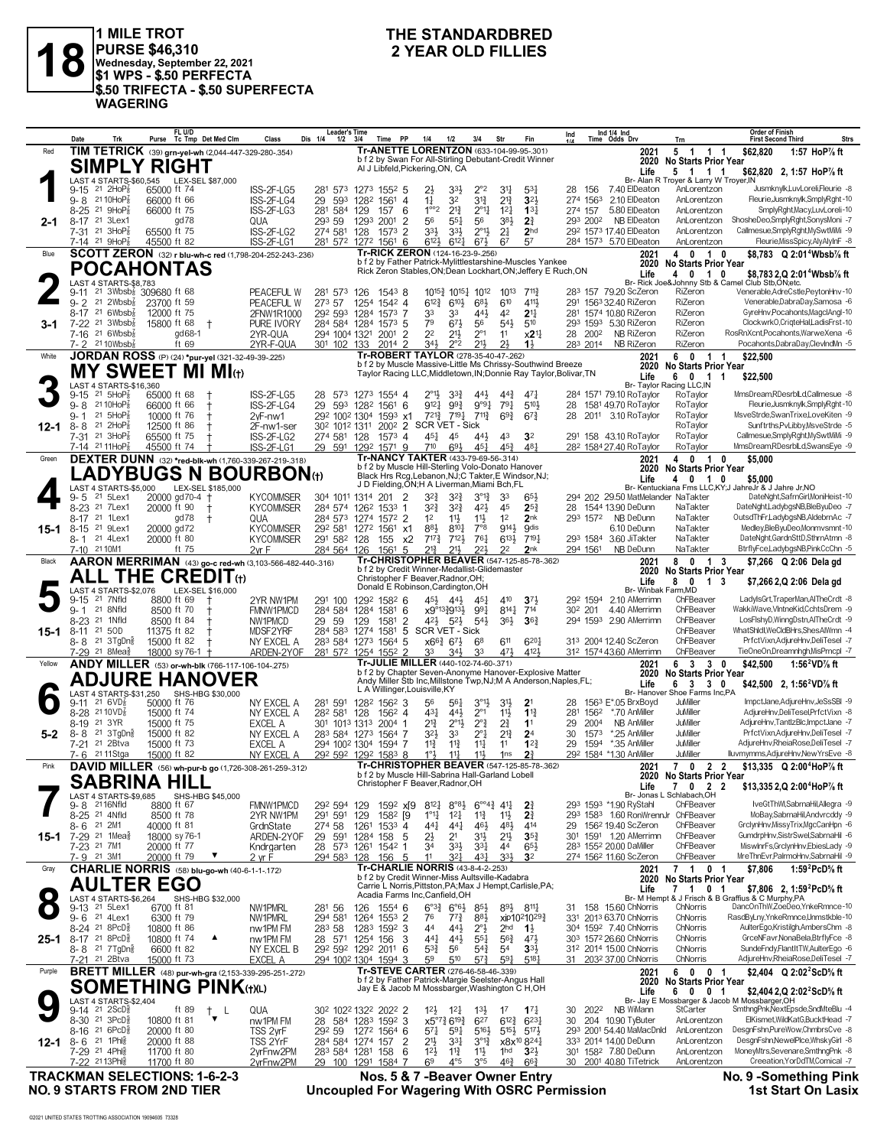

**2** YEAR OLD FILLIES<br> **1 MILE TROT**<br>
PURSE \$46,310<br>
Wednesday, September 22, 2021<br>
\$1 WPS - \$.50 PERFECTA **PURSE \$46,310 Wednesday, September 22, 2021 \$1 WPS - \$.50 PERFECTA \$.50 TRIFECTA - \$.50 SUPERFECTA WAGERING**

## **THE STANDARDBRED**

|         | Date<br>Trk                                                                 | FL U/D<br>Purse Tc Tmp Det Med Clm                                   | Class<br>Dis 1/4                     | <b>Leader's Time</b><br>1/2 | 3/4<br>Time PP                                                                                              | 1/4<br>1/2                                                                  | 3/4                                                                              | Str                                         | Fin                                   | Ind 1/4 Ind<br>Order of Finish<br>Ind<br>Time Odds Drv<br><b>First Second Third</b><br>Strs<br>Trn                                                 |
|---------|-----------------------------------------------------------------------------|----------------------------------------------------------------------|--------------------------------------|-----------------------------|-------------------------------------------------------------------------------------------------------------|-----------------------------------------------------------------------------|----------------------------------------------------------------------------------|---------------------------------------------|---------------------------------------|----------------------------------------------------------------------------------------------------------------------------------------------------|
| Red     |                                                                             | TIM TETRICK (39) grn-yel-wh (2,044-447-329-280-.354)                 |                                      |                             | Tr-ANETTE LORENTZON (633-104-99-95-.301)                                                                    |                                                                             |                                                                                  |                                             |                                       | 2021<br>5 1 1 1<br>\$62,820<br>1:57 HoP% ft                                                                                                        |
|         |                                                                             | <b>SIMPLY RIGHT</b>                                                  |                                      |                             | b f 2 by Swan For All-Stirling Debutant-Credit Winner<br>AI J Libfeld, Pickering, ON, CA                    |                                                                             |                                                                                  |                                             |                                       | <b>No Starts Prior Year</b><br>2020                                                                                                                |
|         |                                                                             | LAST 4 STARTS-\$60,545 LEX-SEL \$87,000                              |                                      |                             |                                                                                                             |                                                                             |                                                                                  |                                             |                                       | Life<br>5 1 1 1<br>\$62,820 2, 1:57 HoP% ft<br>Br- Alan R Troyer & Larry W Troyer, IN                                                              |
|         | $9-15$ <sup>21</sup> 2HoP <sub>8</sub>                                      | 65000 ft 74                                                          | ISS-2F-LG5                           |                             | 281 573 1273 1552 5                                                                                         | $3^{3}\frac{1}{2}$<br>2}                                                    | $2^{\circ}2$                                                                     | $3^{11}$                                    | $5^{3}$                               | 28<br>7.40 ElDeaton<br>Jusmknylk,LuvLoreli,Fleurie -8<br>156<br>AnLorentzon                                                                        |
|         | $9 - 8$ 21 10 Hop $\frac{7}{8}$                                             | 66000 ft 66                                                          | ISS-2F-LG4<br>29                     | 593                         | 1282 1561<br>$\overline{4}$                                                                                 | $1\frac{1}{4}$<br>3 <sup>2</sup>                                            | $3^{12}$                                                                         | $2^{13}$                                    | 3 <sup>2</sup>                        | 274 1563 2.10 ElDeaton<br>Fleurie, Jusmknylk, SmplyRght-10<br>AnLorentzon                                                                          |
|         | 8-25 <sup>21</sup> 9HoP <sub>8</sub>                                        | 66000 ft 75                                                          | ISS-2F-LG3<br>281                    | 584                         | 129<br>157<br>6                                                                                             | $1^{\circ}2$<br>$2^{13}$                                                    | $2^{\circ}1\frac{1}{4}$                                                          | 12 <sub>1</sub>                             | $13\frac{1}{4}$                       | SmplyRght,Macy,LuvLoreli-10<br>274 157<br>5.80 ElDeaton<br>AnLorentzon                                                                             |
| $2 - 1$ | 8-17 <sup>21</sup> 3Lex1                                                    | gd78                                                                 | QUA                                  | 293 59                      | 1293<br>2001<br>2                                                                                           | 56<br>$55\frac{1}{4}$                                                       | 56                                                                               | $3^{8}$                                     | $2\frac{3}{4}$                        | ShosheDeo,SmplyRght,SonysMoni -7<br>293 2002<br>NB ElDeaton<br>AnLorentzon<br>Callmesue, SmplyRght, MySwtMiMi -9<br>AnLorentzon                    |
|         | $7-31$ 21 $3HOP_8^7$<br>7-14 21 9HoP3                                       | 65500 ft 75<br>45500 ft 82                                           | ISS-2F-LG2<br>ISS-2F-LG1             | 274 581 128                 | 1573 2<br>281 572 1272 1561 6                                                                               | $3^{3}\frac{1}{2}$<br>$3^{3}\frac{1}{2}$<br>$6^{12}\frac{1}{2}$<br>$6^{12}$ | $2^{\circ}1\frac{1}{2}$<br>$6^{71}$                                              | $2\frac{1}{4}$<br>67                        | 2 <sub>hd</sub><br>57                 | 292 1573 17.40 ElDeaton<br>284 1573 5.70 ElDeaton<br>Fleurie, MissSpicy, Aly AlyInF -8<br>AnLorentzon                                              |
| Blue    |                                                                             | SCOTT ZERON (32) r blu-wh-c red (1,798-204-252-243-.236)             |                                      |                             | Tr-RICK ZERON (124-16-23-9-.256)                                                                            |                                                                             |                                                                                  |                                             |                                       | \$8,783 Q 2:01 <sup>4</sup> Wbsb <sup>7</sup> / <sub>8</sub> ft<br>2021<br>40<br>10                                                                |
|         |                                                                             |                                                                      |                                      |                             | b f 2 by Father Patrick-Mylittlestarshine-Muscles Yankee                                                    |                                                                             |                                                                                  |                                             |                                       | 2020<br><b>No Starts Prior Year</b>                                                                                                                |
|         |                                                                             | POCAHONTAS                                                           |                                      |                             | Rick Zeron Stables, ON; Dean Lockhart, ON; Jeffery E Ruch, ON                                               |                                                                             |                                                                                  |                                             |                                       | 4 0 1 0<br>\$8,783 2, Q 2:01 <sup>4</sup> Wbsb <sup>7</sup> / <sub>8</sub> ft<br>Life                                                              |
|         | LAST 4 STARTS-\$8,783<br>9-11 <sup>21</sup> 3Wbsb <sup>2</sup> 309680 ft 68 |                                                                      | PEACEFUL W                           | 281 573 126                 | 1543 8                                                                                                      |                                                                             | 10 <sup>15</sup> / <sub>2</sub> 10 <sup>15</sup> / <sub>2</sub> 10 <sup>12</sup> | 1013                                        | 7113                                  | Br- Rick Joe&Johnny Stb & Camel Club Stb,ON;etc.<br>Venerable, AdreCstle, PeytonHnv-10<br>283 157 79.20 ScZeron<br>RiZeron                         |
|         | $9 - 2$<br>$21$ 2Wbsb $\frac{1}{8}$                                         | 23700 ft 59                                                          | PEACEFUL W                           | 273 57                      | 1254 1542 4                                                                                                 | $6^{12}\frac{3}{4}$                                                         | $6^{10}$<br>$6^{8}\frac{1}{2}$                                                   | 610                                         | 4111                                  | Venerable, DabraDay, Samosa - 6<br>291 1563 32.40 RiZeron<br>RiZeron                                                                               |
|         | $8-17$ 21 6Wbsb <sup>7</sup> <sub>8</sub>                                   | 12000 ft 75                                                          | 2FNW1R1000                           |                             | 292 593 1284 1573<br>7                                                                                      | 33<br>33                                                                    | 441                                                                              | 42                                          | $2^{11}$                              | GyreHnv,Pocahonts,MagclAngl-10<br>281 1574 10.80 RiZeron<br>RiZeron                                                                                |
| 3-1     | 7-22 <sup>21</sup> 3Wbsb <sup>2</sup>                                       | 15800 ft 68<br>$\pm$                                                 | PURE IVORY                           |                             | 284 584 1284 1573 5                                                                                         | 79<br>673                                                                   | 56                                                                               | $5^{4}$                                     | 510                                   | RiZeron<br>ClockwrkO.CrigteHal.LadisFrst-10<br>293 1593 5.30 RiZeron                                                                               |
|         | $7-16$ 21 6Wbsb <sup>7</sup>                                                | gd68-1                                                               | 2YR-QUA                              | 294 1004 1321               | 2001<br>2                                                                                                   | 2 <sup>2</sup><br>$21\frac{1}{2}$                                           | $2^{\circ}1$                                                                     | 11                                          | x21                                   | RosRnXcnt,Pocahonts,WarweXena -6<br>28 2002<br>NB RiZeron<br>RiZeron                                                                               |
|         | $7 - 2$ 21 10 Wbsb $\frac{7}{8}$                                            | ft 69                                                                | 2YR-F-QUA                            | 301 102 133                 | 2014 2<br>Tr-ROBERT TAYLOR (278-35-40-47-262)                                                               | 341,<br>$2^{\circ}2$                                                        | $21\frac{1}{2}$                                                                  | $2\frac{1}{2}$                              | $1\frac{1}{2}$                        | 283 2014<br>RiZeron<br>Pocahonts, DabraDay, ClevIndMn -5<br>NB RiZeron                                                                             |
| White   |                                                                             | JORDAN ROSS (P) (24) *pur-yel (321-32-49-39-.225)                    |                                      |                             | b f 2 by Muscle Massive-Little Ms Chrissy-Southwind Breeze                                                  |                                                                             |                                                                                  |                                             |                                       | 2021<br>6 0 1 1<br>\$22,500<br>2020<br><b>No Starts Prior Year</b>                                                                                 |
|         |                                                                             | MY SWEET MI MI⊕                                                      |                                      |                             | Taylor Racing LLC, Middletown, IN; Donnie Ray Taylor, Bolivar, TN                                           |                                                                             |                                                                                  |                                             |                                       | \$22,500<br>Life<br>6011                                                                                                                           |
|         | LAST 4 STARTS-\$16,360                                                      |                                                                      |                                      |                             |                                                                                                             |                                                                             |                                                                                  |                                             |                                       | Br- Taylor Racing LLC, IN                                                                                                                          |
|         | 21 $5HOP_8^7$<br>$9 - 15$<br>21 10HoP $\frac{7}{8}$                         | 65000 ft 68                                                          | ISS-2F-LG5<br>28                     |                             | 573 1273 1554 4                                                                                             | 2°1}<br>$3^{32}$<br>$99\frac{3}{4}$                                         | $44\frac{1}{2}$<br>9°91                                                          | $44\frac{3}{4}$<br>791                      | $47\frac{1}{4}$<br>510}               | MmsDream,RDesrblLd,Callmesue -8<br>284 1571 79.10 RoTaylor<br>RoTaylor<br>Fleurie, Jusmknylk, SmplyRght-10<br>28                                   |
|         | $9 - 8$<br>21 $5HOP_8^7$<br>$9 - 1$                                         | 66000 ft 66<br>10000 ft 76                                           | ISS-2F-LG4<br>29<br>2yF-nw1          | 292 1002 1304               | 593 1282 1561 6<br>$1593$ x1                                                                                | $9^{12}$<br>7213                                                            | $711\frac{3}{4}$<br>$7^{19}\frac{1}{4}$                                          | $69\frac{3}{4}$                             | $6^{73}$                              | 1581 49.70 RoTaylor<br>RoTaylor<br>RoTaylor<br>MsveStrde,SwanTrixe,LoveKiten -9<br>28<br>2011 3.10 RoTaylor                                        |
| 12-1    | 21 $2HOP_8^7$<br>$8 - 8$                                                    | 12500 ft 86                                                          | 2F-nw1-ser                           | 302 1012 1311               |                                                                                                             | 2002 2 SCR VET - Sick                                                       |                                                                                  |                                             |                                       | RoTaylor<br>Sunftrths, PvLibby, MsveStrde -5                                                                                                       |
|         | 7-31 21 3HoP <sup>7</sup>                                                   | 65500 ft 75                                                          | ISS-2F-LG2                           | 274 581 128                 | $1573$ 4                                                                                                    | 451<br>45                                                                   | $44\frac{1}{2}$                                                                  | 43                                          | 3 <sup>2</sup>                        | RoTaylor<br>Callmesue, SmplyRght, MySwtMiMi -9<br>291 158 43.10 RoTaylor                                                                           |
|         | 7-14 21 11 Ho <sup>2</sup>                                                  | 45500 ft 74                                                          | ISS-2F-LG1                           |                             | 29 591 1292 1571 9                                                                                          | 710<br>$69\frac{1}{2}$                                                      | $45\frac{1}{4}$                                                                  | $45\frac{3}{4}$                             | $48\frac{1}{4}$                       | MmsDream,RDesrblLd,SwansEye -9<br>28 <sup>2</sup> 1584 27.40 RoTaylor<br>RoTaylor                                                                  |
| Green   |                                                                             | DEXTER DUNN (32) *red-blk-wh (1,760-339-267-219-318)                 |                                      |                             | Tr-NANCY TAKTER (433-79-69-56-.314)                                                                         |                                                                             |                                                                                  |                                             |                                       | 4 0 1<br>\$5,000<br>2021<br>0                                                                                                                      |
|         |                                                                             | <b>.ADYBUGS N BOURBON(t)</b>                                         |                                      |                             | b f 2 by Muscle Hill-Sterling Volo-Donato Hanover<br>Black Hrs Rcg, Lebanon, NJ; C Takter, E Windsor, NJ;   |                                                                             |                                                                                  |                                             |                                       | 2020<br><b>No Starts Prior Year</b>                                                                                                                |
|         | LAST 4 STARTS-\$5,000                                                       | LEX-SEL \$185,000                                                    |                                      |                             | J D Fielding, ON; H A Liverman, Miami Bch, FL                                                               |                                                                             |                                                                                  |                                             |                                       | Life<br>0 <sub>1</sub><br>\$5,000<br>4<br>0<br>Br- Kentuckiana Fms LLC,KY;J JahreJr & J Jahre Jr,NO                                                |
|         | 21 5Lex1<br>$9 - 5$                                                         | 20000 gd70-4 +                                                       | <b>KYCOMMSER</b>                     |                             | $\overline{2}$<br>304 1011 1314 201                                                                         | 32}<br>$3^{2}\frac{3}{4}$                                                   | $3^{012}$                                                                        | 33                                          | $65\frac{1}{2}$                       | DateNght,SafrnGirl,MoniHeist-10<br>294 202 29.50 MatMelander NaTakter                                                                              |
|         | 8-23 <sup>21</sup> 7Lex1                                                    | 20000 ft 90<br>$\pm$                                                 | <b>KYCOMMSER</b>                     |                             | 284 574 1262 1533<br>-1                                                                                     | 32}<br>$3^{2}\frac{3}{4}$                                                   | $4^{21}$                                                                         | 45                                          | $2^{5}$                               | DateNght,LadybgsNB,BleByuDeo -7<br>28 1544 13.90 DeDunn<br>NaTakter                                                                                |
|         | 8-17 21 1Lex1                                                               | gd78<br>$\pm$                                                        | QUA                                  |                             | 284 573 1274 1572 2                                                                                         | 1 <sup>2</sup><br>$11\frac{1}{2}$                                           | 11                                                                               | 1 <sup>2</sup>                              | 2 <sup>nk</sup>                       | OutsdThFr.LadvbgsNB.AldebrnAc -7<br>NB DeDunn<br>293 1572<br>NaTakter                                                                              |
| 15-1    | 8-15 21 9Lex1<br>8-1 21 4Lex1                                               | 20000 gd72<br>20000 ft 80                                            | <b>KYCOMMSER</b><br><b>KYCOMMSER</b> | 292 581<br>291 582 128      | 1272 1561 x1<br>155<br>x2                                                                                   | 883<br>$7^{17}\frac{3}{4}$                                                  | 8101<br>7°8<br>$76\frac{1}{4}$<br>$712\frac{1}{2}$                               | 9141<br>$6^{13}$                            | <b>gdis</b><br>7191                   | Medley,BleByuDeo,Monmvsmnt-10<br>6.10 DeDunn<br>NaTakter<br>293 1584 3.60 JiTakter<br>NaTakter<br>DateNght,GardnSttD,SthrnAtmn -8                  |
|         | 7-10 21 10M1                                                                | ft 75                                                                | 2yr F                                | 284 564 126                 | $1561$ 5                                                                                                    | 21}<br>$21\frac{1}{2}$                                                      | $2^{21}$                                                                         | 2 <sup>2</sup>                              | 2nk                                   | NaTakter<br>BtrflyFce,LadybgsNB,PinkCcChn -5<br>294 1561<br>NB DeDunn                                                                              |
| Black   |                                                                             | AARON MERRIMAN (43) go-c red-wh (3,103-566-482-440-.316)             |                                      |                             | Tr-CHRISTOPHER BEAVER (547-125-85-78-.362)                                                                  |                                                                             |                                                                                  |                                             |                                       | 8<br>$\mathbf 0$<br>2021<br>1 3<br>\$7,266 Q 2:06 Dela gd                                                                                          |
|         |                                                                             | ALL THE CREDIT $_0$                                                  |                                      |                             | b f 2 by Credit Winner-Medallist-Glidemaster                                                                |                                                                             |                                                                                  |                                             |                                       | <b>No Starts Prior Year</b><br>2020                                                                                                                |
|         |                                                                             |                                                                      |                                      |                             | Christopher F Beaver, Radnor, OH;<br>Donald E Robinson, Cardington, OH                                      |                                                                             |                                                                                  |                                             |                                       | Life<br>80<br>13<br>\$7,266 2,Q 2:06 Dela gd                                                                                                       |
|         | LAST 4 STARTS-\$2,076<br>21 7Nfld<br>$9 - 15$                               | LEX-SEL \$16,000<br>8800 ft 69                                       | 2yr Nw1PM                            | 291 100                     | 1292 1582 6                                                                                                 | 443<br>45}                                                                  | $45\frac{1}{4}$                                                                  | 410                                         | $3^{7}$                               | Br- Winbak Farm, MD<br>292 1594 2.10 AMerrimn<br>ChFBeaver<br>LadylsGrt,TraperMan,AlTheCrdt -8                                                     |
|         | 9-1 21 8Nfld                                                                | 8500 ft 70<br>$^{+}$                                                 | FMNW1PMCD                            |                             | 284 584 1284 1581 6                                                                                         | x9°1339133                                                                  | $99\frac{1}{4}$                                                                  | $8^{14}$                                    | 714                                   | ChFBeaver<br>WakkiWave,VIntneKid,CchtsDrem -9<br>4.40 AMerrimn<br>30 <sup>2</sup> 201                                                              |
|         | 8-23 <sup>21</sup> 1Nfld                                                    | 8500 ft 84<br>$\mathsf{t}$                                           | NW1PMCD                              | 29 59                       | 129<br>1581<br>2                                                                                            | $4^{21}$<br>$5^{21}$                                                        | $5^{4}$                                                                          | $36\frac{1}{2}$                             | $36\frac{3}{4}$                       | LosFlshyD,WinngDstn,AlTheCrdt -9<br>294 1593 2.90 AMerrimn<br>ChFBeaver                                                                            |
| 15-1    | 8-11 21 50D                                                                 | 11375 ft 82                                                          | MDSF2YRF                             |                             | 284 583 1274 1581 5 SCR VET - Sick                                                                          |                                                                             |                                                                                  |                                             |                                       | ChFBeaver<br>WhatShidl, WeCldBHrs, ShesAlWmn -4                                                                                                    |
|         | 8-8 <sup>21</sup> 3TgDng<br>7-29 21 8Meas                                   | 15000 ft 82                                                          | NY EXCEL A                           |                             | 283 584 1273 1564 5                                                                                         | $x66\frac{3}{4}67\frac{1}{2}$                                               | 68                                                                               | 611                                         | 6201<br>4121                          | ChFBeaver<br>313 2004 12.40 ScZeron<br>PrfctVixn, AdjureHnv, DeliTesel -7<br>ChFBeaver<br>TieOneOn,Dreamnhgh,MisPrncpl -7                          |
| Yellow  |                                                                             | 18000 sy 76-1 +<br>ANDY MILLER (53) or-wh-blk (766-117-106-104-.275) | ARDEN-2YOF                           |                             | 281 572 1254 1552 2<br>Tr-JULIE MILLER (440-102-74-60-.371)                                                 | 33<br>$34\frac{1}{2}$                                                       | 33                                                                               | 471                                         |                                       | 312 1574 43.60 AMerrimn<br>6 3<br>$3\quad 0$                                                                                                       |
|         |                                                                             |                                                                      |                                      |                             | b f 2 by Chapter Seven-Anonyme Hanover-Explosive Matter                                                     |                                                                             |                                                                                  |                                             |                                       | \$42,500<br>1:56 <sup>2</sup> VD% ft<br>2021<br>No Starts Prior Year<br>2020                                                                       |
|         |                                                                             | <b>ADJURE HANOVER</b>                                                |                                      |                             | Andy Miller Stb Inc, Millstone Twp, NJ; M A Anderson, Naples, FL;                                           |                                                                             |                                                                                  |                                             |                                       | 6<br>\$42,500 2, 1:56 <sup>2</sup> VD% ft<br>Life<br>$3^{\circ}$<br>30                                                                             |
|         | LAST 4 STARTS-\$31,250                                                      | SHS-HBG \$30,000                                                     |                                      |                             | L A Willinger, Louisville, KY                                                                               |                                                                             |                                                                                  |                                             |                                       | Br- Hanover<br>Shoe Farms Inc, PA<br>ImpctJane,AdjureHnv,JeSsSBI -9                                                                                |
|         | $21.6VD_{8}$<br>9-11<br>8-28 2110VD                                         | 50000 ft 76<br>15000 ft 74                                           | NY EXCEL A<br>NY EXCEL A             | 281 591<br>282 581 128      | 1282 1562 3<br>1562 4                                                                                       | 56<br>561<br>431<br>443                                                     | $3^{01}$<br>$2^{\circ}1$                                                         | 3 <sup>1</sup><br>11号                       | 2 <sup>1</sup><br>$1\frac{13}{4}$     | 1563 E*.05 BrxBoyd<br>JuMiller<br>28<br>*.70 AnMiller<br>JuMiller<br>AdjureHnv,DeliTesel,PrfctVixn -8<br>281<br>1562                               |
|         | 8-19 21 3YR                                                                 | 15000 ft 75                                                          | <b>EXCEL A</b>                       | 301 1013 1313               | 2004 1                                                                                                      | 21}                                                                         | $2^{\circ}$ $\frac{3}{4}$<br>$2^{01}\frac{1}{2}$                                 | $2\frac{3}{4}$                              | 1 <sup>1</sup>                        | JuMiller<br>AdjureHnv,TantIzBlc,ImpctJane -7<br>29<br>2004<br><b>NB AnMiller</b>                                                                   |
| $5 - 2$ | 8-8 <sup>21</sup> 3TgDng                                                    | 15000 ft 82                                                          | NY EXCEL A                           |                             | 283 584 1273 1564 7                                                                                         | 32}<br>33                                                                   | $2^{\circ}1$                                                                     | $2^{13}$                                    | 2 <sup>4</sup>                        | PrfctVixn, AdjureHnv, DeliTesel -7<br>30<br>1573<br>*.25 AnMiller<br>JuMiller                                                                      |
|         | 7-21 <sup>21</sup> 2Btva                                                    | 15000 ft 73                                                          | EXCEL A                              |                             | 294 1002 1304 1594 7                                                                                        | $11\frac{3}{4}$<br>$11\frac{3}{4}$                                          | $11\frac{1}{4}$                                                                  | 11                                          | $1^{2}$                               | 29<br>JuMiller<br>AdjureHnv.RheiaRose.DeliTesel -7<br>1594<br>*.35 AnMiller                                                                        |
|         | 7-6 2111Stga                                                                | 15000 ft 82                                                          | NY EXCEL A                           |                             | 292 592 1292 1583 8                                                                                         | $1^\circ\frac{1}{2}$<br>$11\frac{1}{4}$                                     | $11\frac{1}{2}$                                                                  | 1 <sub>ns</sub>                             | 2 <sup>3</sup>                        | 292 1584 *1.30 AnMiller<br>JuMiller<br>Iluvmymms, AdjureHnv, New YrsEve -8                                                                         |
| Pink    |                                                                             | DAVID MILLER (56) wh-pur-b go (1,726-308-261-259-.312)               |                                      |                             | Tr-CHRISTOPHER BEAVER (547-125-85-78-.362)<br>b f 2 by Muscle Hill-Sabrina Hall-Garland Lobell              |                                                                             |                                                                                  |                                             |                                       | 70<br>\$13,335 $Q$ 2:00 <sup>4</sup> HoP% ft<br>2021<br>2 2<br>2020                                                                                |
|         |                                                                             | SABRINA HILL                                                         |                                      |                             | Christopher F Beaver, Radnor, OH                                                                            |                                                                             |                                                                                  |                                             |                                       | No Starts Prior Year<br>7022<br>\$13,335 2,Q 2:00 <sup>4</sup> HoP% ft<br>Life                                                                     |
|         | LAST 4 STARTS-\$9.685                                                       | SHS-HBG \$45,000                                                     |                                      |                             |                                                                                                             |                                                                             |                                                                                  |                                             |                                       | Br- Jonas L Schlabach, OH                                                                                                                          |
|         | 9-8<br>2116Nfld                                                             | 8800 ft 67                                                           | FMNW1PMCD                            | 292 594 129                 | 159 <sup>2</sup> x <sub>1</sub> 9                                                                           | $8^{12}$                                                                    | $8^{\circ}8^{\frac{1}{2}}$                                                       | $6^{\circ 4}$ 4 <sup>1</sup> / <sub>4</sub> | $2\frac{3}{4}$                        | 293 1593 *1.90 RyStahl<br>IveGtThWI,SabrnaHil,Allegra -9<br>ChFBeaver                                                                              |
|         | 8-25 <sup>21</sup> 4Nfld<br>8-6 21 2M1                                      | 8500 ft 78<br>40000 ft 81                                            | 2YR NW1PM<br>GrdnState               | 291 591 129<br>274 58       | 1582 [9<br>1261<br>$1533$ 4                                                                                 | $1^{\circ}1_{4}^{1}$<br>$1^{2}$<br>441<br>$44\frac{1}{4}$                   | $11\frac{3}{4}$<br>46}                                                           | 11支<br>481                                  | $2\frac{3}{4}$<br>414                 | MoBay,SabrnaHil,Andvrcddy -9<br>293 1583 1.60 RonWrennJr ChFBeaver<br>GrclynHnv, MissyTrix, MgcCanHpn -6<br>ChFBeaver<br>29 1562 19.40 ScZeron     |
| 15-1    | 7-29 21 1Mea}                                                               | 18000 sy 76-1                                                        | ARDEN-2YOF<br>29                     |                             | 591 1284 158<br>5                                                                                           | $2\frac{1}{2}$<br>2 <sup>1</sup>                                            | 31}                                                                              | 2 <sup>1</sup>                              | $35\frac{3}{4}$                       | ChFBeaver<br>GumdrpHnv,SistrSwel,SabrnaHil -6<br>301 1591 1.20 AMerrimn                                                                            |
|         | 7-23 21 7M1                                                                 | 20000 ft 77                                                          | Kndrgarten                           |                             | 28 573 1261 1542<br>-1                                                                                      | 34<br>$3^{3}\frac{1}{2}$                                                    | $3^{3}4$                                                                         | 44                                          | $65\frac{1}{2}$                       | MiswInrFs,GrcIynHnv,EbiesLady -9<br>283 1552 20.00 DaMiller<br>ChFBeaver                                                                           |
|         | 7-9 21 3M1                                                                  | 20000 ft 79                                                          | 2 yr F                               | 294 583 128                 | 156<br>-5                                                                                                   | 11<br>321                                                                   | 431                                                                              | 334                                         | 3 <sup>2</sup>                        | MreThnEvr,PalrmoHnv,SabrnaHil -9<br>ChFBeaver<br>274 1562 11.60 ScZeron                                                                            |
| Gray    |                                                                             | CHARLIE NORRIS (58) blu-go-wh (40-6-1-1-172)                         |                                      |                             | <b>Tr-CHARLIE NORRIS (43-8-4-2-.253)</b>                                                                    |                                                                             |                                                                                  |                                             |                                       | 7 <sub>1</sub><br>2021<br>\$7,806<br>1:59 $^{2}$ PcD $\%$ ft<br>0 <sub>1</sub>                                                                     |
|         | <b>AULTER EGO</b>                                                           |                                                                      |                                      |                             | b f 2 by Credit Winner-Miss Aultsville-Kadabra<br>Carrie L Norris, Pittston, PA; Max J Hempt, Carlisle, PA; |                                                                             |                                                                                  |                                             |                                       | 2020<br><b>No Starts Prior Year</b><br>Life<br>7 1 0 1<br>\$7,806 2, 1:59 <sup>2</sup> PcD <sup>5</sup> / <sub>8</sub> ft                          |
|         | LAST 4 STARTS-\$6,264                                                       | SHS-HBG \$32,000                                                     |                                      |                             | Acadia Farms Inc, Canfield, OH                                                                              |                                                                             |                                                                                  |                                             |                                       | Br- M Hempt & J Frisch & B Graffius & C Murphy, PA                                                                                                 |
|         | 9-13 <sup>21</sup> 5Lex1                                                    | 6700 ft 81                                                           | NW1PMRL                              | 281 56                      | 126<br>1554 6                                                                                               | $6^{\circ}3^{\circ}2$                                                       | $6^{\circ}6^{\circ}2$<br>$85\frac{1}{2}$                                         | $8^{9}\frac{1}{2}$                          | $8^{11}\frac{1}{4}$                   | DancOnThW,ZoeDeo,YnkeRmnce-10<br>31 158 15.60 ChNorris<br>ChNorris                                                                                 |
|         | 9-6 <sup>21</sup> 4Lex1                                                     | 6300 ft 79                                                           | NW1PMRL                              | 294 581                     | 1264 1553 2                                                                                                 | 76<br>$7^{7}\frac{3}{4}$                                                    | $8^{8}\frac{1}{2}$                                                               |                                             | xip10210293                           | RasdByLny, YnkeRmnce, Unmstkble-10<br>331 2013 63.70 ChNorris<br>ChNorris                                                                          |
|         | 8-24 <sup>21</sup> 8PcD <sup>5</sup><br>8-17 21 8PcD <sup>5</sup>           | 10800 ft 86<br>10800 ft 74                                           | nw1PM FM                             | 283 58                      | 1283 1592 3                                                                                                 | 44<br>443                                                                   | $2^{\circ}$ <sub>2</sub>                                                         | 2 <sub>hd</sub>                             | $1\frac{1}{2}$                        | 304 1592 7.40 ChNorris<br>AulterEgo,Kristilgh,AmbersChm -8<br>ChNorris<br>ChNorris<br>GrceNFavr, NonaBela, BtrflyFce -8<br>303 1572 26.60 ChNorris |
| 25-1    | 8-8 21 7TgDn}                                                               | ▲<br>6600 ft 82                                                      | nw1PM FM<br>NY EXCEL B               |                             | 28 571 1254 156<br>3<br>292 592 1292 2011<br>6                                                              | $44\frac{1}{4}$<br>$44\frac{1}{2}$<br>$5^{3}\frac{3}{4}$<br>56              | $55\frac{1}{4}$<br>$5^{4}$                                                       | $56\frac{3}{4}$<br>5 <sup>4</sup>           | $47\frac{1}{2}$<br>$3^{3}\frac{1}{2}$ | ChNorris<br>SundeFndy,FlantItTW,AulterEgo -6<br>312 2014 15.00 ChNorris                                                                            |
|         | 7-21 <sup>21</sup> 2Btva                                                    | 15000 ft 73                                                          | <b>EXCEL A</b>                       |                             | 294 1002 1304 1594 3                                                                                        | 59<br>510                                                                   | $5^{7}$ <sub>4</sub>                                                             | 591                                         | $5^{18}$                              | AdjureHnv, RheiaRose, DeliTesel -7<br>31 2032 37.00 ChNorris<br>ChNorris                                                                           |
| Purple  |                                                                             | <b>BRETT MILLER</b> (48) pur-wh-gra (2,153-339-295-251-272)          |                                      |                             | Tr-STEVE CARTER (276-46-58-46-.339)                                                                         |                                                                             |                                                                                  |                                             |                                       | 6 0 0 1<br>\$2,404 $Q$ 2:02 <sup>2</sup> ScD <sup>5</sup> / <sub>8</sub> ft<br>2021                                                                |
|         |                                                                             | <b>SOMETHING PINK(t)(L)</b>                                          |                                      |                             | b f 2 by Father Patrick-Margie Seelster-Angus Hall                                                          |                                                                             |                                                                                  |                                             |                                       | 2020<br><b>No Starts Prior Year</b>                                                                                                                |
|         |                                                                             |                                                                      |                                      |                             | Jay E & Jacob M Mossbarger, Washington C H, OH                                                              |                                                                             |                                                                                  |                                             |                                       | \$2,404 2,Q 2:02 <sup>2</sup> ScD% ft<br>Life<br>6<br>$\mathbf{0}$<br>0                                                                            |
|         | LAST 4 STARTS-\$2,404<br>$9-14$ 21 $2$ ScD <sup>5</sup> <sub>8</sub>        | ft 89<br>$^+$<br>- L                                                 | QUA                                  |                             | 30 <sup>2</sup> 102 <sup>2</sup> 132 <sup>2</sup> 202 <sup>2</sup> 2                                        | $12\frac{1}{2}$<br>$1^{2}$                                                  | $13\frac{1}{2}$                                                                  | $1^7$                                       | $17\frac{1}{4}$                       | Br- Jay E Mossbarger & Jacob M Mossbarger, OH<br>SmthngPnk,NextEpsde,SndMteBlu -4<br>NB WiMann<br>StCarter<br>2022<br>30                           |
|         | 8-30 21 3PcD <sup>5</sup>                                                   | $\blacktriangledown$<br>10800 ft 81                                  | nw1PM FM                             |                             | 28 584 1283 1592 3                                                                                          | $x5^{07}\frac{3}{4}6^{19}\frac{3}{4}$                                       | 627                                                                              | $6^{12}\frac{3}{4}$                         | $6^{23}$                              | ElKismet, WildKatG, BucktHead -7<br>30<br>204 10.90 TyButer<br>AnLorentzon                                                                         |
|         | 8-16 <sup>21</sup> 6PcD <sup>3</sup>                                        | 20000 ft 80                                                          | TSS 2yrF                             | 292 59                      | 1272 1564 6                                                                                                 | $5^{71}$<br>$59\frac{1}{4}$                                                 | $5^{16}$                                                                         | $5^{15\frac{1}{2}}$ $5^{17\frac{1}{2}}$     |                                       | DesgnFshn,PureWow,ChmbrsCve -8<br>293 2001 54.40 MaMacDnld<br>AnLorentzon                                                                          |
| 12-1    | 21 1Phis<br>8-6                                                             | 20000 ft 88                                                          | TSS 2YrF                             |                             | 284 584 1274 157<br>2                                                                                       | 21}<br>$3^{31}$                                                             | $3^{012}$                                                                        |                                             | x8x <sup>10</sup> 8 <sup>24</sup>     | 333 2014 14.00 DeDunn<br>DesgnFshn, NewelPlce, WhskyGirl -8<br>AnLorentzon                                                                         |
|         | 7-29 21 4Ph<br>7-22 2113Phil                                                | 11700 ft 80<br>11700 ft 80                                           | 2yrFnw2PM<br>2yrFnw2PM               |                             | 6<br>283 584 1281 158<br>29 100 1291 1584 7                                                                 | $12\frac{1}{2}$<br>$11\frac{3}{4}$<br>6 <sup>9</sup><br>$4^{\circ}5$        | $11\frac{1}{2}$<br>3°5                                                           | 1hd<br>$46\frac{3}{4}$                      | $3^{2}$<br>$66\frac{3}{4}$            | 301 1582 7.80 DeDunn<br>MoneyMtrs,Sevenare,SmthngPnk -8<br>AnLorentzon<br>Creeation, YorDdTM, Comical -7<br>30 2001 40.80 TiTetrick<br>AnLorentzon |
|         |                                                                             |                                                                      |                                      |                             |                                                                                                             |                                                                             |                                                                                  |                                             |                                       |                                                                                                                                                    |
|         |                                                                             | <b>TRACKMAN SELECTIONS: 1-6-2-3</b>                                  |                                      |                             | Nos. 5 & 7 - Beaver Owner Entry                                                                             |                                                                             |                                                                                  |                                             |                                       | No. 9 - Something Pink                                                                                                                             |

©2021 UNITED STATES TROTTING ASSOCIATION 19094605 73328

**NO. 9 STARTS FROM 2ND TIER Uncoupled For Wagering With OSRC Permission 1st Start On Lasix**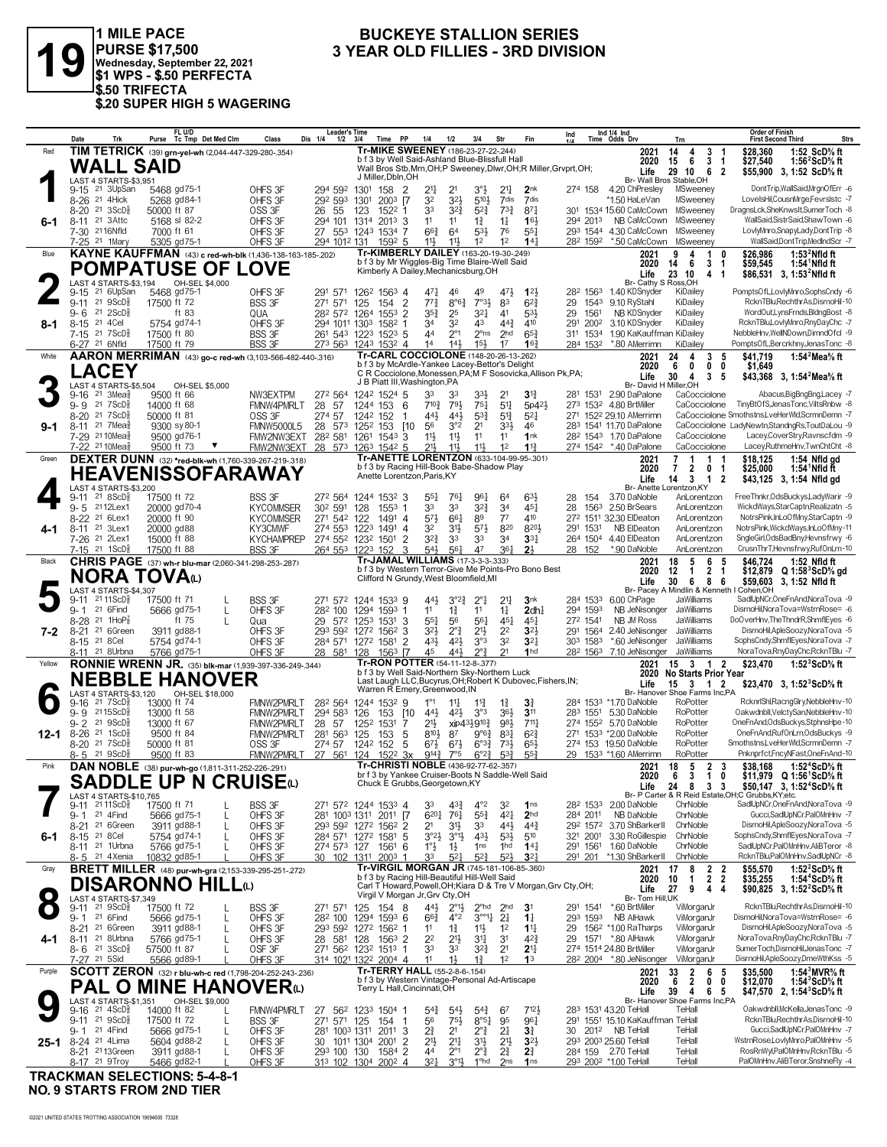

1 MILE PACE<br>PURSE \$17,500<br>Wednesday, September 22, 2021<br>\$1 WPS - \$.50 PERFECTA \$.50 TRIFECTA \$.20 SUPER HIGH 5 WAGERING

#### **BUCKEYE STALLION SERIES** 3 YEAR OLD FILLIES - 3RD DIVISION

|           | Date                            | Trk                                                                            | Purse                                     | FL U/D<br>Tc Tmp Det Med Clm                                                                         | Class                                            | <b>Leader's Time</b><br>Dis 1/4<br>$1/2$ $3/4$                                            |                         | PP<br>Time                                                                                                                                  | 1/4                                           | 1/2                                    | 3/4                                                   | Str                                          | Fin                                                                               | Ind             |                      | Ind 1/4 Ind<br>Time Odds Drv                                             | Trn                                                                                                                                                            | <b>Order of Finish</b><br>Strs<br><b>First Second Third</b>                                                                                                                                          |
|-----------|---------------------------------|--------------------------------------------------------------------------------|-------------------------------------------|------------------------------------------------------------------------------------------------------|--------------------------------------------------|-------------------------------------------------------------------------------------------|-------------------------|---------------------------------------------------------------------------------------------------------------------------------------------|-----------------------------------------------|----------------------------------------|-------------------------------------------------------|----------------------------------------------|-----------------------------------------------------------------------------------|-----------------|----------------------|--------------------------------------------------------------------------|----------------------------------------------------------------------------------------------------------------------------------------------------------------|------------------------------------------------------------------------------------------------------------------------------------------------------------------------------------------------------|
| Red       |                                 | WALL SAID                                                                      |                                           | TIM TETRICK (39) grn-yel-wh (2,044-447-329-280-.354)                                                 |                                                  |                                                                                           |                         | Tr-MIKE SWEENEY (186-23-27-22-.244)<br>b f 3 by Well Said-Ashland Blue-Blissfull Hall                                                       |                                               |                                        |                                                       |                                              | Wall Bros Stb, Mrn, OH; P Sweeney, Dlwr, OH; R Miller, Grvprt, OH;                |                 |                      | 2021<br>2020<br>Life                                                     | 3<br>14<br>4<br>-1<br>3<br>15<br>6<br>$\overline{1}$<br>29 10<br>6<br>$\overline{\mathbf{2}}$                                                                  | 1:52 ScD% ft<br>\$28,360<br>\$27,540<br>1:56 $2$ ScD $\%$ ft<br>\$55,900 3, 1:52 ScD% ft                                                                                                             |
|           | 9-15                            | LAST 4 STARTS-\$3,951<br>21 3UpSan<br>8-26 <sup>21</sup> 4Hick                 | 5468 gd75-1<br>5268 gd84-1                |                                                                                                      | OHFS 3F<br>OHFS 3F                               | 294 592<br>292 593                                                                        | 1301<br>1301            | J Miller.Dbln.OH<br>$\overline{2}$<br>158<br>2003 [7                                                                                        | 21,<br>32                                     | 2 <sup>1</sup><br>32}                  | 33<br>5104                                            | 2 <sup>11</sup><br>7dis                      | 2 <sub>nk</sub><br>7 <sub>dis</sub>                                               | 274 158         |                      | 4.20 ChPresley<br>*1.50 HaLeVan                                          | Br- Wall Bros Stable, OH<br>MSweeney<br>MSweeney                                                                                                               | DontTrip,WallSaid,MrgnOfErr -6<br>LovelsHil,CousnMrge,Fevrslstc -7                                                                                                                                   |
| 6-1       | $8 - 20$                        | $21 \, 3ScD8$<br>8-11 <sup>21</sup> 3Attc<br>7-30 2116Nfld                     | 50000 ft 87<br>5168 sl 82-2<br>7000 ft 61 |                                                                                                      | OSS 3F<br>OHFS 3F<br>OHFS 3F                     | 26 55<br>294 101 1314 2013 3<br>27 553                                                    | 123                     | 1522 1<br>1243 1534 7                                                                                                                       | 33<br>11<br>$66\frac{3}{4}$                   | $3^{2}$<br>11<br>64                    | $5^{2}$<br>$1\frac{3}{4}$<br>5 <sup>3</sup>           | $73\frac{3}{4}$<br>$1\frac{1}{4}$<br>76      | $87\frac{1}{4}$<br>16 <sup>1</sup><br>$55\frac{1}{4}$                             |                 | 294 2013<br>293 1544 | 301 1534 15.60 CaMcCown<br>NB CaMcCown<br>4.30 CaMcCown                  | MSweeney<br>MSweeney<br>MSweeney                                                                                                                               | DragnsLck,SheKnwsIt,SumerToch -8<br>WallSaid, Sistr Said, ShawTown -6<br>LovlyMnro,SnapyLady,DontTrip -8                                                                                             |
| Blue      |                                 | 7-25 <sup>21</sup> 1Mary                                                       | 5305 gd75-1                               | KAYNE KAUFFMAN (43) c red-wh-blk (1,436-138-163-185-.202)<br><b>POMPATUSE OF</b>                     | OHFS 3F<br><b>LOVE</b>                           | 294 1012 131                                                                              |                         | $159^2$ 5<br>Tr-KIMBERLY DAILEY (163-20-19-30-249)<br>b f 3 by Mr Wiggles-Big Time Blaire-Well Said<br>Kimberly A Dailey, Mechanicsburg, OH | 11}                                           | 11}                                    | 1 <sup>2</sup>                                        | 1 <sup>2</sup>                               | 14 <sub>1</sub>                                                                   |                 | 282 1592             | *.50 CaMcCown<br>2021<br>2020                                            | MSweeney<br>9<br>1<br>n<br>Δ<br>3<br>6<br>-1<br>14                                                                                                             | WallSaid,DontTrip,MedIndScr -7<br>\$26,986<br>$1:532$ Nfld ft<br>\$59,545<br>$1:541$ Nfld ft                                                                                                         |
|           | 9-15                            | LAST 4 STARTS-\$3.194<br>21 6UpSan                                             | 5468 gd75-1                               | OH-SEL \$4,000                                                                                       | OHFS 3F                                          | 291 571                                                                                   |                         | 1262 1563 4                                                                                                                                 | 471                                           | 46                                     | 49                                                    | 471                                          | $1^{2}$                                                                           |                 | 282 1563             | Life<br>Br- Cathy S Ross, OH<br>1.40 KDSnyder                            | 4<br>23<br>10<br>-1<br>KiDailey                                                                                                                                | \$86,531 3, 1:53 <sup>2</sup> Nfld ft<br>PomptsOfL,LovlyMnro,SophsCndy -6                                                                                                                            |
| 8-1       | $9 - 11$<br>$9 - 6$<br>$8 - 15$ | $21 \text{ } 9$ ScD $\frac{5}{8}$<br>$21 \text{ } 2SCD\frac{5}{8}$<br>21 4 Cel | 17500 ft 72<br>5754 gd74-1                | ft 83                                                                                                | <b>BSS 3F</b><br>QUA<br>OHFS 3F                  | 271 571<br>282 572 1264<br>294 1011 1303                                                  | 125                     | $\overline{2}$<br>154<br>1553 2<br>1582 1                                                                                                   | $77\frac{3}{4}$<br>35}<br>34                  | $8^{\circ}6^{\frac{3}{4}}$<br>25<br>32 | $7°3\frac{1}{2}$<br>321<br>43                         | 83<br>4 <sup>1</sup><br>$44\frac{3}{4}$      | $6^{2}3$<br>53<br>410                                                             | 29<br>29<br>291 | 1543<br>1561<br>2002 | 9.10 RyStahl<br>NB KDSnyder<br>3.10 KDSnyder                             | KiDailey<br>KiDailey<br>KiDailey                                                                                                                               | RcknTBlu,RechthrAs,DisrnoHil-10<br>WordOut,LynsFrnds,BldngBost -8<br>RcknTBlu,LovlyMnro,RnyDayChc -7                                                                                                 |
|           |                                 | 7-15 <sup>21</sup> 7ScD <sup>3</sup><br>6-27 <sup>21</sup> 6Nfld               | 17500 ft 80<br>17500 ft 79                |                                                                                                      | <b>BSS 3F</b><br><b>BSS 3F</b>                   | 261 543 1223 1523 5<br>273 563                                                            |                         | 1243 1532 4                                                                                                                                 | 44<br>14                                      | $2^{\circ}1$<br>14 <sup>1</sup>        | $15\frac{1}{2}$                                       | 2 <sup>o</sup> ns 2hd<br>17                  | $65\frac{3}{4}$<br>16 <sup>3</sup>                                                |                 | 311 1534<br>284 1532 | 1.90 KaKauffman KiDailey<br>*.80 AMerrimn                                | KiDailey                                                                                                                                                       | NebbleHnv,WellNDown,DimndOfcl -9<br>PomptsOfL,Bercrkhny,JenasTonc -8                                                                                                                                 |
| White     |                                 | <b>LACEY</b><br>LAST 4 STARTS-\$5,504                                          |                                           | AARON MERRIMAN (43) go-c red-wh (3,103-566-482-440-.316)                                             |                                                  |                                                                                           |                         | Tr-CARL COCCIOLONE (148-20-26-13-262)<br>b f 3 by McArdle-Yankee Lacey-Bettor's Delight<br>J B Piatt III, Washington, PA                    |                                               |                                        |                                                       |                                              | C R Cocciolone, Monessen, PA; M F Sosovicka, Allison Pk, PA;                      |                 |                      | 2021<br>2020<br>Life<br>Br- David H Miller, OH                           | 3<br>24<br>4<br>-5<br>$\mathbf 0$<br>6<br>0<br>0<br>3<br>30<br>4<br>-5                                                                                         | 1:54 $2$ Mea $\%$ ft<br>\$41.719<br>\$1,649<br>\$43,368 3, 1:54 <sup>2</sup> Mea <sup>5</sup> / <sub>8</sub> ft                                                                                      |
|           | $9 - 16$<br>$9 - 9$             | $21 \text{ 3}$ Mea $\frac{3}{8}$<br>217SCD <sub>8</sub>                        | 9500 ft 66<br>14000 ft 68                 | OH-SEL \$5,000                                                                                       | NW3EXTPM<br>FMNW4PMRLT                           | 272 564<br>28 57                                                                          | 1242<br>1244 153        | $1524$ 5<br>- 6                                                                                                                             | 33<br>$7^{10\frac{3}{4}}$                     | 33<br>791                              | 33,<br>$75\frac{1}{4}$                                | 2 <sup>1</sup><br>5 <sup>11</sup>            | $3\frac{13}{4}$<br>5p42}                                                          |                 | 281 1531             | 2.90 DaPalone<br>273 1532 4.80 BrtMiller                                 | CaCocciolone<br>CaCocciolone                                                                                                                                   | Abacus, Big Bng Bng, Lacey -7<br>TinyBtOfS,JenasTonc,ViltsRnbw -8                                                                                                                                    |
| 9-1       | $8 - 20$                        | 217SCD <sub>8</sub><br>8-11 <sup>21</sup> 7Mea <sup>5</sup>                    | 50000 ft 81<br>9300 sy 80-1               |                                                                                                      | OSS 3F<br><b>FMNW5000L5</b>                      | 274 57<br>28 573 1252                                                                     | 1242 152                | 1<br>153<br>[10                                                                                                                             | 443<br>56                                     | 443<br>3°2                             | $5^{3}{}_{4}^{3}$<br>2 <sup>1</sup>                   | $5^{13}$<br>3 <sup>3</sup>                   | $5^{2}$<br>46                                                                     |                 |                      | 271 1522 29.10 AMerrimn<br>283 1541 11.70 DaPalone                       |                                                                                                                                                                | CaCocciolone Smothstns,LveHerWld,ScrmnDemn -7<br>CaCocciolone LadyNewtn,StandngRs,ToutDaLou -9                                                                                                       |
|           |                                 | 7-29 21 10 Meas<br>7-22 <sup>21</sup> 10 Mea                                   | 9500 gd76-1<br>9500 ft 73                 |                                                                                                      | FMW2NW3EXT<br>FMW2NW3EXT                         | 28 <sup>2</sup> 58 <sup>1</sup> 126 <sup>1</sup> 154 <sup>3</sup> 3<br>28 573 1263 1542 5 |                         |                                                                                                                                             | 11<br>$21\frac{1}{2}$                         | $11\frac{1}{2}$<br>$11\frac{1}{2}$     | 11<br>$11\frac{1}{2}$                                 | 11<br>1 <sup>2</sup>                         | 1nk<br>11 <sup>3</sup>                                                            |                 |                      | 28 <sup>2</sup> 1543 1.70 DaPalone<br>274 1542 *.40 DaPalone             | CaCocciolone<br>CaCocciolone                                                                                                                                   | Lacey,CoverStry,Ravnscfdm -9<br>Lacey, RuthmeHnv, TwnChtCht -8                                                                                                                                       |
| Green     |                                 | LAST 4 STARTS-\$3,200                                                          |                                           | <b>DEXTER DUNN</b> (32) *red-blk-wh (1,760-339-267-219-.318)<br>HEAVENISSOFARAWAY                    |                                                  |                                                                                           |                         | Tr-ANETTE LORENTZON (633-104-99-95-.301)<br>b f 3 by Racing Hill-Book Babe-Shadow Play<br>Anette Lorentzon, Paris, KY                       |                                               |                                        |                                                       |                                              |                                                                                   |                 |                      | 2021<br>2020<br>Life                                                     | $\mathbf{1}$<br>7<br>$\mathbf{1}$<br>- 1<br>$\overline{2}$<br>$\mathbf 0$<br>7<br>- 1<br>3<br>$\overline{2}$<br>$\mathbf{1}$<br>14<br>Br- Anette Lorentzon, KY | \$18.125<br>1:54 Nfld gd<br>\$25,000<br>1:54 Nfld ft<br>\$43,125 3, 1:54 Nfld gd                                                                                                                     |
|           |                                 | $9-11$ 21 8ScD <sup>3</sup><br>9-5 2112Lex1                                    | 17500 ft 72<br>20000 gd70-4               |                                                                                                      | <b>BSS 3F</b><br><b>KYCOMMSER</b>                | 272 564 1244 1532 3<br>30 <sup>2</sup> 591                                                | 128                     | $155^3$ 1                                                                                                                                   | 55}<br>33                                     | 761<br>33                              | 961<br>$3^{2^{3}}$                                    | 64<br>3 <sup>4</sup>                         | $63\frac{1}{2}$<br>$45\frac{1}{4}$                                                | 28<br>28        | 154<br>1563          | 3.70 DaNoble<br>2.50 BrSears                                             | AnLorentzon<br>AnLorentzon                                                                                                                                     | FreeThnkr, OdsBuckys, LadyWarir -9<br>WickdWays,StarCaptn,Realizatn -5                                                                                                                               |
| 4-1       |                                 | 8-22 <sup>21</sup> 6Lex1<br>8-11 21 3Lex1                                      | 20000 ft 90<br>20000 gd88                 |                                                                                                      | <b>KYCOMMSER</b><br>KY3CMWF                      | 271 542 122<br>274 553 1223 1491 4                                                        |                         | 1491 4                                                                                                                                      | $5^{7}$<br>32                                 | 661<br>31}                             | 89<br>$5^{7}$                                         | 77<br>820                                    | 410<br>8201                                                                       |                 | 291 1531             | 272 1511 32.30 ElDeaton<br>NB ElDeaton                                   | AnLorentzon<br>AnLorentzon                                                                                                                                     | NotrsPink.InLoOfMnv.StarCaptn -9<br>NotrsPink, WickdWays, InLoOfMny-11                                                                                                                               |
|           |                                 | 7-26 21 2Lex1<br>7-15 21 1ScD <sup>5</sup>                                     | 15000 ft 88<br>17500 ft 88                |                                                                                                      | <b>KYCHAMPREP</b><br><b>BSS 3F</b>               | 274 552 1232 1501<br>264 553 1223 152                                                     |                         | $\overline{2}$<br>3                                                                                                                         | $3^{2}\frac{3}{4}$<br>54}                     | 33<br>$56\frac{1}{4}$                  | 33<br>47                                              | 34<br>361                                    | $33\frac{1}{4}$<br>2 <sup>1</sup>                                                 | 28 152          |                      | 264 1504 4.40 ElDeaton<br>*.90 DaNoble                                   | AnLorentzon<br>AnLorentzon                                                                                                                                     | SngleGirl, OdsBadBny, Hevnsfrwy -6<br>CrusnThrT,Hevnsfrwy,RufOnLrn-10                                                                                                                                |
| Black     |                                 | LAST 4 STARTS-\$4,307                                                          | NORA TOVAധ                                | <b>CHRIS PAGE</b> (37) wh-r blu-mar (2,060-341-298-253-.287)                                         |                                                  |                                                                                           |                         | Tr-JAMAL WILLIAMS (17-3-3-3-333)<br>Clifford N Grundy, West Bloomfield, MI                                                                  |                                               |                                        |                                                       |                                              | b f 3 by Western Terror-Give Me Points-Pro Bono Best                              |                 |                      | 2021<br>2020<br>Life                                                     | 18<br>5<br>6<br>-5<br>12<br>$\mathbf{1}$<br>2<br>-1<br>- 8<br>30<br>6<br>- 6<br>Br- Pacey A Mindlin & Kenneth I Cohen, OH                                      | \$46.724<br>1:52 Nfld ft<br>\$12,879 Q 1:58 ScD % gd<br>\$59,603<br>3, 1:52 Nfld ft                                                                                                                  |
|           | 9-11<br>$9 - 1$                 | 21 11 ScD <sup>3</sup><br>21 6Find                                             | 17500 ft 71<br>5666 gd75-1                | L                                                                                                    | BSS 3F<br>OHFS 3F                                | 271 572 1244 1533 9<br>28 <sup>2</sup> 100                                                |                         | 1294 1593 1                                                                                                                                 | 443<br>11                                     | $3^{°2}$<br>$1\frac{3}{4}$             | $2^{\circ}1$<br>11                                    | 2 <sup>11</sup><br>$1\frac{1}{4}$            | 3nk<br>2dh <sub>4</sub>                                                           |                 | 284 1533<br>294 1593 | 6.00 ChPage<br>NB JeNisonger                                             | JaWilliams<br>JaWilliams                                                                                                                                       | SadlUpNCr, One Fn And, Nora Tova - 9<br>DisrnoHil, Nora Tova=WstrnRose= -6                                                                                                                           |
| 7-2       | 8-28<br>$8 - 21$                | 21 1HoP $\frac{7}{8}$<br>21 6Green                                             | 3911 gd88-1                               | ft 75<br>L                                                                                           | Qua<br>OHFS 3F                                   | 29<br>293 592 1272 1562 3                                                                 |                         | 572 1253 1531 3                                                                                                                             | $55\frac{1}{4}$<br>32}                        | 56<br>$2^{\circ}$ $\frac{3}{4}$        | 561<br>2 <sup>11</sup>                                | $45\frac{1}{4}$<br>2 <sup>2</sup>            | $45\frac{1}{4}$<br>3 <sup>2</sup>                                                 |                 | 272 1541<br>291 1564 | NB JM Ross<br>2.40 JeNisonger                                            | <b>JaWilliams</b><br>JaWilliams                                                                                                                                | DoOverHnv, The ThndrR, ShmfIEyes -6<br>DisrnoHil,ApleSoozy,NoraTova -5                                                                                                                               |
| Yellow    | 8-15                            | 21 8 Cel<br>8-11 <sup>21</sup> 8Urbna                                          | 5754 gd74-1<br>5766 gd75-1                | RONNIE WRENN JR. (35) blk-mar (1,939-397-336-249-.344)                                               | OHFS 3F<br>OHFS 3F                               | 284 571 1272 1581 2<br>28 581 128                                                         |                         | 1563 [7<br>Tr-RON POTTER (54-11-12-8-.377)                                                                                                  | 431<br>45                                     | 42}<br>443                             | 3°3<br>$2^{\circ}3$                                   | 3 <sup>2</sup><br>21                         | 3 <sup>2</sup><br>1 <sub>hd</sub>                                                 |                 | 303 1583<br>282 1563 | *.60 JeNisonger<br>7.10 JeNisonger JaWilliams<br>2021                    | JaWilliams<br>$15$ 3 1 2                                                                                                                                       | SophsCndy,ShmflEyes,NoraTova -7<br>NoraTova, RnyDayChc, RcknTBlu -7<br>1:52 $3$ ScD $\%$ ft<br>\$23,470                                                                                              |
|           |                                 | LAST 4 STARTS-\$3,120                                                          |                                           | <b>NEBBLE HANOVER</b><br>OH-SEL \$18,000                                                             |                                                  |                                                                                           |                         | b f 3 by Well Said-Northern Sky-Northern Luck<br>Warren R Emery, Greenwood, IN                                                              |                                               |                                        |                                                       |                                              | Last Laugh LLC, Bucyrus, OH; Robert K Dubovec, Fishers, IN;                       |                 |                      | 2020<br>Life                                                             | No Starts Prior Year<br>15 3 1 2<br>Br- Hanover Shoe Farms Inc,PA                                                                                              | \$23,470 3, 1:52 ${}^3$ ScD ${}^5$ s ft                                                                                                                                                              |
|           | 9-16                            | $21 \text{ } 7$ ScD $\frac{3}{8}$<br>g. g 2115ScD <sup>5</sup>                 | 13000 ft 74<br>13000 ft 58                |                                                                                                      | FMNW2PMRLT<br>FMNW2PMRLT                         | 282 564<br>294 583                                                                        | 126                     | 1244 1532 9<br>153<br>[10                                                                                                                   | $1^{\circ}1$<br>44}                           | $11\frac{1}{4}$<br>421                 | $11\frac{3}{4}$<br>3°3                                | $1\frac{3}{4}$<br>364                        | 31<br>3 <sup>11</sup>                                                             |                 |                      | 284 1533 *1.70 DaNoble<br>283 1551 5.30 DaNoble                          | RoPotter<br>RoPotter                                                                                                                                           | RcknrlShl,RacngGlry,NebbleHnv-10<br>Oakwdnbll, VelctySan, NebbleHnv-10                                                                                                                               |
| $12 - 1$  | $9 - 2$<br>$8 - 20$             | 21 9ScD <sup>3</sup><br>$8-26$ 21 1ScD <sup>5</sup><br>21 $7SCD_R^5$           | 13000 ft 67<br>9500 ft 84<br>50000 ft 81  |                                                                                                      | <b>FMNW2PMRLT</b><br><b>FMNW2PMRLT</b><br>OSS 3F | 28 57<br>281 563<br>274 57                                                                | 1252<br>125<br>1242 152 | 1531<br>7<br>153<br>-5<br>5                                                                                                                 | 21}<br>$8^{10}$<br>$6^{7\frac{1}{2}}$         | 87<br>$67\frac{1}{2}$                  | xip4319103<br>$9°6\frac{3}{4}$<br>$6^{o_{32}}$        | 981<br>$8^{3}\frac{1}{4}$<br>$73\frac{1}{2}$ | 711<br>$6^{2}3$<br>$65\frac{1}{2}$                                                |                 |                      | 274 1552 5.70 DaNoble<br>271 1533 *2.00 DaNoble<br>274 153 19.50 DaNoble | RoPotter<br>RoPotter<br>RoPotter                                                                                                                               | OneFnAnd,OdsBuckys,StphnsHpe-10<br>OneFnAnd,RufOnLrn,OdsBuckys -9<br>Smothstns,LveHerWld,ScrmnDemn -7                                                                                                |
| Pink      |                                 | 8-5 <sup>21</sup> 9ScD <sup>3</sup>                                            | 9500 ft 83                                | DAN NOBLE (38) pur-wh-go (1,811-311-252-226-.291)                                                    | <b>FMNW2PMRLT</b>                                | 27 561 124                                                                                |                         | 152 <sup>2</sup> 3x<br>Tr-CHRISTI NOBLE (436-92-77-62-.357)                                                                                 | $9^{14}\frac{3}{4}$                           | 7°5                                    | $6^{\circ}2^{\frac{3}{4}}$                            | $5^{3}{}_{4}^{3}$                            | 55 <sup>3</sup>                                                                   |                 |                      | 29 1533 *1.60 AMerrimn<br>2021                                           | RoPotter<br>5<br>$\overline{2}$<br>18<br>-3                                                                                                                    | Pnknprfct,FncyNFast,OneFnAnd-10<br>\$38,168<br>1:52 <sup>4</sup> ScD% ft                                                                                                                             |
|           | 9-11                            | LAST 4 STARTS-\$10,765<br>21 11 ScD <sup>5</sup>                               | 17500 ft 71                               | BBL E UB U ABUSE<br><b>SADDLE UP N CRUISE(L)</b>                                                     | <b>BSS 3F</b>                                    | 271 572 1244 1533 4                                                                       |                         | br f 3 by Yankee Cruiser-Boots N Saddle-Well Said<br>Chuck E Grubbs, Georgetown, KY                                                         | 33                                            | $43\frac{3}{4}$                        | $4^{\circ}2$                                          | 32                                           | 1 <sub>ns</sub>                                                                   |                 | 282 1533             | 2020<br>Life<br>2.00 DaNoble                                             | 10<br>63<br>3 <sub>3</sub><br>24 8<br>ChrNoble                                                                                                                 | \$11.979 Q 1:56 <sup>1</sup> ScD <sup>5</sup> / <sub>8</sub> ft<br>\$50,147 3, 1:52 <sup>4</sup> ScD% ft<br>Br- P Carter & R Reid Estate, OH; C Grubbs, KY; etc.<br>SadlUpNCr, OneFnAnd, NoraTova -9 |
|           | $9 - 1$                         | 21 4Find<br>8-21 <sup>21</sup> 6Green                                          | 5666 gd75-1<br>3911 gd88-1                | L<br>L                                                                                               | OHFS 3F<br>OHFS 3F                               | 281 1003 1311 2011 [7<br>293 592 1272 1562 2                                              |                         |                                                                                                                                             | 6201<br>2 <sup>1</sup>                        | 761<br>31}                             | $55\frac{3}{4}$<br>33                                 | 421<br>443                                   | 2 <sub>hd</sub><br>$44\frac{3}{4}$                                                |                 | 284 2011             | NB DaNoble<br>292 1572 3.70 ShBarkerII                                   | ChrNoble<br>ChrNoble                                                                                                                                           | Gucci,SadlUpNCr,PalOMnHnv -7<br>DisrnoHil,ApleSoozy,NoraTova -5                                                                                                                                      |
| 6-1       | $8 - 15$                        | 21 8 Cel<br>8-11 <sup>21</sup> 1Urbna                                          | 5754 gd74-1<br>5766 gd75-1                | $\mathbf{I}$<br>L                                                                                    | OHFS 3F<br>OHFS 3F                               | 284 571 1272 1581<br>274 573 127 1561 6                                                   |                         | -5                                                                                                                                          | $3^{o_2}\frac{1}{2}$<br>$1^\circ \frac{1}{2}$ | $3^{01}$<br>$1\frac{1}{2}$             | $43\frac{1}{2}$<br>1 <sub>ns</sub>                    | $5^{3}$<br>1 <sup>hd</sup>                   | 510<br>14 <sup>1</sup>                                                            |                 | 321 2001<br>291 1561 | 3.30 RoGillespie<br>1.60 DaNoble                                         | ChrNoble<br>ChrNoble                                                                                                                                           | SophsCndy,ShmflEyes,NoraTova -7<br>SadlUpNCr,PalOMnHnv,AliBTeror -8                                                                                                                                  |
| Gray      |                                 | 8-5 <sup>21</sup> 4Xenia                                                       | 10832 gd85-1                              | <b>BRETT MILLER</b> (48) pur-wh-ara (2.153-339-295-251-272)                                          | OHFS 3F                                          | 30 102 1311 2003 1                                                                        |                         | Tr-VIRGIL MORGAN JR (745-181-106-85-.360)                                                                                                   | 33                                            | $5^{2}1$                               | $5^{2}$                                               | $5^{2}$                                      | 3 <sup>2</sup>                                                                    |                 | 291 201              | *1.30 ShBarkerII<br>2021                                                 | ChrNoble<br>8<br>$\frac{2}{2}$<br>17<br>-2                                                                                                                     | RcknTBlu,PalOMnHnv,SadlUpNCr -8<br>1:52 $2$ ScD $\%$ ft<br>\$55,570                                                                                                                                  |
| $\bullet$ |                                 | LAST 4 STARTS-\$7.349<br>$9-11$ 21 $9$ ScD <sup>5</sup> <sub>8</sub>           | 17500 ft 72                               | <b>DISARONNO HILL©</b>                                                                               | BSS 3F                                           | 271 571 125                                                                               |                         | b f 3 by Racing Hill-Beautiful Hill-Well Said<br>Virgil V Morgan Jr, Grv Cty, OH<br>154 8                                                   | 443                                           | $2^{\circ}1\frac{1}{2}$                | $2^{\circ}$ hd                                        | 2 <sub>hd</sub>                              | Carl T Howard, Powell, OH; Kiara D & Tre V Morgan, Grv Cty, OH;<br>3 <sup>1</sup> |                 | 291 1541             | 2020<br>Life<br>Br- Tom Hill, UK<br>*.60 BrtMiller                       | $\bar{2}$<br>10<br>$\mathbf{1}$<br>27<br>9<br>4<br>4<br>ViMorganJr                                                                                             | 1:54 <sup>4</sup> ScD% ft<br>\$35,255<br>\$90,825 3, 1:52 <sup>2</sup> ScD% ft<br>RcknTBlu,RechthrAs,DisrnoHil-10                                                                                    |
|           | $9 - 1$                         | 21 6Find<br>8-21 <sup>21</sup> 6Green                                          | 5666 gd75-1<br>3911 gd88-1                | L<br>L                                                                                               | OHFS 3F<br>OHFS 3F                               | 28 <sup>2</sup> 100 129 <sup>4</sup> 159 <sup>3</sup> 6<br>293 592 1272 1562 1            |                         |                                                                                                                                             | $66\frac{3}{4}$<br>11                         | $4^{\circ}2$<br>$1\frac{3}{4}$         | $3^{\circ\circ11}$<br>$11\frac{1}{2}$                 | $2\frac{1}{4}$<br>1 <sup>2</sup>             | $1\frac{1}{4}$<br>$1^{11}$                                                        |                 | 293 1593             | <b>NB AlHawk</b><br>29 156 <sup>2</sup> *1.00 RaTharps                   | ViMorganJr<br>ViMorganJr                                                                                                                                       | DisrnoHil, Nora Tova=WstrnRose= -6<br>DisrnoHil,ApleSoozy,NoraTova -5                                                                                                                                |
| 4-1       |                                 | 8-11 21 8Urbna<br>$8 - 6$ 21 3ScD <sup>5</sup>                                 | 5766 gd75-1<br>57500 ft 87                |                                                                                                      | OHFS 3F<br>OSF 3F                                | 28 581 128<br>271 562 1232 1513 1                                                         |                         | $1563$ 2                                                                                                                                    | 22<br>33                                      | $21\frac{1}{2}$<br>33                  | 34<br>$3^{24}$                                        | 3 <sup>1</sup><br>2 <sup>1</sup>             | $4^{2}\frac{3}{4}$<br>2 <sup>11</sup>                                             | 29              |                      | 1571 *.80 AlHawk<br>274 1514 24.80 BrtMiller                             | ViMorganJr<br>ViMorganJr                                                                                                                                       | NoraTovaRnvDavChc.RcknTBlu -7<br>SumerToch,DisrnoHil,JenasTonc -7                                                                                                                                    |
| Purple    | 7-27 <sup>21</sup> 5Sid         |                                                                                | 5566 gd89-1                               | SCOTT ZERON (32) r blu-wh-c red (1,798-204-252-243-.236)<br><b>PAL O MINE HANOVER</b> <sup>(L)</sup> | OHFS 3F                                          | 314 1021 1322 2004 4                                                                      |                         | Tr-TERRY HALL (55-2-8-6-.154)<br>b f 3 by Western Vintage-Personal Ad-Artiscape<br>Terry L Hall, Cincinnati, OH                             | 11                                            | 1}                                     | $1\frac{3}{4}$                                        | 1 <sup>2</sup>                               | 1 <sup>3</sup>                                                                    |                 |                      | 28 <sup>2</sup> 200 <sup>4</sup> *.80 JeNisonger<br>2021<br>2020         | ViMorganJr<br>33<br>$\overline{2}$<br>6<br>- 5<br>6<br>2<br>0<br>0                                                                                             | DisrnoHil,ApleSoozy,DmeWthKss -5<br>1:54 $3$ MVR $\%$ ft<br>\$35,500<br>\$12,070<br>1:54 ScD% ft                                                                                                     |
|           |                                 | LAST 4 STARTS-\$1,351<br>$9-16$ 21 $4$ ScD $\frac{5}{8}$                       | 14000 ft 82                               | OH-SEL \$9,000                                                                                       | FMNW4PMRLT                                       | 27 562 1233 1504 1                                                                        |                         |                                                                                                                                             | 54}                                           | $54\frac{1}{2}$                        | $5^{4}$                                               | 67                                           | 7121,                                                                             |                 |                      | Life<br>283 1531 43.20 TeHall                                            | 39<br>6 5<br>4<br>Br- Hanover Shoe Farms Inc,PA<br>TeHall                                                                                                      | \$47,570 2, 1:54 <sup>3</sup> ScD% ft<br>Oakwdnbll, McKella, JenasTonc -9                                                                                                                            |
|           | 9- 1                            | $9-11$ 21 $9$ ScD $\frac{3}{8}$<br>21 4Find                                    | 17500 ft 72<br>5666 gd75-1                | L                                                                                                    | BSS 3F<br>OHFS 3F                                | 271 571 125 154 1<br>281 1003 1311 2011 3                                                 |                         |                                                                                                                                             | 56<br>21                                      | 75}<br>2 <sup>1</sup>                  | $8^{\circ 5\frac{1}{4}}$<br>$2^{\circ}$ $\frac{3}{4}$ | 95<br>$2\frac{1}{4}$                         | 961<br>3 <sup>3</sup>                                                             | 30              |                      | 291 1551 15.10 KaKauffman TeHall<br>201 <sup>2</sup> NB TeHall           | TeHall                                                                                                                                                         | RcknTBlu,RechthrAs,DisrnoHil-10<br>Gucci,SadlUpNCr,PalOMnHnv -7                                                                                                                                      |
|           |                                 | 25-1 8-24 <sup>21</sup> 4Lima<br>8-21 2113Green                                | 5604 gd88-2<br>3911 gd88-1                |                                                                                                      | OHFS 3F<br>OHFS 3F                               | 30 1011 1304 2001 2<br>293 100 130                                                        |                         | 1584 2                                                                                                                                      | 2 <sup>1</sup><br>44                          | 2 <sup>11</sup><br>$2^{\circ}1$        | 31}<br>$2^{\circ}$ $\frac{3}{4}$                      | $21\frac{1}{2}$<br>$2\frac{3}{4}$            | 3 <sup>2</sup><br>21                                                              |                 |                      | 293 2003 25.60 TeHall<br>284 159 2.70 TeHall                             | TeHall<br>TeHall                                                                                                                                               | WstrnRose,LovlyMnro,PalOMnHnv -5<br>RosRnWyl,PalOMnHnv,RcknTBlu -5<br>PalOMnHnv,AliBTeror,SnshneFly -4                                                                                               |
|           |                                 | 8-17 21 9Troy                                                                  | 5466 gd82-1                               |                                                                                                      | OHFS 3F                                          | 313 102 1304 2002 4                                                                       |                         |                                                                                                                                             | 321                                           | $3^{01}$                               | 1 <sup>o</sup> hd                                     | 2ns                                          | 1 <sub>ns</sub>                                                                   |                 |                      | 293 2002 *1.00 TeHall                                                    | TeHall                                                                                                                                                         |                                                                                                                                                                                                      |

**TRACKMAN SELECTIONS: 5-4-8-1 NO. 9 STARTS FROM 2ND TIER**